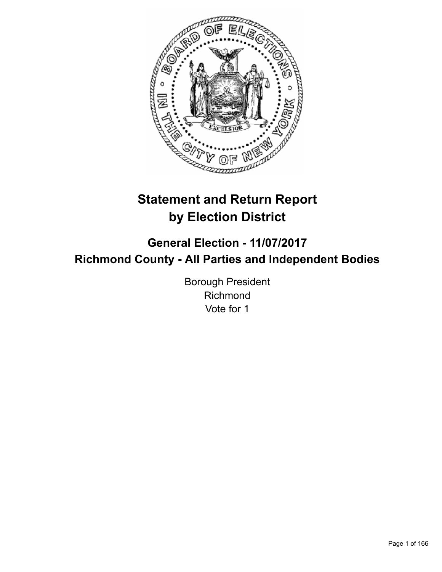

# **Statement and Return Report by Election District**

## **General Election - 11/07/2017 Richmond County - All Parties and Independent Bodies**

Borough President Richmond Vote for 1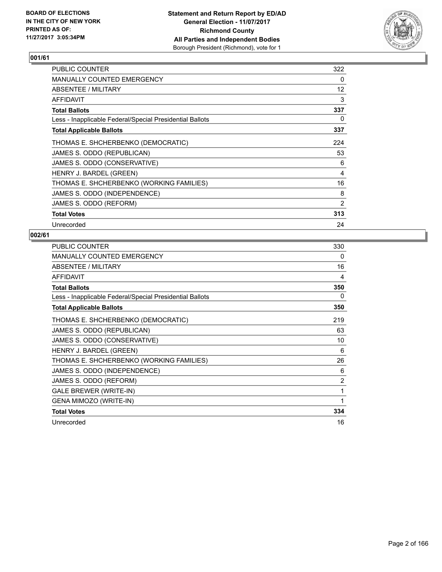

| <b>PUBLIC COUNTER</b>                                    | 322 |
|----------------------------------------------------------|-----|
| <b>MANUALLY COUNTED EMERGENCY</b>                        | 0   |
| ABSENTEE / MILITARY                                      | 12  |
| AFFIDAVIT                                                | 3   |
| <b>Total Ballots</b>                                     | 337 |
| Less - Inapplicable Federal/Special Presidential Ballots | 0   |
| <b>Total Applicable Ballots</b>                          | 337 |
| THOMAS E. SHCHERBENKO (DEMOCRATIC)                       | 224 |
| JAMES S. ODDO (REPUBLICAN)                               | 53  |
| JAMES S. ODDO (CONSERVATIVE)                             | 6   |
| HENRY J. BARDEL (GREEN)                                  | 4   |
| THOMAS E. SHCHERBENKO (WORKING FAMILIES)                 | 16  |
| JAMES S. ODDO (INDEPENDENCE)                             | 8   |
| JAMES S. ODDO (REFORM)                                   | 2   |
| <b>Total Votes</b>                                       | 313 |
| Unrecorded                                               | 24  |

| <b>PUBLIC COUNTER</b>                                    | 330 |
|----------------------------------------------------------|-----|
| <b>MANUALLY COUNTED EMERGENCY</b>                        | 0   |
| ABSENTEE / MILITARY                                      | 16  |
| <b>AFFIDAVIT</b>                                         | 4   |
| <b>Total Ballots</b>                                     | 350 |
| Less - Inapplicable Federal/Special Presidential Ballots | 0   |
| <b>Total Applicable Ballots</b>                          | 350 |
| THOMAS E. SHCHERBENKO (DEMOCRATIC)                       | 219 |
| JAMES S. ODDO (REPUBLICAN)                               | 63  |
| JAMES S. ODDO (CONSERVATIVE)                             | 10  |
| HENRY J. BARDEL (GREEN)                                  | 6   |
| THOMAS E. SHCHERBENKO (WORKING FAMILIES)                 | 26  |
| JAMES S. ODDO (INDEPENDENCE)                             | 6   |
| JAMES S. ODDO (REFORM)                                   | 2   |
| <b>GALE BREWER (WRITE-IN)</b>                            | 1   |
| <b>GENA MIMOZO (WRITE-IN)</b>                            | 1   |
| <b>Total Votes</b>                                       | 334 |
| Unrecorded                                               | 16  |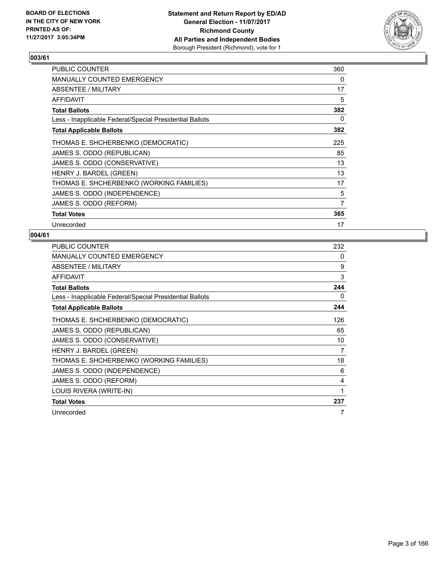

| <b>PUBLIC COUNTER</b>                                    | 360 |
|----------------------------------------------------------|-----|
| <b>MANUALLY COUNTED EMERGENCY</b>                        | 0   |
| ABSENTEE / MILITARY                                      | 17  |
| <b>AFFIDAVIT</b>                                         | 5   |
| <b>Total Ballots</b>                                     | 382 |
| Less - Inapplicable Federal/Special Presidential Ballots | 0   |
| <b>Total Applicable Ballots</b>                          | 382 |
| THOMAS E. SHCHERBENKO (DEMOCRATIC)                       | 225 |
| JAMES S. ODDO (REPUBLICAN)                               | 85  |
| JAMES S. ODDO (CONSERVATIVE)                             | 13  |
| HENRY J. BARDEL (GREEN)                                  | 13  |
| THOMAS E. SHCHERBENKO (WORKING FAMILIES)                 | 17  |
| JAMES S. ODDO (INDEPENDENCE)                             | 5   |
| JAMES S. ODDO (REFORM)                                   | 7   |
| <b>Total Votes</b>                                       | 365 |
| Unrecorded                                               | 17  |

| <b>PUBLIC COUNTER</b>                                    | 232 |
|----------------------------------------------------------|-----|
| <b>MANUALLY COUNTED EMERGENCY</b>                        | 0   |
| <b>ABSENTEE / MILITARY</b>                               | 9   |
| <b>AFFIDAVIT</b>                                         | 3   |
| <b>Total Ballots</b>                                     | 244 |
| Less - Inapplicable Federal/Special Presidential Ballots | 0   |
| <b>Total Applicable Ballots</b>                          | 244 |
| THOMAS E. SHCHERBENKO (DEMOCRATIC)                       | 126 |
| JAMES S. ODDO (REPUBLICAN)                               | 65  |
| JAMES S. ODDO (CONSERVATIVE)                             | 10  |
| HENRY J. BARDEL (GREEN)                                  | 7   |
| THOMAS E. SHCHERBENKO (WORKING FAMILIES)                 | 18  |
| JAMES S. ODDO (INDEPENDENCE)                             | 6   |
| JAMES S. ODDO (REFORM)                                   | 4   |
| LOUIS RIVERA (WRITE-IN)                                  | 1   |
| <b>Total Votes</b>                                       | 237 |
| Unrecorded                                               | 7   |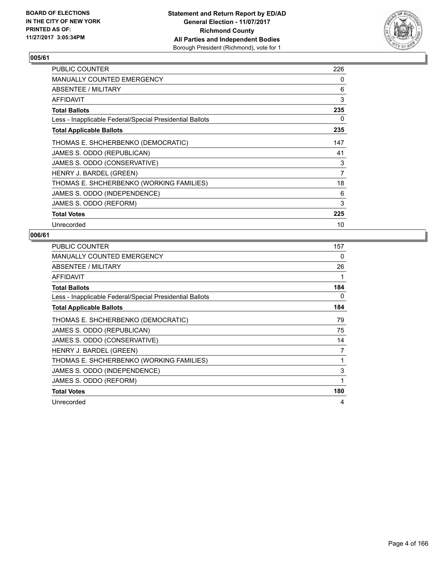

| <b>PUBLIC COUNTER</b>                                    | 226 |
|----------------------------------------------------------|-----|
| <b>MANUALLY COUNTED EMERGENCY</b>                        | 0   |
| ABSENTEE / MILITARY                                      | 6   |
| AFFIDAVIT                                                | 3   |
| <b>Total Ballots</b>                                     | 235 |
| Less - Inapplicable Federal/Special Presidential Ballots | 0   |
| <b>Total Applicable Ballots</b>                          | 235 |
| THOMAS E. SHCHERBENKO (DEMOCRATIC)                       | 147 |
| JAMES S. ODDO (REPUBLICAN)                               | 41  |
| JAMES S. ODDO (CONSERVATIVE)                             | 3   |
| HENRY J. BARDEL (GREEN)                                  | 7   |
| THOMAS E. SHCHERBENKO (WORKING FAMILIES)                 | 18  |
| JAMES S. ODDO (INDEPENDENCE)                             | 6   |
| JAMES S. ODDO (REFORM)                                   | 3   |
| <b>Total Votes</b>                                       | 225 |
| Unrecorded                                               | 10  |

| <b>PUBLIC COUNTER</b>                                    | 157          |
|----------------------------------------------------------|--------------|
| MANUALLY COUNTED EMERGENCY                               | 0            |
| ABSENTEE / MILITARY                                      | 26           |
| AFFIDAVIT                                                | 1            |
| <b>Total Ballots</b>                                     | 184          |
| Less - Inapplicable Federal/Special Presidential Ballots | 0            |
| <b>Total Applicable Ballots</b>                          | 184          |
| THOMAS E. SHCHERBENKO (DEMOCRATIC)                       | 79           |
| JAMES S. ODDO (REPUBLICAN)                               | 75           |
| JAMES S. ODDO (CONSERVATIVE)                             | 14           |
| HENRY J. BARDEL (GREEN)                                  | 7            |
| THOMAS E. SHCHERBENKO (WORKING FAMILIES)                 | 1            |
| JAMES S. ODDO (INDEPENDENCE)                             | 3            |
| JAMES S. ODDO (REFORM)                                   | $\mathbf{1}$ |
| <b>Total Votes</b>                                       | 180          |
| Unrecorded                                               | 4            |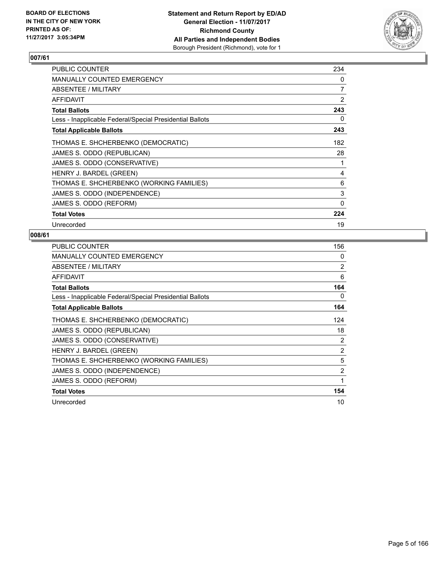

| <b>PUBLIC COUNTER</b>                                    | 234 |
|----------------------------------------------------------|-----|
| <b>MANUALLY COUNTED EMERGENCY</b>                        | 0   |
| ABSENTEE / MILITARY                                      | 7   |
| <b>AFFIDAVIT</b>                                         | 2   |
| <b>Total Ballots</b>                                     | 243 |
| Less - Inapplicable Federal/Special Presidential Ballots | 0   |
| <b>Total Applicable Ballots</b>                          | 243 |
| THOMAS E. SHCHERBENKO (DEMOCRATIC)                       | 182 |
| JAMES S. ODDO (REPUBLICAN)                               | 28  |
| JAMES S. ODDO (CONSERVATIVE)                             | 1   |
| HENRY J. BARDEL (GREEN)                                  | 4   |
| THOMAS E. SHCHERBENKO (WORKING FAMILIES)                 | 6   |
| JAMES S. ODDO (INDEPENDENCE)                             | 3   |
| JAMES S. ODDO (REFORM)                                   | 0   |
| <b>Total Votes</b>                                       | 224 |
| Unrecorded                                               | 19  |

| <b>PUBLIC COUNTER</b>                                    | 156            |
|----------------------------------------------------------|----------------|
| <b>MANUALLY COUNTED EMERGENCY</b>                        | 0              |
| ABSENTEE / MILITARY                                      | 2              |
| <b>AFFIDAVIT</b>                                         | 6              |
| <b>Total Ballots</b>                                     | 164            |
| Less - Inapplicable Federal/Special Presidential Ballots | 0              |
| <b>Total Applicable Ballots</b>                          | 164            |
| THOMAS E. SHCHERBENKO (DEMOCRATIC)                       | 124            |
| JAMES S. ODDO (REPUBLICAN)                               | 18             |
| JAMES S. ODDO (CONSERVATIVE)                             | 2              |
| HENRY J. BARDEL (GREEN)                                  | 2              |
| THOMAS E. SHCHERBENKO (WORKING FAMILIES)                 | 5              |
| JAMES S. ODDO (INDEPENDENCE)                             | $\overline{2}$ |
| JAMES S. ODDO (REFORM)                                   | 1              |
| <b>Total Votes</b>                                       | 154            |
| Unrecorded                                               | 10             |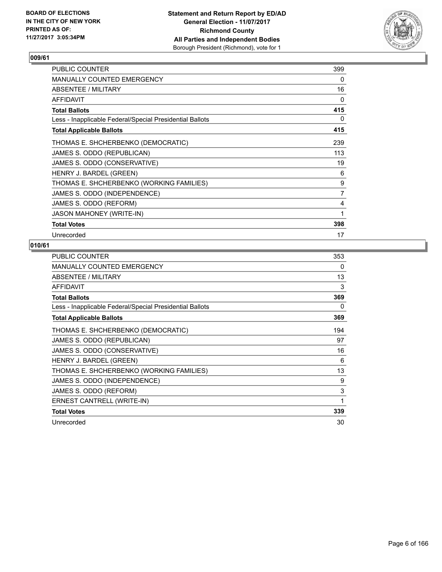

| PUBLIC COUNTER                                           | 399            |
|----------------------------------------------------------|----------------|
| MANUALLY COUNTED EMERGENCY                               | 0              |
| ABSENTEE / MILITARY                                      | 16             |
| AFFIDAVIT                                                | 0              |
| <b>Total Ballots</b>                                     | 415            |
| Less - Inapplicable Federal/Special Presidential Ballots | 0              |
| <b>Total Applicable Ballots</b>                          | 415            |
| THOMAS E. SHCHERBENKO (DEMOCRATIC)                       | 239            |
| JAMES S. ODDO (REPUBLICAN)                               | 113            |
| JAMES S. ODDO (CONSERVATIVE)                             | 19             |
| HENRY J. BARDEL (GREEN)                                  | 6              |
| THOMAS E. SHCHERBENKO (WORKING FAMILIES)                 | 9              |
| JAMES S. ODDO (INDEPENDENCE)                             | $\overline{7}$ |
| JAMES S. ODDO (REFORM)                                   | 4              |
| <b>JASON MAHONEY (WRITE-IN)</b>                          | 1              |
| <b>Total Votes</b>                                       | 398            |
| Unrecorded                                               | 17             |

| <b>PUBLIC COUNTER</b>                                    | 353 |
|----------------------------------------------------------|-----|
| <b>MANUALLY COUNTED EMERGENCY</b>                        | 0   |
| ABSENTEE / MILITARY                                      | 13  |
| <b>AFFIDAVIT</b>                                         | 3   |
| <b>Total Ballots</b>                                     | 369 |
| Less - Inapplicable Federal/Special Presidential Ballots | 0   |
| <b>Total Applicable Ballots</b>                          | 369 |
| THOMAS E. SHCHERBENKO (DEMOCRATIC)                       | 194 |
| JAMES S. ODDO (REPUBLICAN)                               | 97  |
| JAMES S. ODDO (CONSERVATIVE)                             | 16  |
| HENRY J. BARDEL (GREEN)                                  | 6   |
| THOMAS E. SHCHERBENKO (WORKING FAMILIES)                 | 13  |
| JAMES S. ODDO (INDEPENDENCE)                             | 9   |
| JAMES S. ODDO (REFORM)                                   | 3   |
| ERNEST CANTRELL (WRITE-IN)                               | 1   |
| <b>Total Votes</b>                                       | 339 |
| Unrecorded                                               | 30  |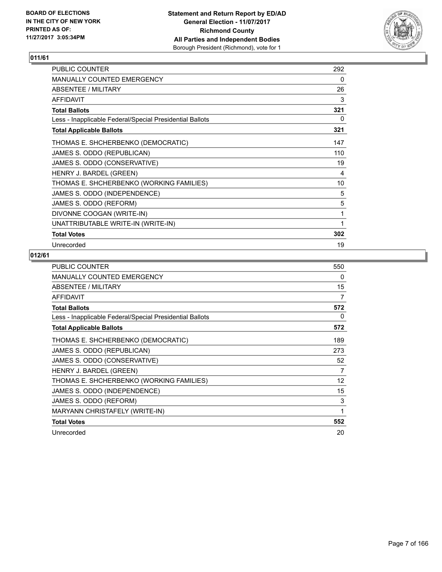

| <b>PUBLIC COUNTER</b>                                    | 292 |
|----------------------------------------------------------|-----|
| <b>MANUALLY COUNTED EMERGENCY</b>                        | 0   |
| ABSENTEE / MILITARY                                      | 26  |
| <b>AFFIDAVIT</b>                                         | 3   |
| <b>Total Ballots</b>                                     | 321 |
| Less - Inapplicable Federal/Special Presidential Ballots | 0   |
| <b>Total Applicable Ballots</b>                          | 321 |
| THOMAS E. SHCHERBENKO (DEMOCRATIC)                       | 147 |
| JAMES S. ODDO (REPUBLICAN)                               | 110 |
| JAMES S. ODDO (CONSERVATIVE)                             | 19  |
| HENRY J. BARDEL (GREEN)                                  | 4   |
| THOMAS E. SHCHERBENKO (WORKING FAMILIES)                 | 10  |
| JAMES S. ODDO (INDEPENDENCE)                             | 5   |
| JAMES S. ODDO (REFORM)                                   | 5   |
| DIVONNE COOGAN (WRITE-IN)                                | 1   |
| UNATTRIBUTABLE WRITE-IN (WRITE-IN)                       | 1   |
| <b>Total Votes</b>                                       | 302 |
| Unrecorded                                               | 19  |

| <b>PUBLIC COUNTER</b>                                    | 550 |
|----------------------------------------------------------|-----|
| MANUALLY COUNTED EMERGENCY                               | 0   |
| ABSENTEE / MILITARY                                      | 15  |
| <b>AFFIDAVIT</b>                                         | 7   |
| <b>Total Ballots</b>                                     | 572 |
| Less - Inapplicable Federal/Special Presidential Ballots | 0   |
| <b>Total Applicable Ballots</b>                          | 572 |
| THOMAS E. SHCHERBENKO (DEMOCRATIC)                       | 189 |
| JAMES S. ODDO (REPUBLICAN)                               | 273 |
| JAMES S. ODDO (CONSERVATIVE)                             | 52  |
| HENRY J. BARDEL (GREEN)                                  | 7   |
| THOMAS E. SHCHERBENKO (WORKING FAMILIES)                 | 12  |
| JAMES S. ODDO (INDEPENDENCE)                             | 15  |
| JAMES S. ODDO (REFORM)                                   | 3   |
| MARYANN CHRISTAFELY (WRITE-IN)                           | 1   |
| <b>Total Votes</b>                                       | 552 |
| Unrecorded                                               | 20  |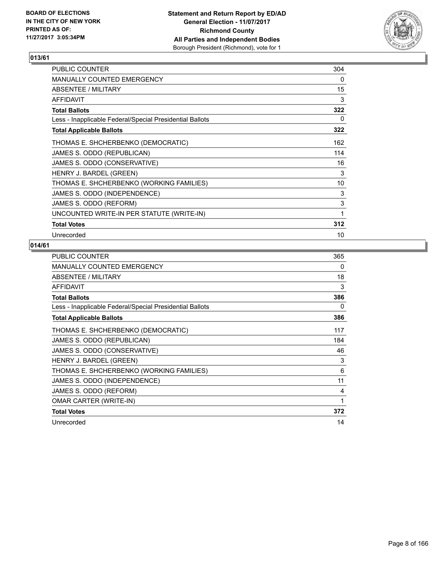

| PUBLIC COUNTER                                           | 304 |
|----------------------------------------------------------|-----|
| <b>MANUALLY COUNTED EMERGENCY</b>                        | 0   |
| ABSENTEE / MILITARY                                      | 15  |
| <b>AFFIDAVIT</b>                                         | 3   |
| <b>Total Ballots</b>                                     | 322 |
| Less - Inapplicable Federal/Special Presidential Ballots | 0   |
| <b>Total Applicable Ballots</b>                          | 322 |
| THOMAS E. SHCHERBENKO (DEMOCRATIC)                       | 162 |
| JAMES S. ODDO (REPUBLICAN)                               | 114 |
| JAMES S. ODDO (CONSERVATIVE)                             | 16  |
| HENRY J. BARDEL (GREEN)                                  | 3   |
| THOMAS E. SHCHERBENKO (WORKING FAMILIES)                 | 10  |
| JAMES S. ODDO (INDEPENDENCE)                             | 3   |
| JAMES S. ODDO (REFORM)                                   | 3   |
| UNCOUNTED WRITE-IN PER STATUTE (WRITE-IN)                | 1   |
| <b>Total Votes</b>                                       | 312 |
| Unrecorded                                               | 10  |

| PUBLIC COUNTER                                           | 365 |
|----------------------------------------------------------|-----|
| MANUALLY COUNTED EMERGENCY                               | 0   |
| ABSENTEE / MILITARY                                      | 18  |
| AFFIDAVIT                                                | 3   |
| <b>Total Ballots</b>                                     | 386 |
| Less - Inapplicable Federal/Special Presidential Ballots | 0   |
| <b>Total Applicable Ballots</b>                          | 386 |
| THOMAS E. SHCHERBENKO (DEMOCRATIC)                       | 117 |
| JAMES S. ODDO (REPUBLICAN)                               | 184 |
| JAMES S. ODDO (CONSERVATIVE)                             | 46  |
| HENRY J. BARDEL (GREEN)                                  | 3   |
| THOMAS E. SHCHERBENKO (WORKING FAMILIES)                 | 6   |
| JAMES S. ODDO (INDEPENDENCE)                             | 11  |
| JAMES S. ODDO (REFORM)                                   | 4   |
| <b>OMAR CARTER (WRITE-IN)</b>                            | 1   |
| <b>Total Votes</b>                                       | 372 |
| Unrecorded                                               | 14  |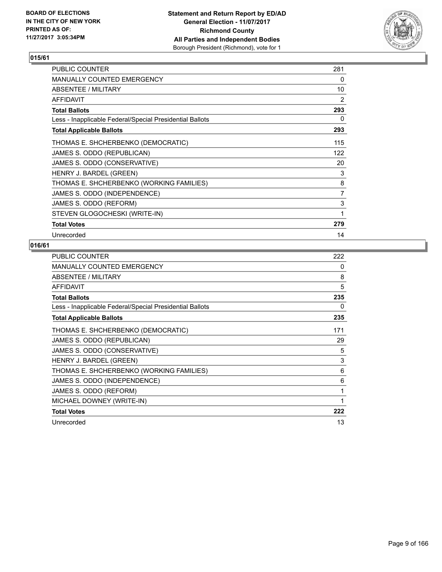

| <b>PUBLIC COUNTER</b>                                    | 281 |
|----------------------------------------------------------|-----|
| <b>MANUALLY COUNTED EMERGENCY</b>                        | 0   |
| ABSENTEE / MILITARY                                      | 10  |
| <b>AFFIDAVIT</b>                                         | 2   |
| <b>Total Ballots</b>                                     | 293 |
| Less - Inapplicable Federal/Special Presidential Ballots | 0   |
| <b>Total Applicable Ballots</b>                          | 293 |
| THOMAS E. SHCHERBENKO (DEMOCRATIC)                       | 115 |
| JAMES S. ODDO (REPUBLICAN)                               | 122 |
| JAMES S. ODDO (CONSERVATIVE)                             | 20  |
| HENRY J. BARDEL (GREEN)                                  | 3   |
| THOMAS E. SHCHERBENKO (WORKING FAMILIES)                 | 8   |
| JAMES S. ODDO (INDEPENDENCE)                             | 7   |
| JAMES S. ODDO (REFORM)                                   | 3   |
| STEVEN GLOGOCHESKI (WRITE-IN)                            | 1   |
| <b>Total Votes</b>                                       | 279 |
| Unrecorded                                               | 14  |

| PUBLIC COUNTER                                           | 222 |
|----------------------------------------------------------|-----|
| MANUALLY COUNTED EMERGENCY                               | 0   |
| ABSENTEE / MILITARY                                      | 8   |
| AFFIDAVIT                                                | 5   |
| <b>Total Ballots</b>                                     | 235 |
| Less - Inapplicable Federal/Special Presidential Ballots | 0   |
| <b>Total Applicable Ballots</b>                          | 235 |
| THOMAS E. SHCHERBENKO (DEMOCRATIC)                       | 171 |
| JAMES S. ODDO (REPUBLICAN)                               | 29  |
| JAMES S. ODDO (CONSERVATIVE)                             | 5   |
| HENRY J. BARDEL (GREEN)                                  | 3   |
| THOMAS E. SHCHERBENKO (WORKING FAMILIES)                 | 6   |
| JAMES S. ODDO (INDEPENDENCE)                             | 6   |
| JAMES S. ODDO (REFORM)                                   | 1   |
| MICHAEL DOWNEY (WRITE-IN)                                | 1   |
| <b>Total Votes</b>                                       | 222 |
| Unrecorded                                               | 13  |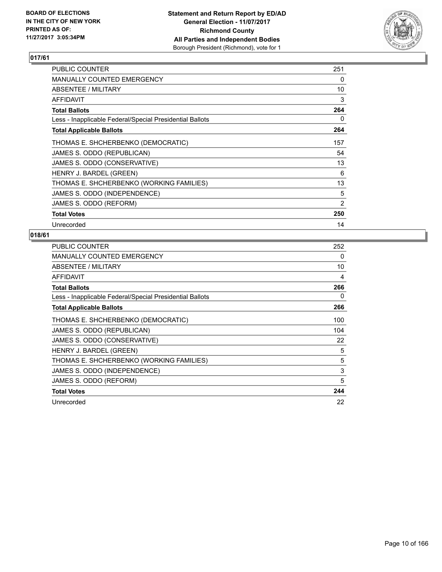

| PUBLIC COUNTER                                           | 251 |
|----------------------------------------------------------|-----|
| <b>MANUALLY COUNTED EMERGENCY</b>                        | 0   |
| ABSENTEE / MILITARY                                      | 10  |
| <b>AFFIDAVIT</b>                                         | 3   |
| <b>Total Ballots</b>                                     | 264 |
| Less - Inapplicable Federal/Special Presidential Ballots | 0   |
| <b>Total Applicable Ballots</b>                          | 264 |
| THOMAS E. SHCHERBENKO (DEMOCRATIC)                       | 157 |
| JAMES S. ODDO (REPUBLICAN)                               | 54  |
| JAMES S. ODDO (CONSERVATIVE)                             | 13  |
| HENRY J. BARDEL (GREEN)                                  | 6   |
| THOMAS E. SHCHERBENKO (WORKING FAMILIES)                 | 13  |
| JAMES S. ODDO (INDEPENDENCE)                             | 5   |
| JAMES S. ODDO (REFORM)                                   | 2   |
| <b>Total Votes</b>                                       | 250 |
| Unrecorded                                               | 14  |

| <b>PUBLIC COUNTER</b>                                    | 252 |
|----------------------------------------------------------|-----|
| <b>MANUALLY COUNTED EMERGENCY</b>                        | 0   |
| ABSENTEE / MILITARY                                      | 10  |
| <b>AFFIDAVIT</b>                                         | 4   |
| <b>Total Ballots</b>                                     | 266 |
| Less - Inapplicable Federal/Special Presidential Ballots | 0   |
| <b>Total Applicable Ballots</b>                          | 266 |
| THOMAS E. SHCHERBENKO (DEMOCRATIC)                       | 100 |
| JAMES S. ODDO (REPUBLICAN)                               | 104 |
| JAMES S. ODDO (CONSERVATIVE)                             | 22  |
| HENRY J. BARDEL (GREEN)                                  | 5   |
| THOMAS E. SHCHERBENKO (WORKING FAMILIES)                 | 5   |
| JAMES S. ODDO (INDEPENDENCE)                             | 3   |
| JAMES S. ODDO (REFORM)                                   | 5   |
| <b>Total Votes</b>                                       | 244 |
| Unrecorded                                               | 22  |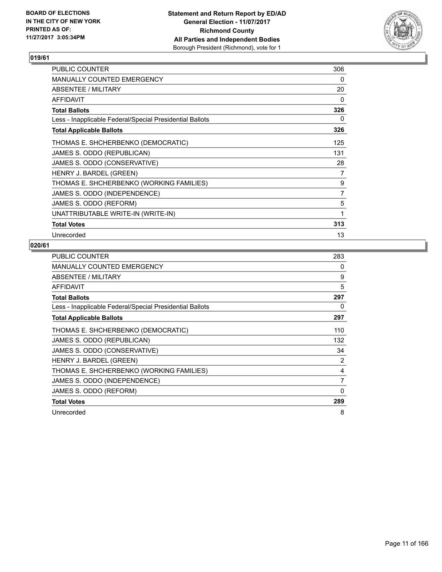

| <b>PUBLIC COUNTER</b>                                    | 306 |
|----------------------------------------------------------|-----|
| <b>MANUALLY COUNTED EMERGENCY</b>                        | 0   |
| ABSENTEE / MILITARY                                      | 20  |
| <b>AFFIDAVIT</b>                                         | 0   |
| <b>Total Ballots</b>                                     | 326 |
| Less - Inapplicable Federal/Special Presidential Ballots | 0   |
| <b>Total Applicable Ballots</b>                          | 326 |
| THOMAS E. SHCHERBENKO (DEMOCRATIC)                       | 125 |
| JAMES S. ODDO (REPUBLICAN)                               | 131 |
| JAMES S. ODDO (CONSERVATIVE)                             | 28  |
| HENRY J. BARDEL (GREEN)                                  | 7   |
| THOMAS E. SHCHERBENKO (WORKING FAMILIES)                 | 9   |
| JAMES S. ODDO (INDEPENDENCE)                             | 7   |
| JAMES S. ODDO (REFORM)                                   | 5   |
| UNATTRIBUTABLE WRITE-IN (WRITE-IN)                       | 1   |
| <b>Total Votes</b>                                       | 313 |
| Unrecorded                                               | 13  |

| <b>PUBLIC COUNTER</b>                                    | 283 |
|----------------------------------------------------------|-----|
| <b>MANUALLY COUNTED EMERGENCY</b>                        | 0   |
| ABSENTEE / MILITARY                                      | 9   |
| <b>AFFIDAVIT</b>                                         | 5   |
| <b>Total Ballots</b>                                     | 297 |
| Less - Inapplicable Federal/Special Presidential Ballots | 0   |
| <b>Total Applicable Ballots</b>                          | 297 |
| THOMAS E. SHCHERBENKO (DEMOCRATIC)                       | 110 |
| JAMES S. ODDO (REPUBLICAN)                               | 132 |
| JAMES S. ODDO (CONSERVATIVE)                             | 34  |
| HENRY J. BARDEL (GREEN)                                  | 2   |
| THOMAS E. SHCHERBENKO (WORKING FAMILIES)                 | 4   |
| JAMES S. ODDO (INDEPENDENCE)                             | 7   |
| JAMES S. ODDO (REFORM)                                   | 0   |
| <b>Total Votes</b>                                       | 289 |
| Unrecorded                                               | 8   |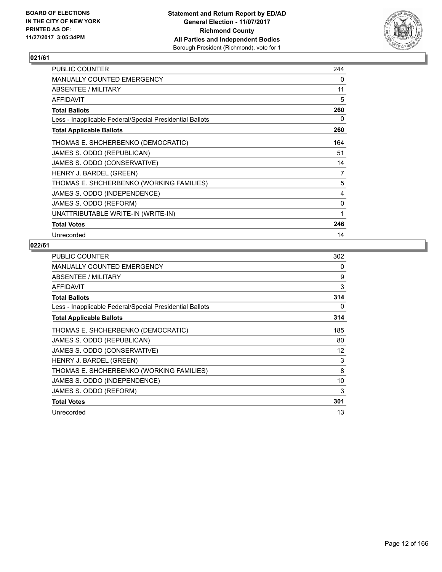

| <b>PUBLIC COUNTER</b>                                    | 244 |
|----------------------------------------------------------|-----|
| <b>MANUALLY COUNTED EMERGENCY</b>                        | 0   |
| ABSENTEE / MILITARY                                      | 11  |
| <b>AFFIDAVIT</b>                                         | 5   |
| <b>Total Ballots</b>                                     | 260 |
| Less - Inapplicable Federal/Special Presidential Ballots | 0   |
| <b>Total Applicable Ballots</b>                          | 260 |
| THOMAS E. SHCHERBENKO (DEMOCRATIC)                       | 164 |
| JAMES S. ODDO (REPUBLICAN)                               | 51  |
| JAMES S. ODDO (CONSERVATIVE)                             | 14  |
| HENRY J. BARDEL (GREEN)                                  | 7   |
| THOMAS E. SHCHERBENKO (WORKING FAMILIES)                 | 5   |
| JAMES S. ODDO (INDEPENDENCE)                             | 4   |
| JAMES S. ODDO (REFORM)                                   | 0   |
| UNATTRIBUTABLE WRITE-IN (WRITE-IN)                       | 1   |
| <b>Total Votes</b>                                       | 246 |
| Unrecorded                                               | 14  |

| <b>PUBLIC COUNTER</b>                                    | 302 |
|----------------------------------------------------------|-----|
| <b>MANUALLY COUNTED EMERGENCY</b>                        | 0   |
| ABSENTEE / MILITARY                                      | 9   |
| AFFIDAVIT                                                | 3   |
| <b>Total Ballots</b>                                     | 314 |
| Less - Inapplicable Federal/Special Presidential Ballots | 0   |
| <b>Total Applicable Ballots</b>                          | 314 |
| THOMAS E. SHCHERBENKO (DEMOCRATIC)                       | 185 |
| JAMES S. ODDO (REPUBLICAN)                               | 80  |
| JAMES S. ODDO (CONSERVATIVE)                             | 12  |
| HENRY J. BARDEL (GREEN)                                  | 3   |
| THOMAS E. SHCHERBENKO (WORKING FAMILIES)                 | 8   |
| JAMES S. ODDO (INDEPENDENCE)                             | 10  |
| JAMES S. ODDO (REFORM)                                   | 3   |
| <b>Total Votes</b>                                       | 301 |
| Unrecorded                                               | 13  |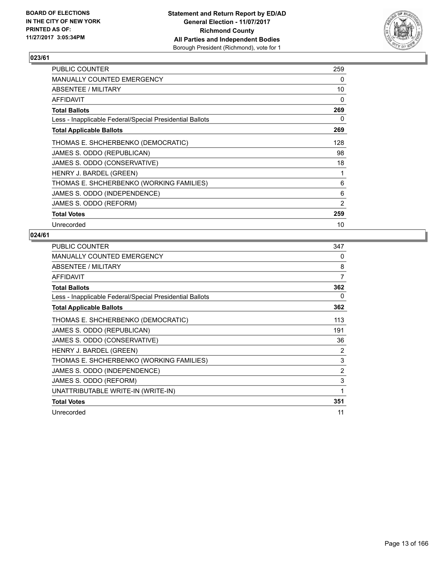

| <b>PUBLIC COUNTER</b>                                    | 259 |
|----------------------------------------------------------|-----|
| <b>MANUALLY COUNTED EMERGENCY</b>                        | 0   |
| ABSENTEE / MILITARY                                      | 10  |
| <b>AFFIDAVIT</b>                                         | 0   |
| <b>Total Ballots</b>                                     | 269 |
| Less - Inapplicable Federal/Special Presidential Ballots | 0   |
| <b>Total Applicable Ballots</b>                          | 269 |
| THOMAS E. SHCHERBENKO (DEMOCRATIC)                       | 128 |
| JAMES S. ODDO (REPUBLICAN)                               | 98  |
| JAMES S. ODDO (CONSERVATIVE)                             | 18  |
| HENRY J. BARDEL (GREEN)                                  | 1   |
| THOMAS E. SHCHERBENKO (WORKING FAMILIES)                 | 6   |
| JAMES S. ODDO (INDEPENDENCE)                             | 6   |
| JAMES S. ODDO (REFORM)                                   | 2   |
| <b>Total Votes</b>                                       | 259 |
| Unrecorded                                               | 10  |

| <b>PUBLIC COUNTER</b>                                    | 347 |
|----------------------------------------------------------|-----|
| <b>MANUALLY COUNTED EMERGENCY</b>                        | 0   |
| ABSENTEE / MILITARY                                      | 8   |
| <b>AFFIDAVIT</b>                                         | 7   |
| <b>Total Ballots</b>                                     | 362 |
| Less - Inapplicable Federal/Special Presidential Ballots | 0   |
| <b>Total Applicable Ballots</b>                          | 362 |
| THOMAS E. SHCHERBENKO (DEMOCRATIC)                       | 113 |
| JAMES S. ODDO (REPUBLICAN)                               | 191 |
| JAMES S. ODDO (CONSERVATIVE)                             | 36  |
| HENRY J. BARDEL (GREEN)                                  | 2   |
| THOMAS E. SHCHERBENKO (WORKING FAMILIES)                 | 3   |
| JAMES S. ODDO (INDEPENDENCE)                             | 2   |
| JAMES S. ODDO (REFORM)                                   | 3   |
| UNATTRIBUTABLE WRITE-IN (WRITE-IN)                       | 1   |
| <b>Total Votes</b>                                       | 351 |
| Unrecorded                                               | 11  |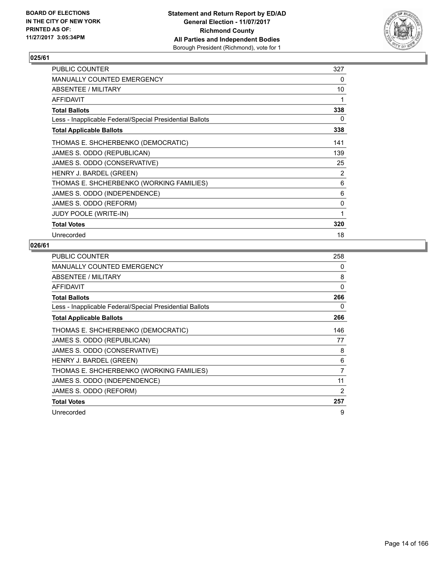

| <b>PUBLIC COUNTER</b>                                    | 327      |
|----------------------------------------------------------|----------|
| MANUALLY COUNTED EMERGENCY                               | 0        |
| ABSENTEE / MILITARY                                      | 10       |
| <b>AFFIDAVIT</b>                                         | 1        |
| <b>Total Ballots</b>                                     | 338      |
| Less - Inapplicable Federal/Special Presidential Ballots | 0        |
| <b>Total Applicable Ballots</b>                          | 338      |
| THOMAS E. SHCHERBENKO (DEMOCRATIC)                       | 141      |
| JAMES S. ODDO (REPUBLICAN)                               | 139      |
| JAMES S. ODDO (CONSERVATIVE)                             | 25       |
| HENRY J. BARDEL (GREEN)                                  | 2        |
| THOMAS E. SHCHERBENKO (WORKING FAMILIES)                 | 6        |
| JAMES S. ODDO (INDEPENDENCE)                             | 6        |
| JAMES S. ODDO (REFORM)                                   | $\Omega$ |
| <b>JUDY POOLE (WRITE-IN)</b>                             | 1        |
| <b>Total Votes</b>                                       | 320      |
| Unrecorded                                               | 18       |

| <b>PUBLIC COUNTER</b>                                    | 258 |
|----------------------------------------------------------|-----|
| <b>MANUALLY COUNTED EMERGENCY</b>                        | 0   |
| ABSENTEE / MILITARY                                      | 8   |
| AFFIDAVIT                                                | 0   |
| <b>Total Ballots</b>                                     | 266 |
| Less - Inapplicable Federal/Special Presidential Ballots | 0   |
| <b>Total Applicable Ballots</b>                          | 266 |
| THOMAS E. SHCHERBENKO (DEMOCRATIC)                       | 146 |
| JAMES S. ODDO (REPUBLICAN)                               | 77  |
| JAMES S. ODDO (CONSERVATIVE)                             | 8   |
| HENRY J. BARDEL (GREEN)                                  | 6   |
| THOMAS E. SHCHERBENKO (WORKING FAMILIES)                 | 7   |
| JAMES S. ODDO (INDEPENDENCE)                             | 11  |
| JAMES S. ODDO (REFORM)                                   | 2   |
| <b>Total Votes</b>                                       | 257 |
| Unrecorded                                               | 9   |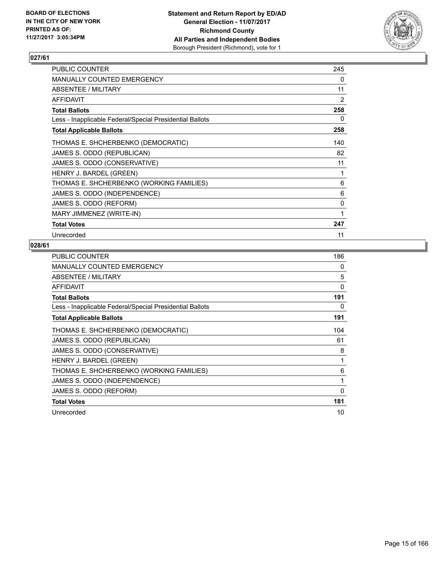

| <b>PUBLIC COUNTER</b>                                    | 245 |
|----------------------------------------------------------|-----|
| MANUALLY COUNTED EMERGENCY                               | 0   |
| <b>ABSENTEE / MILITARY</b>                               | 11  |
| AFFIDAVIT                                                | 2   |
| <b>Total Ballots</b>                                     | 258 |
| Less - Inapplicable Federal/Special Presidential Ballots | 0   |
| <b>Total Applicable Ballots</b>                          | 258 |
| THOMAS E. SHCHERBENKO (DEMOCRATIC)                       | 140 |
| JAMES S. ODDO (REPUBLICAN)                               | 82  |
| JAMES S. ODDO (CONSERVATIVE)                             | 11  |
| HENRY J. BARDEL (GREEN)                                  | 1   |
| THOMAS E. SHCHERBENKO (WORKING FAMILIES)                 | 6   |
| JAMES S. ODDO (INDEPENDENCE)                             | 6   |
| JAMES S. ODDO (REFORM)                                   | 0   |
| MARY JIMMENEZ (WRITE-IN)                                 | 1   |
| <b>Total Votes</b>                                       | 247 |
| Unrecorded                                               | 11  |

| <b>PUBLIC COUNTER</b>                                    | 186      |
|----------------------------------------------------------|----------|
| <b>MANUALLY COUNTED EMERGENCY</b>                        | 0        |
| ABSENTEE / MILITARY                                      | 5        |
| <b>AFFIDAVIT</b>                                         | $\Omega$ |
| <b>Total Ballots</b>                                     | 191      |
| Less - Inapplicable Federal/Special Presidential Ballots | 0        |
| <b>Total Applicable Ballots</b>                          | 191      |
| THOMAS E. SHCHERBENKO (DEMOCRATIC)                       | 104      |
| JAMES S. ODDO (REPUBLICAN)                               | 61       |
| JAMES S. ODDO (CONSERVATIVE)                             | 8        |
| HENRY J. BARDEL (GREEN)                                  | 1        |
| THOMAS E. SHCHERBENKO (WORKING FAMILIES)                 | 6        |
| JAMES S. ODDO (INDEPENDENCE)                             | 1        |
| JAMES S. ODDO (REFORM)                                   | 0        |
| <b>Total Votes</b>                                       | 181      |
| Unrecorded                                               | 10       |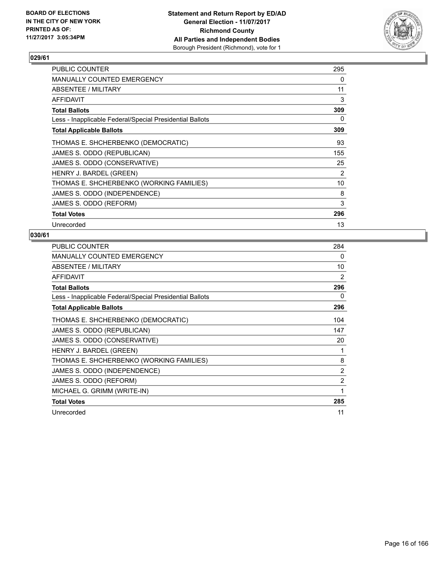

| <b>PUBLIC COUNTER</b>                                    | 295 |
|----------------------------------------------------------|-----|
| <b>MANUALLY COUNTED EMERGENCY</b>                        | 0   |
| ABSENTEE / MILITARY                                      | 11  |
| AFFIDAVIT                                                | 3   |
| <b>Total Ballots</b>                                     | 309 |
| Less - Inapplicable Federal/Special Presidential Ballots | 0   |
| <b>Total Applicable Ballots</b>                          | 309 |
| THOMAS E. SHCHERBENKO (DEMOCRATIC)                       | 93  |
| JAMES S. ODDO (REPUBLICAN)                               | 155 |
| JAMES S. ODDO (CONSERVATIVE)                             | 25  |
| HENRY J. BARDEL (GREEN)                                  | 2   |
| THOMAS E. SHCHERBENKO (WORKING FAMILIES)                 | 10  |
| JAMES S. ODDO (INDEPENDENCE)                             | 8   |
| JAMES S. ODDO (REFORM)                                   | 3   |
| <b>Total Votes</b>                                       | 296 |
| Unrecorded                                               | 13  |

| <b>PUBLIC COUNTER</b>                                    | 284            |
|----------------------------------------------------------|----------------|
| MANUALLY COUNTED EMERGENCY                               | 0              |
| <b>ABSENTEE / MILITARY</b>                               | 10             |
| <b>AFFIDAVIT</b>                                         | 2              |
| <b>Total Ballots</b>                                     | 296            |
| Less - Inapplicable Federal/Special Presidential Ballots | 0              |
| <b>Total Applicable Ballots</b>                          | 296            |
| THOMAS E. SHCHERBENKO (DEMOCRATIC)                       | 104            |
| JAMES S. ODDO (REPUBLICAN)                               | 147            |
| JAMES S. ODDO (CONSERVATIVE)                             | 20             |
| HENRY J. BARDEL (GREEN)                                  | 1              |
| THOMAS E. SHCHERBENKO (WORKING FAMILIES)                 | 8              |
| JAMES S. ODDO (INDEPENDENCE)                             | 2              |
| JAMES S. ODDO (REFORM)                                   | $\overline{2}$ |
| MICHAEL G. GRIMM (WRITE-IN)                              | 1              |
| <b>Total Votes</b>                                       | 285            |
| Unrecorded                                               | 11             |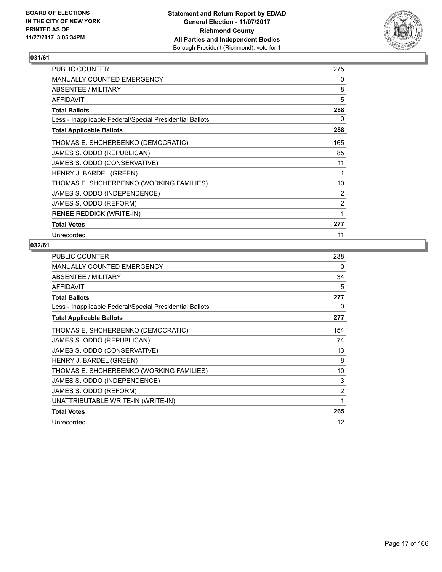

| <b>PUBLIC COUNTER</b>                                    | 275            |
|----------------------------------------------------------|----------------|
| <b>MANUALLY COUNTED EMERGENCY</b>                        | 0              |
| ABSENTEE / MILITARY                                      | 8              |
| AFFIDAVIT                                                | 5              |
| <b>Total Ballots</b>                                     | 288            |
| Less - Inapplicable Federal/Special Presidential Ballots | 0              |
| <b>Total Applicable Ballots</b>                          | 288            |
| THOMAS E. SHCHERBENKO (DEMOCRATIC)                       | 165            |
| JAMES S. ODDO (REPUBLICAN)                               | 85             |
| JAMES S. ODDO (CONSERVATIVE)                             | 11             |
| HENRY J. BARDEL (GREEN)                                  | 1              |
| THOMAS E. SHCHERBENKO (WORKING FAMILIES)                 | 10             |
| JAMES S. ODDO (INDEPENDENCE)                             | 2              |
| JAMES S. ODDO (REFORM)                                   | $\overline{2}$ |
| RENEE REDDICK (WRITE-IN)                                 | 1              |
| <b>Total Votes</b>                                       | 277            |
| Unrecorded                                               | 11             |

| PUBLIC COUNTER                                           | 238            |
|----------------------------------------------------------|----------------|
| <b>MANUALLY COUNTED EMERGENCY</b>                        | 0              |
| ABSENTEE / MILITARY                                      | 34             |
| <b>AFFIDAVIT</b>                                         | 5              |
| <b>Total Ballots</b>                                     | 277            |
| Less - Inapplicable Federal/Special Presidential Ballots | 0              |
| <b>Total Applicable Ballots</b>                          | 277            |
| THOMAS E. SHCHERBENKO (DEMOCRATIC)                       | 154            |
| JAMES S. ODDO (REPUBLICAN)                               | 74             |
| JAMES S. ODDO (CONSERVATIVE)                             | 13             |
| HENRY J. BARDEL (GREEN)                                  | 8              |
| THOMAS E. SHCHERBENKO (WORKING FAMILIES)                 | 10             |
| JAMES S. ODDO (INDEPENDENCE)                             | 3              |
| JAMES S. ODDO (REFORM)                                   | $\overline{2}$ |
| UNATTRIBUTABLE WRITE-IN (WRITE-IN)                       | 1              |
| <b>Total Votes</b>                                       | 265            |
| Unrecorded                                               | 12             |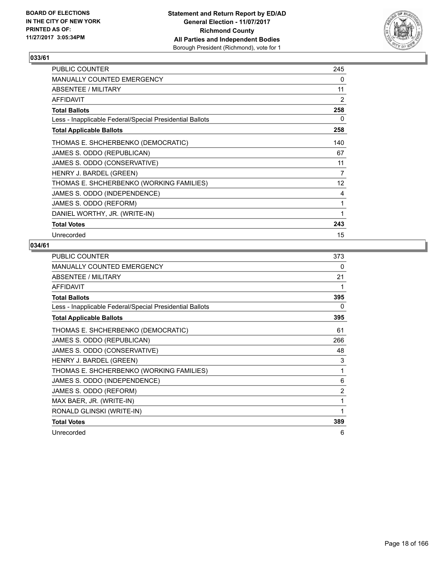

| <b>PUBLIC COUNTER</b>                                    | 245             |
|----------------------------------------------------------|-----------------|
| MANUALLY COUNTED EMERGENCY                               | 0               |
| ABSENTEE / MILITARY                                      | 11              |
| AFFIDAVIT                                                | 2               |
| <b>Total Ballots</b>                                     | 258             |
| Less - Inapplicable Federal/Special Presidential Ballots | 0               |
| <b>Total Applicable Ballots</b>                          | 258             |
| THOMAS E. SHCHERBENKO (DEMOCRATIC)                       | 140             |
| JAMES S. ODDO (REPUBLICAN)                               | 67              |
| JAMES S. ODDO (CONSERVATIVE)                             | 11              |
| HENRY J. BARDEL (GREEN)                                  | 7               |
| THOMAS E. SHCHERBENKO (WORKING FAMILIES)                 | 12 <sup>°</sup> |
| JAMES S. ODDO (INDEPENDENCE)                             | 4               |
| JAMES S. ODDO (REFORM)                                   | 1               |
| DANIEL WORTHY, JR. (WRITE-IN)                            | 1               |
| <b>Total Votes</b>                                       | 243             |
| Unrecorded                                               | 15              |

| <b>PUBLIC COUNTER</b>                                    | 373 |
|----------------------------------------------------------|-----|
| <b>MANUALLY COUNTED EMERGENCY</b>                        | 0   |
| ABSENTEE / MILITARY                                      | 21  |
| <b>AFFIDAVIT</b>                                         | 1   |
| <b>Total Ballots</b>                                     | 395 |
| Less - Inapplicable Federal/Special Presidential Ballots | 0   |
| <b>Total Applicable Ballots</b>                          | 395 |
| THOMAS E. SHCHERBENKO (DEMOCRATIC)                       | 61  |
| JAMES S. ODDO (REPUBLICAN)                               | 266 |
| JAMES S. ODDO (CONSERVATIVE)                             | 48  |
| HENRY J. BARDEL (GREEN)                                  | 3   |
| THOMAS E. SHCHERBENKO (WORKING FAMILIES)                 | 1   |
| JAMES S. ODDO (INDEPENDENCE)                             | 6   |
| JAMES S. ODDO (REFORM)                                   | 2   |
| MAX BAER, JR. (WRITE-IN)                                 | 1   |
| RONALD GLINSKI (WRITE-IN)                                | 1   |
| <b>Total Votes</b>                                       | 389 |
| Unrecorded                                               | 6   |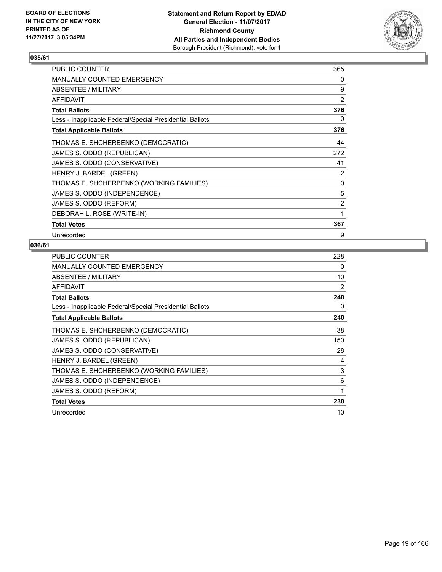

| <b>PUBLIC COUNTER</b>                                    | 365            |
|----------------------------------------------------------|----------------|
| MANUALLY COUNTED EMERGENCY                               | 0              |
| ABSENTEE / MILITARY                                      | 9              |
| AFFIDAVIT                                                | 2              |
| <b>Total Ballots</b>                                     | 376            |
| Less - Inapplicable Federal/Special Presidential Ballots | 0              |
| <b>Total Applicable Ballots</b>                          | 376            |
| THOMAS E. SHCHERBENKO (DEMOCRATIC)                       | 44             |
| JAMES S. ODDO (REPUBLICAN)                               | 272            |
| JAMES S. ODDO (CONSERVATIVE)                             | 41             |
| HENRY J. BARDEL (GREEN)                                  | 2              |
| THOMAS E. SHCHERBENKO (WORKING FAMILIES)                 | 0              |
| JAMES S. ODDO (INDEPENDENCE)                             | 5              |
| JAMES S. ODDO (REFORM)                                   | $\overline{2}$ |
| DEBORAH L. ROSE (WRITE-IN)                               | 1              |
| <b>Total Votes</b>                                       | 367            |
| Unrecorded                                               | 9              |

| <b>PUBLIC COUNTER</b>                                    | 228 |
|----------------------------------------------------------|-----|
| <b>MANUALLY COUNTED EMERGENCY</b>                        | 0   |
| ABSENTEE / MILITARY                                      | 10  |
| <b>AFFIDAVIT</b>                                         | 2   |
| <b>Total Ballots</b>                                     | 240 |
| Less - Inapplicable Federal/Special Presidential Ballots | 0   |
| <b>Total Applicable Ballots</b>                          | 240 |
| THOMAS E. SHCHERBENKO (DEMOCRATIC)                       | 38  |
| JAMES S. ODDO (REPUBLICAN)                               | 150 |
| JAMES S. ODDO (CONSERVATIVE)                             | 28  |
| HENRY J. BARDEL (GREEN)                                  | 4   |
| THOMAS E. SHCHERBENKO (WORKING FAMILIES)                 | 3   |
| JAMES S. ODDO (INDEPENDENCE)                             | 6   |
| JAMES S. ODDO (REFORM)                                   | 1   |
| <b>Total Votes</b>                                       | 230 |
| Unrecorded                                               | 10  |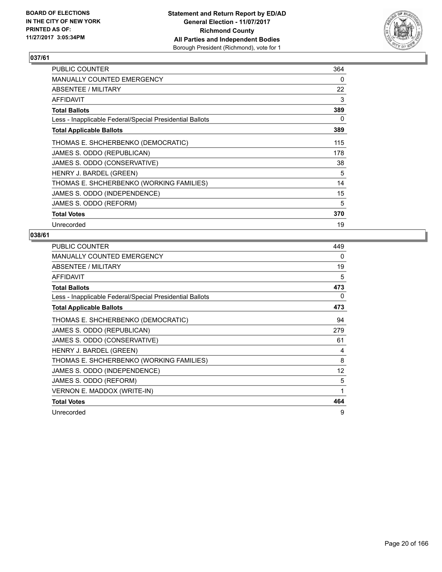

| <b>PUBLIC COUNTER</b>                                    | 364 |
|----------------------------------------------------------|-----|
| <b>MANUALLY COUNTED EMERGENCY</b>                        | 0   |
| ABSENTEE / MILITARY                                      | 22  |
| AFFIDAVIT                                                | 3   |
| <b>Total Ballots</b>                                     | 389 |
| Less - Inapplicable Federal/Special Presidential Ballots | 0   |
| <b>Total Applicable Ballots</b>                          | 389 |
| THOMAS E. SHCHERBENKO (DEMOCRATIC)                       | 115 |
| JAMES S. ODDO (REPUBLICAN)                               | 178 |
| JAMES S. ODDO (CONSERVATIVE)                             | 38  |
| HENRY J. BARDEL (GREEN)                                  | 5   |
| THOMAS E. SHCHERBENKO (WORKING FAMILIES)                 | 14  |
| JAMES S. ODDO (INDEPENDENCE)                             | 15  |
| JAMES S. ODDO (REFORM)                                   | 5   |
| <b>Total Votes</b>                                       | 370 |
| Unrecorded                                               | 19  |

| <b>PUBLIC COUNTER</b>                                    | 449 |
|----------------------------------------------------------|-----|
| <b>MANUALLY COUNTED EMERGENCY</b>                        | 0   |
| ABSENTEE / MILITARY                                      | 19  |
| <b>AFFIDAVIT</b>                                         | 5   |
| <b>Total Ballots</b>                                     | 473 |
| Less - Inapplicable Federal/Special Presidential Ballots | 0   |
| <b>Total Applicable Ballots</b>                          | 473 |
| THOMAS E. SHCHERBENKO (DEMOCRATIC)                       | 94  |
| JAMES S. ODDO (REPUBLICAN)                               | 279 |
| JAMES S. ODDO (CONSERVATIVE)                             | 61  |
| HENRY J. BARDEL (GREEN)                                  | 4   |
| THOMAS E. SHCHERBENKO (WORKING FAMILIES)                 | 8   |
| JAMES S. ODDO (INDEPENDENCE)                             | 12  |
| JAMES S. ODDO (REFORM)                                   | 5   |
| VERNON E. MADDOX (WRITE-IN)                              | 1   |
| <b>Total Votes</b>                                       | 464 |
| Unrecorded                                               | 9   |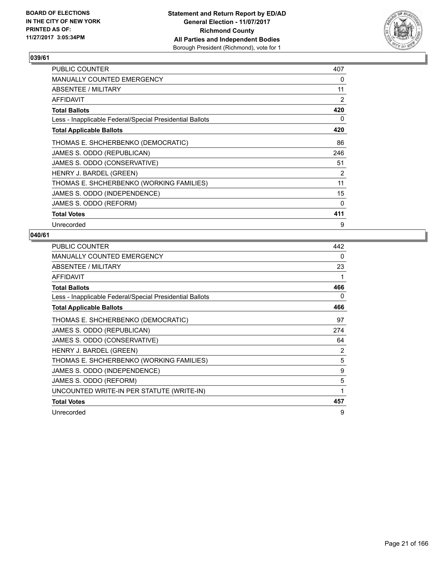

| <b>PUBLIC COUNTER</b>                                    | 407 |
|----------------------------------------------------------|-----|
| <b>MANUALLY COUNTED EMERGENCY</b>                        | 0   |
| ABSENTEE / MILITARY                                      | 11  |
| AFFIDAVIT                                                | 2   |
| Total Ballots                                            | 420 |
| Less - Inapplicable Federal/Special Presidential Ballots | 0   |
| <b>Total Applicable Ballots</b>                          | 420 |
| THOMAS E. SHCHERBENKO (DEMOCRATIC)                       | 86  |
| JAMES S. ODDO (REPUBLICAN)                               | 246 |
| JAMES S. ODDO (CONSERVATIVE)                             | 51  |
| HENRY J. BARDEL (GREEN)                                  | 2   |
| THOMAS E. SHCHERBENKO (WORKING FAMILIES)                 | 11  |
| JAMES S. ODDO (INDEPENDENCE)                             | 15  |
| JAMES S. ODDO (REFORM)                                   | 0   |
| <b>Total Votes</b>                                       | 411 |
| Unrecorded                                               | 9   |

| <b>PUBLIC COUNTER</b>                                    | 442 |
|----------------------------------------------------------|-----|
| <b>MANUALLY COUNTED EMERGENCY</b>                        | 0   |
| ABSENTEE / MILITARY                                      | 23  |
| <b>AFFIDAVIT</b>                                         |     |
| <b>Total Ballots</b>                                     | 466 |
| Less - Inapplicable Federal/Special Presidential Ballots | 0   |
| <b>Total Applicable Ballots</b>                          | 466 |
| THOMAS E. SHCHERBENKO (DEMOCRATIC)                       | 97  |
| JAMES S. ODDO (REPUBLICAN)                               | 274 |
| JAMES S. ODDO (CONSERVATIVE)                             | 64  |
| HENRY J. BARDEL (GREEN)                                  | 2   |
| THOMAS E. SHCHERBENKO (WORKING FAMILIES)                 | 5   |
| JAMES S. ODDO (INDEPENDENCE)                             | 9   |
| JAMES S. ODDO (REFORM)                                   | 5   |
| UNCOUNTED WRITE-IN PER STATUTE (WRITE-IN)                | 1   |
| <b>Total Votes</b>                                       | 457 |
| Unrecorded                                               | 9   |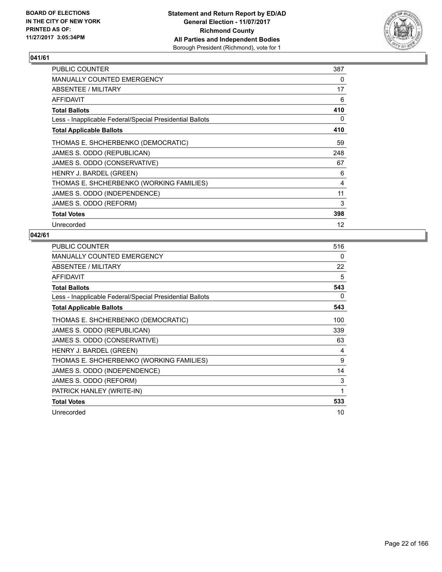

| <b>PUBLIC COUNTER</b>                                    | 387 |
|----------------------------------------------------------|-----|
| <b>MANUALLY COUNTED EMERGENCY</b>                        | 0   |
| ABSENTEE / MILITARY                                      | 17  |
| AFFIDAVIT                                                | 6   |
| <b>Total Ballots</b>                                     | 410 |
| Less - Inapplicable Federal/Special Presidential Ballots | 0   |
| <b>Total Applicable Ballots</b>                          | 410 |
| THOMAS E. SHCHERBENKO (DEMOCRATIC)                       | 59  |
| JAMES S. ODDO (REPUBLICAN)                               | 248 |
| JAMES S. ODDO (CONSERVATIVE)                             | 67  |
| HENRY J. BARDEL (GREEN)                                  | 6   |
| THOMAS E. SHCHERBENKO (WORKING FAMILIES)                 | 4   |
| JAMES S. ODDO (INDEPENDENCE)                             | 11  |
| JAMES S. ODDO (REFORM)                                   | 3   |
| <b>Total Votes</b>                                       | 398 |
| Unrecorded                                               | 12  |

| <b>PUBLIC COUNTER</b>                                    | 516 |
|----------------------------------------------------------|-----|
| <b>MANUALLY COUNTED EMERGENCY</b>                        | 0   |
| ABSENTEE / MILITARY                                      | 22  |
| <b>AFFIDAVIT</b>                                         | 5   |
| <b>Total Ballots</b>                                     | 543 |
| Less - Inapplicable Federal/Special Presidential Ballots | 0   |
| <b>Total Applicable Ballots</b>                          | 543 |
| THOMAS E. SHCHERBENKO (DEMOCRATIC)                       | 100 |
| JAMES S. ODDO (REPUBLICAN)                               | 339 |
| JAMES S. ODDO (CONSERVATIVE)                             | 63  |
| HENRY J. BARDEL (GREEN)                                  | 4   |
| THOMAS E. SHCHERBENKO (WORKING FAMILIES)                 | 9   |
| JAMES S. ODDO (INDEPENDENCE)                             | 14  |
| JAMES S. ODDO (REFORM)                                   | 3   |
| PATRICK HANLEY (WRITE-IN)                                | 1   |
| <b>Total Votes</b>                                       | 533 |
| Unrecorded                                               | 10  |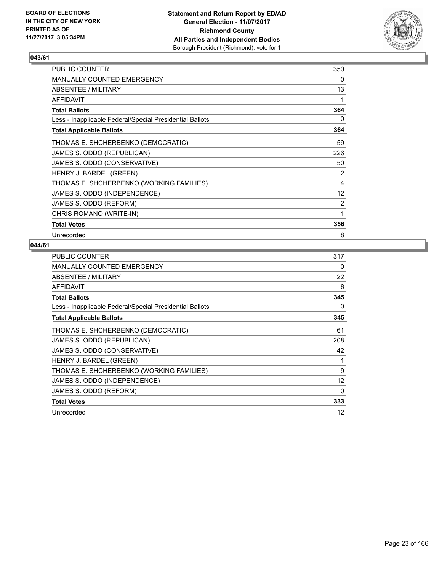

| <b>PUBLIC COUNTER</b>                                    | 350               |
|----------------------------------------------------------|-------------------|
| MANUALLY COUNTED EMERGENCY                               | 0                 |
| ABSENTEE / MILITARY                                      | 13                |
| <b>AFFIDAVIT</b>                                         | 1                 |
| <b>Total Ballots</b>                                     | 364               |
| Less - Inapplicable Federal/Special Presidential Ballots | 0                 |
| <b>Total Applicable Ballots</b>                          | 364               |
| THOMAS E. SHCHERBENKO (DEMOCRATIC)                       | 59                |
| JAMES S. ODDO (REPUBLICAN)                               | 226               |
| JAMES S. ODDO (CONSERVATIVE)                             | 50                |
| HENRY J. BARDEL (GREEN)                                  | 2                 |
| THOMAS E. SHCHERBENKO (WORKING FAMILIES)                 | 4                 |
| JAMES S. ODDO (INDEPENDENCE)                             | $12 \overline{ }$ |
| JAMES S. ODDO (REFORM)                                   | 2                 |
| CHRIS ROMANO (WRITE-IN)                                  | 1                 |
| <b>Total Votes</b>                                       | 356               |
| Unrecorded                                               | 8                 |

| <b>PUBLIC COUNTER</b>                                    | 317 |
|----------------------------------------------------------|-----|
| <b>MANUALLY COUNTED EMERGENCY</b>                        | 0   |
| ABSENTEE / MILITARY                                      | 22  |
| AFFIDAVIT                                                | 6   |
| <b>Total Ballots</b>                                     | 345 |
| Less - Inapplicable Federal/Special Presidential Ballots | 0   |
| <b>Total Applicable Ballots</b>                          | 345 |
| THOMAS E. SHCHERBENKO (DEMOCRATIC)                       | 61  |
| JAMES S. ODDO (REPUBLICAN)                               | 208 |
| JAMES S. ODDO (CONSERVATIVE)                             | 42  |
| HENRY J. BARDEL (GREEN)                                  | 1   |
| THOMAS E. SHCHERBENKO (WORKING FAMILIES)                 | 9   |
| JAMES S. ODDO (INDEPENDENCE)                             | 12  |
| JAMES S. ODDO (REFORM)                                   | 0   |
| <b>Total Votes</b>                                       | 333 |
| Unrecorded                                               | 12  |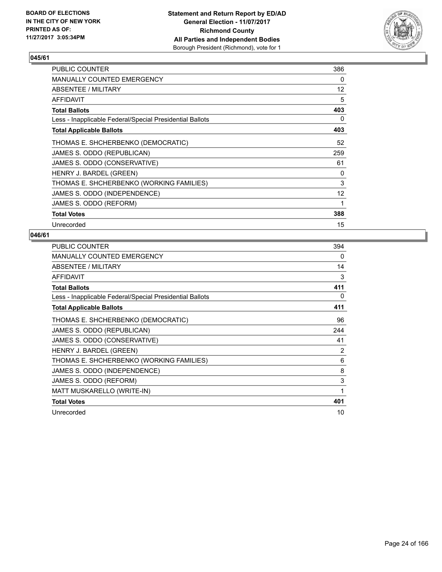

| <b>PUBLIC COUNTER</b>                                    | 386               |
|----------------------------------------------------------|-------------------|
| <b>MANUALLY COUNTED EMERGENCY</b>                        | 0                 |
| ABSENTEE / MILITARY                                      | $12 \overline{ }$ |
| <b>AFFIDAVIT</b>                                         | 5                 |
| <b>Total Ballots</b>                                     | 403               |
| Less - Inapplicable Federal/Special Presidential Ballots | 0                 |
| <b>Total Applicable Ballots</b>                          | 403               |
| THOMAS E. SHCHERBENKO (DEMOCRATIC)                       | 52                |
| JAMES S. ODDO (REPUBLICAN)                               | 259               |
| JAMES S. ODDO (CONSERVATIVE)                             | 61                |
| HENRY J. BARDEL (GREEN)                                  | 0                 |
| THOMAS E. SHCHERBENKO (WORKING FAMILIES)                 | 3                 |
| JAMES S. ODDO (INDEPENDENCE)                             | $12 \overline{ }$ |
| JAMES S. ODDO (REFORM)                                   | 1                 |
| <b>Total Votes</b>                                       | 388               |
| Unrecorded                                               | 15                |

| <b>PUBLIC COUNTER</b>                                    | 394 |
|----------------------------------------------------------|-----|
| <b>MANUALLY COUNTED EMERGENCY</b>                        | 0   |
| ABSENTEE / MILITARY                                      | 14  |
| <b>AFFIDAVIT</b>                                         | 3   |
| <b>Total Ballots</b>                                     | 411 |
| Less - Inapplicable Federal/Special Presidential Ballots | 0   |
| <b>Total Applicable Ballots</b>                          | 411 |
| THOMAS E. SHCHERBENKO (DEMOCRATIC)                       | 96  |
| JAMES S. ODDO (REPUBLICAN)                               | 244 |
| JAMES S. ODDO (CONSERVATIVE)                             | 41  |
| HENRY J. BARDEL (GREEN)                                  | 2   |
| THOMAS E. SHCHERBENKO (WORKING FAMILIES)                 | 6   |
| JAMES S. ODDO (INDEPENDENCE)                             | 8   |
| JAMES S. ODDO (REFORM)                                   | 3   |
| MATT MUSKARELLO (WRITE-IN)                               | 1   |
| <b>Total Votes</b>                                       | 401 |
| Unrecorded                                               | 10  |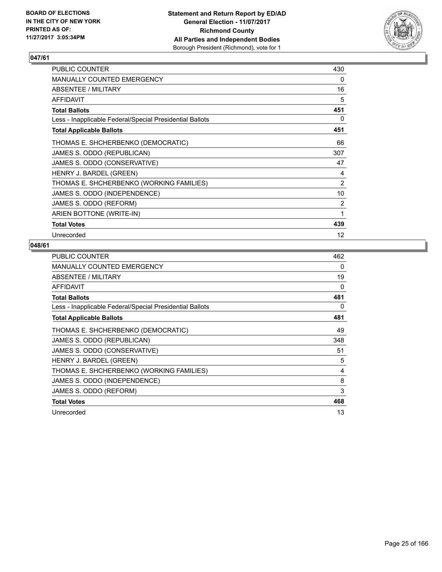

| <b>PUBLIC COUNTER</b>                                    | 430 |
|----------------------------------------------------------|-----|
| MANUALLY COUNTED EMERGENCY                               | 0   |
| ABSENTEE / MILITARY                                      | 16  |
| AFFIDAVIT                                                | 5   |
| <b>Total Ballots</b>                                     | 451 |
| Less - Inapplicable Federal/Special Presidential Ballots | 0   |
| <b>Total Applicable Ballots</b>                          | 451 |
| THOMAS E. SHCHERBENKO (DEMOCRATIC)                       | 66  |
| JAMES S. ODDO (REPUBLICAN)                               | 307 |
| JAMES S. ODDO (CONSERVATIVE)                             | 47  |
| HENRY J. BARDEL (GREEN)                                  | 4   |
| THOMAS E. SHCHERBENKO (WORKING FAMILIES)                 | 2   |
| JAMES S. ODDO (INDEPENDENCE)                             | 10  |
| JAMES S. ODDO (REFORM)                                   | 2   |
| ARIEN BOTTONE (WRITE-IN)                                 | 1   |
| <b>Total Votes</b>                                       | 439 |
| Unrecorded                                               | 12  |

| <b>PUBLIC COUNTER</b>                                    | 462 |
|----------------------------------------------------------|-----|
| <b>MANUALLY COUNTED EMERGENCY</b>                        | 0   |
| ABSENTEE / MILITARY                                      | 19  |
| AFFIDAVIT                                                | 0   |
| <b>Total Ballots</b>                                     | 481 |
| Less - Inapplicable Federal/Special Presidential Ballots | 0   |
| <b>Total Applicable Ballots</b>                          | 481 |
| THOMAS E. SHCHERBENKO (DEMOCRATIC)                       | 49  |
| JAMES S. ODDO (REPUBLICAN)                               | 348 |
| JAMES S. ODDO (CONSERVATIVE)                             | 51  |
| HENRY J. BARDEL (GREEN)                                  | 5   |
| THOMAS E. SHCHERBENKO (WORKING FAMILIES)                 | 4   |
| JAMES S. ODDO (INDEPENDENCE)                             | 8   |
| JAMES S. ODDO (REFORM)                                   | 3   |
| <b>Total Votes</b>                                       | 468 |
| Unrecorded                                               | 13  |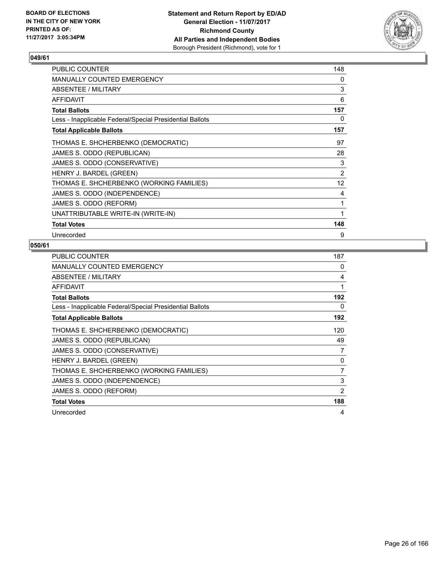

| <b>PUBLIC COUNTER</b>                                    | 148               |
|----------------------------------------------------------|-------------------|
| MANUALLY COUNTED EMERGENCY                               | 0                 |
| ABSENTEE / MILITARY                                      | 3                 |
| <b>AFFIDAVIT</b>                                         | 6                 |
| <b>Total Ballots</b>                                     | 157               |
| Less - Inapplicable Federal/Special Presidential Ballots | 0                 |
| <b>Total Applicable Ballots</b>                          | 157               |
| THOMAS E. SHCHERBENKO (DEMOCRATIC)                       | 97                |
| JAMES S. ODDO (REPUBLICAN)                               | 28                |
| JAMES S. ODDO (CONSERVATIVE)                             | 3                 |
| HENRY J. BARDEL (GREEN)                                  | 2                 |
| THOMAS E. SHCHERBENKO (WORKING FAMILIES)                 | $12 \overline{ }$ |
| JAMES S. ODDO (INDEPENDENCE)                             | 4                 |
| JAMES S. ODDO (REFORM)                                   | 1                 |
| UNATTRIBUTABLE WRITE-IN (WRITE-IN)                       | 1                 |
| <b>Total Votes</b>                                       | 148               |
| Unrecorded                                               | 9                 |

| <b>PUBLIC COUNTER</b>                                    | 187 |
|----------------------------------------------------------|-----|
| <b>MANUALLY COUNTED EMERGENCY</b>                        | 0   |
| ABSENTEE / MILITARY                                      | 4   |
| AFFIDAVIT                                                | 1   |
| <b>Total Ballots</b>                                     | 192 |
| Less - Inapplicable Federal/Special Presidential Ballots | 0   |
| <b>Total Applicable Ballots</b>                          | 192 |
| THOMAS E. SHCHERBENKO (DEMOCRATIC)                       | 120 |
| JAMES S. ODDO (REPUBLICAN)                               | 49  |
| JAMES S. ODDO (CONSERVATIVE)                             | 7   |
| HENRY J. BARDEL (GREEN)                                  | 0   |
| THOMAS E. SHCHERBENKO (WORKING FAMILIES)                 | 7   |
| JAMES S. ODDO (INDEPENDENCE)                             | 3   |
| JAMES S. ODDO (REFORM)                                   | 2   |
| <b>Total Votes</b>                                       | 188 |
| Unrecorded                                               | 4   |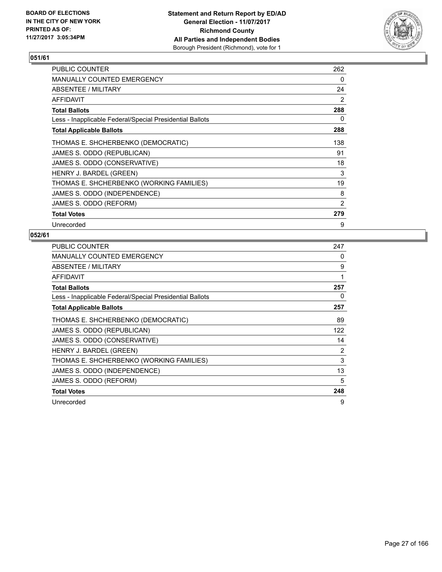

| <b>PUBLIC COUNTER</b>                                    | 262 |
|----------------------------------------------------------|-----|
| <b>MANUALLY COUNTED EMERGENCY</b>                        | 0   |
| ABSENTEE / MILITARY                                      | 24  |
| AFFIDAVIT                                                | 2   |
| <b>Total Ballots</b>                                     | 288 |
| Less - Inapplicable Federal/Special Presidential Ballots | 0   |
| <b>Total Applicable Ballots</b>                          | 288 |
| THOMAS E. SHCHERBENKO (DEMOCRATIC)                       | 138 |
| JAMES S. ODDO (REPUBLICAN)                               | 91  |
| JAMES S. ODDO (CONSERVATIVE)                             | 18  |
| HENRY J. BARDEL (GREEN)                                  | 3   |
| THOMAS E. SHCHERBENKO (WORKING FAMILIES)                 | 19  |
| JAMES S. ODDO (INDEPENDENCE)                             | 8   |
| JAMES S. ODDO (REFORM)                                   | 2   |
| <b>Total Votes</b>                                       | 279 |
| Unrecorded                                               | 9   |

| <b>PUBLIC COUNTER</b>                                    | 247 |
|----------------------------------------------------------|-----|
| <b>MANUALLY COUNTED EMERGENCY</b>                        | 0   |
| ABSENTEE / MILITARY                                      | 9   |
| <b>AFFIDAVIT</b>                                         | 1   |
| <b>Total Ballots</b>                                     | 257 |
| Less - Inapplicable Federal/Special Presidential Ballots | 0   |
| <b>Total Applicable Ballots</b>                          | 257 |
| THOMAS E. SHCHERBENKO (DEMOCRATIC)                       | 89  |
| JAMES S. ODDO (REPUBLICAN)                               | 122 |
| JAMES S. ODDO (CONSERVATIVE)                             | 14  |
| HENRY J. BARDEL (GREEN)                                  | 2   |
| THOMAS E. SHCHERBENKO (WORKING FAMILIES)                 | 3   |
| JAMES S. ODDO (INDEPENDENCE)                             | 13  |
| JAMES S. ODDO (REFORM)                                   | 5   |
| <b>Total Votes</b>                                       | 248 |
| Unrecorded                                               | 9   |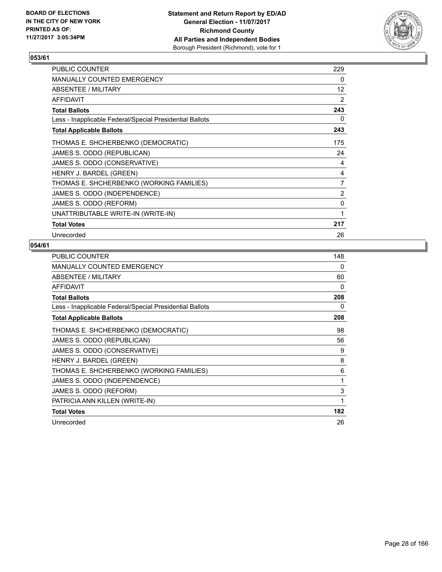

| <b>PUBLIC COUNTER</b>                                    | 229               |
|----------------------------------------------------------|-------------------|
| <b>MANUALLY COUNTED EMERGENCY</b>                        | 0                 |
| ABSENTEE / MILITARY                                      | $12 \overline{ }$ |
| <b>AFFIDAVIT</b>                                         | 2                 |
| <b>Total Ballots</b>                                     | 243               |
| Less - Inapplicable Federal/Special Presidential Ballots | 0                 |
| <b>Total Applicable Ballots</b>                          | 243               |
| THOMAS E. SHCHERBENKO (DEMOCRATIC)                       | 175               |
| JAMES S. ODDO (REPUBLICAN)                               | 24                |
| JAMES S. ODDO (CONSERVATIVE)                             | 4                 |
| HENRY J. BARDEL (GREEN)                                  | 4                 |
| THOMAS E. SHCHERBENKO (WORKING FAMILIES)                 | $\overline{7}$    |
| JAMES S. ODDO (INDEPENDENCE)                             | 2                 |
| JAMES S. ODDO (REFORM)                                   | 0                 |
| UNATTRIBUTABLE WRITE-IN (WRITE-IN)                       | 1                 |
| <b>Total Votes</b>                                       | 217               |
| Unrecorded                                               | 26                |

| <b>PUBLIC COUNTER</b>                                    | 148 |
|----------------------------------------------------------|-----|
| <b>MANUALLY COUNTED EMERGENCY</b>                        | 0   |
| ABSENTEE / MILITARY                                      | 60  |
| <b>AFFIDAVIT</b>                                         | 0   |
| <b>Total Ballots</b>                                     | 208 |
| Less - Inapplicable Federal/Special Presidential Ballots | 0   |
| <b>Total Applicable Ballots</b>                          | 208 |
| THOMAS E. SHCHERBENKO (DEMOCRATIC)                       | 98  |
| JAMES S. ODDO (REPUBLICAN)                               | 56  |
| JAMES S. ODDO (CONSERVATIVE)                             | 9   |
| HENRY J. BARDEL (GREEN)                                  | 8   |
| THOMAS E. SHCHERBENKO (WORKING FAMILIES)                 | 6   |
| JAMES S. ODDO (INDEPENDENCE)                             | 1   |
| JAMES S. ODDO (REFORM)                                   | 3   |
| PATRICIA ANN KILLEN (WRITE-IN)                           | 1   |
| <b>Total Votes</b>                                       | 182 |
| Unrecorded                                               | 26  |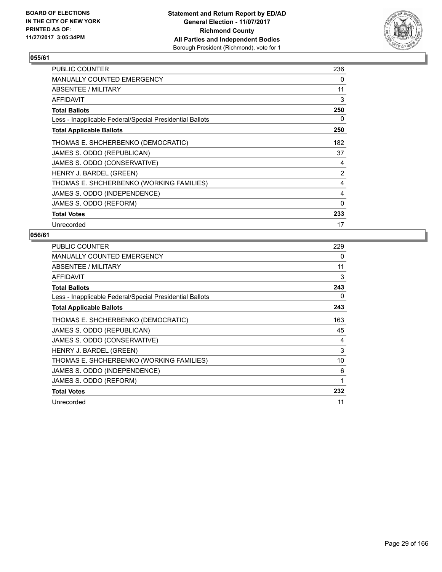

| <b>PUBLIC COUNTER</b>                                    | 236 |
|----------------------------------------------------------|-----|
| <b>MANUALLY COUNTED EMERGENCY</b>                        | 0   |
| ABSENTEE / MILITARY                                      | 11  |
| AFFIDAVIT                                                | 3   |
| Total Ballots                                            | 250 |
| Less - Inapplicable Federal/Special Presidential Ballots | 0   |
| <b>Total Applicable Ballots</b>                          | 250 |
| THOMAS E. SHCHERBENKO (DEMOCRATIC)                       | 182 |
| JAMES S. ODDO (REPUBLICAN)                               | 37  |
| JAMES S. ODDO (CONSERVATIVE)                             | 4   |
| HENRY J. BARDEL (GREEN)                                  | 2   |
| THOMAS E. SHCHERBENKO (WORKING FAMILIES)                 | 4   |
| JAMES S. ODDO (INDEPENDENCE)                             | 4   |
| JAMES S. ODDO (REFORM)                                   | 0   |
| <b>Total Votes</b>                                       | 233 |
| Unrecorded                                               | 17  |

| <b>PUBLIC COUNTER</b>                                    | 229 |
|----------------------------------------------------------|-----|
| <b>MANUALLY COUNTED EMERGENCY</b>                        | 0   |
| ABSENTEE / MILITARY                                      | 11  |
| AFFIDAVIT                                                | 3   |
| <b>Total Ballots</b>                                     | 243 |
| Less - Inapplicable Federal/Special Presidential Ballots | 0   |
| <b>Total Applicable Ballots</b>                          | 243 |
| THOMAS E. SHCHERBENKO (DEMOCRATIC)                       | 163 |
| JAMES S. ODDO (REPUBLICAN)                               | 45  |
| JAMES S. ODDO (CONSERVATIVE)                             | 4   |
| HENRY J. BARDEL (GREEN)                                  | 3   |
| THOMAS E. SHCHERBENKO (WORKING FAMILIES)                 | 10  |
| JAMES S. ODDO (INDEPENDENCE)                             | 6   |
| JAMES S. ODDO (REFORM)                                   | 1   |
| <b>Total Votes</b>                                       | 232 |
| Unrecorded                                               | 11  |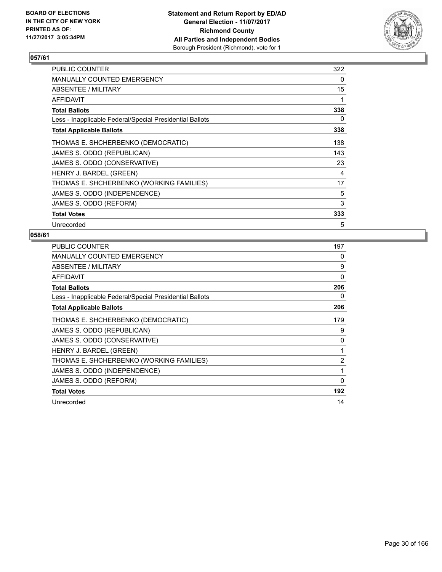

| <b>PUBLIC COUNTER</b>                                    | 322 |
|----------------------------------------------------------|-----|
| <b>MANUALLY COUNTED EMERGENCY</b>                        | 0   |
| ABSENTEE / MILITARY                                      | 15  |
| AFFIDAVIT                                                | 1   |
| Total Ballots                                            | 338 |
| Less - Inapplicable Federal/Special Presidential Ballots | 0   |
| <b>Total Applicable Ballots</b>                          | 338 |
| THOMAS E. SHCHERBENKO (DEMOCRATIC)                       | 138 |
| JAMES S. ODDO (REPUBLICAN)                               | 143 |
| JAMES S. ODDO (CONSERVATIVE)                             | 23  |
| HENRY J. BARDEL (GREEN)                                  | 4   |
| THOMAS E. SHCHERBENKO (WORKING FAMILIES)                 | 17  |
| JAMES S. ODDO (INDEPENDENCE)                             | 5   |
| JAMES S. ODDO (REFORM)                                   | 3   |
| <b>Total Votes</b>                                       | 333 |
| Unrecorded                                               | 5   |

| <b>PUBLIC COUNTER</b>                                    | 197      |
|----------------------------------------------------------|----------|
| <b>MANUALLY COUNTED EMERGENCY</b>                        | 0        |
| ABSENTEE / MILITARY                                      | 9        |
| <b>AFFIDAVIT</b>                                         | $\Omega$ |
| <b>Total Ballots</b>                                     | 206      |
| Less - Inapplicable Federal/Special Presidential Ballots | 0        |
| <b>Total Applicable Ballots</b>                          | 206      |
| THOMAS E. SHCHERBENKO (DEMOCRATIC)                       | 179      |
| JAMES S. ODDO (REPUBLICAN)                               | 9        |
| JAMES S. ODDO (CONSERVATIVE)                             | 0        |
| HENRY J. BARDEL (GREEN)                                  | 1        |
| THOMAS E. SHCHERBENKO (WORKING FAMILIES)                 | 2        |
| JAMES S. ODDO (INDEPENDENCE)                             | 1        |
| JAMES S. ODDO (REFORM)                                   | 0        |
| <b>Total Votes</b>                                       | 192      |
| Unrecorded                                               | 14       |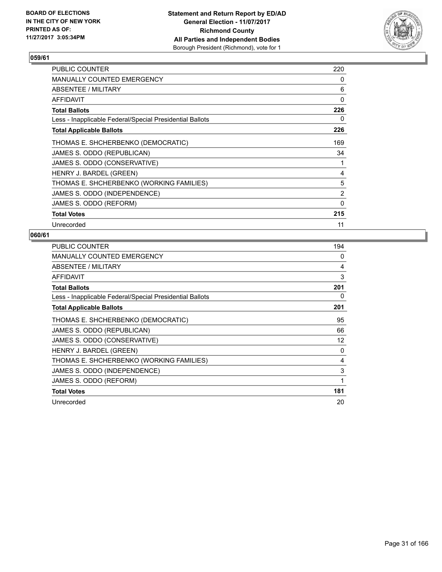

| <b>PUBLIC COUNTER</b>                                    | 220 |
|----------------------------------------------------------|-----|
| <b>MANUALLY COUNTED EMERGENCY</b>                        | 0   |
| ABSENTEE / MILITARY                                      | 6   |
| AFFIDAVIT                                                | 0   |
| Total Ballots                                            | 226 |
| Less - Inapplicable Federal/Special Presidential Ballots | 0   |
| <b>Total Applicable Ballots</b>                          | 226 |
| THOMAS E. SHCHERBENKO (DEMOCRATIC)                       | 169 |
| JAMES S. ODDO (REPUBLICAN)                               | 34  |
| JAMES S. ODDO (CONSERVATIVE)                             | 1   |
| HENRY J. BARDEL (GREEN)                                  | 4   |
| THOMAS E. SHCHERBENKO (WORKING FAMILIES)                 | 5   |
| JAMES S. ODDO (INDEPENDENCE)                             | 2   |
| JAMES S. ODDO (REFORM)                                   | 0   |
| <b>Total Votes</b>                                       | 215 |
| Unrecorded                                               | 11  |

| <b>PUBLIC COUNTER</b>                                    | 194 |
|----------------------------------------------------------|-----|
| <b>MANUALLY COUNTED EMERGENCY</b>                        | 0   |
| ABSENTEE / MILITARY                                      | 4   |
| <b>AFFIDAVIT</b>                                         | 3   |
| <b>Total Ballots</b>                                     | 201 |
| Less - Inapplicable Federal/Special Presidential Ballots | 0   |
| <b>Total Applicable Ballots</b>                          | 201 |
| THOMAS E. SHCHERBENKO (DEMOCRATIC)                       | 95  |
| JAMES S. ODDO (REPUBLICAN)                               | 66  |
| JAMES S. ODDO (CONSERVATIVE)                             | 12  |
| HENRY J. BARDEL (GREEN)                                  | 0   |
| THOMAS E. SHCHERBENKO (WORKING FAMILIES)                 | 4   |
| JAMES S. ODDO (INDEPENDENCE)                             | 3   |
| JAMES S. ODDO (REFORM)                                   | 1   |
| <b>Total Votes</b>                                       | 181 |
| Unrecorded                                               | 20  |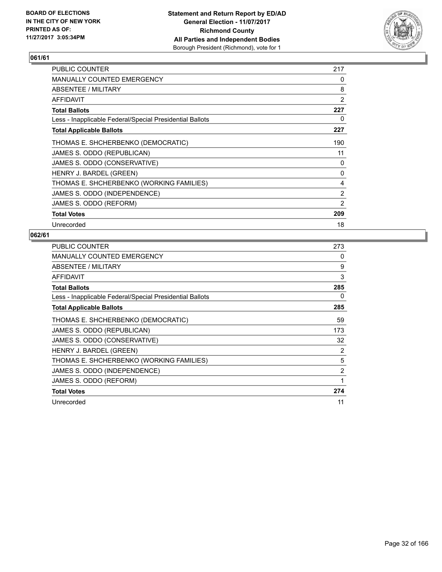

| <b>PUBLIC COUNTER</b>                                    | 217 |
|----------------------------------------------------------|-----|
| <b>MANUALLY COUNTED EMERGENCY</b>                        | 0   |
| ABSENTEE / MILITARY                                      | 8   |
| <b>AFFIDAVIT</b>                                         | 2   |
| <b>Total Ballots</b>                                     | 227 |
| Less - Inapplicable Federal/Special Presidential Ballots | 0   |
| <b>Total Applicable Ballots</b>                          | 227 |
| THOMAS E. SHCHERBENKO (DEMOCRATIC)                       | 190 |
| JAMES S. ODDO (REPUBLICAN)                               | 11  |
| JAMES S. ODDO (CONSERVATIVE)                             | 0   |
| HENRY J. BARDEL (GREEN)                                  | 0   |
| THOMAS E. SHCHERBENKO (WORKING FAMILIES)                 | 4   |
| JAMES S. ODDO (INDEPENDENCE)                             | 2   |
| JAMES S. ODDO (REFORM)                                   | 2   |
| <b>Total Votes</b>                                       | 209 |
| Unrecorded                                               | 18  |

| <b>PUBLIC COUNTER</b>                                    | 273 |
|----------------------------------------------------------|-----|
| <b>MANUALLY COUNTED EMERGENCY</b>                        | 0   |
| ABSENTEE / MILITARY                                      | 9   |
| AFFIDAVIT                                                | 3   |
| <b>Total Ballots</b>                                     | 285 |
| Less - Inapplicable Federal/Special Presidential Ballots | 0   |
| <b>Total Applicable Ballots</b>                          | 285 |
| THOMAS E. SHCHERBENKO (DEMOCRATIC)                       | 59  |
| JAMES S. ODDO (REPUBLICAN)                               | 173 |
| JAMES S. ODDO (CONSERVATIVE)                             | 32  |
| HENRY J. BARDEL (GREEN)                                  | 2   |
| THOMAS E. SHCHERBENKO (WORKING FAMILIES)                 | 5   |
| JAMES S. ODDO (INDEPENDENCE)                             | 2   |
| JAMES S. ODDO (REFORM)                                   | 1   |
| <b>Total Votes</b>                                       | 274 |
| Unrecorded                                               | 11  |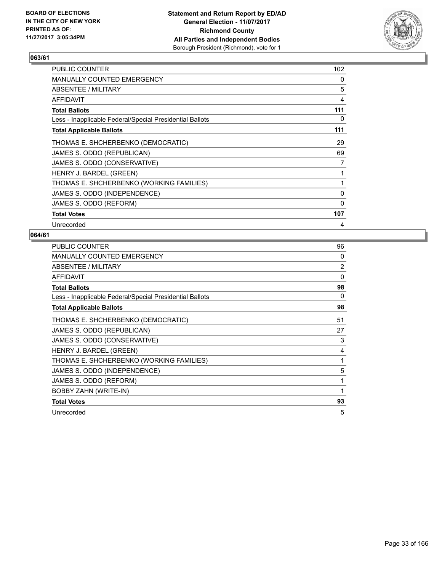

| <b>PUBLIC COUNTER</b>                                    | 102 |
|----------------------------------------------------------|-----|
| <b>MANUALLY COUNTED EMERGENCY</b>                        | 0   |
| ABSENTEE / MILITARY                                      | 5   |
| AFFIDAVIT                                                | 4   |
| <b>Total Ballots</b>                                     | 111 |
| Less - Inapplicable Federal/Special Presidential Ballots | 0   |
| <b>Total Applicable Ballots</b>                          | 111 |
| THOMAS E. SHCHERBENKO (DEMOCRATIC)                       | 29  |
| JAMES S. ODDO (REPUBLICAN)                               | 69  |
| JAMES S. ODDO (CONSERVATIVE)                             | 7   |
| HENRY J. BARDEL (GREEN)                                  | 1   |
| THOMAS E. SHCHERBENKO (WORKING FAMILIES)                 | 1   |
| JAMES S. ODDO (INDEPENDENCE)                             | 0   |
| JAMES S. ODDO (REFORM)                                   | 0   |
| <b>Total Votes</b>                                       | 107 |
| Unrecorded                                               | 4   |

| <b>PUBLIC COUNTER</b>                                    | 96             |
|----------------------------------------------------------|----------------|
| MANUALLY COUNTED EMERGENCY                               | 0              |
| ABSENTEE / MILITARY                                      | $\overline{2}$ |
| <b>AFFIDAVIT</b>                                         | 0              |
| <b>Total Ballots</b>                                     | 98             |
| Less - Inapplicable Federal/Special Presidential Ballots | 0              |
| <b>Total Applicable Ballots</b>                          | 98             |
| THOMAS E. SHCHERBENKO (DEMOCRATIC)                       | 51             |
| JAMES S. ODDO (REPUBLICAN)                               | 27             |
| JAMES S. ODDO (CONSERVATIVE)                             | 3              |
| HENRY J. BARDEL (GREEN)                                  | 4              |
| THOMAS E. SHCHERBENKO (WORKING FAMILIES)                 | 1              |
| JAMES S. ODDO (INDEPENDENCE)                             | 5              |
| JAMES S. ODDO (REFORM)                                   | 1              |
| <b>BOBBY ZAHN (WRITE-IN)</b>                             | 1              |
| <b>Total Votes</b>                                       | 93             |
| Unrecorded                                               | 5              |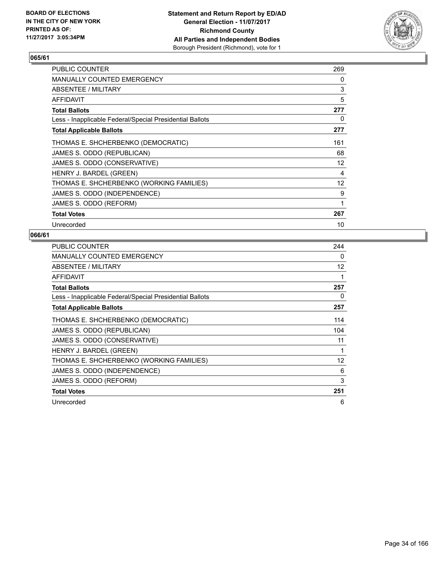

| <b>PUBLIC COUNTER</b>                                    | 269               |
|----------------------------------------------------------|-------------------|
| <b>MANUALLY COUNTED EMERGENCY</b>                        | 0                 |
| ABSENTEE / MILITARY                                      | 3                 |
| AFFIDAVIT                                                | 5                 |
| <b>Total Ballots</b>                                     | 277               |
| Less - Inapplicable Federal/Special Presidential Ballots | 0                 |
| <b>Total Applicable Ballots</b>                          | 277               |
| THOMAS E. SHCHERBENKO (DEMOCRATIC)                       | 161               |
| JAMES S. ODDO (REPUBLICAN)                               | 68                |
| JAMES S. ODDO (CONSERVATIVE)                             | $12 \overline{ }$ |
| HENRY J. BARDEL (GREEN)                                  | 4                 |
| THOMAS E. SHCHERBENKO (WORKING FAMILIES)                 | 12                |
| JAMES S. ODDO (INDEPENDENCE)                             | 9                 |
| JAMES S. ODDO (REFORM)                                   | 1                 |
| <b>Total Votes</b>                                       | 267               |
| Unrecorded                                               | 10                |

| <b>PUBLIC COUNTER</b>                                    | 244 |
|----------------------------------------------------------|-----|
| <b>MANUALLY COUNTED EMERGENCY</b>                        | 0   |
| ABSENTEE / MILITARY                                      | 12  |
| <b>AFFIDAVIT</b>                                         |     |
| <b>Total Ballots</b>                                     | 257 |
| Less - Inapplicable Federal/Special Presidential Ballots | 0   |
| <b>Total Applicable Ballots</b>                          | 257 |
| THOMAS E. SHCHERBENKO (DEMOCRATIC)                       | 114 |
| JAMES S. ODDO (REPUBLICAN)                               | 104 |
| JAMES S. ODDO (CONSERVATIVE)                             | 11  |
| HENRY J. BARDEL (GREEN)                                  |     |
| THOMAS E. SHCHERBENKO (WORKING FAMILIES)                 | 12  |
| JAMES S. ODDO (INDEPENDENCE)                             | 6   |
| JAMES S. ODDO (REFORM)                                   | 3   |
| <b>Total Votes</b>                                       | 251 |
| Unrecorded                                               | 6   |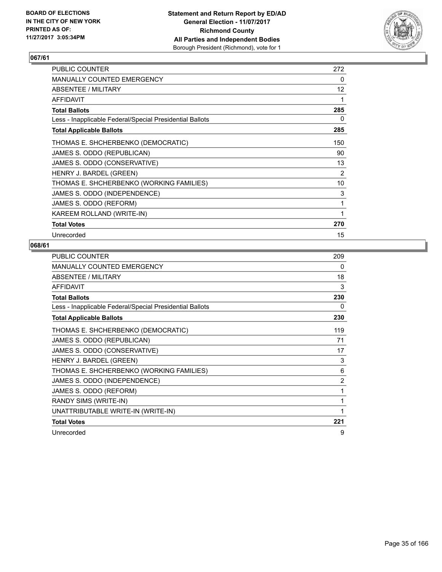

| <b>PUBLIC COUNTER</b>                                    | 272 |
|----------------------------------------------------------|-----|
| MANUALLY COUNTED EMERGENCY                               | 0   |
| ABSENTEE / MILITARY                                      | 12  |
| <b>AFFIDAVIT</b>                                         | 1   |
| <b>Total Ballots</b>                                     | 285 |
| Less - Inapplicable Federal/Special Presidential Ballots | 0   |
| <b>Total Applicable Ballots</b>                          | 285 |
| THOMAS E. SHCHERBENKO (DEMOCRATIC)                       | 150 |
| JAMES S. ODDO (REPUBLICAN)                               | 90  |
| JAMES S. ODDO (CONSERVATIVE)                             | 13  |
| HENRY J. BARDEL (GREEN)                                  | 2   |
| THOMAS E. SHCHERBENKO (WORKING FAMILIES)                 | 10  |
| JAMES S. ODDO (INDEPENDENCE)                             | 3   |
| JAMES S. ODDO (REFORM)                                   | 1   |
| KAREEM ROLLAND (WRITE-IN)                                | 1   |
| <b>Total Votes</b>                                       | 270 |
| Unrecorded                                               | 15  |

| PUBLIC COUNTER                                           | 209            |
|----------------------------------------------------------|----------------|
| MANUALLY COUNTED EMERGENCY                               | 0              |
| ABSENTEE / MILITARY                                      | 18             |
| <b>AFFIDAVIT</b>                                         | 3              |
| <b>Total Ballots</b>                                     | 230            |
| Less - Inapplicable Federal/Special Presidential Ballots | 0              |
| <b>Total Applicable Ballots</b>                          | 230            |
| THOMAS E. SHCHERBENKO (DEMOCRATIC)                       | 119            |
| JAMES S. ODDO (REPUBLICAN)                               | 71             |
| JAMES S. ODDO (CONSERVATIVE)                             | 17             |
| HENRY J. BARDEL (GREEN)                                  | 3              |
| THOMAS E. SHCHERBENKO (WORKING FAMILIES)                 | 6              |
| JAMES S. ODDO (INDEPENDENCE)                             | $\overline{2}$ |
| JAMES S. ODDO (REFORM)                                   | 1              |
| RANDY SIMS (WRITE-IN)                                    | 1              |
| UNATTRIBUTABLE WRITE-IN (WRITE-IN)                       | 1              |
| <b>Total Votes</b>                                       | 221            |
| Unrecorded                                               | 9              |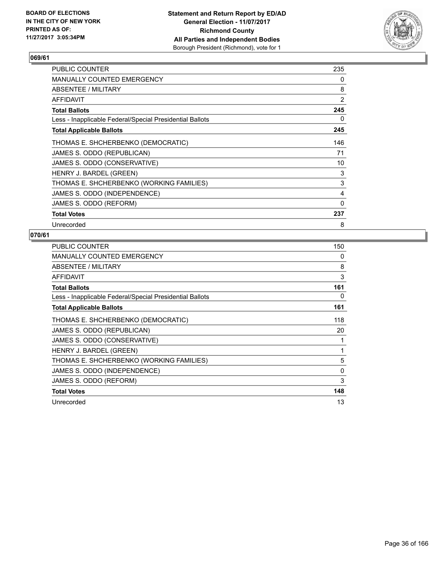

| <b>PUBLIC COUNTER</b>                                    | 235 |
|----------------------------------------------------------|-----|
| <b>MANUALLY COUNTED EMERGENCY</b>                        | 0   |
| ABSENTEE / MILITARY                                      | 8   |
| AFFIDAVIT                                                | 2   |
| <b>Total Ballots</b>                                     | 245 |
| Less - Inapplicable Federal/Special Presidential Ballots | 0   |
| <b>Total Applicable Ballots</b>                          | 245 |
| THOMAS E. SHCHERBENKO (DEMOCRATIC)                       | 146 |
| JAMES S. ODDO (REPUBLICAN)                               | 71  |
| JAMES S. ODDO (CONSERVATIVE)                             | 10  |
| HENRY J. BARDEL (GREEN)                                  | 3   |
| THOMAS E. SHCHERBENKO (WORKING FAMILIES)                 | 3   |
| JAMES S. ODDO (INDEPENDENCE)                             | 4   |
| JAMES S. ODDO (REFORM)                                   | 0   |
| <b>Total Votes</b>                                       | 237 |
| Unrecorded                                               | 8   |

| <b>PUBLIC COUNTER</b>                                    | 150 |
|----------------------------------------------------------|-----|
| <b>MANUALLY COUNTED EMERGENCY</b>                        | 0   |
| ABSENTEE / MILITARY                                      | 8   |
| AFFIDAVIT                                                | 3   |
| <b>Total Ballots</b>                                     | 161 |
| Less - Inapplicable Federal/Special Presidential Ballots | 0   |
| <b>Total Applicable Ballots</b>                          | 161 |
| THOMAS E. SHCHERBENKO (DEMOCRATIC)                       | 118 |
| JAMES S. ODDO (REPUBLICAN)                               | 20  |
| JAMES S. ODDO (CONSERVATIVE)                             | 1   |
| HENRY J. BARDEL (GREEN)                                  | 1   |
| THOMAS E. SHCHERBENKO (WORKING FAMILIES)                 | 5   |
| JAMES S. ODDO (INDEPENDENCE)                             | 0   |
| JAMES S. ODDO (REFORM)                                   | 3   |
| <b>Total Votes</b>                                       | 148 |
| Unrecorded                                               | 13  |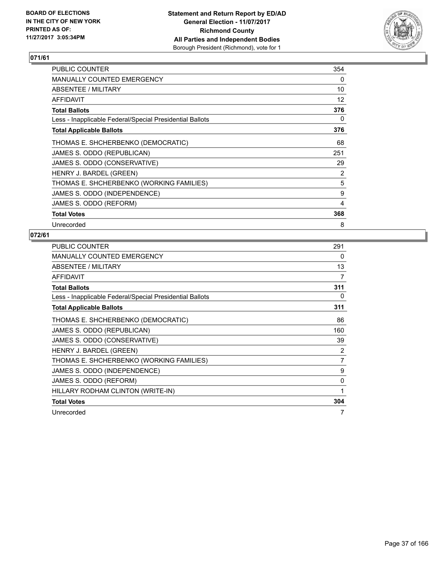

| <b>PUBLIC COUNTER</b>                                    | 354 |
|----------------------------------------------------------|-----|
| <b>MANUALLY COUNTED EMERGENCY</b>                        | 0   |
| ABSENTEE / MILITARY                                      | 10  |
| AFFIDAVIT                                                | 12  |
| <b>Total Ballots</b>                                     | 376 |
| Less - Inapplicable Federal/Special Presidential Ballots | 0   |
| <b>Total Applicable Ballots</b>                          | 376 |
| THOMAS E. SHCHERBENKO (DEMOCRATIC)                       | 68  |
| JAMES S. ODDO (REPUBLICAN)                               | 251 |
| JAMES S. ODDO (CONSERVATIVE)                             | 29  |
| HENRY J. BARDEL (GREEN)                                  | 2   |
| THOMAS E. SHCHERBENKO (WORKING FAMILIES)                 | 5   |
| JAMES S. ODDO (INDEPENDENCE)                             | 9   |
| JAMES S. ODDO (REFORM)                                   | 4   |
| <b>Total Votes</b>                                       | 368 |
| Unrecorded                                               | 8   |

| <b>PUBLIC COUNTER</b>                                    | 291            |
|----------------------------------------------------------|----------------|
| <b>MANUALLY COUNTED EMERGENCY</b>                        | 0              |
| ABSENTEE / MILITARY                                      | 13             |
| <b>AFFIDAVIT</b>                                         | 7              |
| <b>Total Ballots</b>                                     | 311            |
| Less - Inapplicable Federal/Special Presidential Ballots | 0              |
| <b>Total Applicable Ballots</b>                          | 311            |
| THOMAS E. SHCHERBENKO (DEMOCRATIC)                       | 86             |
| JAMES S. ODDO (REPUBLICAN)                               | 160            |
| JAMES S. ODDO (CONSERVATIVE)                             | 39             |
| HENRY J. BARDEL (GREEN)                                  | 2              |
| THOMAS E. SHCHERBENKO (WORKING FAMILIES)                 | $\overline{7}$ |
| JAMES S. ODDO (INDEPENDENCE)                             | 9              |
| JAMES S. ODDO (REFORM)                                   | 0              |
| HILLARY RODHAM CLINTON (WRITE-IN)                        | 1              |
| <b>Total Votes</b>                                       | 304            |
| Unrecorded                                               | 7              |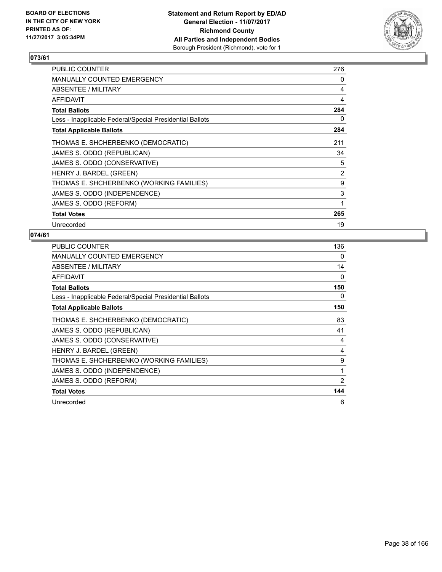

| <b>PUBLIC COUNTER</b>                                    | 276 |
|----------------------------------------------------------|-----|
| <b>MANUALLY COUNTED EMERGENCY</b>                        | 0   |
| ABSENTEE / MILITARY                                      | 4   |
| AFFIDAVIT                                                | 4   |
| <b>Total Ballots</b>                                     | 284 |
| Less - Inapplicable Federal/Special Presidential Ballots | 0   |
| <b>Total Applicable Ballots</b>                          | 284 |
| THOMAS E. SHCHERBENKO (DEMOCRATIC)                       | 211 |
| JAMES S. ODDO (REPUBLICAN)                               | 34  |
| JAMES S. ODDO (CONSERVATIVE)                             | 5   |
| HENRY J. BARDEL (GREEN)                                  | 2   |
| THOMAS E. SHCHERBENKO (WORKING FAMILIES)                 | 9   |
| JAMES S. ODDO (INDEPENDENCE)                             | 3   |
| JAMES S. ODDO (REFORM)                                   | 1   |
| <b>Total Votes</b>                                       | 265 |
| Unrecorded                                               | 19  |

| <b>PUBLIC COUNTER</b>                                    | 136 |
|----------------------------------------------------------|-----|
| <b>MANUALLY COUNTED EMERGENCY</b>                        | 0   |
| ABSENTEE / MILITARY                                      | 14  |
| <b>AFFIDAVIT</b>                                         | 0   |
| <b>Total Ballots</b>                                     | 150 |
| Less - Inapplicable Federal/Special Presidential Ballots | 0   |
| <b>Total Applicable Ballots</b>                          | 150 |
| THOMAS E. SHCHERBENKO (DEMOCRATIC)                       | 83  |
| JAMES S. ODDO (REPUBLICAN)                               | 41  |
| JAMES S. ODDO (CONSERVATIVE)                             | 4   |
| HENRY J. BARDEL (GREEN)                                  | 4   |
| THOMAS E. SHCHERBENKO (WORKING FAMILIES)                 | 9   |
| JAMES S. ODDO (INDEPENDENCE)                             | 1   |
| JAMES S. ODDO (REFORM)                                   | 2   |
| <b>Total Votes</b>                                       | 144 |
| Unrecorded                                               | 6   |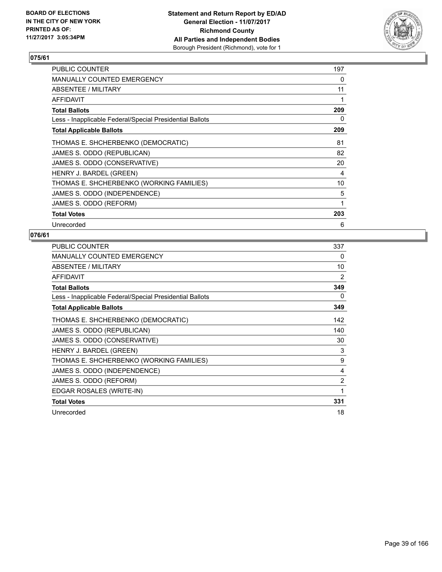

| <b>PUBLIC COUNTER</b>                                    | 197 |
|----------------------------------------------------------|-----|
| <b>MANUALLY COUNTED EMERGENCY</b>                        | 0   |
| ABSENTEE / MILITARY                                      | 11  |
| AFFIDAVIT                                                | 1   |
| <b>Total Ballots</b>                                     | 209 |
| Less - Inapplicable Federal/Special Presidential Ballots | 0   |
| <b>Total Applicable Ballots</b>                          | 209 |
| THOMAS E. SHCHERBENKO (DEMOCRATIC)                       | 81  |
| JAMES S. ODDO (REPUBLICAN)                               | 82  |
| JAMES S. ODDO (CONSERVATIVE)                             | 20  |
| HENRY J. BARDEL (GREEN)                                  | 4   |
| THOMAS E. SHCHERBENKO (WORKING FAMILIES)                 | 10  |
| JAMES S. ODDO (INDEPENDENCE)                             | 5   |
| JAMES S. ODDO (REFORM)                                   | 1   |
| <b>Total Votes</b>                                       | 203 |
| Unrecorded                                               | 6   |

| <b>PUBLIC COUNTER</b>                                    | 337            |
|----------------------------------------------------------|----------------|
| <b>MANUALLY COUNTED EMERGENCY</b>                        | 0              |
| ABSENTEE / MILITARY                                      | 10             |
| <b>AFFIDAVIT</b>                                         | 2              |
| <b>Total Ballots</b>                                     | 349            |
| Less - Inapplicable Federal/Special Presidential Ballots | 0              |
| <b>Total Applicable Ballots</b>                          | 349            |
| THOMAS E. SHCHERBENKO (DEMOCRATIC)                       | 142            |
| JAMES S. ODDO (REPUBLICAN)                               | 140            |
| JAMES S. ODDO (CONSERVATIVE)                             | 30             |
| HENRY J. BARDEL (GREEN)                                  | 3              |
| THOMAS E. SHCHERBENKO (WORKING FAMILIES)                 | 9              |
| JAMES S. ODDO (INDEPENDENCE)                             | 4              |
| JAMES S. ODDO (REFORM)                                   | $\overline{2}$ |
| EDGAR ROSALES (WRITE-IN)                                 | 1              |
| <b>Total Votes</b>                                       | 331            |
| Unrecorded                                               | 18             |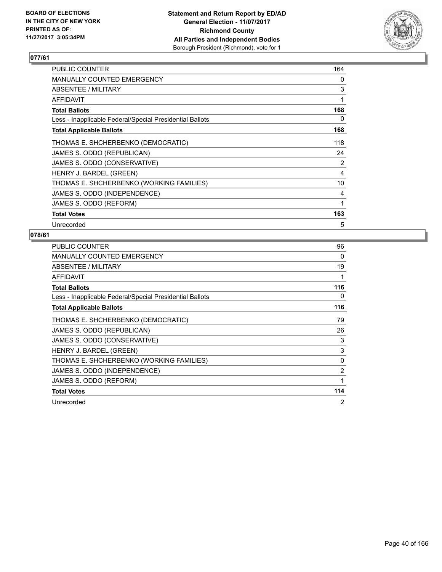

| PUBLIC COUNTER                                           | 164 |
|----------------------------------------------------------|-----|
| <b>MANUALLY COUNTED EMERGENCY</b>                        | 0   |
| ABSENTEE / MILITARY                                      | 3   |
| AFFIDAVIT                                                | 1   |
| <b>Total Ballots</b>                                     | 168 |
| Less - Inapplicable Federal/Special Presidential Ballots | 0   |
| <b>Total Applicable Ballots</b>                          | 168 |
| THOMAS E. SHCHERBENKO (DEMOCRATIC)                       | 118 |
| JAMES S. ODDO (REPUBLICAN)                               | 24  |
| JAMES S. ODDO (CONSERVATIVE)                             | 2   |
| HENRY J. BARDEL (GREEN)                                  | 4   |
| THOMAS E. SHCHERBENKO (WORKING FAMILIES)                 | 10  |
| JAMES S. ODDO (INDEPENDENCE)                             | 4   |
| JAMES S. ODDO (REFORM)                                   | 1   |
| <b>Total Votes</b>                                       | 163 |
| Unrecorded                                               | 5   |

| <b>PUBLIC COUNTER</b>                                    | 96             |
|----------------------------------------------------------|----------------|
| <b>MANUALLY COUNTED EMERGENCY</b>                        | 0              |
| ABSENTEE / MILITARY                                      | 19             |
| <b>AFFIDAVIT</b>                                         | 1              |
| <b>Total Ballots</b>                                     | 116            |
| Less - Inapplicable Federal/Special Presidential Ballots | 0              |
| <b>Total Applicable Ballots</b>                          | 116            |
| THOMAS E. SHCHERBENKO (DEMOCRATIC)                       | 79             |
| JAMES S. ODDO (REPUBLICAN)                               | 26             |
| JAMES S. ODDO (CONSERVATIVE)                             | 3              |
| HENRY J. BARDEL (GREEN)                                  | 3              |
| THOMAS E. SHCHERBENKO (WORKING FAMILIES)                 | $\Omega$       |
| JAMES S. ODDO (INDEPENDENCE)                             | 2              |
| JAMES S. ODDO (REFORM)                                   | 1              |
| <b>Total Votes</b>                                       | 114            |
| Unrecorded                                               | $\overline{2}$ |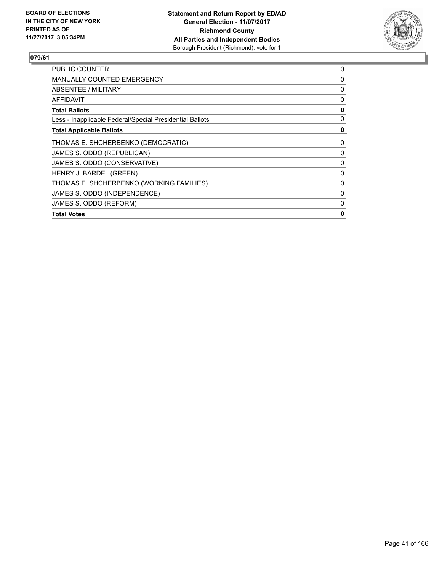

| <b>PUBLIC COUNTER</b>                                    | 0 |
|----------------------------------------------------------|---|
| MANUALLY COUNTED EMERGENCY                               | 0 |
| ABSENTEE / MILITARY                                      | 0 |
| <b>AFFIDAVIT</b>                                         | 0 |
| <b>Total Ballots</b>                                     | 0 |
| Less - Inapplicable Federal/Special Presidential Ballots | 0 |
| <b>Total Applicable Ballots</b>                          | 0 |
| THOMAS E. SHCHERBENKO (DEMOCRATIC)                       | 0 |
| JAMES S. ODDO (REPUBLICAN)                               | 0 |
| JAMES S. ODDO (CONSERVATIVE)                             | 0 |
| HENRY J. BARDEL (GREEN)                                  | 0 |
| THOMAS E. SHCHERBENKO (WORKING FAMILIES)                 | 0 |
| JAMES S. ODDO (INDEPENDENCE)                             | 0 |
| JAMES S. ODDO (REFORM)                                   | 0 |
| <b>Total Votes</b>                                       | 0 |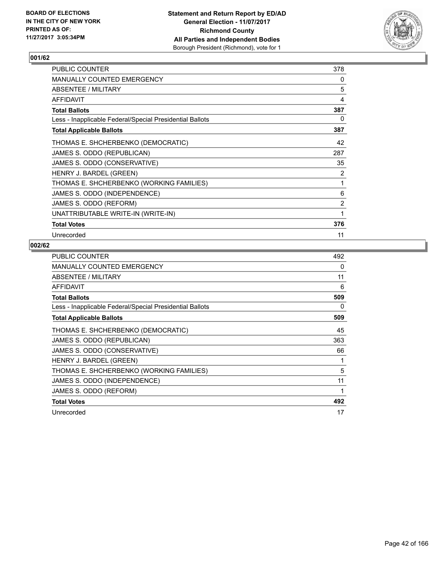

| <b>PUBLIC COUNTER</b>                                    | 378            |
|----------------------------------------------------------|----------------|
| <b>MANUALLY COUNTED EMERGENCY</b>                        | 0              |
| ABSENTEE / MILITARY                                      | 5              |
| <b>AFFIDAVIT</b>                                         | 4              |
| <b>Total Ballots</b>                                     | 387            |
| Less - Inapplicable Federal/Special Presidential Ballots | 0              |
| <b>Total Applicable Ballots</b>                          | 387            |
| THOMAS E. SHCHERBENKO (DEMOCRATIC)                       | 42             |
| JAMES S. ODDO (REPUBLICAN)                               | 287            |
| JAMES S. ODDO (CONSERVATIVE)                             | 35             |
| HENRY J. BARDEL (GREEN)                                  | 2              |
| THOMAS E. SHCHERBENKO (WORKING FAMILIES)                 | 1              |
| JAMES S. ODDO (INDEPENDENCE)                             | 6              |
| JAMES S. ODDO (REFORM)                                   | $\overline{2}$ |
| UNATTRIBUTABLE WRITE-IN (WRITE-IN)                       | 1              |
| <b>Total Votes</b>                                       | 376            |
| Unrecorded                                               | 11             |

| <b>PUBLIC COUNTER</b>                                    | 492 |
|----------------------------------------------------------|-----|
| <b>MANUALLY COUNTED EMERGENCY</b>                        | 0   |
| ABSENTEE / MILITARY                                      | 11  |
| <b>AFFIDAVIT</b>                                         | 6   |
| <b>Total Ballots</b>                                     | 509 |
| Less - Inapplicable Federal/Special Presidential Ballots | 0   |
| <b>Total Applicable Ballots</b>                          | 509 |
| THOMAS E. SHCHERBENKO (DEMOCRATIC)                       | 45  |
| JAMES S. ODDO (REPUBLICAN)                               | 363 |
| JAMES S. ODDO (CONSERVATIVE)                             | 66  |
| HENRY J. BARDEL (GREEN)                                  |     |
| THOMAS E. SHCHERBENKO (WORKING FAMILIES)                 | 5   |
| JAMES S. ODDO (INDEPENDENCE)                             | 11  |
| JAMES S. ODDO (REFORM)                                   | 1   |
| <b>Total Votes</b>                                       | 492 |
| Unrecorded                                               | 17  |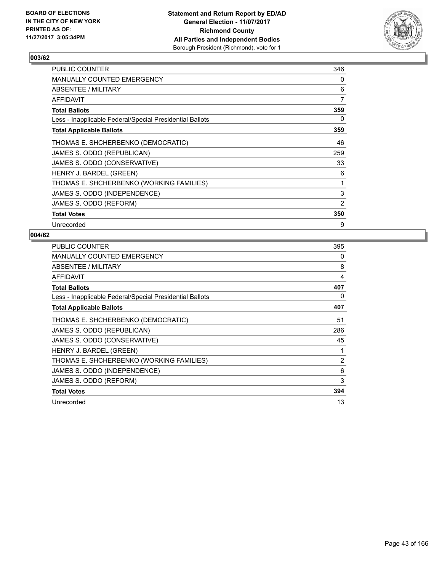

| <b>PUBLIC COUNTER</b>                                    | 346 |
|----------------------------------------------------------|-----|
| <b>MANUALLY COUNTED EMERGENCY</b>                        | 0   |
| ABSENTEE / MILITARY                                      | 6   |
| AFFIDAVIT                                                | 7   |
| <b>Total Ballots</b>                                     | 359 |
| Less - Inapplicable Federal/Special Presidential Ballots | 0   |
| <b>Total Applicable Ballots</b>                          | 359 |
| THOMAS E. SHCHERBENKO (DEMOCRATIC)                       | 46  |
| JAMES S. ODDO (REPUBLICAN)                               | 259 |
| JAMES S. ODDO (CONSERVATIVE)                             | 33  |
| HENRY J. BARDEL (GREEN)                                  | 6   |
| THOMAS E. SHCHERBENKO (WORKING FAMILIES)                 | 1   |
| JAMES S. ODDO (INDEPENDENCE)                             | 3   |
| JAMES S. ODDO (REFORM)                                   | 2   |
| <b>Total Votes</b>                                       | 350 |
| Unrecorded                                               | 9   |

| <b>PUBLIC COUNTER</b>                                    | 395            |
|----------------------------------------------------------|----------------|
| <b>MANUALLY COUNTED EMERGENCY</b>                        | 0              |
| ABSENTEE / MILITARY                                      | 8              |
| AFFIDAVIT                                                | 4              |
| <b>Total Ballots</b>                                     | 407            |
| Less - Inapplicable Federal/Special Presidential Ballots | 0              |
| <b>Total Applicable Ballots</b>                          | 407            |
| THOMAS E. SHCHERBENKO (DEMOCRATIC)                       | 51             |
| JAMES S. ODDO (REPUBLICAN)                               | 286            |
| JAMES S. ODDO (CONSERVATIVE)                             | 45             |
| HENRY J. BARDEL (GREEN)                                  | 1              |
| THOMAS E. SHCHERBENKO (WORKING FAMILIES)                 | $\overline{2}$ |
| JAMES S. ODDO (INDEPENDENCE)                             | 6              |
| JAMES S. ODDO (REFORM)                                   | 3              |
| <b>Total Votes</b>                                       | 394            |
| Unrecorded                                               | 13             |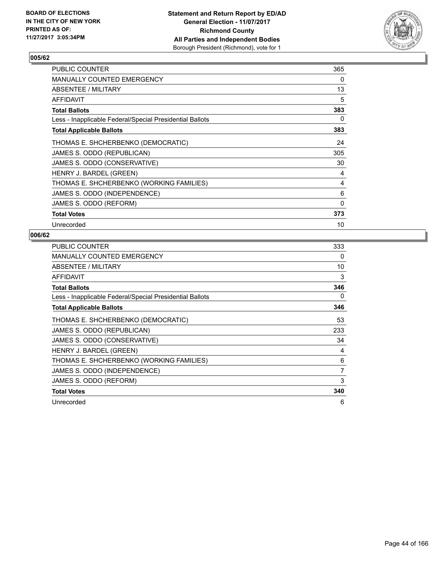

| <b>PUBLIC COUNTER</b>                                    | 365 |
|----------------------------------------------------------|-----|
| <b>MANUALLY COUNTED EMERGENCY</b>                        | 0   |
| ABSENTEE / MILITARY                                      | 13  |
| <b>AFFIDAVIT</b>                                         | 5   |
| <b>Total Ballots</b>                                     | 383 |
| Less - Inapplicable Federal/Special Presidential Ballots | 0   |
| <b>Total Applicable Ballots</b>                          | 383 |
| THOMAS E. SHCHERBENKO (DEMOCRATIC)                       | 24  |
| JAMES S. ODDO (REPUBLICAN)                               | 305 |
| JAMES S. ODDO (CONSERVATIVE)                             | 30  |
| HENRY J. BARDEL (GREEN)                                  | 4   |
| THOMAS E. SHCHERBENKO (WORKING FAMILIES)                 | 4   |
| JAMES S. ODDO (INDEPENDENCE)                             | 6   |
| JAMES S. ODDO (REFORM)                                   | 0   |
| <b>Total Votes</b>                                       | 373 |
| Unrecorded                                               | 10  |

| <b>PUBLIC COUNTER</b>                                    | 333 |
|----------------------------------------------------------|-----|
| <b>MANUALLY COUNTED EMERGENCY</b>                        | 0   |
| ABSENTEE / MILITARY                                      | 10  |
| <b>AFFIDAVIT</b>                                         | 3   |
| <b>Total Ballots</b>                                     | 346 |
| Less - Inapplicable Federal/Special Presidential Ballots | 0   |
| <b>Total Applicable Ballots</b>                          | 346 |
| THOMAS E. SHCHERBENKO (DEMOCRATIC)                       | 53  |
| JAMES S. ODDO (REPUBLICAN)                               | 233 |
| JAMES S. ODDO (CONSERVATIVE)                             | 34  |
| HENRY J. BARDEL (GREEN)                                  | 4   |
| THOMAS E. SHCHERBENKO (WORKING FAMILIES)                 | 6   |
| JAMES S. ODDO (INDEPENDENCE)                             | 7   |
| JAMES S. ODDO (REFORM)                                   | 3   |
| <b>Total Votes</b>                                       | 340 |
| Unrecorded                                               | 6   |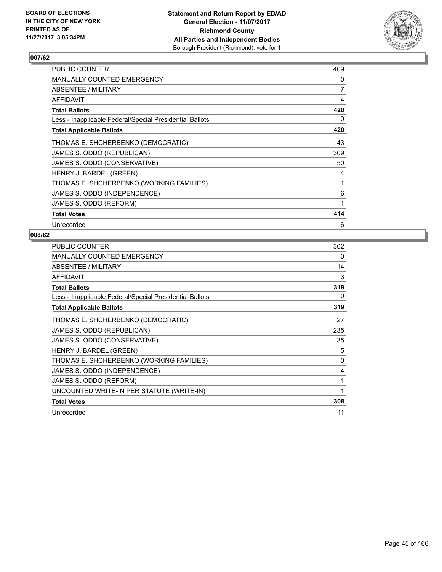

| PUBLIC COUNTER                                           | 409 |
|----------------------------------------------------------|-----|
| <b>MANUALLY COUNTED EMERGENCY</b>                        | 0   |
| ABSENTEE / MILITARY                                      | 7   |
| AFFIDAVIT                                                | 4   |
| <b>Total Ballots</b>                                     | 420 |
| Less - Inapplicable Federal/Special Presidential Ballots | 0   |
| <b>Total Applicable Ballots</b>                          | 420 |
| THOMAS E. SHCHERBENKO (DEMOCRATIC)                       | 43  |
| JAMES S. ODDO (REPUBLICAN)                               | 309 |
| JAMES S. ODDO (CONSERVATIVE)                             | 50  |
| HENRY J. BARDEL (GREEN)                                  | 4   |
| THOMAS E. SHCHERBENKO (WORKING FAMILIES)                 | 1   |
| JAMES S. ODDO (INDEPENDENCE)                             | 6   |
| JAMES S. ODDO (REFORM)                                   | 1   |
| <b>Total Votes</b>                                       | 414 |
| Unrecorded                                               | 6   |

| <b>PUBLIC COUNTER</b>                                    | 302 |
|----------------------------------------------------------|-----|
| <b>MANUALLY COUNTED EMERGENCY</b>                        | 0   |
| ABSENTEE / MILITARY                                      | 14  |
| <b>AFFIDAVIT</b>                                         | 3   |
| <b>Total Ballots</b>                                     | 319 |
| Less - Inapplicable Federal/Special Presidential Ballots | 0   |
| <b>Total Applicable Ballots</b>                          | 319 |
| THOMAS E. SHCHERBENKO (DEMOCRATIC)                       | 27  |
| JAMES S. ODDO (REPUBLICAN)                               | 235 |
| JAMES S. ODDO (CONSERVATIVE)                             | 35  |
| HENRY J. BARDEL (GREEN)                                  | 5   |
| THOMAS E. SHCHERBENKO (WORKING FAMILIES)                 | 0   |
| JAMES S. ODDO (INDEPENDENCE)                             | 4   |
| JAMES S. ODDO (REFORM)                                   | 1   |
| UNCOUNTED WRITE-IN PER STATUTE (WRITE-IN)                | 1   |
| <b>Total Votes</b>                                       | 308 |
| Unrecorded                                               | 11  |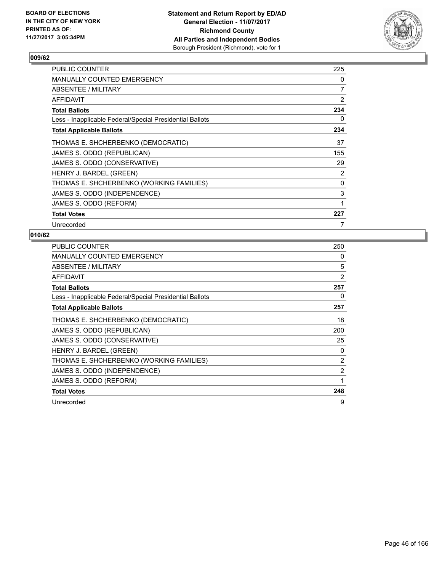

| <b>PUBLIC COUNTER</b>                                    | 225 |
|----------------------------------------------------------|-----|
| <b>MANUALLY COUNTED EMERGENCY</b>                        | 0   |
| ABSENTEE / MILITARY                                      | 7   |
| AFFIDAVIT                                                | 2   |
| <b>Total Ballots</b>                                     | 234 |
| Less - Inapplicable Federal/Special Presidential Ballots | 0   |
| <b>Total Applicable Ballots</b>                          | 234 |
| THOMAS E. SHCHERBENKO (DEMOCRATIC)                       | 37  |
| JAMES S. ODDO (REPUBLICAN)                               | 155 |
| JAMES S. ODDO (CONSERVATIVE)                             | 29  |
| HENRY J. BARDEL (GREEN)                                  | 2   |
| THOMAS E. SHCHERBENKO (WORKING FAMILIES)                 | 0   |
| JAMES S. ODDO (INDEPENDENCE)                             | 3   |
| JAMES S. ODDO (REFORM)                                   | 1   |
| <b>Total Votes</b>                                       | 227 |
| Unrecorded                                               | 7   |

| <b>PUBLIC COUNTER</b>                                    | 250            |
|----------------------------------------------------------|----------------|
| MANUALLY COUNTED EMERGENCY                               | 0              |
| ABSENTEE / MILITARY                                      | 5              |
| AFFIDAVIT                                                | 2              |
| <b>Total Ballots</b>                                     | 257            |
| Less - Inapplicable Federal/Special Presidential Ballots | 0              |
| <b>Total Applicable Ballots</b>                          | 257            |
| THOMAS E. SHCHERBENKO (DEMOCRATIC)                       | 18             |
| JAMES S. ODDO (REPUBLICAN)                               | 200            |
| JAMES S. ODDO (CONSERVATIVE)                             | 25             |
| HENRY J. BARDEL (GREEN)                                  | 0              |
| THOMAS E. SHCHERBENKO (WORKING FAMILIES)                 | $\overline{2}$ |
| JAMES S. ODDO (INDEPENDENCE)                             | 2              |
| JAMES S. ODDO (REFORM)                                   | 1              |
| <b>Total Votes</b>                                       | 248            |
| Unrecorded                                               | 9              |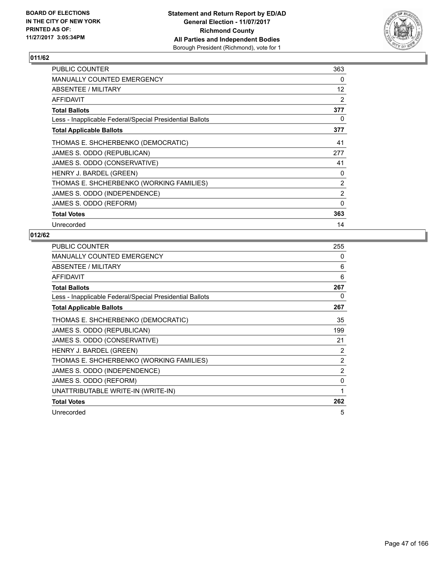

| <b>PUBLIC COUNTER</b>                                    | 363               |
|----------------------------------------------------------|-------------------|
| <b>MANUALLY COUNTED EMERGENCY</b>                        | 0                 |
| ABSENTEE / MILITARY                                      | $12 \overline{ }$ |
| AFFIDAVIT                                                | 2                 |
| <b>Total Ballots</b>                                     | 377               |
| Less - Inapplicable Federal/Special Presidential Ballots | 0                 |
| <b>Total Applicable Ballots</b>                          | 377               |
| THOMAS E. SHCHERBENKO (DEMOCRATIC)                       | 41                |
| JAMES S. ODDO (REPUBLICAN)                               | 277               |
| JAMES S. ODDO (CONSERVATIVE)                             | 41                |
| HENRY J. BARDEL (GREEN)                                  | 0                 |
| THOMAS E. SHCHERBENKO (WORKING FAMILIES)                 | 2                 |
| JAMES S. ODDO (INDEPENDENCE)                             | 2                 |
| JAMES S. ODDO (REFORM)                                   | 0                 |
| <b>Total Votes</b>                                       | 363               |
| Unrecorded                                               | 14                |

| <b>PUBLIC COUNTER</b>                                    | 255          |
|----------------------------------------------------------|--------------|
| <b>MANUALLY COUNTED EMERGENCY</b>                        | 0            |
| ABSENTEE / MILITARY                                      | 6            |
| <b>AFFIDAVIT</b>                                         | 6            |
| <b>Total Ballots</b>                                     | 267          |
| Less - Inapplicable Federal/Special Presidential Ballots | 0            |
| <b>Total Applicable Ballots</b>                          | 267          |
| THOMAS E. SHCHERBENKO (DEMOCRATIC)                       | 35           |
| JAMES S. ODDO (REPUBLICAN)                               | 199          |
| JAMES S. ODDO (CONSERVATIVE)                             | 21           |
| HENRY J. BARDEL (GREEN)                                  | 2            |
| THOMAS E. SHCHERBENKO (WORKING FAMILIES)                 | 2            |
| JAMES S. ODDO (INDEPENDENCE)                             | 2            |
| JAMES S. ODDO (REFORM)                                   | $\mathbf{0}$ |
| UNATTRIBUTABLE WRITE-IN (WRITE-IN)                       | 1            |
| <b>Total Votes</b>                                       | 262          |
| Unrecorded                                               | 5            |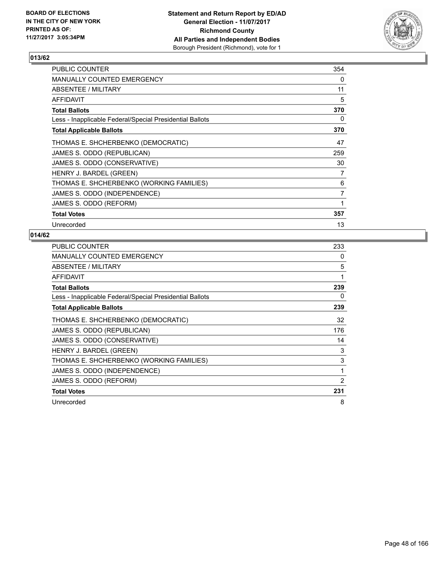

| <b>PUBLIC COUNTER</b>                                    | 354 |
|----------------------------------------------------------|-----|
| <b>MANUALLY COUNTED EMERGENCY</b>                        | 0   |
| ABSENTEE / MILITARY                                      | 11  |
| <b>AFFIDAVIT</b>                                         | 5   |
| <b>Total Ballots</b>                                     | 370 |
| Less - Inapplicable Federal/Special Presidential Ballots | 0   |
| <b>Total Applicable Ballots</b>                          | 370 |
| THOMAS E. SHCHERBENKO (DEMOCRATIC)                       | 47  |
| JAMES S. ODDO (REPUBLICAN)                               | 259 |
| JAMES S. ODDO (CONSERVATIVE)                             | 30  |
| HENRY J. BARDEL (GREEN)                                  | 7   |
| THOMAS E. SHCHERBENKO (WORKING FAMILIES)                 | 6   |
| JAMES S. ODDO (INDEPENDENCE)                             | 7   |
| JAMES S. ODDO (REFORM)                                   | 1   |
| <b>Total Votes</b>                                       | 357 |
| Unrecorded                                               | 13  |

| <b>PUBLIC COUNTER</b>                                    | 233 |
|----------------------------------------------------------|-----|
| <b>MANUALLY COUNTED EMERGENCY</b>                        | 0   |
| <b>ABSENTEE / MILITARY</b>                               | 5   |
| <b>AFFIDAVIT</b>                                         | 1   |
| <b>Total Ballots</b>                                     | 239 |
| Less - Inapplicable Federal/Special Presidential Ballots | 0   |
| <b>Total Applicable Ballots</b>                          | 239 |
| THOMAS E. SHCHERBENKO (DEMOCRATIC)                       | 32  |
| JAMES S. ODDO (REPUBLICAN)                               | 176 |
| JAMES S. ODDO (CONSERVATIVE)                             | 14  |
| HENRY J. BARDEL (GREEN)                                  | 3   |
| THOMAS E. SHCHERBENKO (WORKING FAMILIES)                 | 3   |
| JAMES S. ODDO (INDEPENDENCE)                             | 1   |
| JAMES S. ODDO (REFORM)                                   | 2   |
| <b>Total Votes</b>                                       | 231 |
| Unrecorded                                               | 8   |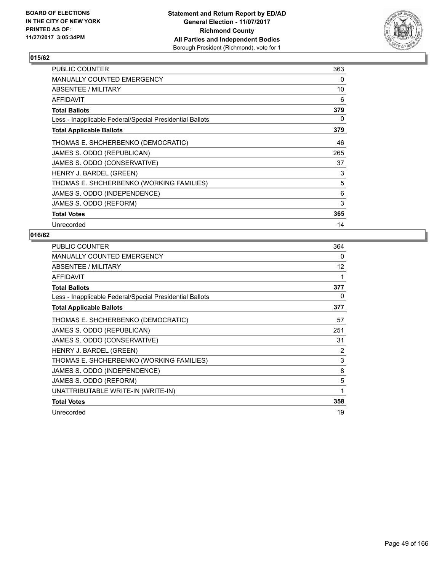

| <b>PUBLIC COUNTER</b>                                    | 363 |
|----------------------------------------------------------|-----|
| <b>MANUALLY COUNTED EMERGENCY</b>                        | 0   |
| ABSENTEE / MILITARY                                      | 10  |
| AFFIDAVIT                                                | 6   |
| <b>Total Ballots</b>                                     | 379 |
| Less - Inapplicable Federal/Special Presidential Ballots | 0   |
| <b>Total Applicable Ballots</b>                          | 379 |
| THOMAS E. SHCHERBENKO (DEMOCRATIC)                       | 46  |
| JAMES S. ODDO (REPUBLICAN)                               | 265 |
| JAMES S. ODDO (CONSERVATIVE)                             | 37  |
| HENRY J. BARDEL (GREEN)                                  | 3   |
| THOMAS E. SHCHERBENKO (WORKING FAMILIES)                 | 5   |
| JAMES S. ODDO (INDEPENDENCE)                             | 6   |
| JAMES S. ODDO (REFORM)                                   | 3   |
| <b>Total Votes</b>                                       | 365 |
| Unrecorded                                               | 14  |

| <b>PUBLIC COUNTER</b>                                    | 364 |
|----------------------------------------------------------|-----|
| <b>MANUALLY COUNTED EMERGENCY</b>                        | 0   |
| <b>ABSENTEE / MILITARY</b>                               | 12  |
| <b>AFFIDAVIT</b>                                         | 1   |
| <b>Total Ballots</b>                                     | 377 |
| Less - Inapplicable Federal/Special Presidential Ballots | 0   |
| <b>Total Applicable Ballots</b>                          | 377 |
| THOMAS E. SHCHERBENKO (DEMOCRATIC)                       | 57  |
| JAMES S. ODDO (REPUBLICAN)                               | 251 |
| JAMES S. ODDO (CONSERVATIVE)                             | 31  |
| HENRY J. BARDEL (GREEN)                                  | 2   |
| THOMAS E. SHCHERBENKO (WORKING FAMILIES)                 | 3   |
| JAMES S. ODDO (INDEPENDENCE)                             | 8   |
| JAMES S. ODDO (REFORM)                                   | 5   |
| UNATTRIBUTABLE WRITE-IN (WRITE-IN)                       | 1   |
| <b>Total Votes</b>                                       | 358 |
| Unrecorded                                               | 19  |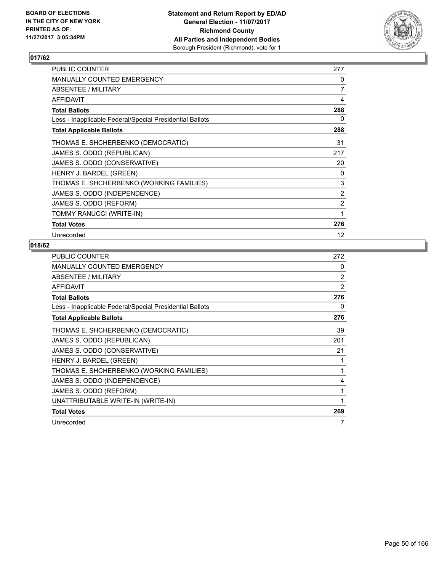

| <b>PUBLIC COUNTER</b>                                    | 277               |
|----------------------------------------------------------|-------------------|
| <b>MANUALLY COUNTED EMERGENCY</b>                        | 0                 |
| ABSENTEE / MILITARY                                      | $\overline{7}$    |
| AFFIDAVIT                                                | 4                 |
| <b>Total Ballots</b>                                     | 288               |
| Less - Inapplicable Federal/Special Presidential Ballots | 0                 |
| <b>Total Applicable Ballots</b>                          | 288               |
| THOMAS E. SHCHERBENKO (DEMOCRATIC)                       | 31                |
| JAMES S. ODDO (REPUBLICAN)                               | 217               |
| JAMES S. ODDO (CONSERVATIVE)                             | 20                |
| HENRY J. BARDEL (GREEN)                                  | 0                 |
| THOMAS E. SHCHERBENKO (WORKING FAMILIES)                 | 3                 |
| JAMES S. ODDO (INDEPENDENCE)                             | 2                 |
| JAMES S. ODDO (REFORM)                                   | $\overline{2}$    |
| TOMMY RANUCCI (WRITE-IN)                                 | 1                 |
| <b>Total Votes</b>                                       | 276               |
| Unrecorded                                               | $12 \overline{ }$ |

| <b>PUBLIC COUNTER</b>                                    | 272 |
|----------------------------------------------------------|-----|
| <b>MANUALLY COUNTED EMERGENCY</b>                        | 0   |
| ABSENTEE / MILITARY                                      | 2   |
| <b>AFFIDAVIT</b>                                         | 2   |
| <b>Total Ballots</b>                                     | 276 |
| Less - Inapplicable Federal/Special Presidential Ballots | 0   |
| <b>Total Applicable Ballots</b>                          | 276 |
| THOMAS E. SHCHERBENKO (DEMOCRATIC)                       | 39  |
| JAMES S. ODDO (REPUBLICAN)                               | 201 |
| JAMES S. ODDO (CONSERVATIVE)                             | 21  |
| HENRY J. BARDEL (GREEN)                                  | 1   |
| THOMAS E. SHCHERBENKO (WORKING FAMILIES)                 | 1   |
| JAMES S. ODDO (INDEPENDENCE)                             | 4   |
| JAMES S. ODDO (REFORM)                                   | 1   |
| UNATTRIBUTABLE WRITE-IN (WRITE-IN)                       | 1   |
| <b>Total Votes</b>                                       | 269 |
| Unrecorded                                               | 7   |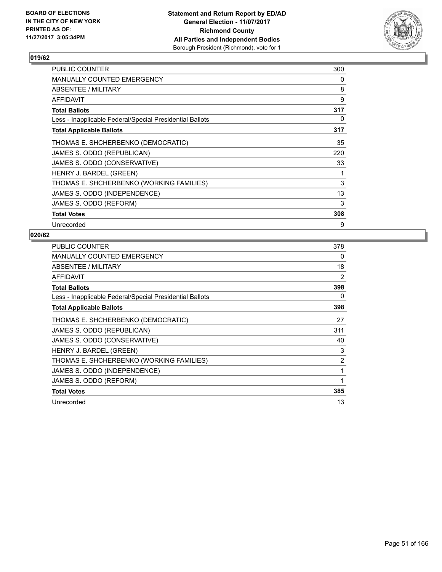

| <b>PUBLIC COUNTER</b>                                    | 300 |
|----------------------------------------------------------|-----|
| <b>MANUALLY COUNTED EMERGENCY</b>                        | 0   |
| ABSENTEE / MILITARY                                      | 8   |
| AFFIDAVIT                                                | 9   |
| Total Ballots                                            | 317 |
| Less - Inapplicable Federal/Special Presidential Ballots | 0   |
| <b>Total Applicable Ballots</b>                          | 317 |
| THOMAS E. SHCHERBENKO (DEMOCRATIC)                       | 35  |
| JAMES S. ODDO (REPUBLICAN)                               | 220 |
| JAMES S. ODDO (CONSERVATIVE)                             | 33  |
| HENRY J. BARDEL (GREEN)                                  | 1   |
| THOMAS E. SHCHERBENKO (WORKING FAMILIES)                 | 3   |
| JAMES S. ODDO (INDEPENDENCE)                             | 13  |
| JAMES S. ODDO (REFORM)                                   | 3   |
| <b>Total Votes</b>                                       | 308 |
| Unrecorded                                               | 9   |

| <b>PUBLIC COUNTER</b>                                    | 378            |
|----------------------------------------------------------|----------------|
| <b>MANUALLY COUNTED EMERGENCY</b>                        | 0              |
| ABSENTEE / MILITARY                                      | 18             |
| <b>AFFIDAVIT</b>                                         | 2              |
| <b>Total Ballots</b>                                     | 398            |
| Less - Inapplicable Federal/Special Presidential Ballots | 0              |
| <b>Total Applicable Ballots</b>                          | 398            |
| THOMAS E. SHCHERBENKO (DEMOCRATIC)                       | 27             |
| JAMES S. ODDO (REPUBLICAN)                               | 311            |
| JAMES S. ODDO (CONSERVATIVE)                             | 40             |
| HENRY J. BARDEL (GREEN)                                  | 3              |
| THOMAS E. SHCHERBENKO (WORKING FAMILIES)                 | $\overline{2}$ |
| JAMES S. ODDO (INDEPENDENCE)                             | 1              |
| JAMES S. ODDO (REFORM)                                   | 1              |
| <b>Total Votes</b>                                       | 385            |
| Unrecorded                                               | 13             |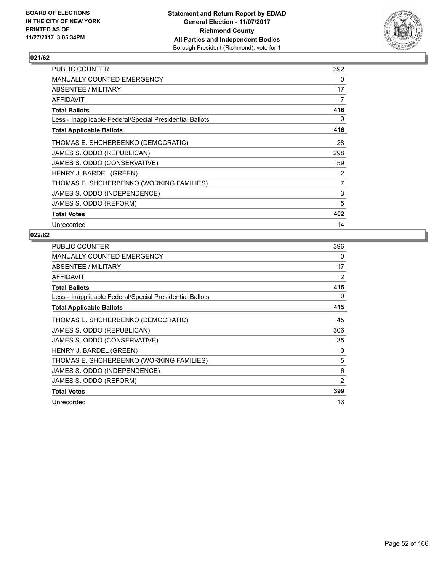

| PUBLIC COUNTER                                           | 392 |
|----------------------------------------------------------|-----|
| MANUALLY COUNTED EMERGENCY                               | 0   |
| ABSENTEE / MILITARY                                      | 17  |
| <b>AFFIDAVIT</b>                                         | 7   |
| <b>Total Ballots</b>                                     | 416 |
| Less - Inapplicable Federal/Special Presidential Ballots | 0   |
| <b>Total Applicable Ballots</b>                          | 416 |
| THOMAS E. SHCHERBENKO (DEMOCRATIC)                       | 28  |
| JAMES S. ODDO (REPUBLICAN)                               | 298 |
| JAMES S. ODDO (CONSERVATIVE)                             | 59  |
| HENRY J. BARDEL (GREEN)                                  | 2   |
| THOMAS E. SHCHERBENKO (WORKING FAMILIES)                 | 7   |
| JAMES S. ODDO (INDEPENDENCE)                             | 3   |
| JAMES S. ODDO (REFORM)                                   | 5   |
| <b>Total Votes</b>                                       | 402 |
| Unrecorded                                               | 14  |

| <b>PUBLIC COUNTER</b>                                    | 396 |
|----------------------------------------------------------|-----|
| <b>MANUALLY COUNTED EMERGENCY</b>                        | 0   |
| ABSENTEE / MILITARY                                      | 17  |
| <b>AFFIDAVIT</b>                                         | 2   |
| <b>Total Ballots</b>                                     | 415 |
| Less - Inapplicable Federal/Special Presidential Ballots | 0   |
| <b>Total Applicable Ballots</b>                          | 415 |
| THOMAS E. SHCHERBENKO (DEMOCRATIC)                       | 45  |
| JAMES S. ODDO (REPUBLICAN)                               | 306 |
| JAMES S. ODDO (CONSERVATIVE)                             | 35  |
| HENRY J. BARDEL (GREEN)                                  | 0   |
| THOMAS E. SHCHERBENKO (WORKING FAMILIES)                 | 5   |
| JAMES S. ODDO (INDEPENDENCE)                             | 6   |
| JAMES S. ODDO (REFORM)                                   | 2   |
| <b>Total Votes</b>                                       | 399 |
| Unrecorded                                               | 16  |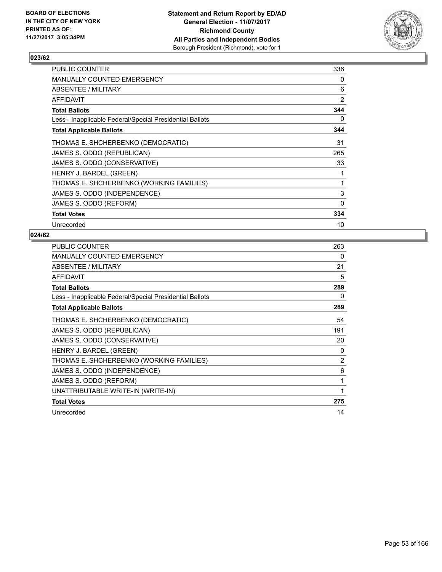

| PUBLIC COUNTER                                           | 336 |
|----------------------------------------------------------|-----|
| <b>MANUALLY COUNTED EMERGENCY</b>                        | 0   |
| ABSENTEE / MILITARY                                      | 6   |
| AFFIDAVIT                                                | 2   |
| <b>Total Ballots</b>                                     | 344 |
| Less - Inapplicable Federal/Special Presidential Ballots | 0   |
| <b>Total Applicable Ballots</b>                          | 344 |
| THOMAS E. SHCHERBENKO (DEMOCRATIC)                       | 31  |
| JAMES S. ODDO (REPUBLICAN)                               | 265 |
| JAMES S. ODDO (CONSERVATIVE)                             | 33  |
| HENRY J. BARDEL (GREEN)                                  |     |
| THOMAS E. SHCHERBENKO (WORKING FAMILIES)                 | 1   |
| JAMES S. ODDO (INDEPENDENCE)                             | 3   |
| JAMES S. ODDO (REFORM)                                   | 0   |
| <b>Total Votes</b>                                       | 334 |
| Unrecorded                                               | 10  |

| <b>PUBLIC COUNTER</b>                                    | 263            |
|----------------------------------------------------------|----------------|
| <b>MANUALLY COUNTED EMERGENCY</b>                        | 0              |
| ABSENTEE / MILITARY                                      | 21             |
| <b>AFFIDAVIT</b>                                         | 5              |
| <b>Total Ballots</b>                                     | 289            |
| Less - Inapplicable Federal/Special Presidential Ballots | 0              |
| <b>Total Applicable Ballots</b>                          | 289            |
| THOMAS E. SHCHERBENKO (DEMOCRATIC)                       | 54             |
| JAMES S. ODDO (REPUBLICAN)                               | 191            |
| JAMES S. ODDO (CONSERVATIVE)                             | 20             |
| HENRY J. BARDEL (GREEN)                                  | 0              |
| THOMAS E. SHCHERBENKO (WORKING FAMILIES)                 | $\overline{2}$ |
| JAMES S. ODDO (INDEPENDENCE)                             | 6              |
| JAMES S. ODDO (REFORM)                                   | 1              |
| UNATTRIBUTABLE WRITE-IN (WRITE-IN)                       | 1              |
| <b>Total Votes</b>                                       | 275            |
| Unrecorded                                               | 14             |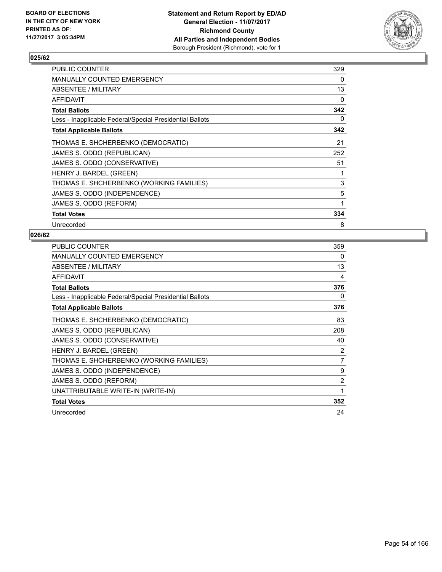

| PUBLIC COUNTER                                           | 329 |
|----------------------------------------------------------|-----|
| <b>MANUALLY COUNTED EMERGENCY</b>                        | 0   |
| ABSENTEE / MILITARY                                      | 13  |
| AFFIDAVIT                                                | 0   |
| <b>Total Ballots</b>                                     | 342 |
| Less - Inapplicable Federal/Special Presidential Ballots | 0   |
| <b>Total Applicable Ballots</b>                          | 342 |
| THOMAS E. SHCHERBENKO (DEMOCRATIC)                       | 21  |
| JAMES S. ODDO (REPUBLICAN)                               | 252 |
| JAMES S. ODDO (CONSERVATIVE)                             | 51  |
| HENRY J. BARDEL (GREEN)                                  |     |
| THOMAS E. SHCHERBENKO (WORKING FAMILIES)                 | 3   |
| JAMES S. ODDO (INDEPENDENCE)                             | 5   |
| JAMES S. ODDO (REFORM)                                   | 1   |
| <b>Total Votes</b>                                       | 334 |
| Unrecorded                                               | 8   |

| <b>PUBLIC COUNTER</b>                                    | 359 |
|----------------------------------------------------------|-----|
| <b>MANUALLY COUNTED EMERGENCY</b>                        | 0   |
| ABSENTEE / MILITARY                                      | 13  |
| <b>AFFIDAVIT</b>                                         | 4   |
| <b>Total Ballots</b>                                     | 376 |
| Less - Inapplicable Federal/Special Presidential Ballots | 0   |
| <b>Total Applicable Ballots</b>                          | 376 |
| THOMAS E. SHCHERBENKO (DEMOCRATIC)                       | 83  |
| JAMES S. ODDO (REPUBLICAN)                               | 208 |
| JAMES S. ODDO (CONSERVATIVE)                             | 40  |
| HENRY J. BARDEL (GREEN)                                  | 2   |
| THOMAS E. SHCHERBENKO (WORKING FAMILIES)                 | 7   |
| JAMES S. ODDO (INDEPENDENCE)                             | 9   |
| JAMES S. ODDO (REFORM)                                   | 2   |
| UNATTRIBUTABLE WRITE-IN (WRITE-IN)                       | 1   |
| <b>Total Votes</b>                                       | 352 |
| Unrecorded                                               | 24  |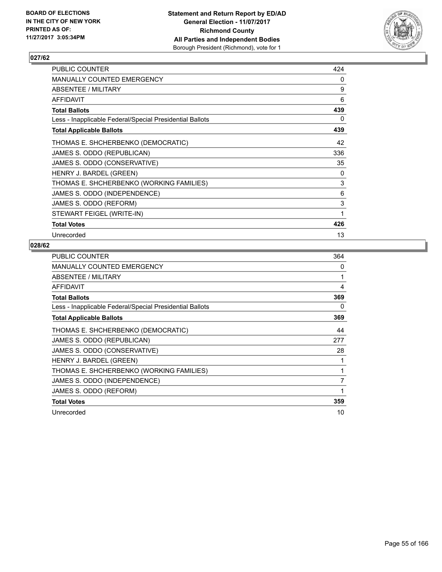

| <b>PUBLIC COUNTER</b>                                    | 424 |
|----------------------------------------------------------|-----|
| MANUALLY COUNTED EMERGENCY                               | 0   |
| <b>ABSENTEE / MILITARY</b>                               | 9   |
| AFFIDAVIT                                                | 6   |
| <b>Total Ballots</b>                                     | 439 |
| Less - Inapplicable Federal/Special Presidential Ballots | 0   |
| <b>Total Applicable Ballots</b>                          | 439 |
| THOMAS E. SHCHERBENKO (DEMOCRATIC)                       | 42  |
| JAMES S. ODDO (REPUBLICAN)                               | 336 |
| JAMES S. ODDO (CONSERVATIVE)                             | 35  |
| HENRY J. BARDEL (GREEN)                                  | 0   |
| THOMAS E. SHCHERBENKO (WORKING FAMILIES)                 | 3   |
| JAMES S. ODDO (INDEPENDENCE)                             | 6   |
| JAMES S. ODDO (REFORM)                                   | 3   |
| STEWART FEIGEL (WRITE-IN)                                | 1   |
| <b>Total Votes</b>                                       | 426 |
| Unrecorded                                               | 13  |

| <b>PUBLIC COUNTER</b>                                    | 364 |
|----------------------------------------------------------|-----|
| <b>MANUALLY COUNTED EMERGENCY</b>                        | 0   |
| ABSENTEE / MILITARY                                      | 1   |
| <b>AFFIDAVIT</b>                                         | 4   |
| <b>Total Ballots</b>                                     | 369 |
| Less - Inapplicable Federal/Special Presidential Ballots | 0   |
| <b>Total Applicable Ballots</b>                          | 369 |
| THOMAS E. SHCHERBENKO (DEMOCRATIC)                       | 44  |
| JAMES S. ODDO (REPUBLICAN)                               | 277 |
| JAMES S. ODDO (CONSERVATIVE)                             | 28  |
| HENRY J. BARDEL (GREEN)                                  |     |
| THOMAS E. SHCHERBENKO (WORKING FAMILIES)                 | 1   |
| JAMES S. ODDO (INDEPENDENCE)                             | 7   |
| JAMES S. ODDO (REFORM)                                   | 1   |
| <b>Total Votes</b>                                       | 359 |
| Unrecorded                                               | 10  |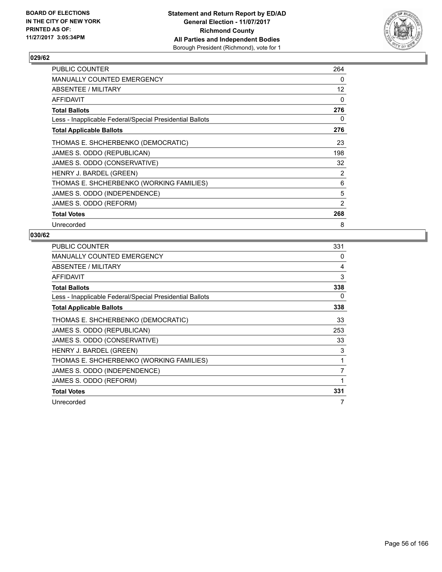

| <b>PUBLIC COUNTER</b>                                    | 264            |
|----------------------------------------------------------|----------------|
| <b>MANUALLY COUNTED EMERGENCY</b>                        | 0              |
| ABSENTEE / MILITARY                                      | 12             |
| AFFIDAVIT                                                | 0              |
| <b>Total Ballots</b>                                     | 276            |
| Less - Inapplicable Federal/Special Presidential Ballots | 0              |
| <b>Total Applicable Ballots</b>                          | 276            |
| THOMAS E. SHCHERBENKO (DEMOCRATIC)                       | 23             |
| JAMES S. ODDO (REPUBLICAN)                               | 198            |
| JAMES S. ODDO (CONSERVATIVE)                             | 32             |
| HENRY J. BARDEL (GREEN)                                  | 2              |
| THOMAS E. SHCHERBENKO (WORKING FAMILIES)                 | 6              |
| JAMES S. ODDO (INDEPENDENCE)                             | 5              |
| JAMES S. ODDO (REFORM)                                   | $\overline{2}$ |
| <b>Total Votes</b>                                       | 268            |
| Unrecorded                                               | 8              |

| <b>PUBLIC COUNTER</b>                                    | 331 |
|----------------------------------------------------------|-----|
| <b>MANUALLY COUNTED EMERGENCY</b>                        | 0   |
| ABSENTEE / MILITARY                                      | 4   |
| AFFIDAVIT                                                | 3   |
| <b>Total Ballots</b>                                     | 338 |
| Less - Inapplicable Federal/Special Presidential Ballots | 0   |
| <b>Total Applicable Ballots</b>                          | 338 |
| THOMAS E. SHCHERBENKO (DEMOCRATIC)                       | 33  |
| JAMES S. ODDO (REPUBLICAN)                               | 253 |
| JAMES S. ODDO (CONSERVATIVE)                             | 33  |
| HENRY J. BARDEL (GREEN)                                  | 3   |
| THOMAS E. SHCHERBENKO (WORKING FAMILIES)                 | 1   |
| JAMES S. ODDO (INDEPENDENCE)                             | 7   |
| JAMES S. ODDO (REFORM)                                   | 1   |
| <b>Total Votes</b>                                       | 331 |
| Unrecorded                                               | 7   |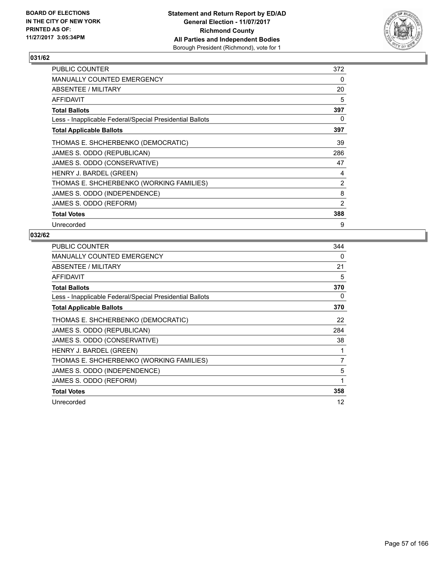

| <b>PUBLIC COUNTER</b>                                    | 372 |
|----------------------------------------------------------|-----|
| <b>MANUALLY COUNTED EMERGENCY</b>                        | 0   |
| ABSENTEE / MILITARY                                      | 20  |
| AFFIDAVIT                                                | 5   |
| <b>Total Ballots</b>                                     | 397 |
| Less - Inapplicable Federal/Special Presidential Ballots | 0   |
| <b>Total Applicable Ballots</b>                          | 397 |
| THOMAS E. SHCHERBENKO (DEMOCRATIC)                       | 39  |
| JAMES S. ODDO (REPUBLICAN)                               | 286 |
| JAMES S. ODDO (CONSERVATIVE)                             | 47  |
| HENRY J. BARDEL (GREEN)                                  | 4   |
| THOMAS E. SHCHERBENKO (WORKING FAMILIES)                 | 2   |
| JAMES S. ODDO (INDEPENDENCE)                             | 8   |
| JAMES S. ODDO (REFORM)                                   | 2   |
| <b>Total Votes</b>                                       | 388 |
| Unrecorded                                               | 9   |

| <b>PUBLIC COUNTER</b>                                    | 344 |
|----------------------------------------------------------|-----|
| <b>MANUALLY COUNTED EMERGENCY</b>                        | 0   |
| ABSENTEE / MILITARY                                      | 21  |
| AFFIDAVIT                                                | 5   |
| <b>Total Ballots</b>                                     | 370 |
| Less - Inapplicable Federal/Special Presidential Ballots | 0   |
| <b>Total Applicable Ballots</b>                          | 370 |
| THOMAS E. SHCHERBENKO (DEMOCRATIC)                       | 22  |
| JAMES S. ODDO (REPUBLICAN)                               | 284 |
| JAMES S. ODDO (CONSERVATIVE)                             | 38  |
| HENRY J. BARDEL (GREEN)                                  | 1   |
| THOMAS E. SHCHERBENKO (WORKING FAMILIES)                 | 7   |
| JAMES S. ODDO (INDEPENDENCE)                             | 5   |
| JAMES S. ODDO (REFORM)                                   | 1   |
| <b>Total Votes</b>                                       | 358 |
| Unrecorded                                               | 12  |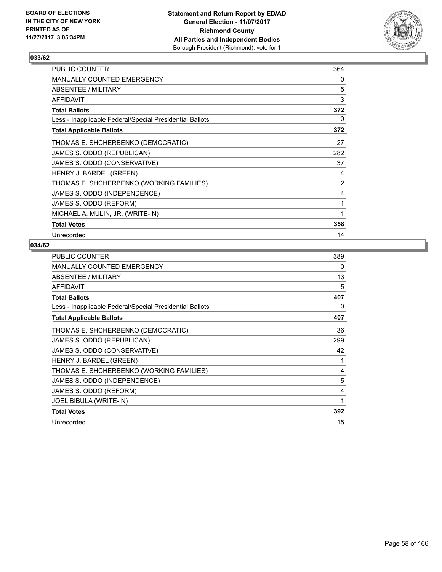

| <b>PUBLIC COUNTER</b>                                    | 364 |
|----------------------------------------------------------|-----|
| MANUALLY COUNTED EMERGENCY                               | 0   |
| ABSENTEE / MILITARY                                      | 5   |
| <b>AFFIDAVIT</b>                                         | 3   |
| <b>Total Ballots</b>                                     | 372 |
| Less - Inapplicable Federal/Special Presidential Ballots | 0   |
| <b>Total Applicable Ballots</b>                          | 372 |
| THOMAS E. SHCHERBENKO (DEMOCRATIC)                       | 27  |
| JAMES S. ODDO (REPUBLICAN)                               | 282 |
| JAMES S. ODDO (CONSERVATIVE)                             | 37  |
| HENRY J. BARDEL (GREEN)                                  | 4   |
| THOMAS E. SHCHERBENKO (WORKING FAMILIES)                 | 2   |
| JAMES S. ODDO (INDEPENDENCE)                             | 4   |
| JAMES S. ODDO (REFORM)                                   | 1   |
| MICHAEL A. MULIN, JR. (WRITE-IN)                         | 1   |
| <b>Total Votes</b>                                       | 358 |
| Unrecorded                                               | 14  |

| <b>PUBLIC COUNTER</b>                                    | 389 |
|----------------------------------------------------------|-----|
| <b>MANUALLY COUNTED EMERGENCY</b>                        | 0   |
| ABSENTEE / MILITARY                                      | 13  |
| AFFIDAVIT                                                | 5   |
| <b>Total Ballots</b>                                     | 407 |
| Less - Inapplicable Federal/Special Presidential Ballots | 0   |
| <b>Total Applicable Ballots</b>                          | 407 |
| THOMAS E. SHCHERBENKO (DEMOCRATIC)                       | 36  |
| JAMES S. ODDO (REPUBLICAN)                               | 299 |
| JAMES S. ODDO (CONSERVATIVE)                             | 42  |
| HENRY J. BARDEL (GREEN)                                  | 1   |
| THOMAS E. SHCHERBENKO (WORKING FAMILIES)                 | 4   |
| JAMES S. ODDO (INDEPENDENCE)                             | 5   |
| JAMES S. ODDO (REFORM)                                   | 4   |
| JOEL BIBULA (WRITE-IN)                                   | 1   |
| <b>Total Votes</b>                                       | 392 |
| Unrecorded                                               | 15  |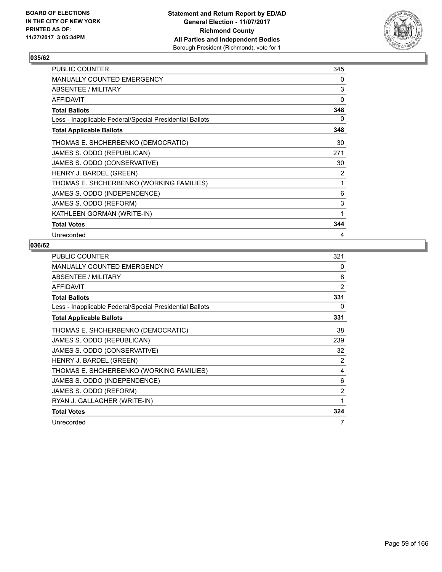

| <b>PUBLIC COUNTER</b>                                    | 345 |
|----------------------------------------------------------|-----|
| MANUALLY COUNTED EMERGENCY                               | 0   |
| ABSENTEE / MILITARY                                      | 3   |
| <b>AFFIDAVIT</b>                                         | 0   |
| <b>Total Ballots</b>                                     | 348 |
| Less - Inapplicable Federal/Special Presidential Ballots | 0   |
| <b>Total Applicable Ballots</b>                          | 348 |
| THOMAS E. SHCHERBENKO (DEMOCRATIC)                       | 30  |
| JAMES S. ODDO (REPUBLICAN)                               | 271 |
| JAMES S. ODDO (CONSERVATIVE)                             | 30  |
| HENRY J. BARDEL (GREEN)                                  | 2   |
| THOMAS E. SHCHERBENKO (WORKING FAMILIES)                 | 1   |
| JAMES S. ODDO (INDEPENDENCE)                             | 6   |
| JAMES S. ODDO (REFORM)                                   | 3   |
| KATHLEEN GORMAN (WRITE-IN)                               | 1   |
| <b>Total Votes</b>                                       | 344 |
| Unrecorded                                               | 4   |

| <b>PUBLIC COUNTER</b>                                    | 321            |
|----------------------------------------------------------|----------------|
| MANUALLY COUNTED EMERGENCY                               | 0              |
| ABSENTEE / MILITARY                                      | 8              |
| AFFIDAVIT                                                | $\overline{2}$ |
| <b>Total Ballots</b>                                     | 331            |
| Less - Inapplicable Federal/Special Presidential Ballots | 0              |
| <b>Total Applicable Ballots</b>                          | 331            |
| THOMAS E. SHCHERBENKO (DEMOCRATIC)                       | 38             |
| JAMES S. ODDO (REPUBLICAN)                               | 239            |
| JAMES S. ODDO (CONSERVATIVE)                             | 32             |
| HENRY J. BARDEL (GREEN)                                  | $\overline{2}$ |
| THOMAS E. SHCHERBENKO (WORKING FAMILIES)                 | 4              |
| JAMES S. ODDO (INDEPENDENCE)                             | 6              |
| JAMES S. ODDO (REFORM)                                   | $\overline{2}$ |
| RYAN J. GALLAGHER (WRITE-IN)                             | 1              |
| <b>Total Votes</b>                                       | 324            |
| Unrecorded                                               | 7              |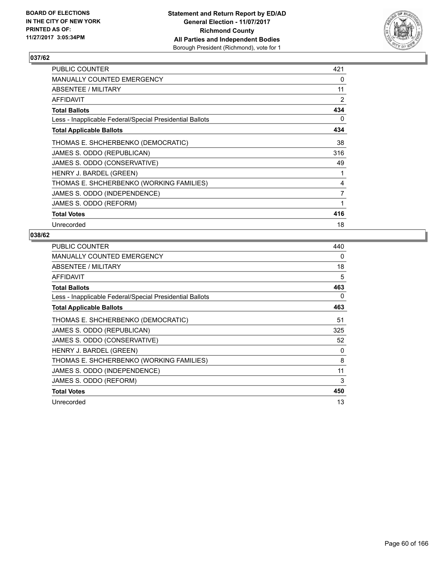

| <b>PUBLIC COUNTER</b>                                    | 421 |
|----------------------------------------------------------|-----|
| <b>MANUALLY COUNTED EMERGENCY</b>                        | 0   |
| ABSENTEE / MILITARY                                      | 11  |
| <b>AFFIDAVIT</b>                                         | 2   |
| <b>Total Ballots</b>                                     | 434 |
| Less - Inapplicable Federal/Special Presidential Ballots | 0   |
| <b>Total Applicable Ballots</b>                          | 434 |
| THOMAS E. SHCHERBENKO (DEMOCRATIC)                       | 38  |
| JAMES S. ODDO (REPUBLICAN)                               | 316 |
| JAMES S. ODDO (CONSERVATIVE)                             | 49  |
| HENRY J. BARDEL (GREEN)                                  | 1   |
| THOMAS E. SHCHERBENKO (WORKING FAMILIES)                 | 4   |
| JAMES S. ODDO (INDEPENDENCE)                             | 7   |
| JAMES S. ODDO (REFORM)                                   | 1   |
| <b>Total Votes</b>                                       | 416 |
| Unrecorded                                               | 18  |

| <b>PUBLIC COUNTER</b>                                    | 440 |
|----------------------------------------------------------|-----|
| <b>MANUALLY COUNTED EMERGENCY</b>                        | 0   |
| ABSENTEE / MILITARY                                      | 18  |
| AFFIDAVIT                                                | 5   |
| <b>Total Ballots</b>                                     | 463 |
| Less - Inapplicable Federal/Special Presidential Ballots | 0   |
| <b>Total Applicable Ballots</b>                          | 463 |
| THOMAS E. SHCHERBENKO (DEMOCRATIC)                       | 51  |
| JAMES S. ODDO (REPUBLICAN)                               | 325 |
| JAMES S. ODDO (CONSERVATIVE)                             | 52  |
| HENRY J. BARDEL (GREEN)                                  | 0   |
| THOMAS E. SHCHERBENKO (WORKING FAMILIES)                 | 8   |
| JAMES S. ODDO (INDEPENDENCE)                             | 11  |
| JAMES S. ODDO (REFORM)                                   | 3   |
| <b>Total Votes</b>                                       | 450 |
| Unrecorded                                               | 13  |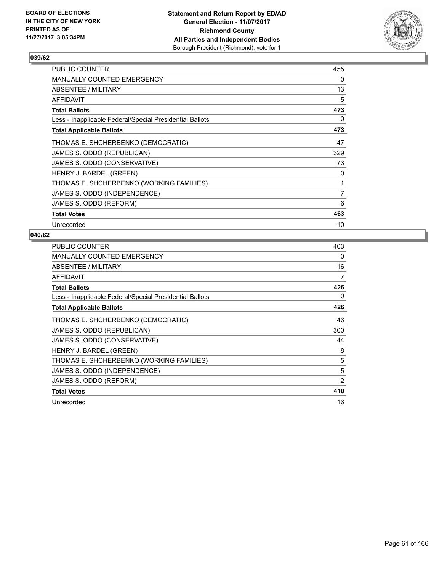

| <b>PUBLIC COUNTER</b>                                    | 455 |
|----------------------------------------------------------|-----|
| <b>MANUALLY COUNTED EMERGENCY</b>                        | 0   |
| ABSENTEE / MILITARY                                      | 13  |
| <b>AFFIDAVIT</b>                                         | 5   |
| <b>Total Ballots</b>                                     | 473 |
| Less - Inapplicable Federal/Special Presidential Ballots | 0   |
| <b>Total Applicable Ballots</b>                          | 473 |
| THOMAS E. SHCHERBENKO (DEMOCRATIC)                       | 47  |
| JAMES S. ODDO (REPUBLICAN)                               | 329 |
| JAMES S. ODDO (CONSERVATIVE)                             | 73  |
| HENRY J. BARDEL (GREEN)                                  | 0   |
| THOMAS E. SHCHERBENKO (WORKING FAMILIES)                 | 1   |
| JAMES S. ODDO (INDEPENDENCE)                             | 7   |
| JAMES S. ODDO (REFORM)                                   | 6   |
| <b>Total Votes</b>                                       | 463 |
| Unrecorded                                               | 10  |

| <b>PUBLIC COUNTER</b>                                    | 403 |
|----------------------------------------------------------|-----|
| <b>MANUALLY COUNTED EMERGENCY</b>                        | 0   |
| ABSENTEE / MILITARY                                      | 16  |
| <b>AFFIDAVIT</b>                                         | 7   |
| <b>Total Ballots</b>                                     | 426 |
| Less - Inapplicable Federal/Special Presidential Ballots | 0   |
| <b>Total Applicable Ballots</b>                          | 426 |
| THOMAS E. SHCHERBENKO (DEMOCRATIC)                       | 46  |
| JAMES S. ODDO (REPUBLICAN)                               | 300 |
| JAMES S. ODDO (CONSERVATIVE)                             | 44  |
| HENRY J. BARDEL (GREEN)                                  | 8   |
| THOMAS E. SHCHERBENKO (WORKING FAMILIES)                 | 5   |
| JAMES S. ODDO (INDEPENDENCE)                             | 5   |
| JAMES S. ODDO (REFORM)                                   | 2   |
| <b>Total Votes</b>                                       | 410 |
| Unrecorded                                               | 16  |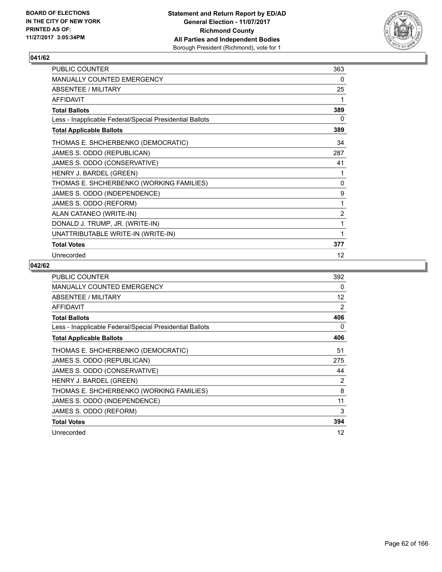

| PUBLIC COUNTER                                           | 363            |
|----------------------------------------------------------|----------------|
| MANUALLY COUNTED EMERGENCY                               | 0              |
| <b>ABSENTEE / MILITARY</b>                               | 25             |
| <b>AFFIDAVIT</b>                                         | 1              |
| <b>Total Ballots</b>                                     | 389            |
| Less - Inapplicable Federal/Special Presidential Ballots | 0              |
| <b>Total Applicable Ballots</b>                          | 389            |
| THOMAS E. SHCHERBENKO (DEMOCRATIC)                       | 34             |
| JAMES S. ODDO (REPUBLICAN)                               | 287            |
| JAMES S. ODDO (CONSERVATIVE)                             | 41             |
| HENRY J. BARDEL (GREEN)                                  | 1              |
| THOMAS E. SHCHERBENKO (WORKING FAMILIES)                 | 0              |
| JAMES S. ODDO (INDEPENDENCE)                             | 9              |
| JAMES S. ODDO (REFORM)                                   | 1              |
| ALAN CATANEO (WRITE-IN)                                  | $\overline{2}$ |
| DONALD J. TRUMP, JR. (WRITE-IN)                          | 1              |
| UNATTRIBUTABLE WRITE-IN (WRITE-IN)                       | 1              |
| <b>Total Votes</b>                                       | 377            |
| Unrecorded                                               | 12             |

| <b>PUBLIC COUNTER</b>                                    | 392            |
|----------------------------------------------------------|----------------|
| MANUALLY COUNTED EMERGENCY                               | 0              |
| ABSENTEE / MILITARY                                      | 12             |
| <b>AFFIDAVIT</b>                                         | $\overline{2}$ |
| <b>Total Ballots</b>                                     | 406            |
| Less - Inapplicable Federal/Special Presidential Ballots | 0              |
| <b>Total Applicable Ballots</b>                          | 406            |
| THOMAS E. SHCHERBENKO (DEMOCRATIC)                       | 51             |
| JAMES S. ODDO (REPUBLICAN)                               | 275            |
| JAMES S. ODDO (CONSERVATIVE)                             | 44             |
| HENRY J. BARDEL (GREEN)                                  | 2              |
| THOMAS E. SHCHERBENKO (WORKING FAMILIES)                 | 8              |
| JAMES S. ODDO (INDEPENDENCE)                             | 11             |
| JAMES S. ODDO (REFORM)                                   | 3              |
| <b>Total Votes</b>                                       | 394            |
| Unrecorded                                               | 12             |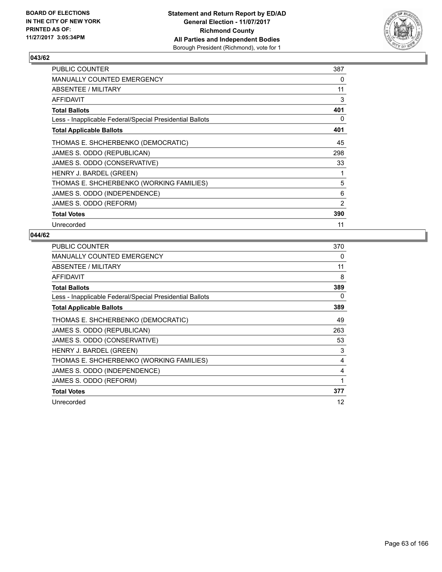

| <b>PUBLIC COUNTER</b>                                    | 387 |
|----------------------------------------------------------|-----|
| <b>MANUALLY COUNTED EMERGENCY</b>                        | 0   |
| ABSENTEE / MILITARY                                      | 11  |
| AFFIDAVIT                                                | 3   |
| <b>Total Ballots</b>                                     | 401 |
| Less - Inapplicable Federal/Special Presidential Ballots | 0   |
| <b>Total Applicable Ballots</b>                          | 401 |
| THOMAS E. SHCHERBENKO (DEMOCRATIC)                       | 45  |
| JAMES S. ODDO (REPUBLICAN)                               | 298 |
| JAMES S. ODDO (CONSERVATIVE)                             | 33  |
| HENRY J. BARDEL (GREEN)                                  | 1   |
| THOMAS E. SHCHERBENKO (WORKING FAMILIES)                 | 5   |
| JAMES S. ODDO (INDEPENDENCE)                             | 6   |
| JAMES S. ODDO (REFORM)                                   | 2   |
| <b>Total Votes</b>                                       | 390 |
| Unrecorded                                               | 11  |

| <b>PUBLIC COUNTER</b>                                    | 370 |
|----------------------------------------------------------|-----|
| <b>MANUALLY COUNTED EMERGENCY</b>                        | 0   |
| ABSENTEE / MILITARY                                      | 11  |
| <b>AFFIDAVIT</b>                                         | 8   |
| <b>Total Ballots</b>                                     | 389 |
| Less - Inapplicable Federal/Special Presidential Ballots | 0   |
| <b>Total Applicable Ballots</b>                          | 389 |
| THOMAS E. SHCHERBENKO (DEMOCRATIC)                       | 49  |
| JAMES S. ODDO (REPUBLICAN)                               | 263 |
| JAMES S. ODDO (CONSERVATIVE)                             | 53  |
| HENRY J. BARDEL (GREEN)                                  | 3   |
| THOMAS E. SHCHERBENKO (WORKING FAMILIES)                 | 4   |
| JAMES S. ODDO (INDEPENDENCE)                             | 4   |
| JAMES S. ODDO (REFORM)                                   | 1   |
| <b>Total Votes</b>                                       | 377 |
| Unrecorded                                               | 12  |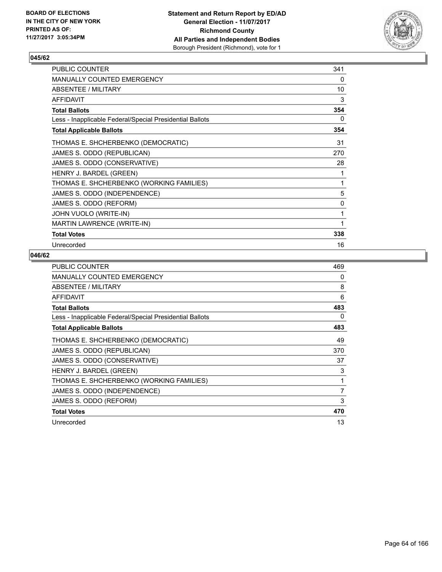

| PUBLIC COUNTER                                           | 341 |
|----------------------------------------------------------|-----|
| <b>MANUALLY COUNTED EMERGENCY</b>                        | 0   |
| ABSENTEE / MILITARY                                      | 10  |
| <b>AFFIDAVIT</b>                                         | 3   |
| <b>Total Ballots</b>                                     | 354 |
| Less - Inapplicable Federal/Special Presidential Ballots | 0   |
| <b>Total Applicable Ballots</b>                          | 354 |
| THOMAS E. SHCHERBENKO (DEMOCRATIC)                       | 31  |
| JAMES S. ODDO (REPUBLICAN)                               | 270 |
| JAMES S. ODDO (CONSERVATIVE)                             | 28  |
| HENRY J. BARDEL (GREEN)                                  | 1   |
| THOMAS E. SHCHERBENKO (WORKING FAMILIES)                 | 1   |
| JAMES S. ODDO (INDEPENDENCE)                             | 5   |
| JAMES S. ODDO (REFORM)                                   | 0   |
| JOHN VUOLO (WRITE-IN)                                    | 1   |
| <b>MARTIN LAWRENCE (WRITE-IN)</b>                        | 1   |
| <b>Total Votes</b>                                       | 338 |
| Unrecorded                                               | 16  |

| <b>PUBLIC COUNTER</b>                                    | 469 |
|----------------------------------------------------------|-----|
| <b>MANUALLY COUNTED EMERGENCY</b>                        | 0   |
| <b>ABSENTEE / MILITARY</b>                               | 8   |
| AFFIDAVIT                                                | 6   |
| <b>Total Ballots</b>                                     | 483 |
| Less - Inapplicable Federal/Special Presidential Ballots | 0   |
| <b>Total Applicable Ballots</b>                          | 483 |
| THOMAS E. SHCHERBENKO (DEMOCRATIC)                       | 49  |
| JAMES S. ODDO (REPUBLICAN)                               | 370 |
| JAMES S. ODDO (CONSERVATIVE)                             | 37  |
| HENRY J. BARDEL (GREEN)                                  | 3   |
| THOMAS E. SHCHERBENKO (WORKING FAMILIES)                 | 1   |
| JAMES S. ODDO (INDEPENDENCE)                             | 7   |
| JAMES S. ODDO (REFORM)                                   | 3   |
| <b>Total Votes</b>                                       | 470 |
| Unrecorded                                               | 13  |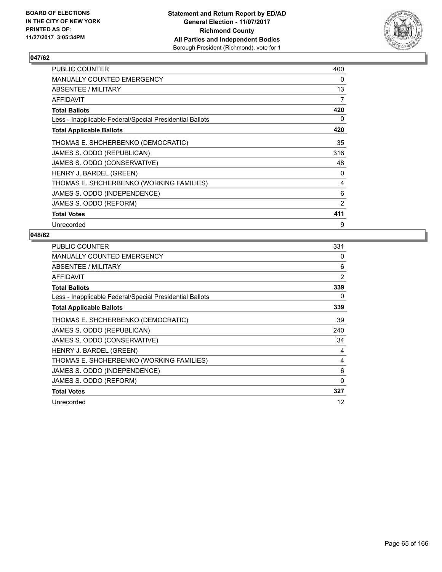

| PUBLIC COUNTER                                           | 400 |
|----------------------------------------------------------|-----|
| <b>MANUALLY COUNTED EMERGENCY</b>                        | 0   |
| ABSENTEE / MILITARY                                      | 13  |
| AFFIDAVIT                                                | 7   |
| <b>Total Ballots</b>                                     | 420 |
| Less - Inapplicable Federal/Special Presidential Ballots | 0   |
| <b>Total Applicable Ballots</b>                          | 420 |
| THOMAS E. SHCHERBENKO (DEMOCRATIC)                       | 35  |
| JAMES S. ODDO (REPUBLICAN)                               | 316 |
| JAMES S. ODDO (CONSERVATIVE)                             | 48  |
| HENRY J. BARDEL (GREEN)                                  | 0   |
| THOMAS E. SHCHERBENKO (WORKING FAMILIES)                 | 4   |
| JAMES S. ODDO (INDEPENDENCE)                             | 6   |
| JAMES S. ODDO (REFORM)                                   | 2   |
| <b>Total Votes</b>                                       | 411 |
| Unrecorded                                               | 9   |

| <b>PUBLIC COUNTER</b>                                    | 331            |
|----------------------------------------------------------|----------------|
| <b>MANUALLY COUNTED EMERGENCY</b>                        | 0              |
| ABSENTEE / MILITARY                                      | 6              |
| <b>AFFIDAVIT</b>                                         | $\overline{2}$ |
| <b>Total Ballots</b>                                     | 339            |
| Less - Inapplicable Federal/Special Presidential Ballots | 0              |
| <b>Total Applicable Ballots</b>                          | 339            |
| THOMAS E. SHCHERBENKO (DEMOCRATIC)                       | 39             |
| JAMES S. ODDO (REPUBLICAN)                               | 240            |
| JAMES S. ODDO (CONSERVATIVE)                             | 34             |
| HENRY J. BARDEL (GREEN)                                  | 4              |
| THOMAS E. SHCHERBENKO (WORKING FAMILIES)                 | 4              |
| JAMES S. ODDO (INDEPENDENCE)                             | 6              |
| JAMES S. ODDO (REFORM)                                   | 0              |
| <b>Total Votes</b>                                       | 327            |
| Unrecorded                                               | 12             |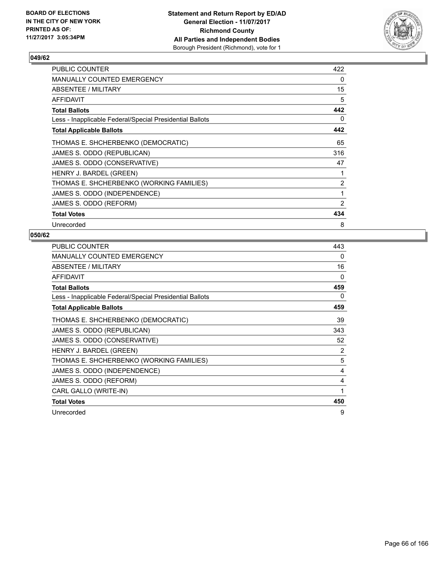

| PUBLIC COUNTER                                           | 422 |
|----------------------------------------------------------|-----|
| <b>MANUALLY COUNTED EMERGENCY</b>                        | 0   |
| ABSENTEE / MILITARY                                      | 15  |
| AFFIDAVIT                                                | 5   |
| <b>Total Ballots</b>                                     | 442 |
| Less - Inapplicable Federal/Special Presidential Ballots | 0   |
| <b>Total Applicable Ballots</b>                          | 442 |
| THOMAS E. SHCHERBENKO (DEMOCRATIC)                       | 65  |
| JAMES S. ODDO (REPUBLICAN)                               | 316 |
| JAMES S. ODDO (CONSERVATIVE)                             | 47  |
| HENRY J. BARDEL (GREEN)                                  |     |
| THOMAS E. SHCHERBENKO (WORKING FAMILIES)                 | 2   |
| JAMES S. ODDO (INDEPENDENCE)                             | 1   |
| JAMES S. ODDO (REFORM)                                   | 2   |
| <b>Total Votes</b>                                       | 434 |
| Unrecorded                                               | 8   |

| <b>PUBLIC COUNTER</b>                                    | 443 |
|----------------------------------------------------------|-----|
| <b>MANUALLY COUNTED EMERGENCY</b>                        | 0   |
| ABSENTEE / MILITARY                                      | 16  |
| <b>AFFIDAVIT</b>                                         | 0   |
| <b>Total Ballots</b>                                     | 459 |
| Less - Inapplicable Federal/Special Presidential Ballots | 0   |
| <b>Total Applicable Ballots</b>                          | 459 |
| THOMAS E. SHCHERBENKO (DEMOCRATIC)                       | 39  |
| JAMES S. ODDO (REPUBLICAN)                               | 343 |
| JAMES S. ODDO (CONSERVATIVE)                             | 52  |
| HENRY J. BARDEL (GREEN)                                  | 2   |
| THOMAS E. SHCHERBENKO (WORKING FAMILIES)                 | 5   |
| JAMES S. ODDO (INDEPENDENCE)                             | 4   |
| JAMES S. ODDO (REFORM)                                   | 4   |
| CARL GALLO (WRITE-IN)                                    | 1   |
| <b>Total Votes</b>                                       | 450 |
| Unrecorded                                               | 9   |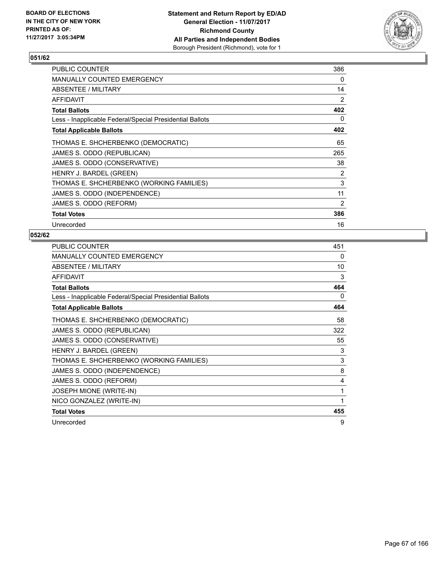

| <b>PUBLIC COUNTER</b>                                    | 386 |
|----------------------------------------------------------|-----|
| <b>MANUALLY COUNTED EMERGENCY</b>                        | 0   |
| ABSENTEE / MILITARY                                      | 14  |
| AFFIDAVIT                                                | 2   |
| <b>Total Ballots</b>                                     | 402 |
| Less - Inapplicable Federal/Special Presidential Ballots | 0   |
| <b>Total Applicable Ballots</b>                          | 402 |
| THOMAS E. SHCHERBENKO (DEMOCRATIC)                       | 65  |
| JAMES S. ODDO (REPUBLICAN)                               | 265 |
| JAMES S. ODDO (CONSERVATIVE)                             | 38  |
| HENRY J. BARDEL (GREEN)                                  | 2   |
| THOMAS E. SHCHERBENKO (WORKING FAMILIES)                 | 3   |
| JAMES S. ODDO (INDEPENDENCE)                             | 11  |
| JAMES S. ODDO (REFORM)                                   | 2   |
| <b>Total Votes</b>                                       | 386 |
| Unrecorded                                               | 16  |

| <b>PUBLIC COUNTER</b>                                    | 451      |
|----------------------------------------------------------|----------|
| MANUALLY COUNTED EMERGENCY                               | $\Omega$ |
| ABSENTEE / MILITARY                                      | 10       |
| <b>AFFIDAVIT</b>                                         | 3        |
| <b>Total Ballots</b>                                     | 464      |
| Less - Inapplicable Federal/Special Presidential Ballots | 0        |
| <b>Total Applicable Ballots</b>                          | 464      |
| THOMAS E. SHCHERBENKO (DEMOCRATIC)                       | 58       |
| JAMES S. ODDO (REPUBLICAN)                               | 322      |
| JAMES S. ODDO (CONSERVATIVE)                             | 55       |
| HENRY J. BARDEL (GREEN)                                  | 3        |
| THOMAS E. SHCHERBENKO (WORKING FAMILIES)                 | 3        |
| JAMES S. ODDO (INDEPENDENCE)                             | 8        |
| JAMES S. ODDO (REFORM)                                   | 4        |
| <b>JOSEPH MIONE (WRITE-IN)</b>                           | 1        |
| NICO GONZALEZ (WRITE-IN)                                 |          |
| <b>Total Votes</b>                                       | 455      |
| Unrecorded                                               | 9        |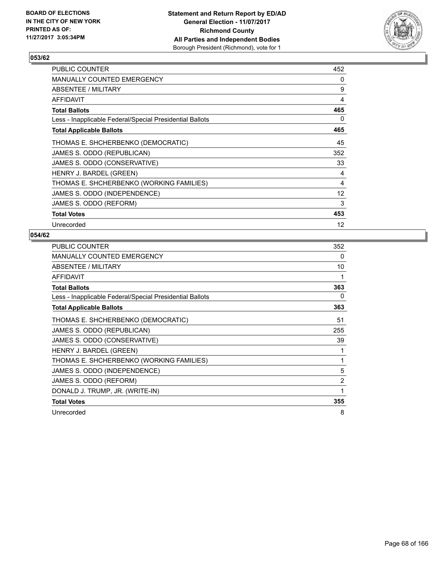

| <b>PUBLIC COUNTER</b>                                    | 452 |
|----------------------------------------------------------|-----|
| <b>MANUALLY COUNTED EMERGENCY</b>                        | 0   |
| ABSENTEE / MILITARY                                      | 9   |
| <b>AFFIDAVIT</b>                                         | 4   |
| <b>Total Ballots</b>                                     | 465 |
| Less - Inapplicable Federal/Special Presidential Ballots | 0   |
| <b>Total Applicable Ballots</b>                          | 465 |
| THOMAS E. SHCHERBENKO (DEMOCRATIC)                       | 45  |
| JAMES S. ODDO (REPUBLICAN)                               | 352 |
| JAMES S. ODDO (CONSERVATIVE)                             | 33  |
| HENRY J. BARDEL (GREEN)                                  | 4   |
| THOMAS E. SHCHERBENKO (WORKING FAMILIES)                 | 4   |
| JAMES S. ODDO (INDEPENDENCE)                             | 12  |
| JAMES S. ODDO (REFORM)                                   | 3   |
| <b>Total Votes</b>                                       | 453 |
| Unrecorded                                               | 12  |

| <b>PUBLIC COUNTER</b>                                    | 352            |
|----------------------------------------------------------|----------------|
| <b>MANUALLY COUNTED EMERGENCY</b>                        | 0              |
| ABSENTEE / MILITARY                                      | 10             |
| <b>AFFIDAVIT</b>                                         | 1              |
| <b>Total Ballots</b>                                     | 363            |
| Less - Inapplicable Federal/Special Presidential Ballots | 0              |
| <b>Total Applicable Ballots</b>                          | 363            |
| THOMAS E. SHCHERBENKO (DEMOCRATIC)                       | 51             |
| JAMES S. ODDO (REPUBLICAN)                               | 255            |
| JAMES S. ODDO (CONSERVATIVE)                             | 39             |
| HENRY J. BARDEL (GREEN)                                  |                |
| THOMAS E. SHCHERBENKO (WORKING FAMILIES)                 | 1              |
| JAMES S. ODDO (INDEPENDENCE)                             | 5              |
| JAMES S. ODDO (REFORM)                                   | $\overline{2}$ |
| DONALD J. TRUMP, JR. (WRITE-IN)                          | 1              |
| <b>Total Votes</b>                                       | 355            |
| Unrecorded                                               | 8              |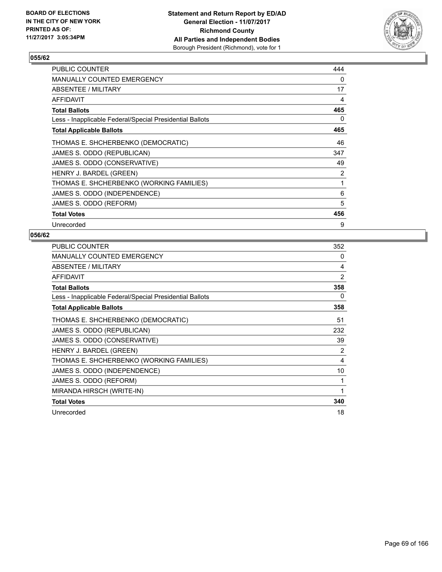

| PUBLIC COUNTER                                           | 444 |
|----------------------------------------------------------|-----|
| <b>MANUALLY COUNTED EMERGENCY</b>                        | 0   |
| ABSENTEE / MILITARY                                      | 17  |
| AFFIDAVIT                                                | 4   |
| <b>Total Ballots</b>                                     | 465 |
| Less - Inapplicable Federal/Special Presidential Ballots | 0   |
| <b>Total Applicable Ballots</b>                          | 465 |
| THOMAS E. SHCHERBENKO (DEMOCRATIC)                       | 46  |
| JAMES S. ODDO (REPUBLICAN)                               | 347 |
| JAMES S. ODDO (CONSERVATIVE)                             | 49  |
| HENRY J. BARDEL (GREEN)                                  | 2   |
| THOMAS E. SHCHERBENKO (WORKING FAMILIES)                 | 1   |
| JAMES S. ODDO (INDEPENDENCE)                             | 6   |
| JAMES S. ODDO (REFORM)                                   | 5   |
| <b>Total Votes</b>                                       | 456 |
| Unrecorded                                               | 9   |

| <b>PUBLIC COUNTER</b>                                    | 352 |
|----------------------------------------------------------|-----|
| <b>MANUALLY COUNTED EMERGENCY</b>                        | 0   |
| ABSENTEE / MILITARY                                      | 4   |
| <b>AFFIDAVIT</b>                                         | 2   |
| <b>Total Ballots</b>                                     | 358 |
| Less - Inapplicable Federal/Special Presidential Ballots | 0   |
| <b>Total Applicable Ballots</b>                          | 358 |
| THOMAS E. SHCHERBENKO (DEMOCRATIC)                       | 51  |
| JAMES S. ODDO (REPUBLICAN)                               | 232 |
| JAMES S. ODDO (CONSERVATIVE)                             | 39  |
| HENRY J. BARDEL (GREEN)                                  | 2   |
| THOMAS E. SHCHERBENKO (WORKING FAMILIES)                 | 4   |
| JAMES S. ODDO (INDEPENDENCE)                             | 10  |
| JAMES S. ODDO (REFORM)                                   |     |
| MIRANDA HIRSCH (WRITE-IN)                                | 1   |
| <b>Total Votes</b>                                       | 340 |
| Unrecorded                                               | 18  |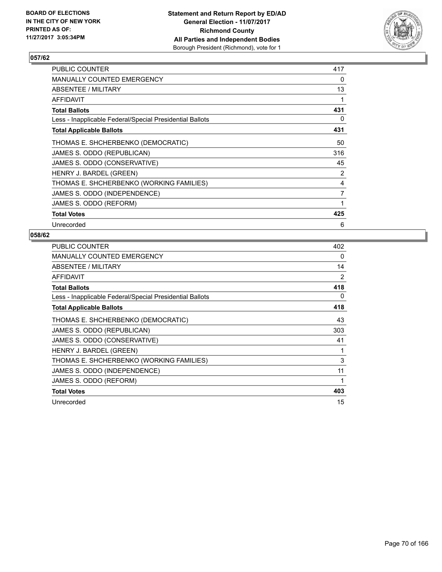

| <b>PUBLIC COUNTER</b>                                    | 417 |
|----------------------------------------------------------|-----|
| <b>MANUALLY COUNTED EMERGENCY</b>                        | 0   |
| ABSENTEE / MILITARY                                      | 13  |
| AFFIDAVIT                                                | 1   |
| <b>Total Ballots</b>                                     | 431 |
| Less - Inapplicable Federal/Special Presidential Ballots | 0   |
| <b>Total Applicable Ballots</b>                          | 431 |
| THOMAS E. SHCHERBENKO (DEMOCRATIC)                       | 50  |
| JAMES S. ODDO (REPUBLICAN)                               | 316 |
| JAMES S. ODDO (CONSERVATIVE)                             | 45  |
| HENRY J. BARDEL (GREEN)                                  | 2   |
| THOMAS E. SHCHERBENKO (WORKING FAMILIES)                 | 4   |
| JAMES S. ODDO (INDEPENDENCE)                             | 7   |
| JAMES S. ODDO (REFORM)                                   | 1   |
| <b>Total Votes</b>                                       | 425 |
| Unrecorded                                               | 6   |

| <b>PUBLIC COUNTER</b>                                    | 402 |
|----------------------------------------------------------|-----|
| <b>MANUALLY COUNTED EMERGENCY</b>                        | 0   |
| ABSENTEE / MILITARY                                      | 14  |
| <b>AFFIDAVIT</b>                                         | 2   |
| <b>Total Ballots</b>                                     | 418 |
| Less - Inapplicable Federal/Special Presidential Ballots | 0   |
| <b>Total Applicable Ballots</b>                          | 418 |
| THOMAS E. SHCHERBENKO (DEMOCRATIC)                       | 43  |
| JAMES S. ODDO (REPUBLICAN)                               | 303 |
| JAMES S. ODDO (CONSERVATIVE)                             | 41  |
| HENRY J. BARDEL (GREEN)                                  | 1   |
| THOMAS E. SHCHERBENKO (WORKING FAMILIES)                 | 3   |
| JAMES S. ODDO (INDEPENDENCE)                             | 11  |
| JAMES S. ODDO (REFORM)                                   | 1   |
| <b>Total Votes</b>                                       | 403 |
| Unrecorded                                               | 15  |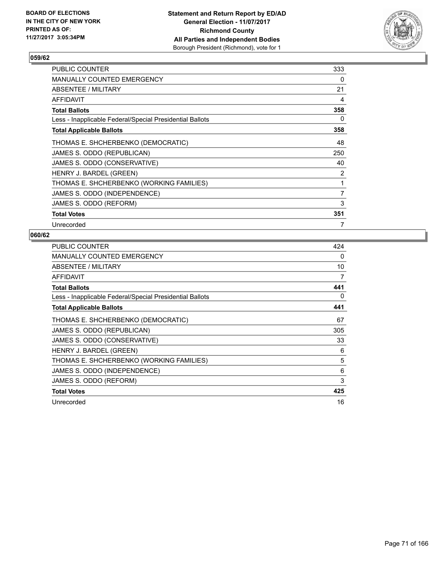

| <b>PUBLIC COUNTER</b>                                    | 333 |
|----------------------------------------------------------|-----|
| <b>MANUALLY COUNTED EMERGENCY</b>                        | 0   |
| ABSENTEE / MILITARY                                      | 21  |
| <b>AFFIDAVIT</b>                                         | 4   |
| <b>Total Ballots</b>                                     | 358 |
| Less - Inapplicable Federal/Special Presidential Ballots | 0   |
| <b>Total Applicable Ballots</b>                          | 358 |
| THOMAS E. SHCHERBENKO (DEMOCRATIC)                       | 48  |
| JAMES S. ODDO (REPUBLICAN)                               | 250 |
| JAMES S. ODDO (CONSERVATIVE)                             | 40  |
| HENRY J. BARDEL (GREEN)                                  | 2   |
| THOMAS E. SHCHERBENKO (WORKING FAMILIES)                 | 1   |
| JAMES S. ODDO (INDEPENDENCE)                             | 7   |
| JAMES S. ODDO (REFORM)                                   | 3   |
| <b>Total Votes</b>                                       | 351 |
| Unrecorded                                               | 7   |

| <b>PUBLIC COUNTER</b>                                    | 424 |
|----------------------------------------------------------|-----|
| <b>MANUALLY COUNTED EMERGENCY</b>                        | 0   |
| ABSENTEE / MILITARY                                      | 10  |
| <b>AFFIDAVIT</b>                                         | 7   |
| <b>Total Ballots</b>                                     | 441 |
| Less - Inapplicable Federal/Special Presidential Ballots | 0   |
| <b>Total Applicable Ballots</b>                          | 441 |
| THOMAS E. SHCHERBENKO (DEMOCRATIC)                       | 67  |
| JAMES S. ODDO (REPUBLICAN)                               | 305 |
| JAMES S. ODDO (CONSERVATIVE)                             | 33  |
| HENRY J. BARDEL (GREEN)                                  | 6   |
| THOMAS E. SHCHERBENKO (WORKING FAMILIES)                 | 5   |
| JAMES S. ODDO (INDEPENDENCE)                             | 6   |
| JAMES S. ODDO (REFORM)                                   | 3   |
| <b>Total Votes</b>                                       | 425 |
| Unrecorded                                               | 16  |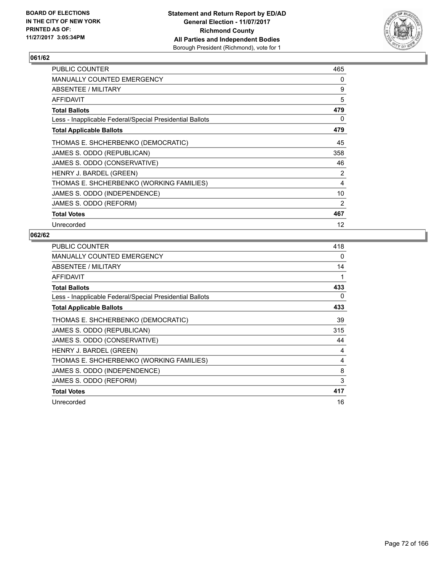

| <b>PUBLIC COUNTER</b>                                    | 465 |
|----------------------------------------------------------|-----|
| <b>MANUALLY COUNTED EMERGENCY</b>                        | 0   |
| ABSENTEE / MILITARY                                      | 9   |
| AFFIDAVIT                                                | 5   |
| <b>Total Ballots</b>                                     | 479 |
| Less - Inapplicable Federal/Special Presidential Ballots | 0   |
| <b>Total Applicable Ballots</b>                          | 479 |
| THOMAS E. SHCHERBENKO (DEMOCRATIC)                       | 45  |
| JAMES S. ODDO (REPUBLICAN)                               | 358 |
| JAMES S. ODDO (CONSERVATIVE)                             | 46  |
| HENRY J. BARDEL (GREEN)                                  | 2   |
| THOMAS E. SHCHERBENKO (WORKING FAMILIES)                 | 4   |
| JAMES S. ODDO (INDEPENDENCE)                             | 10  |
| JAMES S. ODDO (REFORM)                                   | 2   |
| <b>Total Votes</b>                                       | 467 |
| Unrecorded                                               | 12  |

| <b>PUBLIC COUNTER</b>                                    | 418 |
|----------------------------------------------------------|-----|
| <b>MANUALLY COUNTED EMERGENCY</b>                        | 0   |
| ABSENTEE / MILITARY                                      | 14  |
| AFFIDAVIT                                                | 1   |
| <b>Total Ballots</b>                                     | 433 |
| Less - Inapplicable Federal/Special Presidential Ballots | 0   |
| <b>Total Applicable Ballots</b>                          | 433 |
| THOMAS E. SHCHERBENKO (DEMOCRATIC)                       | 39  |
| JAMES S. ODDO (REPUBLICAN)                               | 315 |
| JAMES S. ODDO (CONSERVATIVE)                             | 44  |
| HENRY J. BARDEL (GREEN)                                  | 4   |
| THOMAS E. SHCHERBENKO (WORKING FAMILIES)                 | 4   |
| JAMES S. ODDO (INDEPENDENCE)                             | 8   |
| JAMES S. ODDO (REFORM)                                   | 3   |
| <b>Total Votes</b>                                       | 417 |
| Unrecorded                                               | 16  |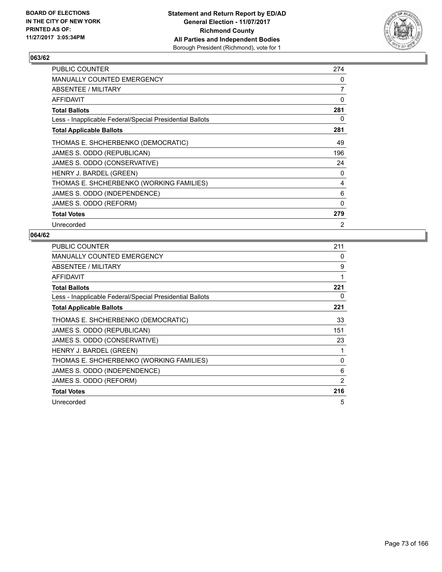

| <b>PUBLIC COUNTER</b>                                    | 274 |
|----------------------------------------------------------|-----|
| <b>MANUALLY COUNTED EMERGENCY</b>                        | 0   |
| ABSENTEE / MILITARY                                      | 7   |
| AFFIDAVIT                                                | 0   |
| <b>Total Ballots</b>                                     | 281 |
| Less - Inapplicable Federal/Special Presidential Ballots | 0   |
| <b>Total Applicable Ballots</b>                          | 281 |
| THOMAS E. SHCHERBENKO (DEMOCRATIC)                       | 49  |
| JAMES S. ODDO (REPUBLICAN)                               | 196 |
| JAMES S. ODDO (CONSERVATIVE)                             | 24  |
| HENRY J. BARDEL (GREEN)                                  | 0   |
| THOMAS E. SHCHERBENKO (WORKING FAMILIES)                 | 4   |
| JAMES S. ODDO (INDEPENDENCE)                             | 6   |
| JAMES S. ODDO (REFORM)                                   | 0   |
| <b>Total Votes</b>                                       | 279 |
| Unrecorded                                               | 2   |

| <b>PUBLIC COUNTER</b>                                    | 211 |
|----------------------------------------------------------|-----|
| <b>MANUALLY COUNTED EMERGENCY</b>                        | 0   |
| ABSENTEE / MILITARY                                      | 9   |
| <b>AFFIDAVIT</b>                                         | 1   |
| <b>Total Ballots</b>                                     | 221 |
| Less - Inapplicable Federal/Special Presidential Ballots | 0   |
| <b>Total Applicable Ballots</b>                          | 221 |
| THOMAS E. SHCHERBENKO (DEMOCRATIC)                       | 33  |
| JAMES S. ODDO (REPUBLICAN)                               | 151 |
| JAMES S. ODDO (CONSERVATIVE)                             | 23  |
| HENRY J. BARDEL (GREEN)                                  | 1   |
| THOMAS E. SHCHERBENKO (WORKING FAMILIES)                 | 0   |
| JAMES S. ODDO (INDEPENDENCE)                             | 6   |
| JAMES S. ODDO (REFORM)                                   | 2   |
| <b>Total Votes</b>                                       | 216 |
| Unrecorded                                               | 5   |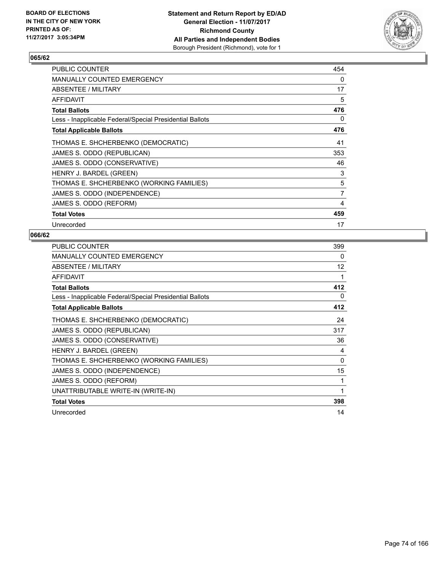

| <b>PUBLIC COUNTER</b>                                    | 454 |
|----------------------------------------------------------|-----|
| <b>MANUALLY COUNTED EMERGENCY</b>                        | 0   |
| ABSENTEE / MILITARY                                      | 17  |
| <b>AFFIDAVIT</b>                                         | 5   |
| <b>Total Ballots</b>                                     | 476 |
| Less - Inapplicable Federal/Special Presidential Ballots | 0   |
| <b>Total Applicable Ballots</b>                          | 476 |
| THOMAS E. SHCHERBENKO (DEMOCRATIC)                       | 41  |
| JAMES S. ODDO (REPUBLICAN)                               | 353 |
| JAMES S. ODDO (CONSERVATIVE)                             | 46  |
| HENRY J. BARDEL (GREEN)                                  | 3   |
| THOMAS E. SHCHERBENKO (WORKING FAMILIES)                 | 5   |
| JAMES S. ODDO (INDEPENDENCE)                             | 7   |
| JAMES S. ODDO (REFORM)                                   | 4   |
| <b>Total Votes</b>                                       | 459 |
| Unrecorded                                               | 17  |

| <b>PUBLIC COUNTER</b>                                    | 399 |
|----------------------------------------------------------|-----|
| <b>MANUALLY COUNTED EMERGENCY</b>                        | 0   |
| ABSENTEE / MILITARY                                      | 12  |
| <b>AFFIDAVIT</b>                                         | 1   |
| <b>Total Ballots</b>                                     | 412 |
| Less - Inapplicable Federal/Special Presidential Ballots | 0   |
| <b>Total Applicable Ballots</b>                          | 412 |
| THOMAS E. SHCHERBENKO (DEMOCRATIC)                       | 24  |
| JAMES S. ODDO (REPUBLICAN)                               | 317 |
| JAMES S. ODDO (CONSERVATIVE)                             | 36  |
| HENRY J. BARDEL (GREEN)                                  | 4   |
| THOMAS E. SHCHERBENKO (WORKING FAMILIES)                 | 0   |
| JAMES S. ODDO (INDEPENDENCE)                             | 15  |
| JAMES S. ODDO (REFORM)                                   | 1   |
| UNATTRIBUTABLE WRITE-IN (WRITE-IN)                       | 1   |
| <b>Total Votes</b>                                       | 398 |
| Unrecorded                                               | 14  |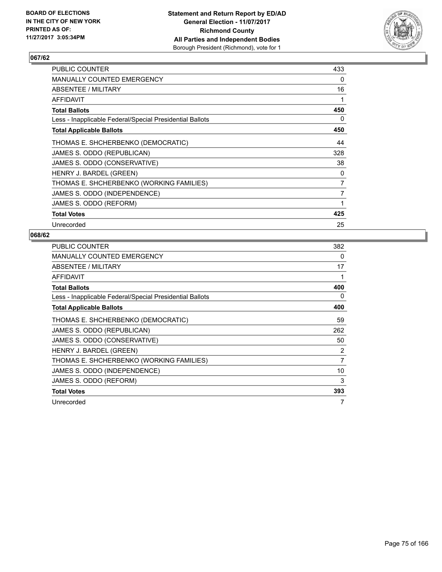

| <b>PUBLIC COUNTER</b>                                    | 433 |
|----------------------------------------------------------|-----|
| <b>MANUALLY COUNTED EMERGENCY</b>                        | 0   |
| ABSENTEE / MILITARY                                      | 16  |
| <b>AFFIDAVIT</b>                                         | 1   |
| <b>Total Ballots</b>                                     | 450 |
| Less - Inapplicable Federal/Special Presidential Ballots | 0   |
| <b>Total Applicable Ballots</b>                          | 450 |
| THOMAS E. SHCHERBENKO (DEMOCRATIC)                       | 44  |
| JAMES S. ODDO (REPUBLICAN)                               | 328 |
| JAMES S. ODDO (CONSERVATIVE)                             | 38  |
| HENRY J. BARDEL (GREEN)                                  | 0   |
| THOMAS E. SHCHERBENKO (WORKING FAMILIES)                 | 7   |
| JAMES S. ODDO (INDEPENDENCE)                             | 7   |
| JAMES S. ODDO (REFORM)                                   | 1   |
| <b>Total Votes</b>                                       | 425 |
| Unrecorded                                               | 25  |

| <b>PUBLIC COUNTER</b>                                    | 382            |
|----------------------------------------------------------|----------------|
| <b>MANUALLY COUNTED EMERGENCY</b>                        | 0              |
| ABSENTEE / MILITARY                                      | 17             |
| <b>AFFIDAVIT</b>                                         | 1              |
| <b>Total Ballots</b>                                     | 400            |
| Less - Inapplicable Federal/Special Presidential Ballots | 0              |
| <b>Total Applicable Ballots</b>                          | 400            |
| THOMAS E. SHCHERBENKO (DEMOCRATIC)                       | 59             |
| JAMES S. ODDO (REPUBLICAN)                               | 262            |
| JAMES S. ODDO (CONSERVATIVE)                             | 50             |
| HENRY J. BARDEL (GREEN)                                  | 2              |
| THOMAS E. SHCHERBENKO (WORKING FAMILIES)                 | $\overline{7}$ |
| JAMES S. ODDO (INDEPENDENCE)                             | 10             |
| JAMES S. ODDO (REFORM)                                   | 3              |
| <b>Total Votes</b>                                       | 393            |
| Unrecorded                                               | 7              |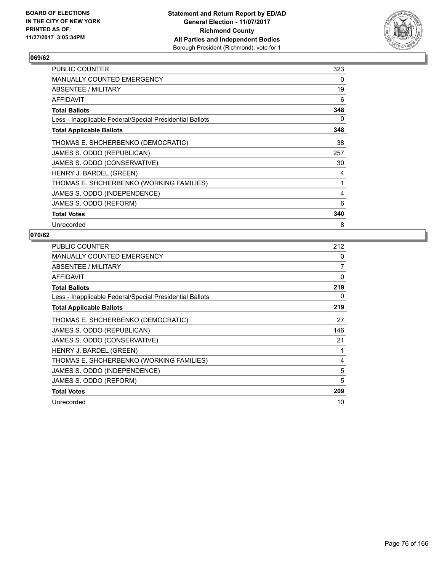

| PUBLIC COUNTER                                           | 323 |
|----------------------------------------------------------|-----|
| <b>MANUALLY COUNTED EMERGENCY</b>                        | 0   |
| ABSENTEE / MILITARY                                      | 19  |
| AFFIDAVIT                                                | 6   |
| <b>Total Ballots</b>                                     | 348 |
| Less - Inapplicable Federal/Special Presidential Ballots | 0   |
| <b>Total Applicable Ballots</b>                          | 348 |
| THOMAS E. SHCHERBENKO (DEMOCRATIC)                       | 38  |
| JAMES S. ODDO (REPUBLICAN)                               | 257 |
| JAMES S. ODDO (CONSERVATIVE)                             | 30  |
| HENRY J. BARDEL (GREEN)                                  | 4   |
| THOMAS E. SHCHERBENKO (WORKING FAMILIES)                 | 1   |
| JAMES S. ODDO (INDEPENDENCE)                             | 4   |
| JAMES S. ODDO (REFORM)                                   | 6   |
| <b>Total Votes</b>                                       | 340 |
| Unrecorded                                               | 8   |

| <b>PUBLIC COUNTER</b>                                    | 212 |
|----------------------------------------------------------|-----|
| <b>MANUALLY COUNTED EMERGENCY</b>                        | 0   |
| ABSENTEE / MILITARY                                      | 7   |
| <b>AFFIDAVIT</b>                                         | 0   |
| <b>Total Ballots</b>                                     | 219 |
| Less - Inapplicable Federal/Special Presidential Ballots | 0   |
| <b>Total Applicable Ballots</b>                          | 219 |
| THOMAS E. SHCHERBENKO (DEMOCRATIC)                       | 27  |
| JAMES S. ODDO (REPUBLICAN)                               | 146 |
| JAMES S. ODDO (CONSERVATIVE)                             | 21  |
| HENRY J. BARDEL (GREEN)                                  | 1   |
| THOMAS E. SHCHERBENKO (WORKING FAMILIES)                 | 4   |
| JAMES S. ODDO (INDEPENDENCE)                             | 5   |
| JAMES S. ODDO (REFORM)                                   | 5   |
| <b>Total Votes</b>                                       | 209 |
| Unrecorded                                               | 10  |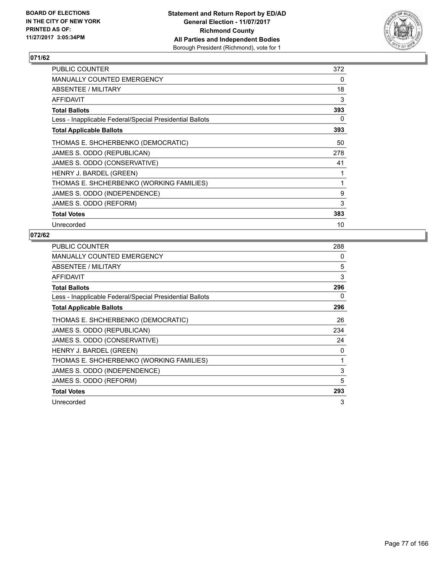

| <b>PUBLIC COUNTER</b>                                    | 372 |
|----------------------------------------------------------|-----|
| <b>MANUALLY COUNTED EMERGENCY</b>                        | 0   |
| ABSENTEE / MILITARY                                      | 18  |
| AFFIDAVIT                                                | 3   |
| <b>Total Ballots</b>                                     | 393 |
| Less - Inapplicable Federal/Special Presidential Ballots | 0   |
| <b>Total Applicable Ballots</b>                          | 393 |
| THOMAS E. SHCHERBENKO (DEMOCRATIC)                       | 50  |
| JAMES S. ODDO (REPUBLICAN)                               | 278 |
| JAMES S. ODDO (CONSERVATIVE)                             | 41  |
| HENRY J. BARDEL (GREEN)                                  |     |
| THOMAS E. SHCHERBENKO (WORKING FAMILIES)                 | 1   |
| JAMES S. ODDO (INDEPENDENCE)                             | 9   |
| JAMES S. ODDO (REFORM)                                   | 3   |
| <b>Total Votes</b>                                       | 383 |
| Unrecorded                                               | 10  |

| <b>PUBLIC COUNTER</b>                                    | 288 |
|----------------------------------------------------------|-----|
| <b>MANUALLY COUNTED EMERGENCY</b>                        | 0   |
| ABSENTEE / MILITARY                                      | 5   |
| <b>AFFIDAVIT</b>                                         | 3   |
| <b>Total Ballots</b>                                     | 296 |
| Less - Inapplicable Federal/Special Presidential Ballots | 0   |
| <b>Total Applicable Ballots</b>                          | 296 |
| THOMAS E. SHCHERBENKO (DEMOCRATIC)                       | 26  |
| JAMES S. ODDO (REPUBLICAN)                               | 234 |
| JAMES S. ODDO (CONSERVATIVE)                             | 24  |
| HENRY J. BARDEL (GREEN)                                  | 0   |
| THOMAS E. SHCHERBENKO (WORKING FAMILIES)                 | 1   |
| JAMES S. ODDO (INDEPENDENCE)                             | 3   |
| JAMES S. ODDO (REFORM)                                   | 5   |
| <b>Total Votes</b>                                       | 293 |
| Unrecorded                                               | 3   |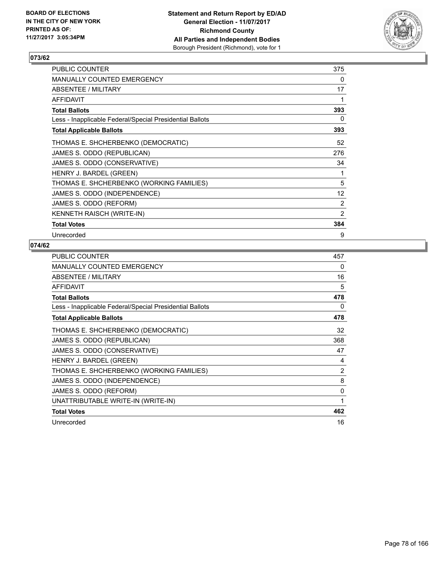

| <b>PUBLIC COUNTER</b>                                    | 375               |
|----------------------------------------------------------|-------------------|
| <b>MANUALLY COUNTED EMERGENCY</b>                        | 0                 |
| <b>ABSENTEE / MILITARY</b>                               | 17                |
| <b>AFFIDAVIT</b>                                         | 1                 |
| <b>Total Ballots</b>                                     | 393               |
| Less - Inapplicable Federal/Special Presidential Ballots | 0                 |
| <b>Total Applicable Ballots</b>                          | 393               |
| THOMAS E. SHCHERBENKO (DEMOCRATIC)                       | 52                |
| JAMES S. ODDO (REPUBLICAN)                               | 276               |
| JAMES S. ODDO (CONSERVATIVE)                             | 34                |
| HENRY J. BARDEL (GREEN)                                  | 1                 |
| THOMAS E. SHCHERBENKO (WORKING FAMILIES)                 | 5                 |
| JAMES S. ODDO (INDEPENDENCE)                             | $12 \overline{ }$ |
| JAMES S. ODDO (REFORM)                                   | $\overline{2}$    |
| <b>KENNETH RAISCH (WRITE-IN)</b>                         | 2                 |
| <b>Total Votes</b>                                       | 384               |
| Unrecorded                                               | 9                 |

| <b>PUBLIC COUNTER</b>                                    | 457 |
|----------------------------------------------------------|-----|
| <b>MANUALLY COUNTED EMERGENCY</b>                        | 0   |
| ABSENTEE / MILITARY                                      | 16  |
| <b>AFFIDAVIT</b>                                         | 5   |
| <b>Total Ballots</b>                                     | 478 |
| Less - Inapplicable Federal/Special Presidential Ballots | 0   |
| <b>Total Applicable Ballots</b>                          | 478 |
| THOMAS E. SHCHERBENKO (DEMOCRATIC)                       | 32  |
| JAMES S. ODDO (REPUBLICAN)                               | 368 |
| JAMES S. ODDO (CONSERVATIVE)                             | 47  |
| HENRY J. BARDEL (GREEN)                                  | 4   |
| THOMAS E. SHCHERBENKO (WORKING FAMILIES)                 | 2   |
| JAMES S. ODDO (INDEPENDENCE)                             | 8   |
| JAMES S. ODDO (REFORM)                                   | 0   |
| UNATTRIBUTABLE WRITE-IN (WRITE-IN)                       | 1   |
| <b>Total Votes</b>                                       | 462 |
| Unrecorded                                               | 16  |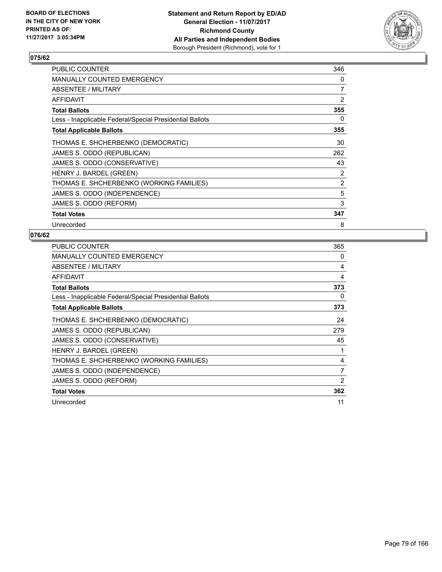

| <b>PUBLIC COUNTER</b>                                    | 346 |
|----------------------------------------------------------|-----|
| <b>MANUALLY COUNTED EMERGENCY</b>                        | 0   |
| ABSENTEE / MILITARY                                      | 7   |
| AFFIDAVIT                                                | 2   |
| Total Ballots                                            | 355 |
| Less - Inapplicable Federal/Special Presidential Ballots | 0   |
| <b>Total Applicable Ballots</b>                          | 355 |
| THOMAS E. SHCHERBENKO (DEMOCRATIC)                       | 30  |
| JAMES S. ODDO (REPUBLICAN)                               | 262 |
| JAMES S. ODDO (CONSERVATIVE)                             | 43  |
| HENRY J. BARDEL (GREEN)                                  | 2   |
| THOMAS E. SHCHERBENKO (WORKING FAMILIES)                 | 2   |
| JAMES S. ODDO (INDEPENDENCE)                             | 5   |
| JAMES S. ODDO (REFORM)                                   | 3   |
| <b>Total Votes</b>                                       | 347 |
| Unrecorded                                               | 8   |

| <b>PUBLIC COUNTER</b>                                    | 365 |
|----------------------------------------------------------|-----|
| <b>MANUALLY COUNTED EMERGENCY</b>                        | 0   |
| ABSENTEE / MILITARY                                      | 4   |
| <b>AFFIDAVIT</b>                                         | 4   |
| <b>Total Ballots</b>                                     | 373 |
| Less - Inapplicable Federal/Special Presidential Ballots | 0   |
| <b>Total Applicable Ballots</b>                          | 373 |
| THOMAS E. SHCHERBENKO (DEMOCRATIC)                       | 24  |
| JAMES S. ODDO (REPUBLICAN)                               | 279 |
| JAMES S. ODDO (CONSERVATIVE)                             | 45  |
| HENRY J. BARDEL (GREEN)                                  | 1   |
| THOMAS E. SHCHERBENKO (WORKING FAMILIES)                 | 4   |
| JAMES S. ODDO (INDEPENDENCE)                             | 7   |
| JAMES S. ODDO (REFORM)                                   | 2   |
| <b>Total Votes</b>                                       | 362 |
| Unrecorded                                               | 11  |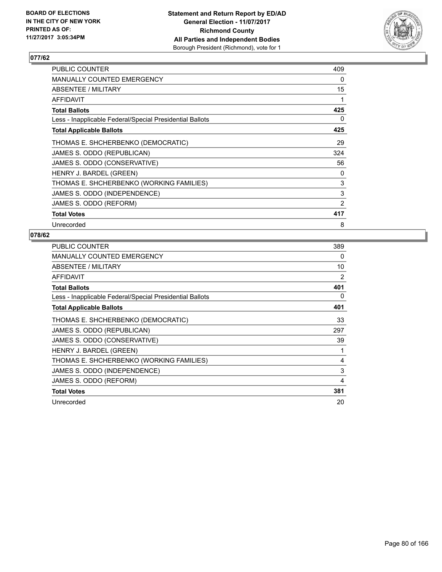

| <b>PUBLIC COUNTER</b>                                    | 409 |
|----------------------------------------------------------|-----|
| <b>MANUALLY COUNTED EMERGENCY</b>                        | 0   |
| ABSENTEE / MILITARY                                      | 15  |
| <b>AFFIDAVIT</b>                                         | 1   |
| <b>Total Ballots</b>                                     | 425 |
| Less - Inapplicable Federal/Special Presidential Ballots | 0   |
| <b>Total Applicable Ballots</b>                          | 425 |
| THOMAS E. SHCHERBENKO (DEMOCRATIC)                       | 29  |
| JAMES S. ODDO (REPUBLICAN)                               | 324 |
| JAMES S. ODDO (CONSERVATIVE)                             | 56  |
| HENRY J. BARDEL (GREEN)                                  | 0   |
| THOMAS E. SHCHERBENKO (WORKING FAMILIES)                 | 3   |
| JAMES S. ODDO (INDEPENDENCE)                             | 3   |
| JAMES S. ODDO (REFORM)                                   | 2   |
| <b>Total Votes</b>                                       | 417 |
| Unrecorded                                               | 8   |

| <b>PUBLIC COUNTER</b>                                    | 389 |
|----------------------------------------------------------|-----|
| <b>MANUALLY COUNTED EMERGENCY</b>                        | 0   |
| ABSENTEE / MILITARY                                      | 10  |
| <b>AFFIDAVIT</b>                                         | 2   |
| <b>Total Ballots</b>                                     | 401 |
| Less - Inapplicable Federal/Special Presidential Ballots | 0   |
| <b>Total Applicable Ballots</b>                          | 401 |
| THOMAS E. SHCHERBENKO (DEMOCRATIC)                       | 33  |
| JAMES S. ODDO (REPUBLICAN)                               | 297 |
| JAMES S. ODDO (CONSERVATIVE)                             | 39  |
| HENRY J. BARDEL (GREEN)                                  |     |
| THOMAS E. SHCHERBENKO (WORKING FAMILIES)                 | 4   |
| JAMES S. ODDO (INDEPENDENCE)                             | 3   |
| JAMES S. ODDO (REFORM)                                   | 4   |
| <b>Total Votes</b>                                       | 381 |
| Unrecorded                                               | 20  |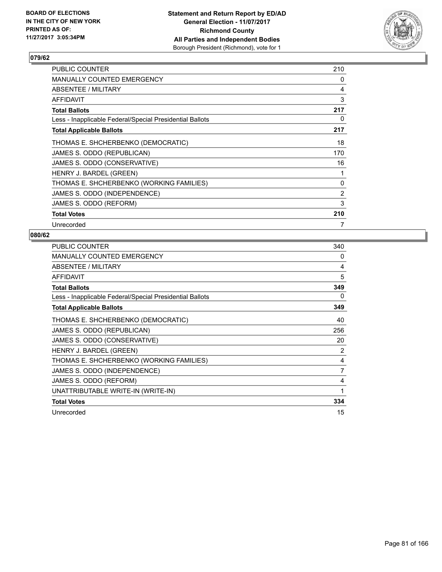

| <b>PUBLIC COUNTER</b>                                    | 210 |
|----------------------------------------------------------|-----|
| <b>MANUALLY COUNTED EMERGENCY</b>                        | 0   |
| ABSENTEE / MILITARY                                      | 4   |
| AFFIDAVIT                                                | 3   |
| <b>Total Ballots</b>                                     | 217 |
| Less - Inapplicable Federal/Special Presidential Ballots | 0   |
| <b>Total Applicable Ballots</b>                          | 217 |
| THOMAS E. SHCHERBENKO (DEMOCRATIC)                       | 18  |
| JAMES S. ODDO (REPUBLICAN)                               | 170 |
| JAMES S. ODDO (CONSERVATIVE)                             | 16  |
| HENRY J. BARDEL (GREEN)                                  | 1   |
| THOMAS E. SHCHERBENKO (WORKING FAMILIES)                 | 0   |
| JAMES S. ODDO (INDEPENDENCE)                             | 2   |
| JAMES S. ODDO (REFORM)                                   | 3   |
| <b>Total Votes</b>                                       | 210 |
| Unrecorded                                               | 7   |

| <b>PUBLIC COUNTER</b>                                    | 340 |
|----------------------------------------------------------|-----|
| MANUALLY COUNTED EMERGENCY                               | 0   |
| ABSENTEE / MILITARY                                      | 4   |
| AFFIDAVIT                                                | 5   |
| <b>Total Ballots</b>                                     | 349 |
| Less - Inapplicable Federal/Special Presidential Ballots | 0   |
| <b>Total Applicable Ballots</b>                          | 349 |
| THOMAS E. SHCHERBENKO (DEMOCRATIC)                       | 40  |
| JAMES S. ODDO (REPUBLICAN)                               | 256 |
| JAMES S. ODDO (CONSERVATIVE)                             | 20  |
| HENRY J. BARDEL (GREEN)                                  | 2   |
| THOMAS E. SHCHERBENKO (WORKING FAMILIES)                 | 4   |
| JAMES S. ODDO (INDEPENDENCE)                             | 7   |
| JAMES S. ODDO (REFORM)                                   | 4   |
| UNATTRIBUTABLE WRITE-IN (WRITE-IN)                       | 1   |
| <b>Total Votes</b>                                       | 334 |
| Unrecorded                                               | 15  |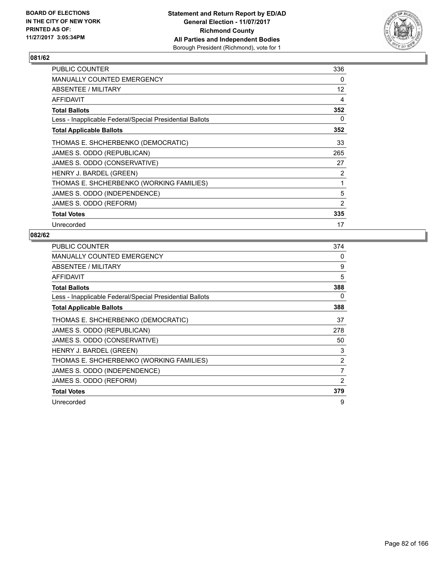

| <b>PUBLIC COUNTER</b>                                    | 336 |
|----------------------------------------------------------|-----|
| <b>MANUALLY COUNTED EMERGENCY</b>                        | 0   |
| ABSENTEE / MILITARY                                      | 12  |
| AFFIDAVIT                                                | 4   |
| <b>Total Ballots</b>                                     | 352 |
| Less - Inapplicable Federal/Special Presidential Ballots | 0   |
| <b>Total Applicable Ballots</b>                          | 352 |
| THOMAS E. SHCHERBENKO (DEMOCRATIC)                       | 33  |
| JAMES S. ODDO (REPUBLICAN)                               | 265 |
| JAMES S. ODDO (CONSERVATIVE)                             | 27  |
| HENRY J. BARDEL (GREEN)                                  | 2   |
| THOMAS E. SHCHERBENKO (WORKING FAMILIES)                 | 1   |
| JAMES S. ODDO (INDEPENDENCE)                             | 5   |
| JAMES S. ODDO (REFORM)                                   | 2   |
| <b>Total Votes</b>                                       | 335 |
| Unrecorded                                               | 17  |

| <b>PUBLIC COUNTER</b>                                    | 374            |
|----------------------------------------------------------|----------------|
| <b>MANUALLY COUNTED EMERGENCY</b>                        | 0              |
| ABSENTEE / MILITARY                                      | 9              |
| AFFIDAVIT                                                | 5              |
| <b>Total Ballots</b>                                     | 388            |
| Less - Inapplicable Federal/Special Presidential Ballots | 0              |
| <b>Total Applicable Ballots</b>                          | 388            |
| THOMAS E. SHCHERBENKO (DEMOCRATIC)                       | 37             |
| JAMES S. ODDO (REPUBLICAN)                               | 278            |
| JAMES S. ODDO (CONSERVATIVE)                             | 50             |
| HENRY J. BARDEL (GREEN)                                  | 3              |
| THOMAS E. SHCHERBENKO (WORKING FAMILIES)                 | $\overline{2}$ |
| JAMES S. ODDO (INDEPENDENCE)                             | 7              |
| JAMES S. ODDO (REFORM)                                   | 2              |
| <b>Total Votes</b>                                       | 379            |
| Unrecorded                                               | 9              |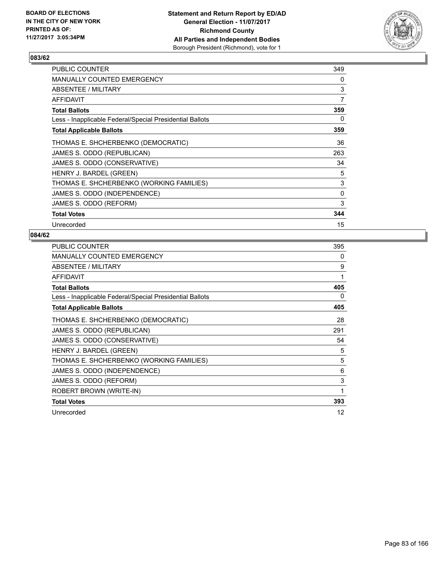

| <b>PUBLIC COUNTER</b>                                    | 349      |
|----------------------------------------------------------|----------|
| <b>MANUALLY COUNTED EMERGENCY</b>                        | 0        |
| ABSENTEE / MILITARY                                      | 3        |
| <b>AFFIDAVIT</b>                                         | 7        |
| <b>Total Ballots</b>                                     | 359      |
| Less - Inapplicable Federal/Special Presidential Ballots | 0        |
| <b>Total Applicable Ballots</b>                          | 359      |
| THOMAS E. SHCHERBENKO (DEMOCRATIC)                       | 36       |
| JAMES S. ODDO (REPUBLICAN)                               | 263      |
| JAMES S. ODDO (CONSERVATIVE)                             | 34       |
| HENRY J. BARDEL (GREEN)                                  | 5        |
| THOMAS E. SHCHERBENKO (WORKING FAMILIES)                 | 3        |
| JAMES S. ODDO (INDEPENDENCE)                             | $\Omega$ |
| JAMES S. ODDO (REFORM)                                   | 3        |
| <b>Total Votes</b>                                       | 344      |
| Unrecorded                                               | 15       |

| <b>PUBLIC COUNTER</b>                                    | 395 |
|----------------------------------------------------------|-----|
| <b>MANUALLY COUNTED EMERGENCY</b>                        | 0   |
| ABSENTEE / MILITARY                                      | 9   |
| <b>AFFIDAVIT</b>                                         | 1   |
| <b>Total Ballots</b>                                     | 405 |
| Less - Inapplicable Federal/Special Presidential Ballots | 0   |
| <b>Total Applicable Ballots</b>                          | 405 |
| THOMAS E. SHCHERBENKO (DEMOCRATIC)                       | 28  |
| JAMES S. ODDO (REPUBLICAN)                               | 291 |
| JAMES S. ODDO (CONSERVATIVE)                             | 54  |
| HENRY J. BARDEL (GREEN)                                  | 5   |
| THOMAS E. SHCHERBENKO (WORKING FAMILIES)                 | 5   |
| JAMES S. ODDO (INDEPENDENCE)                             | 6   |
| JAMES S. ODDO (REFORM)                                   | 3   |
| ROBERT BROWN (WRITE-IN)                                  | 1   |
| <b>Total Votes</b>                                       | 393 |
| Unrecorded                                               | 12  |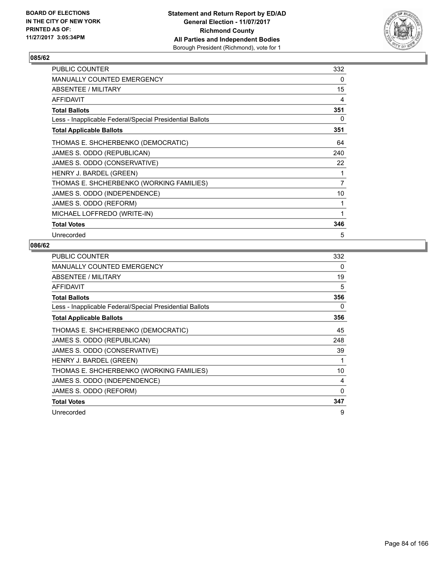

| <b>PUBLIC COUNTER</b>                                    | 332            |
|----------------------------------------------------------|----------------|
| MANUALLY COUNTED EMERGENCY                               | 0              |
| ABSENTEE / MILITARY                                      | 15             |
| AFFIDAVIT                                                | 4              |
| <b>Total Ballots</b>                                     | 351            |
| Less - Inapplicable Federal/Special Presidential Ballots | 0              |
| <b>Total Applicable Ballots</b>                          | 351            |
| THOMAS E. SHCHERBENKO (DEMOCRATIC)                       | 64             |
| JAMES S. ODDO (REPUBLICAN)                               | 240            |
| JAMES S. ODDO (CONSERVATIVE)                             | 22             |
| HENRY J. BARDEL (GREEN)                                  | 1              |
| THOMAS E. SHCHERBENKO (WORKING FAMILIES)                 | $\overline{7}$ |
| JAMES S. ODDO (INDEPENDENCE)                             | 10             |
| JAMES S. ODDO (REFORM)                                   | 1              |
| MICHAEL LOFFREDO (WRITE-IN)                              | 1              |
| <b>Total Votes</b>                                       | 346            |
| Unrecorded                                               | 5              |

| <b>PUBLIC COUNTER</b>                                    | 332 |
|----------------------------------------------------------|-----|
| <b>MANUALLY COUNTED EMERGENCY</b>                        | 0   |
| ABSENTEE / MILITARY                                      | 19  |
| <b>AFFIDAVIT</b>                                         | 5   |
| <b>Total Ballots</b>                                     | 356 |
| Less - Inapplicable Federal/Special Presidential Ballots | 0   |
| <b>Total Applicable Ballots</b>                          | 356 |
| THOMAS E. SHCHERBENKO (DEMOCRATIC)                       | 45  |
| JAMES S. ODDO (REPUBLICAN)                               | 248 |
| JAMES S. ODDO (CONSERVATIVE)                             | 39  |
| HENRY J. BARDEL (GREEN)                                  |     |
| THOMAS E. SHCHERBENKO (WORKING FAMILIES)                 | 10  |
| JAMES S. ODDO (INDEPENDENCE)                             | 4   |
| JAMES S. ODDO (REFORM)                                   | 0   |
| <b>Total Votes</b>                                       | 347 |
| Unrecorded                                               | 9   |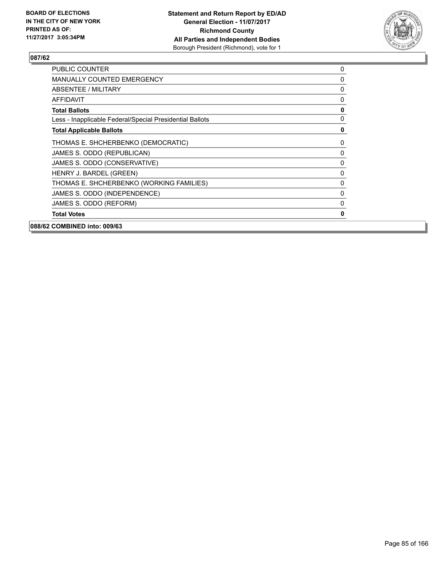

| 088/62 COMBINED into: 009/63                             |              |
|----------------------------------------------------------|--------------|
| <b>Total Votes</b>                                       | 0            |
| JAMES S. ODDO (REFORM)                                   | 0            |
| JAMES S. ODDO (INDEPENDENCE)                             | $\mathbf{0}$ |
| THOMAS E. SHCHERBENKO (WORKING FAMILIES)                 | 0            |
| HENRY J. BARDEL (GREEN)                                  | 0            |
| JAMES S. ODDO (CONSERVATIVE)                             | 0            |
| JAMES S. ODDO (REPUBLICAN)                               | 0            |
| THOMAS E. SHCHERBENKO (DEMOCRATIC)                       | 0            |
| <b>Total Applicable Ballots</b>                          | 0            |
| Less - Inapplicable Federal/Special Presidential Ballots | 0            |
| <b>Total Ballots</b>                                     | $\mathbf 0$  |
| <b>AFFIDAVIT</b>                                         | 0            |
| ABSENTEE / MILITARY                                      | 0            |
| <b>MANUALLY COUNTED EMERGENCY</b>                        | 0            |
| <b>PUBLIC COUNTER</b>                                    | 0            |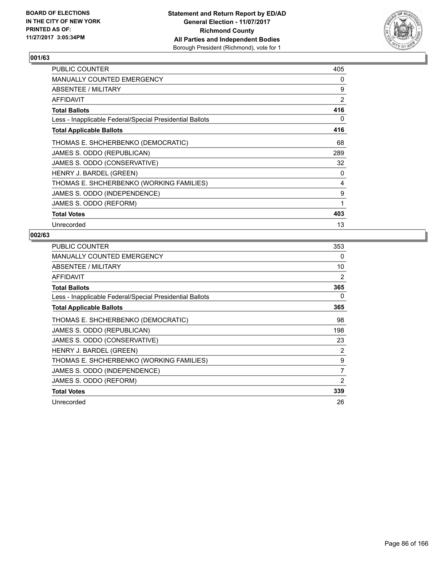

| <b>PUBLIC COUNTER</b>                                    | 405 |
|----------------------------------------------------------|-----|
| <b>MANUALLY COUNTED EMERGENCY</b>                        | 0   |
| ABSENTEE / MILITARY                                      | 9   |
| AFFIDAVIT                                                | 2   |
| <b>Total Ballots</b>                                     | 416 |
| Less - Inapplicable Federal/Special Presidential Ballots | 0   |
| <b>Total Applicable Ballots</b>                          | 416 |
| THOMAS E. SHCHERBENKO (DEMOCRATIC)                       | 68  |
| JAMES S. ODDO (REPUBLICAN)                               | 289 |
| JAMES S. ODDO (CONSERVATIVE)                             | 32  |
| HENRY J. BARDEL (GREEN)                                  | 0   |
| THOMAS E. SHCHERBENKO (WORKING FAMILIES)                 | 4   |
| JAMES S. ODDO (INDEPENDENCE)                             | 9   |
| JAMES S. ODDO (REFORM)                                   | 1   |
| <b>Total Votes</b>                                       | 403 |
| Unrecorded                                               | 13  |

| <b>PUBLIC COUNTER</b>                                    | 353            |
|----------------------------------------------------------|----------------|
| <b>MANUALLY COUNTED EMERGENCY</b>                        | 0              |
| ABSENTEE / MILITARY                                      | 10             |
| <b>AFFIDAVIT</b>                                         | $\overline{2}$ |
| <b>Total Ballots</b>                                     | 365            |
| Less - Inapplicable Federal/Special Presidential Ballots | 0              |
| <b>Total Applicable Ballots</b>                          | 365            |
| THOMAS E. SHCHERBENKO (DEMOCRATIC)                       | 98             |
| JAMES S. ODDO (REPUBLICAN)                               | 198            |
| JAMES S. ODDO (CONSERVATIVE)                             | 23             |
| HENRY J. BARDEL (GREEN)                                  | 2              |
| THOMAS E. SHCHERBENKO (WORKING FAMILIES)                 | 9              |
| JAMES S. ODDO (INDEPENDENCE)                             | 7              |
| JAMES S. ODDO (REFORM)                                   | 2              |
| <b>Total Votes</b>                                       | 339            |
| Unrecorded                                               | 26             |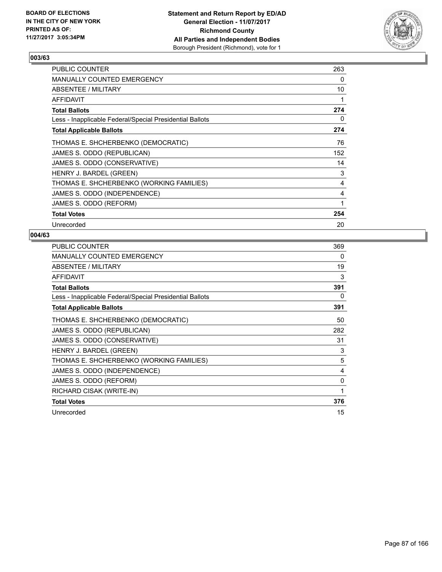

| <b>PUBLIC COUNTER</b>                                    | 263 |
|----------------------------------------------------------|-----|
| <b>MANUALLY COUNTED EMERGENCY</b>                        | 0   |
| ABSENTEE / MILITARY                                      | 10  |
| AFFIDAVIT                                                | 1   |
| <b>Total Ballots</b>                                     | 274 |
| Less - Inapplicable Federal/Special Presidential Ballots | 0   |
| <b>Total Applicable Ballots</b>                          | 274 |
| THOMAS E. SHCHERBENKO (DEMOCRATIC)                       | 76  |
| JAMES S. ODDO (REPUBLICAN)                               | 152 |
| JAMES S. ODDO (CONSERVATIVE)                             | 14  |
| HENRY J. BARDEL (GREEN)                                  | 3   |
| THOMAS E. SHCHERBENKO (WORKING FAMILIES)                 | 4   |
| JAMES S. ODDO (INDEPENDENCE)                             | 4   |
| JAMES S. ODDO (REFORM)                                   | 1   |
| <b>Total Votes</b>                                       | 254 |
| Unrecorded                                               | 20  |

| <b>PUBLIC COUNTER</b>                                    | 369 |
|----------------------------------------------------------|-----|
| <b>MANUALLY COUNTED EMERGENCY</b>                        | 0   |
| ABSENTEE / MILITARY                                      | 19  |
| <b>AFFIDAVIT</b>                                         | 3   |
| <b>Total Ballots</b>                                     | 391 |
| Less - Inapplicable Federal/Special Presidential Ballots | 0   |
| <b>Total Applicable Ballots</b>                          | 391 |
| THOMAS E. SHCHERBENKO (DEMOCRATIC)                       | 50  |
| JAMES S. ODDO (REPUBLICAN)                               | 282 |
| JAMES S. ODDO (CONSERVATIVE)                             | 31  |
| HENRY J. BARDEL (GREEN)                                  | 3   |
| THOMAS E. SHCHERBENKO (WORKING FAMILIES)                 | 5   |
| JAMES S. ODDO (INDEPENDENCE)                             | 4   |
| JAMES S. ODDO (REFORM)                                   | 0   |
| RICHARD CISAK (WRITE-IN)                                 | 1   |
| <b>Total Votes</b>                                       | 376 |
| Unrecorded                                               | 15  |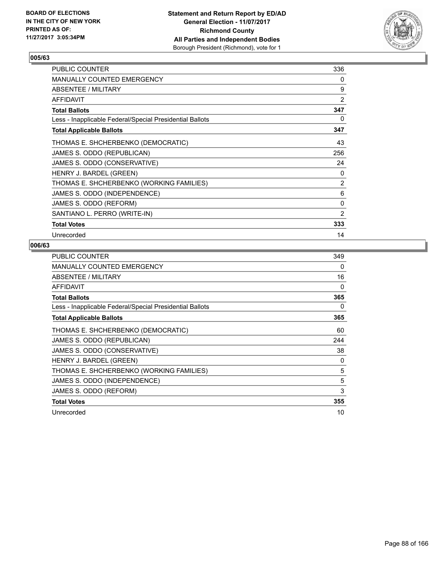

| <b>PUBLIC COUNTER</b>                                    | 336            |
|----------------------------------------------------------|----------------|
| MANUALLY COUNTED EMERGENCY                               | 0              |
| ABSENTEE / MILITARY                                      | 9              |
| <b>AFFIDAVIT</b>                                         | $\overline{2}$ |
| <b>Total Ballots</b>                                     | 347            |
| Less - Inapplicable Federal/Special Presidential Ballots | 0              |
| <b>Total Applicable Ballots</b>                          | 347            |
| THOMAS E. SHCHERBENKO (DEMOCRATIC)                       | 43             |
| JAMES S. ODDO (REPUBLICAN)                               | 256            |
| JAMES S. ODDO (CONSERVATIVE)                             | 24             |
| HENRY J. BARDEL (GREEN)                                  | 0              |
| THOMAS E. SHCHERBENKO (WORKING FAMILIES)                 | 2              |
| JAMES S. ODDO (INDEPENDENCE)                             | 6              |
| JAMES S. ODDO (REFORM)                                   | $\Omega$       |
| SANTIANO L. PERRO (WRITE-IN)                             | $\overline{2}$ |
| <b>Total Votes</b>                                       | 333            |
| Unrecorded                                               | 14             |

| <b>PUBLIC COUNTER</b>                                    | 349 |
|----------------------------------------------------------|-----|
| <b>MANUALLY COUNTED EMERGENCY</b>                        | 0   |
| ABSENTEE / MILITARY                                      | 16  |
| <b>AFFIDAVIT</b>                                         | 0   |
| <b>Total Ballots</b>                                     | 365 |
| Less - Inapplicable Federal/Special Presidential Ballots | 0   |
| <b>Total Applicable Ballots</b>                          | 365 |
| THOMAS E. SHCHERBENKO (DEMOCRATIC)                       | 60  |
| JAMES S. ODDO (REPUBLICAN)                               | 244 |
| JAMES S. ODDO (CONSERVATIVE)                             | 38  |
| HENRY J. BARDEL (GREEN)                                  | 0   |
| THOMAS E. SHCHERBENKO (WORKING FAMILIES)                 | 5   |
| JAMES S. ODDO (INDEPENDENCE)                             | 5   |
| JAMES S. ODDO (REFORM)                                   | 3   |
| <b>Total Votes</b>                                       | 355 |
| Unrecorded                                               | 10  |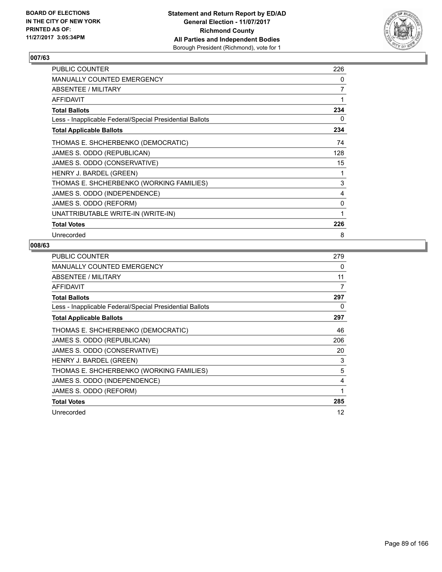

| <b>PUBLIC COUNTER</b>                                    | 226          |
|----------------------------------------------------------|--------------|
| MANUALLY COUNTED EMERGENCY                               | 0            |
| ABSENTEE / MILITARY                                      | 7            |
| <b>AFFIDAVIT</b>                                         | 1            |
| <b>Total Ballots</b>                                     | 234          |
| Less - Inapplicable Federal/Special Presidential Ballots | 0            |
| <b>Total Applicable Ballots</b>                          | 234          |
| THOMAS E. SHCHERBENKO (DEMOCRATIC)                       | 74           |
| JAMES S. ODDO (REPUBLICAN)                               | 128          |
| JAMES S. ODDO (CONSERVATIVE)                             | 15           |
| HENRY J. BARDEL (GREEN)                                  | 1            |
| THOMAS E. SHCHERBENKO (WORKING FAMILIES)                 | 3            |
| JAMES S. ODDO (INDEPENDENCE)                             | 4            |
| JAMES S. ODDO (REFORM)                                   | $\mathbf{0}$ |
| UNATTRIBUTABLE WRITE-IN (WRITE-IN)                       | 1            |
| <b>Total Votes</b>                                       | 226          |
| Unrecorded                                               | 8            |

| <b>PUBLIC COUNTER</b>                                    | 279 |
|----------------------------------------------------------|-----|
| <b>MANUALLY COUNTED EMERGENCY</b>                        | 0   |
| ABSENTEE / MILITARY                                      | 11  |
| AFFIDAVIT                                                | 7   |
| <b>Total Ballots</b>                                     | 297 |
| Less - Inapplicable Federal/Special Presidential Ballots | 0   |
| <b>Total Applicable Ballots</b>                          | 297 |
| THOMAS E. SHCHERBENKO (DEMOCRATIC)                       | 46  |
| JAMES S. ODDO (REPUBLICAN)                               | 206 |
| JAMES S. ODDO (CONSERVATIVE)                             | 20  |
| HENRY J. BARDEL (GREEN)                                  | 3   |
| THOMAS E. SHCHERBENKO (WORKING FAMILIES)                 | 5   |
| JAMES S. ODDO (INDEPENDENCE)                             | 4   |
| JAMES S. ODDO (REFORM)                                   | 1   |
| <b>Total Votes</b>                                       | 285 |
| Unrecorded                                               | 12  |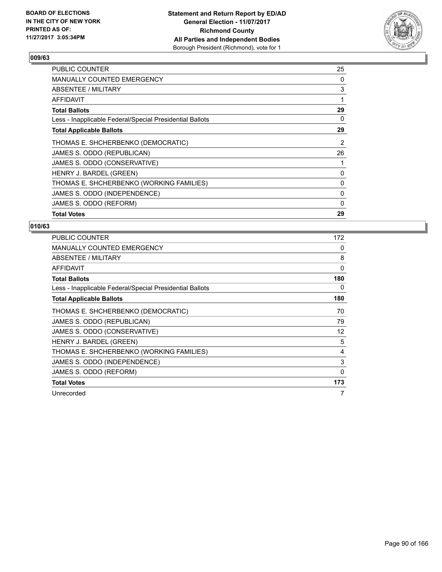

| <b>PUBLIC COUNTER</b>                                    | 25             |
|----------------------------------------------------------|----------------|
| <b>MANUALLY COUNTED EMERGENCY</b>                        | 0              |
| ABSENTEE / MILITARY                                      | 3              |
| <b>AFFIDAVIT</b>                                         | 1              |
| <b>Total Ballots</b>                                     | 29             |
| Less - Inapplicable Federal/Special Presidential Ballots | 0              |
| <b>Total Applicable Ballots</b>                          | 29             |
| THOMAS E. SHCHERBENKO (DEMOCRATIC)                       | $\overline{2}$ |
| JAMES S. ODDO (REPUBLICAN)                               | 26             |
| JAMES S. ODDO (CONSERVATIVE)                             | 1              |
| HENRY J. BARDEL (GREEN)                                  | 0              |
| THOMAS E. SHCHERBENKO (WORKING FAMILIES)                 | 0              |
| JAMES S. ODDO (INDEPENDENCE)                             | 0              |
| JAMES S. ODDO (REFORM)                                   | 0              |
| <b>Total Votes</b>                                       | 29             |

| <b>PUBLIC COUNTER</b>                                    | 172               |
|----------------------------------------------------------|-------------------|
| <b>MANUALLY COUNTED EMERGENCY</b>                        | 0                 |
| ABSENTEE / MILITARY                                      | 8                 |
| AFFIDAVIT                                                | $\Omega$          |
| Total Ballots                                            | 180               |
| Less - Inapplicable Federal/Special Presidential Ballots | 0                 |
| <b>Total Applicable Ballots</b>                          | 180               |
| THOMAS E. SHCHERBENKO (DEMOCRATIC)                       | 70                |
| JAMES S. ODDO (REPUBLICAN)                               | 79                |
| JAMES S. ODDO (CONSERVATIVE)                             | $12 \overline{ }$ |
| HENRY J. BARDEL (GREEN)                                  | 5                 |
| THOMAS E. SHCHERBENKO (WORKING FAMILIES)                 | 4                 |
| JAMES S. ODDO (INDEPENDENCE)                             | 3                 |
| JAMES S. ODDO (REFORM)                                   | 0                 |
| <b>Total Votes</b>                                       | 173               |
| Unrecorded                                               | 7                 |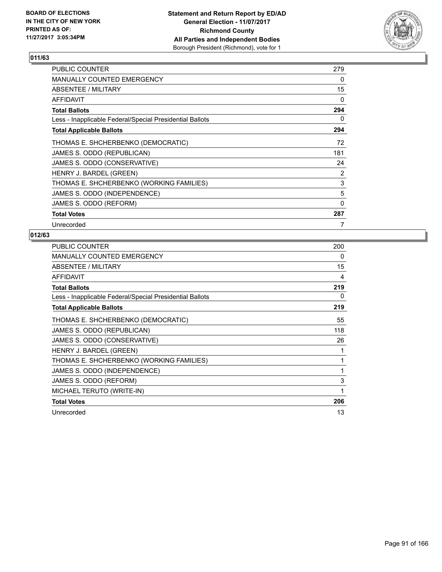

| <b>PUBLIC COUNTER</b>                                    | 279 |
|----------------------------------------------------------|-----|
| MANUALLY COUNTED EMERGENCY                               | 0   |
| ABSENTEE / MILITARY                                      | 15  |
| <b>AFFIDAVIT</b>                                         | 0   |
| <b>Total Ballots</b>                                     | 294 |
| Less - Inapplicable Federal/Special Presidential Ballots | 0   |
| <b>Total Applicable Ballots</b>                          | 294 |
| THOMAS E. SHCHERBENKO (DEMOCRATIC)                       | 72  |
| JAMES S. ODDO (REPUBLICAN)                               | 181 |
| JAMES S. ODDO (CONSERVATIVE)                             | 24  |
| HENRY J. BARDEL (GREEN)                                  | 2   |
| THOMAS E. SHCHERBENKO (WORKING FAMILIES)                 | 3   |
| JAMES S. ODDO (INDEPENDENCE)                             | 5   |
| JAMES S. ODDO (REFORM)                                   | 0   |
| <b>Total Votes</b>                                       | 287 |
| Unrecorded                                               | 7   |

| <b>PUBLIC COUNTER</b>                                    | 200 |
|----------------------------------------------------------|-----|
| <b>MANUALLY COUNTED EMERGENCY</b>                        | 0   |
| ABSENTEE / MILITARY                                      | 15  |
| <b>AFFIDAVIT</b>                                         | 4   |
| <b>Total Ballots</b>                                     | 219 |
| Less - Inapplicable Federal/Special Presidential Ballots | 0   |
| <b>Total Applicable Ballots</b>                          | 219 |
| THOMAS E. SHCHERBENKO (DEMOCRATIC)                       | 55  |
| JAMES S. ODDO (REPUBLICAN)                               | 118 |
| JAMES S. ODDO (CONSERVATIVE)                             | 26  |
| HENRY J. BARDEL (GREEN)                                  |     |
| THOMAS E. SHCHERBENKO (WORKING FAMILIES)                 | 1   |
| JAMES S. ODDO (INDEPENDENCE)                             | 1   |
| JAMES S. ODDO (REFORM)                                   | 3   |
| MICHAEL TERUTO (WRITE-IN)                                | 1   |
| <b>Total Votes</b>                                       | 206 |
| Unrecorded                                               | 13  |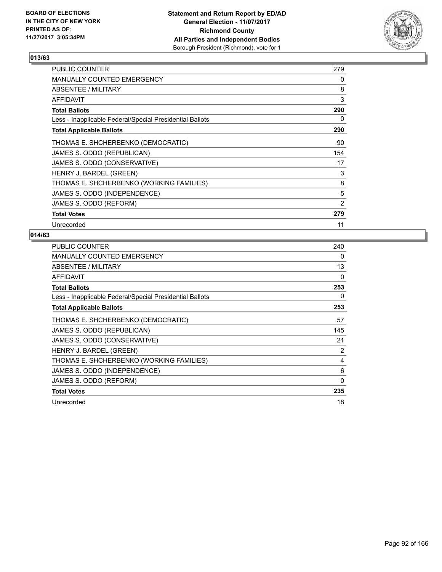

| <b>PUBLIC COUNTER</b>                                    | 279 |
|----------------------------------------------------------|-----|
| <b>MANUALLY COUNTED EMERGENCY</b>                        | 0   |
| ABSENTEE / MILITARY                                      | 8   |
| AFFIDAVIT                                                | 3   |
| Total Ballots                                            | 290 |
| Less - Inapplicable Federal/Special Presidential Ballots | 0   |
| <b>Total Applicable Ballots</b>                          | 290 |
| THOMAS E. SHCHERBENKO (DEMOCRATIC)                       | 90  |
| JAMES S. ODDO (REPUBLICAN)                               | 154 |
| JAMES S. ODDO (CONSERVATIVE)                             | 17  |
| HENRY J. BARDEL (GREEN)                                  | 3   |
| THOMAS E. SHCHERBENKO (WORKING FAMILIES)                 | 8   |
| JAMES S. ODDO (INDEPENDENCE)                             | 5   |
| JAMES S. ODDO (REFORM)                                   | 2   |
| <b>Total Votes</b>                                       | 279 |
| Unrecorded                                               | 11  |

| <b>PUBLIC COUNTER</b>                                    | 240 |
|----------------------------------------------------------|-----|
| <b>MANUALLY COUNTED EMERGENCY</b>                        | 0   |
| ABSENTEE / MILITARY                                      | 13  |
| <b>AFFIDAVIT</b>                                         | 0   |
| <b>Total Ballots</b>                                     | 253 |
| Less - Inapplicable Federal/Special Presidential Ballots | 0   |
| <b>Total Applicable Ballots</b>                          | 253 |
| THOMAS E. SHCHERBENKO (DEMOCRATIC)                       | 57  |
| JAMES S. ODDO (REPUBLICAN)                               | 145 |
| JAMES S. ODDO (CONSERVATIVE)                             | 21  |
| HENRY J. BARDEL (GREEN)                                  | 2   |
| THOMAS E. SHCHERBENKO (WORKING FAMILIES)                 | 4   |
| JAMES S. ODDO (INDEPENDENCE)                             | 6   |
| JAMES S. ODDO (REFORM)                                   | 0   |
| <b>Total Votes</b>                                       | 235 |
| Unrecorded                                               | 18  |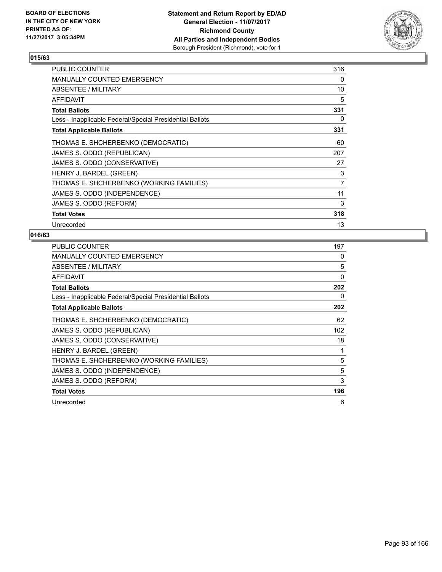

| <b>PUBLIC COUNTER</b>                                    | 316 |
|----------------------------------------------------------|-----|
| <b>MANUALLY COUNTED EMERGENCY</b>                        | 0   |
| ABSENTEE / MILITARY                                      | 10  |
| <b>AFFIDAVIT</b>                                         | 5   |
| <b>Total Ballots</b>                                     | 331 |
| Less - Inapplicable Federal/Special Presidential Ballots | 0   |
| <b>Total Applicable Ballots</b>                          | 331 |
| THOMAS E. SHCHERBENKO (DEMOCRATIC)                       | 60  |
| JAMES S. ODDO (REPUBLICAN)                               | 207 |
| JAMES S. ODDO (CONSERVATIVE)                             | 27  |
| HENRY J. BARDEL (GREEN)                                  | 3   |
| THOMAS E. SHCHERBENKO (WORKING FAMILIES)                 | 7   |
| JAMES S. ODDO (INDEPENDENCE)                             | 11  |
| JAMES S. ODDO (REFORM)                                   | 3   |
| <b>Total Votes</b>                                       | 318 |
| Unrecorded                                               | 13  |

| <b>PUBLIC COUNTER</b>                                    | 197 |
|----------------------------------------------------------|-----|
| <b>MANUALLY COUNTED EMERGENCY</b>                        | 0   |
| ABSENTEE / MILITARY                                      | 5   |
| AFFIDAVIT                                                | 0   |
| <b>Total Ballots</b>                                     | 202 |
| Less - Inapplicable Federal/Special Presidential Ballots | 0   |
| <b>Total Applicable Ballots</b>                          | 202 |
| THOMAS E. SHCHERBENKO (DEMOCRATIC)                       | 62  |
| JAMES S. ODDO (REPUBLICAN)                               | 102 |
| JAMES S. ODDO (CONSERVATIVE)                             | 18  |
| HENRY J. BARDEL (GREEN)                                  |     |
| THOMAS E. SHCHERBENKO (WORKING FAMILIES)                 | 5   |
| JAMES S. ODDO (INDEPENDENCE)                             | 5   |
| JAMES S. ODDO (REFORM)                                   | 3   |
| <b>Total Votes</b>                                       | 196 |
| Unrecorded                                               | 6   |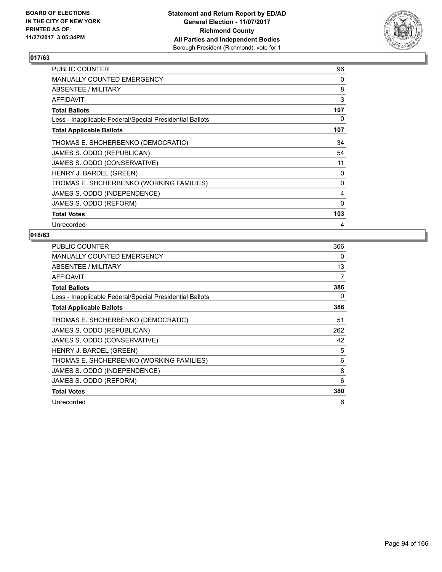

| <b>PUBLIC COUNTER</b>                                    | 96       |
|----------------------------------------------------------|----------|
| <b>MANUALLY COUNTED EMERGENCY</b>                        | $\Omega$ |
| ABSENTEE / MILITARY                                      | 8        |
| <b>AFFIDAVIT</b>                                         | 3        |
| <b>Total Ballots</b>                                     | 107      |
| Less - Inapplicable Federal/Special Presidential Ballots | 0        |
| <b>Total Applicable Ballots</b>                          | 107      |
| THOMAS E. SHCHERBENKO (DEMOCRATIC)                       | 34       |
| JAMES S. ODDO (REPUBLICAN)                               | 54       |
| JAMES S. ODDO (CONSERVATIVE)                             | 11       |
| HENRY J. BARDEL (GREEN)                                  | 0        |
| THOMAS E. SHCHERBENKO (WORKING FAMILIES)                 | 0        |
| JAMES S. ODDO (INDEPENDENCE)                             | 4        |
| JAMES S. ODDO (REFORM)                                   | 0        |
| <b>Total Votes</b>                                       | 103      |
| Unrecorded                                               | 4        |

| <b>PUBLIC COUNTER</b>                                    | 366 |
|----------------------------------------------------------|-----|
| <b>MANUALLY COUNTED EMERGENCY</b>                        | 0   |
| ABSENTEE / MILITARY                                      | 13  |
| <b>AFFIDAVIT</b>                                         | 7   |
| <b>Total Ballots</b>                                     | 386 |
| Less - Inapplicable Federal/Special Presidential Ballots | 0   |
| <b>Total Applicable Ballots</b>                          | 386 |
| THOMAS E. SHCHERBENKO (DEMOCRATIC)                       | 51  |
| JAMES S. ODDO (REPUBLICAN)                               | 262 |
| JAMES S. ODDO (CONSERVATIVE)                             | 42  |
| HENRY J. BARDEL (GREEN)                                  | 5   |
| THOMAS E. SHCHERBENKO (WORKING FAMILIES)                 | 6   |
| JAMES S. ODDO (INDEPENDENCE)                             | 8   |
| JAMES S. ODDO (REFORM)                                   | 6   |
| <b>Total Votes</b>                                       | 380 |
| Unrecorded                                               | 6   |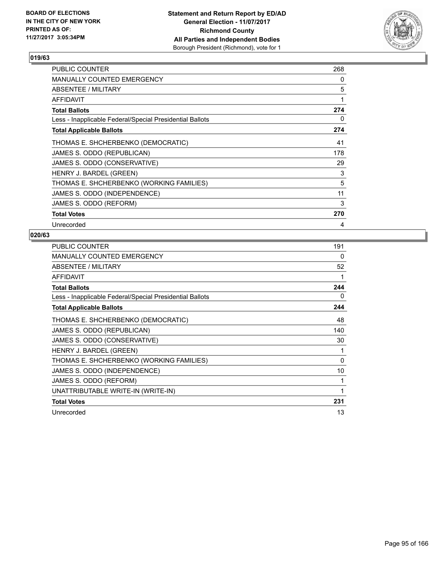

| <b>PUBLIC COUNTER</b>                                    | 268 |
|----------------------------------------------------------|-----|
| <b>MANUALLY COUNTED EMERGENCY</b>                        | 0   |
| ABSENTEE / MILITARY                                      | 5   |
| AFFIDAVIT                                                | 1   |
| <b>Total Ballots</b>                                     | 274 |
| Less - Inapplicable Federal/Special Presidential Ballots | 0   |
| <b>Total Applicable Ballots</b>                          | 274 |
| THOMAS E. SHCHERBENKO (DEMOCRATIC)                       | 41  |
| JAMES S. ODDO (REPUBLICAN)                               | 178 |
| JAMES S. ODDO (CONSERVATIVE)                             | 29  |
| HENRY J. BARDEL (GREEN)                                  | 3   |
| THOMAS E. SHCHERBENKO (WORKING FAMILIES)                 | 5   |
| JAMES S. ODDO (INDEPENDENCE)                             | 11  |
| JAMES S. ODDO (REFORM)                                   | 3   |
| <b>Total Votes</b>                                       | 270 |
| Unrecorded                                               | 4   |

| <b>PUBLIC COUNTER</b>                                    | 191 |
|----------------------------------------------------------|-----|
| <b>MANUALLY COUNTED EMERGENCY</b>                        | 0   |
| ABSENTEE / MILITARY                                      | 52  |
| <b>AFFIDAVIT</b>                                         | 1   |
| <b>Total Ballots</b>                                     | 244 |
| Less - Inapplicable Federal/Special Presidential Ballots | 0   |
| <b>Total Applicable Ballots</b>                          | 244 |
| THOMAS E. SHCHERBENKO (DEMOCRATIC)                       | 48  |
| JAMES S. ODDO (REPUBLICAN)                               | 140 |
| JAMES S. ODDO (CONSERVATIVE)                             | 30  |
| HENRY J. BARDEL (GREEN)                                  | 1   |
| THOMAS E. SHCHERBENKO (WORKING FAMILIES)                 | 0   |
| JAMES S. ODDO (INDEPENDENCE)                             | 10  |
| JAMES S. ODDO (REFORM)                                   |     |
| UNATTRIBUTABLE WRITE-IN (WRITE-IN)                       | 1   |
| <b>Total Votes</b>                                       | 231 |
| Unrecorded                                               | 13  |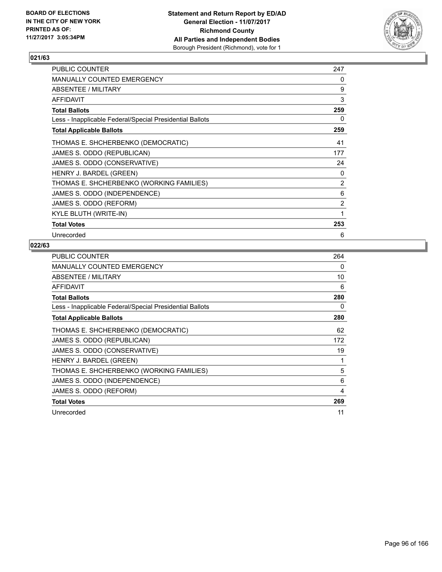

| <b>PUBLIC COUNTER</b>                                    | 247            |
|----------------------------------------------------------|----------------|
| <b>MANUALLY COUNTED EMERGENCY</b>                        | 0              |
| ABSENTEE / MILITARY                                      | 9              |
| AFFIDAVIT                                                | 3              |
| <b>Total Ballots</b>                                     | 259            |
| Less - Inapplicable Federal/Special Presidential Ballots | 0              |
| <b>Total Applicable Ballots</b>                          | 259            |
| THOMAS E. SHCHERBENKO (DEMOCRATIC)                       | 41             |
| JAMES S. ODDO (REPUBLICAN)                               | 177            |
| JAMES S. ODDO (CONSERVATIVE)                             | 24             |
| HENRY J. BARDEL (GREEN)                                  | 0              |
| THOMAS E. SHCHERBENKO (WORKING FAMILIES)                 | 2              |
| JAMES S. ODDO (INDEPENDENCE)                             | 6              |
| JAMES S. ODDO (REFORM)                                   | $\overline{2}$ |
| KYLE BLUTH (WRITE-IN)                                    | 1              |
| <b>Total Votes</b>                                       | 253            |
| Unrecorded                                               | 6              |

| <b>PUBLIC COUNTER</b>                                    | 264 |
|----------------------------------------------------------|-----|
| <b>MANUALLY COUNTED EMERGENCY</b>                        | 0   |
| ABSENTEE / MILITARY                                      | 10  |
| <b>AFFIDAVIT</b>                                         | 6   |
| <b>Total Ballots</b>                                     | 280 |
| Less - Inapplicable Federal/Special Presidential Ballots | 0   |
| <b>Total Applicable Ballots</b>                          | 280 |
| THOMAS E. SHCHERBENKO (DEMOCRATIC)                       | 62  |
| JAMES S. ODDO (REPUBLICAN)                               | 172 |
| JAMES S. ODDO (CONSERVATIVE)                             | 19  |
| HENRY J. BARDEL (GREEN)                                  | 1   |
| THOMAS E. SHCHERBENKO (WORKING FAMILIES)                 | 5   |
| JAMES S. ODDO (INDEPENDENCE)                             | 6   |
| JAMES S. ODDO (REFORM)                                   | 4   |
| <b>Total Votes</b>                                       | 269 |
| Unrecorded                                               | 11  |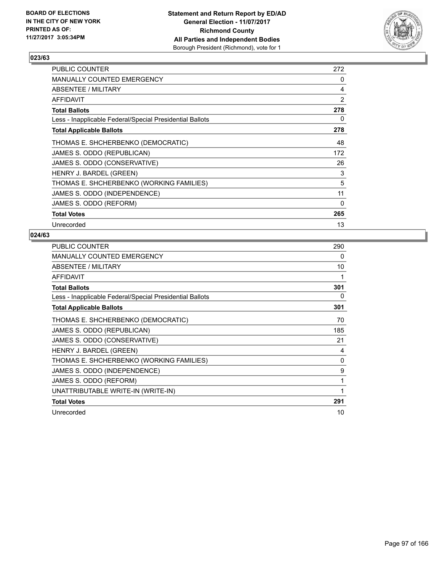

| <b>PUBLIC COUNTER</b>                                    | 272 |
|----------------------------------------------------------|-----|
| <b>MANUALLY COUNTED EMERGENCY</b>                        | 0   |
| ABSENTEE / MILITARY                                      | 4   |
| AFFIDAVIT                                                | 2   |
| Total Ballots                                            | 278 |
| Less - Inapplicable Federal/Special Presidential Ballots | 0   |
| <b>Total Applicable Ballots</b>                          | 278 |
| THOMAS E. SHCHERBENKO (DEMOCRATIC)                       | 48  |
| JAMES S. ODDO (REPUBLICAN)                               | 172 |
| JAMES S. ODDO (CONSERVATIVE)                             | 26  |
| HENRY J. BARDEL (GREEN)                                  | 3   |
| THOMAS E. SHCHERBENKO (WORKING FAMILIES)                 | 5   |
| JAMES S. ODDO (INDEPENDENCE)                             | 11  |
| JAMES S. ODDO (REFORM)                                   | 0   |
| <b>Total Votes</b>                                       | 265 |
| Unrecorded                                               | 13  |

| <b>PUBLIC COUNTER</b>                                    | 290 |
|----------------------------------------------------------|-----|
| <b>MANUALLY COUNTED EMERGENCY</b>                        | 0   |
| <b>ABSENTEE / MILITARY</b>                               | 10  |
| <b>AFFIDAVIT</b>                                         | 1   |
| <b>Total Ballots</b>                                     | 301 |
| Less - Inapplicable Federal/Special Presidential Ballots | 0   |
| <b>Total Applicable Ballots</b>                          | 301 |
| THOMAS E. SHCHERBENKO (DEMOCRATIC)                       | 70  |
| JAMES S. ODDO (REPUBLICAN)                               | 185 |
| JAMES S. ODDO (CONSERVATIVE)                             | 21  |
| HENRY J. BARDEL (GREEN)                                  | 4   |
| THOMAS E. SHCHERBENKO (WORKING FAMILIES)                 | 0   |
| JAMES S. ODDO (INDEPENDENCE)                             | 9   |
| JAMES S. ODDO (REFORM)                                   | 1   |
| UNATTRIBUTABLE WRITE-IN (WRITE-IN)                       | 1   |
| <b>Total Votes</b>                                       | 291 |
| Unrecorded                                               | 10  |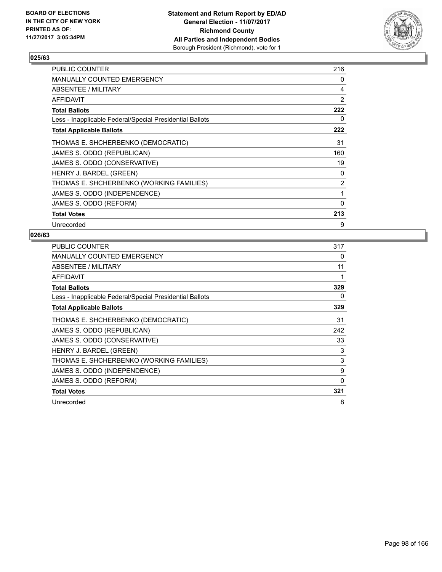

| <b>PUBLIC COUNTER</b>                                    | 216 |
|----------------------------------------------------------|-----|
| <b>MANUALLY COUNTED EMERGENCY</b>                        | 0   |
| ABSENTEE / MILITARY                                      | 4   |
| AFFIDAVIT                                                | 2   |
| Total Ballots                                            | 222 |
| Less - Inapplicable Federal/Special Presidential Ballots | 0   |
| <b>Total Applicable Ballots</b>                          | 222 |
| THOMAS E. SHCHERBENKO (DEMOCRATIC)                       | 31  |
| JAMES S. ODDO (REPUBLICAN)                               | 160 |
| JAMES S. ODDO (CONSERVATIVE)                             | 19  |
| HENRY J. BARDEL (GREEN)                                  | 0   |
| THOMAS E. SHCHERBENKO (WORKING FAMILIES)                 | 2   |
| JAMES S. ODDO (INDEPENDENCE)                             | 1   |
| JAMES S. ODDO (REFORM)                                   | 0   |
| <b>Total Votes</b>                                       | 213 |
| Unrecorded                                               | 9   |

| <b>PUBLIC COUNTER</b>                                    | 317 |
|----------------------------------------------------------|-----|
| MANUALLY COUNTED EMERGENCY                               | 0   |
| ABSENTEE / MILITARY                                      | 11  |
| <b>AFFIDAVIT</b>                                         | 1   |
| <b>Total Ballots</b>                                     | 329 |
| Less - Inapplicable Federal/Special Presidential Ballots | 0   |
| <b>Total Applicable Ballots</b>                          | 329 |
| THOMAS E. SHCHERBENKO (DEMOCRATIC)                       | 31  |
| JAMES S. ODDO (REPUBLICAN)                               | 242 |
| JAMES S. ODDO (CONSERVATIVE)                             | 33  |
| HENRY J. BARDEL (GREEN)                                  | 3   |
| THOMAS E. SHCHERBENKO (WORKING FAMILIES)                 | 3   |
| JAMES S. ODDO (INDEPENDENCE)                             | 9   |
| JAMES S. ODDO (REFORM)                                   | 0   |
| <b>Total Votes</b>                                       | 321 |
| Unrecorded                                               | 8   |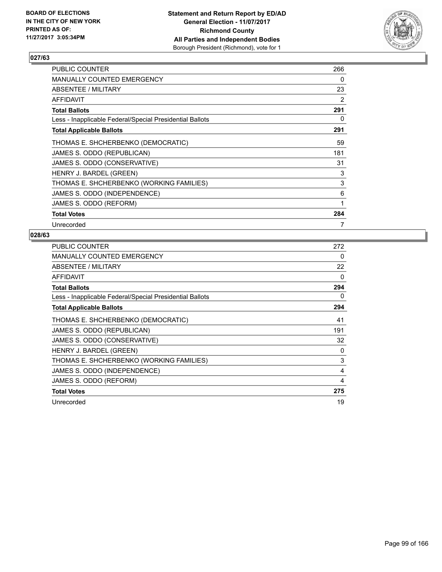

| <b>PUBLIC COUNTER</b>                                    | 266 |
|----------------------------------------------------------|-----|
| <b>MANUALLY COUNTED EMERGENCY</b>                        | 0   |
| ABSENTEE / MILITARY                                      | 23  |
| AFFIDAVIT                                                | 2   |
| Total Ballots                                            | 291 |
| Less - Inapplicable Federal/Special Presidential Ballots | 0   |
| <b>Total Applicable Ballots</b>                          | 291 |
| THOMAS E. SHCHERBENKO (DEMOCRATIC)                       | 59  |
| JAMES S. ODDO (REPUBLICAN)                               | 181 |
| JAMES S. ODDO (CONSERVATIVE)                             | 31  |
| HENRY J. BARDEL (GREEN)                                  | 3   |
| THOMAS E. SHCHERBENKO (WORKING FAMILIES)                 | 3   |
| JAMES S. ODDO (INDEPENDENCE)                             | 6   |
| JAMES S. ODDO (REFORM)                                   | 1   |
| <b>Total Votes</b>                                       | 284 |
| Unrecorded                                               | 7   |

| <b>PUBLIC COUNTER</b>                                    | 272 |
|----------------------------------------------------------|-----|
| <b>MANUALLY COUNTED EMERGENCY</b>                        | 0   |
| ABSENTEE / MILITARY                                      | 22  |
| AFFIDAVIT                                                | 0   |
| <b>Total Ballots</b>                                     | 294 |
| Less - Inapplicable Federal/Special Presidential Ballots | 0   |
| <b>Total Applicable Ballots</b>                          | 294 |
| THOMAS E. SHCHERBENKO (DEMOCRATIC)                       | 41  |
| JAMES S. ODDO (REPUBLICAN)                               | 191 |
| JAMES S. ODDO (CONSERVATIVE)                             | 32  |
| HENRY J. BARDEL (GREEN)                                  | 0   |
| THOMAS E. SHCHERBENKO (WORKING FAMILIES)                 | 3   |
| JAMES S. ODDO (INDEPENDENCE)                             | 4   |
| JAMES S. ODDO (REFORM)                                   | 4   |
| <b>Total Votes</b>                                       | 275 |
| Unrecorded                                               | 19  |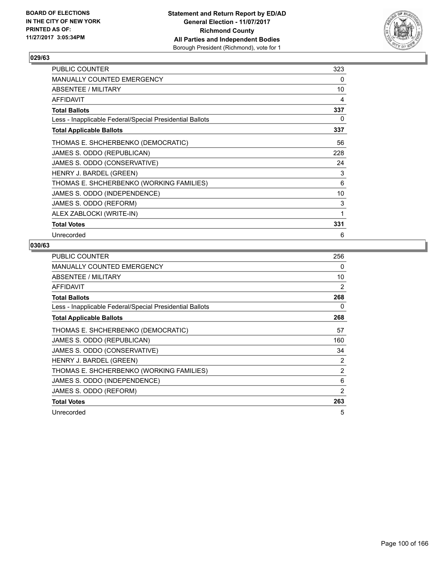

| <b>PUBLIC COUNTER</b>                                    | 323 |
|----------------------------------------------------------|-----|
| MANUALLY COUNTED EMERGENCY                               | 0   |
| ABSENTEE / MILITARY                                      | 10  |
| AFFIDAVIT                                                | 4   |
| <b>Total Ballots</b>                                     | 337 |
| Less - Inapplicable Federal/Special Presidential Ballots | 0   |
| <b>Total Applicable Ballots</b>                          | 337 |
| THOMAS E. SHCHERBENKO (DEMOCRATIC)                       | 56  |
| JAMES S. ODDO (REPUBLICAN)                               | 228 |
| JAMES S. ODDO (CONSERVATIVE)                             | 24  |
| HENRY J. BARDEL (GREEN)                                  | 3   |
| THOMAS E. SHCHERBENKO (WORKING FAMILIES)                 | 6   |
| JAMES S. ODDO (INDEPENDENCE)                             | 10  |
| JAMES S. ODDO (REFORM)                                   | 3   |
| ALEX ZABLOCKI (WRITE-IN)                                 | 1   |
| <b>Total Votes</b>                                       | 331 |
| Unrecorded                                               | 6   |

| <b>PUBLIC COUNTER</b>                                    | 256 |
|----------------------------------------------------------|-----|
| MANUALLY COUNTED EMERGENCY                               | 0   |
| ABSENTEE / MILITARY                                      | 10  |
| <b>AFFIDAVIT</b>                                         | 2   |
| <b>Total Ballots</b>                                     | 268 |
| Less - Inapplicable Federal/Special Presidential Ballots | 0   |
| <b>Total Applicable Ballots</b>                          | 268 |
| THOMAS E. SHCHERBENKO (DEMOCRATIC)                       | 57  |
| JAMES S. ODDO (REPUBLICAN)                               | 160 |
| JAMES S. ODDO (CONSERVATIVE)                             | 34  |
| HENRY J. BARDEL (GREEN)                                  | 2   |
| THOMAS E. SHCHERBENKO (WORKING FAMILIES)                 | 2   |
| JAMES S. ODDO (INDEPENDENCE)                             | 6   |
| JAMES S. ODDO (REFORM)                                   | 2   |
| <b>Total Votes</b>                                       | 263 |
| Unrecorded                                               | 5   |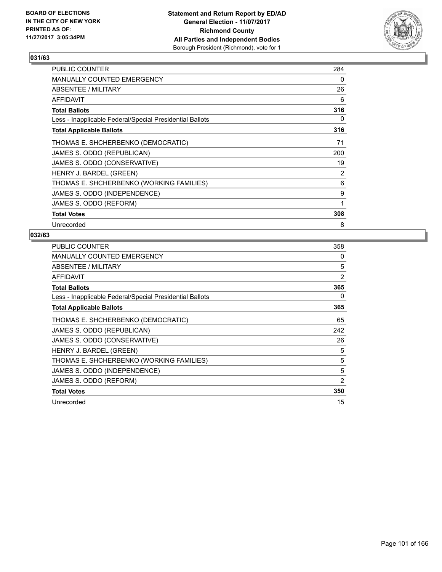

| <b>PUBLIC COUNTER</b>                                    | 284 |
|----------------------------------------------------------|-----|
| <b>MANUALLY COUNTED EMERGENCY</b>                        | 0   |
| ABSENTEE / MILITARY                                      | 26  |
| AFFIDAVIT                                                | 6   |
| <b>Total Ballots</b>                                     | 316 |
| Less - Inapplicable Federal/Special Presidential Ballots | 0   |
| <b>Total Applicable Ballots</b>                          | 316 |
| THOMAS E. SHCHERBENKO (DEMOCRATIC)                       | 71  |
| JAMES S. ODDO (REPUBLICAN)                               | 200 |
| JAMES S. ODDO (CONSERVATIVE)                             | 19  |
| HENRY J. BARDEL (GREEN)                                  | 2   |
| THOMAS E. SHCHERBENKO (WORKING FAMILIES)                 | 6   |
| JAMES S. ODDO (INDEPENDENCE)                             | 9   |
| JAMES S. ODDO (REFORM)                                   | 1   |
| <b>Total Votes</b>                                       | 308 |
| Unrecorded                                               | 8   |

| <b>PUBLIC COUNTER</b>                                    | 358            |
|----------------------------------------------------------|----------------|
| <b>MANUALLY COUNTED EMERGENCY</b>                        | 0              |
| ABSENTEE / MILITARY                                      | 5              |
| <b>AFFIDAVIT</b>                                         | $\overline{2}$ |
| <b>Total Ballots</b>                                     | 365            |
| Less - Inapplicable Federal/Special Presidential Ballots | 0              |
| <b>Total Applicable Ballots</b>                          | 365            |
| THOMAS E. SHCHERBENKO (DEMOCRATIC)                       | 65             |
| JAMES S. ODDO (REPUBLICAN)                               | 242            |
| JAMES S. ODDO (CONSERVATIVE)                             | 26             |
| HENRY J. BARDEL (GREEN)                                  | 5              |
| THOMAS E. SHCHERBENKO (WORKING FAMILIES)                 | 5              |
| JAMES S. ODDO (INDEPENDENCE)                             | 5              |
| JAMES S. ODDO (REFORM)                                   | 2              |
| <b>Total Votes</b>                                       | 350            |
| Unrecorded                                               | 15             |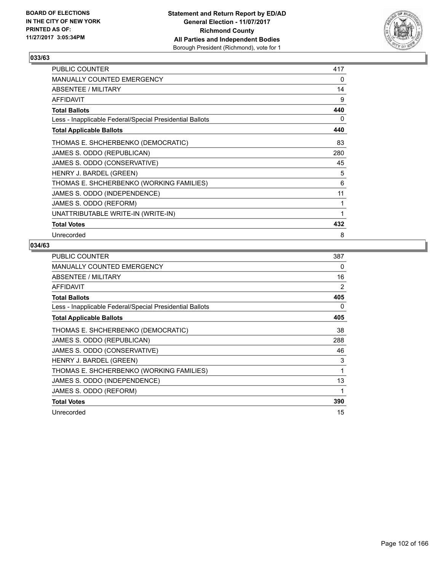

| <b>PUBLIC COUNTER</b>                                    | 417 |
|----------------------------------------------------------|-----|
| MANUALLY COUNTED EMERGENCY                               | 0   |
| ABSENTEE / MILITARY                                      | 14  |
| <b>AFFIDAVIT</b>                                         | 9   |
| <b>Total Ballots</b>                                     | 440 |
| Less - Inapplicable Federal/Special Presidential Ballots | 0   |
| <b>Total Applicable Ballots</b>                          | 440 |
| THOMAS E. SHCHERBENKO (DEMOCRATIC)                       | 83  |
| JAMES S. ODDO (REPUBLICAN)                               | 280 |
| JAMES S. ODDO (CONSERVATIVE)                             | 45  |
| HENRY J. BARDEL (GREEN)                                  | 5   |
| THOMAS E. SHCHERBENKO (WORKING FAMILIES)                 | 6   |
| JAMES S. ODDO (INDEPENDENCE)                             | 11  |
| JAMES S. ODDO (REFORM)                                   | 1   |
| UNATTRIBUTABLE WRITE-IN (WRITE-IN)                       | 1   |
| <b>Total Votes</b>                                       | 432 |
| Unrecorded                                               | 8   |

| <b>PUBLIC COUNTER</b>                                    | 387 |
|----------------------------------------------------------|-----|
| <b>MANUALLY COUNTED EMERGENCY</b>                        | 0   |
| ABSENTEE / MILITARY                                      | 16  |
| AFFIDAVIT                                                | 2   |
| <b>Total Ballots</b>                                     | 405 |
| Less - Inapplicable Federal/Special Presidential Ballots | 0   |
| <b>Total Applicable Ballots</b>                          | 405 |
| THOMAS E. SHCHERBENKO (DEMOCRATIC)                       | 38  |
| JAMES S. ODDO (REPUBLICAN)                               | 288 |
| JAMES S. ODDO (CONSERVATIVE)                             | 46  |
| HENRY J. BARDEL (GREEN)                                  | 3   |
| THOMAS E. SHCHERBENKO (WORKING FAMILIES)                 | 1   |
| JAMES S. ODDO (INDEPENDENCE)                             | 13  |
| JAMES S. ODDO (REFORM)                                   | 1   |
| <b>Total Votes</b>                                       | 390 |
| Unrecorded                                               | 15  |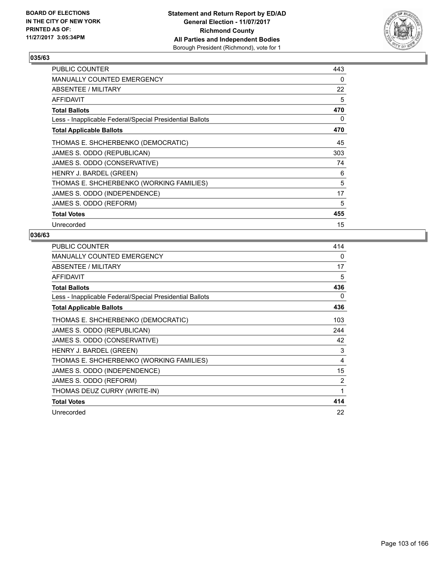

| PUBLIC COUNTER                                           | 443 |
|----------------------------------------------------------|-----|
| <b>MANUALLY COUNTED EMERGENCY</b>                        | 0   |
| ABSENTEE / MILITARY                                      | 22  |
| <b>AFFIDAVIT</b>                                         | 5   |
| <b>Total Ballots</b>                                     | 470 |
| Less - Inapplicable Federal/Special Presidential Ballots | 0   |
| <b>Total Applicable Ballots</b>                          | 470 |
| THOMAS E. SHCHERBENKO (DEMOCRATIC)                       | 45  |
| JAMES S. ODDO (REPUBLICAN)                               | 303 |
| JAMES S. ODDO (CONSERVATIVE)                             | 74  |
| HENRY J. BARDEL (GREEN)                                  | 6   |
| THOMAS E. SHCHERBENKO (WORKING FAMILIES)                 | 5   |
| JAMES S. ODDO (INDEPENDENCE)                             | 17  |
| JAMES S. ODDO (REFORM)                                   | 5   |
| <b>Total Votes</b>                                       | 455 |
| Unrecorded                                               | 15  |

| <b>PUBLIC COUNTER</b>                                    | 414 |
|----------------------------------------------------------|-----|
| <b>MANUALLY COUNTED EMERGENCY</b>                        | 0   |
| <b>ABSENTEE / MILITARY</b>                               | 17  |
| <b>AFFIDAVIT</b>                                         | 5   |
| <b>Total Ballots</b>                                     | 436 |
| Less - Inapplicable Federal/Special Presidential Ballots | 0   |
| <b>Total Applicable Ballots</b>                          | 436 |
| THOMAS E. SHCHERBENKO (DEMOCRATIC)                       | 103 |
| JAMES S. ODDO (REPUBLICAN)                               | 244 |
| JAMES S. ODDO (CONSERVATIVE)                             | 42  |
| HENRY J. BARDEL (GREEN)                                  | 3   |
| THOMAS E. SHCHERBENKO (WORKING FAMILIES)                 | 4   |
| JAMES S. ODDO (INDEPENDENCE)                             | 15  |
| JAMES S. ODDO (REFORM)                                   | 2   |
| THOMAS DEUZ CURRY (WRITE-IN)                             | 1   |
| <b>Total Votes</b>                                       | 414 |
| Unrecorded                                               | 22  |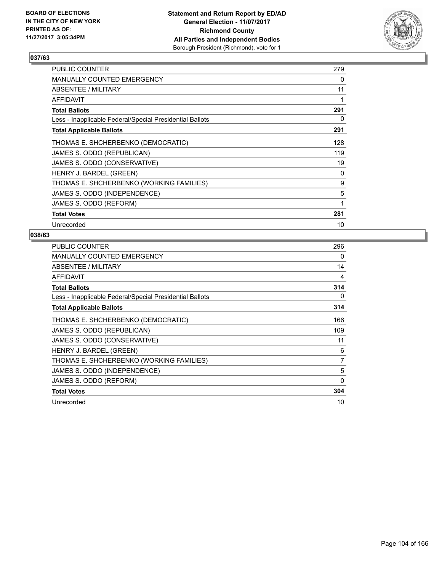

| <b>PUBLIC COUNTER</b>                                    | 279 |
|----------------------------------------------------------|-----|
| <b>MANUALLY COUNTED EMERGENCY</b>                        | 0   |
| ABSENTEE / MILITARY                                      | 11  |
| <b>AFFIDAVIT</b>                                         |     |
| <b>Total Ballots</b>                                     | 291 |
| Less - Inapplicable Federal/Special Presidential Ballots | 0   |
| <b>Total Applicable Ballots</b>                          | 291 |
| THOMAS E. SHCHERBENKO (DEMOCRATIC)                       | 128 |
| JAMES S. ODDO (REPUBLICAN)                               | 119 |
| JAMES S. ODDO (CONSERVATIVE)                             | 19  |
| HENRY J. BARDEL (GREEN)                                  | 0   |
| THOMAS E. SHCHERBENKO (WORKING FAMILIES)                 | 9   |
| JAMES S. ODDO (INDEPENDENCE)                             | 5   |
| JAMES S. ODDO (REFORM)                                   | 1   |
| <b>Total Votes</b>                                       | 281 |
| Unrecorded                                               | 10  |

| <b>PUBLIC COUNTER</b>                                    | 296 |
|----------------------------------------------------------|-----|
| <b>MANUALLY COUNTED EMERGENCY</b>                        | 0   |
| ABSENTEE / MILITARY                                      | 14  |
| <b>AFFIDAVIT</b>                                         | 4   |
| <b>Total Ballots</b>                                     | 314 |
| Less - Inapplicable Federal/Special Presidential Ballots | 0   |
| <b>Total Applicable Ballots</b>                          | 314 |
| THOMAS E. SHCHERBENKO (DEMOCRATIC)                       | 166 |
| JAMES S. ODDO (REPUBLICAN)                               | 109 |
| JAMES S. ODDO (CONSERVATIVE)                             | 11  |
| HENRY J. BARDEL (GREEN)                                  | 6   |
| THOMAS E. SHCHERBENKO (WORKING FAMILIES)                 | 7   |
| JAMES S. ODDO (INDEPENDENCE)                             | 5   |
| JAMES S. ODDO (REFORM)                                   | 0   |
| <b>Total Votes</b>                                       | 304 |
| Unrecorded                                               | 10  |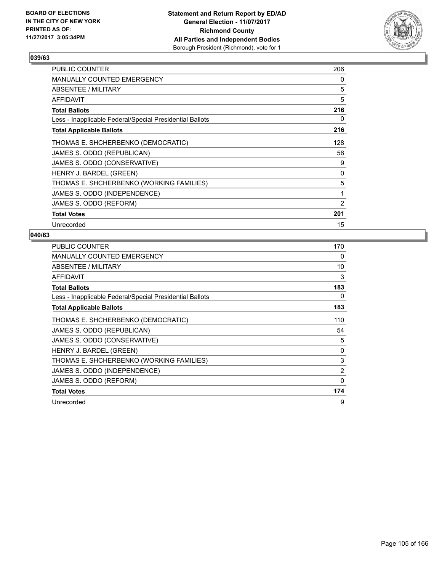

| PUBLIC COUNTER                                           | 206 |
|----------------------------------------------------------|-----|
| <b>MANUALLY COUNTED EMERGENCY</b>                        | 0   |
| ABSENTEE / MILITARY                                      | 5   |
| <b>AFFIDAVIT</b>                                         | 5   |
| <b>Total Ballots</b>                                     | 216 |
| Less - Inapplicable Federal/Special Presidential Ballots | 0   |
| <b>Total Applicable Ballots</b>                          | 216 |
| THOMAS E. SHCHERBENKO (DEMOCRATIC)                       | 128 |
| JAMES S. ODDO (REPUBLICAN)                               | 56  |
| JAMES S. ODDO (CONSERVATIVE)                             | 9   |
| HENRY J. BARDEL (GREEN)                                  | 0   |
| THOMAS E. SHCHERBENKO (WORKING FAMILIES)                 | 5   |
| JAMES S. ODDO (INDEPENDENCE)                             | 1   |
| JAMES S. ODDO (REFORM)                                   | 2   |
| <b>Total Votes</b>                                       | 201 |
| Unrecorded                                               | 15  |

| <b>PUBLIC COUNTER</b>                                    | 170 |
|----------------------------------------------------------|-----|
| <b>MANUALLY COUNTED EMERGENCY</b>                        | 0   |
| ABSENTEE / MILITARY                                      | 10  |
| <b>AFFIDAVIT</b>                                         | 3   |
| <b>Total Ballots</b>                                     | 183 |
| Less - Inapplicable Federal/Special Presidential Ballots | 0   |
| <b>Total Applicable Ballots</b>                          | 183 |
| THOMAS E. SHCHERBENKO (DEMOCRATIC)                       | 110 |
| JAMES S. ODDO (REPUBLICAN)                               | 54  |
| JAMES S. ODDO (CONSERVATIVE)                             | 5   |
| HENRY J. BARDEL (GREEN)                                  | 0   |
| THOMAS E. SHCHERBENKO (WORKING FAMILIES)                 | 3   |
| JAMES S. ODDO (INDEPENDENCE)                             | 2   |
| JAMES S. ODDO (REFORM)                                   | 0   |
| <b>Total Votes</b>                                       | 174 |
| Unrecorded                                               | 9   |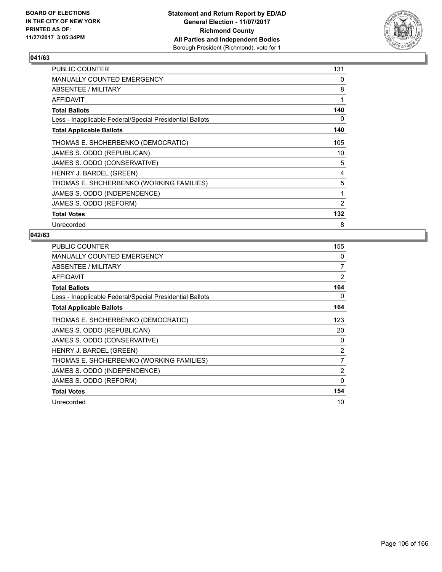

| PUBLIC COUNTER                                           | 131 |
|----------------------------------------------------------|-----|
| <b>MANUALLY COUNTED EMERGENCY</b>                        | 0   |
| ABSENTEE / MILITARY                                      | 8   |
| AFFIDAVIT                                                | 1   |
| <b>Total Ballots</b>                                     | 140 |
| Less - Inapplicable Federal/Special Presidential Ballots | 0   |
| <b>Total Applicable Ballots</b>                          | 140 |
| THOMAS E. SHCHERBENKO (DEMOCRATIC)                       | 105 |
| JAMES S. ODDO (REPUBLICAN)                               | 10  |
| JAMES S. ODDO (CONSERVATIVE)                             | 5   |
| HENRY J. BARDEL (GREEN)                                  | 4   |
| THOMAS E. SHCHERBENKO (WORKING FAMILIES)                 | 5   |
| JAMES S. ODDO (INDEPENDENCE)                             | 1   |
| JAMES S. ODDO (REFORM)                                   | 2   |
| <b>Total Votes</b>                                       | 132 |
| Unrecorded                                               | 8   |

| <b>PUBLIC COUNTER</b>                                    | 155            |
|----------------------------------------------------------|----------------|
| <b>MANUALLY COUNTED EMERGENCY</b>                        | 0              |
| ABSENTEE / MILITARY                                      | 7              |
| <b>AFFIDAVIT</b>                                         | 2              |
| <b>Total Ballots</b>                                     | 164            |
| Less - Inapplicable Federal/Special Presidential Ballots | 0              |
| <b>Total Applicable Ballots</b>                          | 164            |
| THOMAS E. SHCHERBENKO (DEMOCRATIC)                       | 123            |
| JAMES S. ODDO (REPUBLICAN)                               | 20             |
| JAMES S. ODDO (CONSERVATIVE)                             | 0              |
| HENRY J. BARDEL (GREEN)                                  | 2              |
| THOMAS E. SHCHERBENKO (WORKING FAMILIES)                 | $\overline{7}$ |
| JAMES S. ODDO (INDEPENDENCE)                             | 2              |
| JAMES S. ODDO (REFORM)                                   | 0              |
| <b>Total Votes</b>                                       | 154            |
| Unrecorded                                               | 10             |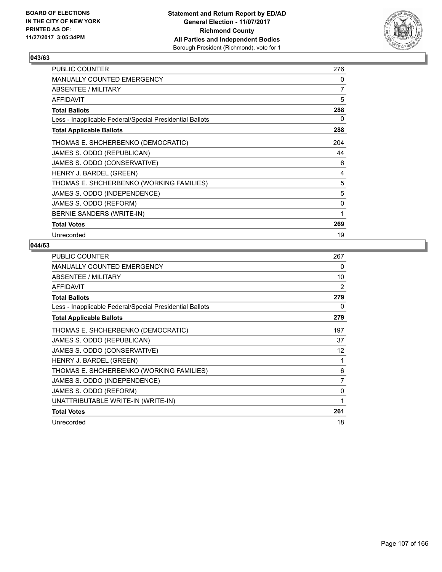

| <b>PUBLIC COUNTER</b>                                    | 276 |
|----------------------------------------------------------|-----|
| MANUALLY COUNTED EMERGENCY                               | 0   |
| ABSENTEE / MILITARY                                      | 7   |
| AFFIDAVIT                                                | 5   |
| <b>Total Ballots</b>                                     | 288 |
| Less - Inapplicable Federal/Special Presidential Ballots | 0   |
| <b>Total Applicable Ballots</b>                          | 288 |
| THOMAS E. SHCHERBENKO (DEMOCRATIC)                       | 204 |
| JAMES S. ODDO (REPUBLICAN)                               | 44  |
| JAMES S. ODDO (CONSERVATIVE)                             | 6   |
| HENRY J. BARDEL (GREEN)                                  | 4   |
| THOMAS E. SHCHERBENKO (WORKING FAMILIES)                 | 5   |
| JAMES S. ODDO (INDEPENDENCE)                             | 5   |
| JAMES S. ODDO (REFORM)                                   | 0   |
| BERNIE SANDERS (WRITE-IN)                                | 1   |
| <b>Total Votes</b>                                       | 269 |
| Unrecorded                                               | 19  |

| PUBLIC COUNTER                                           | 267 |
|----------------------------------------------------------|-----|
| <b>MANUALLY COUNTED EMERGENCY</b>                        | 0   |
| ABSENTEE / MILITARY                                      | 10  |
| <b>AFFIDAVIT</b>                                         | 2   |
| <b>Total Ballots</b>                                     | 279 |
| Less - Inapplicable Federal/Special Presidential Ballots | 0   |
| <b>Total Applicable Ballots</b>                          | 279 |
| THOMAS E. SHCHERBENKO (DEMOCRATIC)                       | 197 |
| JAMES S. ODDO (REPUBLICAN)                               | 37  |
| JAMES S. ODDO (CONSERVATIVE)                             | 12  |
| HENRY J. BARDEL (GREEN)                                  | 1   |
| THOMAS E. SHCHERBENKO (WORKING FAMILIES)                 | 6   |
| JAMES S. ODDO (INDEPENDENCE)                             | 7   |
| JAMES S. ODDO (REFORM)                                   | 0   |
| UNATTRIBUTABLE WRITE-IN (WRITE-IN)                       | 1   |
| <b>Total Votes</b>                                       | 261 |
| Unrecorded                                               | 18  |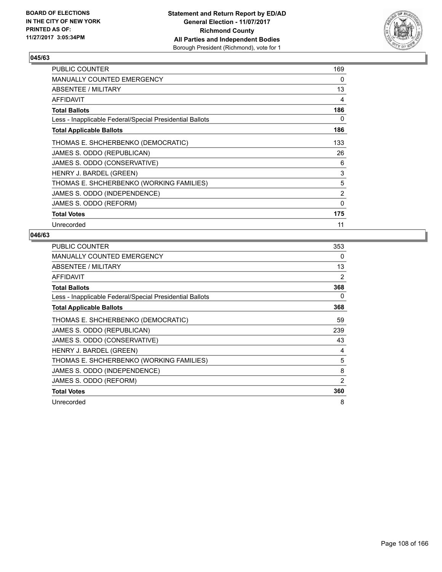

| PUBLIC COUNTER                                           | 169 |
|----------------------------------------------------------|-----|
| <b>MANUALLY COUNTED EMERGENCY</b>                        | 0   |
| ABSENTEE / MILITARY                                      | 13  |
| <b>AFFIDAVIT</b>                                         | 4   |
| <b>Total Ballots</b>                                     | 186 |
| Less - Inapplicable Federal/Special Presidential Ballots | 0   |
| <b>Total Applicable Ballots</b>                          | 186 |
| THOMAS E. SHCHERBENKO (DEMOCRATIC)                       | 133 |
| JAMES S. ODDO (REPUBLICAN)                               | 26  |
| JAMES S. ODDO (CONSERVATIVE)                             | 6   |
| HENRY J. BARDEL (GREEN)                                  | 3   |
| THOMAS E. SHCHERBENKO (WORKING FAMILIES)                 | 5   |
| JAMES S. ODDO (INDEPENDENCE)                             | 2   |
| JAMES S. ODDO (REFORM)                                   | 0   |
| <b>Total Votes</b>                                       | 175 |
| Unrecorded                                               | 11  |

| <b>PUBLIC COUNTER</b>                                    | 353 |
|----------------------------------------------------------|-----|
| <b>MANUALLY COUNTED EMERGENCY</b>                        | 0   |
| ABSENTEE / MILITARY                                      | 13  |
| <b>AFFIDAVIT</b>                                         | 2   |
| <b>Total Ballots</b>                                     | 368 |
| Less - Inapplicable Federal/Special Presidential Ballots | 0   |
| <b>Total Applicable Ballots</b>                          | 368 |
| THOMAS E. SHCHERBENKO (DEMOCRATIC)                       | 59  |
| JAMES S. ODDO (REPUBLICAN)                               | 239 |
| JAMES S. ODDO (CONSERVATIVE)                             | 43  |
| HENRY J. BARDEL (GREEN)                                  | 4   |
| THOMAS E. SHCHERBENKO (WORKING FAMILIES)                 | 5   |
| JAMES S. ODDO (INDEPENDENCE)                             | 8   |
| JAMES S. ODDO (REFORM)                                   | 2   |
| <b>Total Votes</b>                                       | 360 |
| Unrecorded                                               | 8   |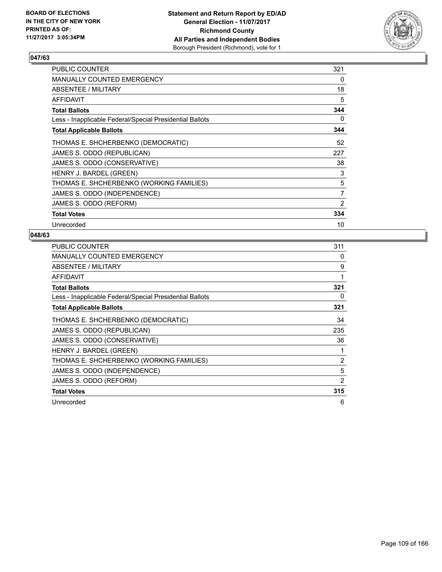

| <b>PUBLIC COUNTER</b>                                    | 321            |
|----------------------------------------------------------|----------------|
| <b>MANUALLY COUNTED EMERGENCY</b>                        | 0              |
| ABSENTEE / MILITARY                                      | 18             |
| AFFIDAVIT                                                | 5              |
| <b>Total Ballots</b>                                     | 344            |
| Less - Inapplicable Federal/Special Presidential Ballots | 0              |
| <b>Total Applicable Ballots</b>                          | 344            |
| THOMAS E. SHCHERBENKO (DEMOCRATIC)                       | 52             |
| JAMES S. ODDO (REPUBLICAN)                               | 227            |
| JAMES S. ODDO (CONSERVATIVE)                             | 38             |
| HENRY J. BARDEL (GREEN)                                  | 3              |
| THOMAS E. SHCHERBENKO (WORKING FAMILIES)                 | 5              |
| JAMES S. ODDO (INDEPENDENCE)                             | $\overline{7}$ |
| JAMES S. ODDO (REFORM)                                   | 2              |
| <b>Total Votes</b>                                       | 334            |
| Unrecorded                                               | 10             |

| <b>PUBLIC COUNTER</b>                                    | 311 |
|----------------------------------------------------------|-----|
| <b>MANUALLY COUNTED EMERGENCY</b>                        | 0   |
| ABSENTEE / MILITARY                                      | 9   |
| <b>AFFIDAVIT</b>                                         | 1   |
| <b>Total Ballots</b>                                     | 321 |
| Less - Inapplicable Federal/Special Presidential Ballots | 0   |
| <b>Total Applicable Ballots</b>                          | 321 |
| THOMAS E. SHCHERBENKO (DEMOCRATIC)                       | 34  |
| JAMES S. ODDO (REPUBLICAN)                               | 235 |
| JAMES S. ODDO (CONSERVATIVE)                             | 36  |
| HENRY J. BARDEL (GREEN)                                  | 1   |
| THOMAS E. SHCHERBENKO (WORKING FAMILIES)                 | 2   |
| JAMES S. ODDO (INDEPENDENCE)                             | 5   |
| JAMES S. ODDO (REFORM)                                   | 2   |
| <b>Total Votes</b>                                       | 315 |
| Unrecorded                                               | 6   |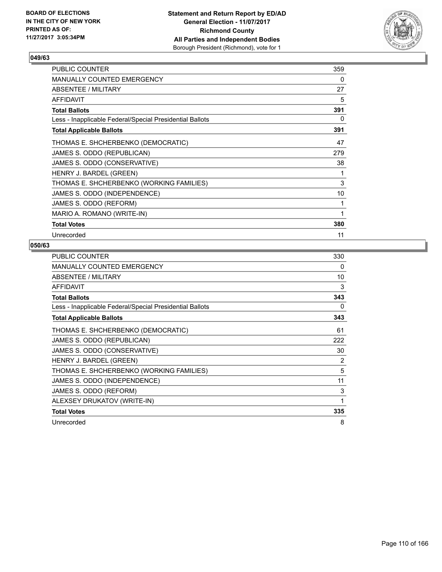

| <b>PUBLIC COUNTER</b>                                    | 359 |
|----------------------------------------------------------|-----|
| MANUALLY COUNTED EMERGENCY                               | 0   |
| ABSENTEE / MILITARY                                      | 27  |
| AFFIDAVIT                                                | 5   |
| <b>Total Ballots</b>                                     | 391 |
| Less - Inapplicable Federal/Special Presidential Ballots | 0   |
| <b>Total Applicable Ballots</b>                          | 391 |
| THOMAS E. SHCHERBENKO (DEMOCRATIC)                       | 47  |
| JAMES S. ODDO (REPUBLICAN)                               | 279 |
| JAMES S. ODDO (CONSERVATIVE)                             | 38  |
| HENRY J. BARDEL (GREEN)                                  | 1   |
| THOMAS E. SHCHERBENKO (WORKING FAMILIES)                 | 3   |
| JAMES S. ODDO (INDEPENDENCE)                             | 10  |
| JAMES S. ODDO (REFORM)                                   | 1   |
| MARIO A. ROMANO (WRITE-IN)                               | 1   |
| <b>Total Votes</b>                                       | 380 |
| Unrecorded                                               | 11  |

| <b>PUBLIC COUNTER</b>                                    | 330 |
|----------------------------------------------------------|-----|
| <b>MANUALLY COUNTED EMERGENCY</b>                        | 0   |
| ABSENTEE / MILITARY                                      | 10  |
| <b>AFFIDAVIT</b>                                         | 3   |
| <b>Total Ballots</b>                                     | 343 |
| Less - Inapplicable Federal/Special Presidential Ballots | 0   |
| <b>Total Applicable Ballots</b>                          | 343 |
| THOMAS E. SHCHERBENKO (DEMOCRATIC)                       | 61  |
| JAMES S. ODDO (REPUBLICAN)                               | 222 |
| JAMES S. ODDO (CONSERVATIVE)                             | 30  |
| HENRY J. BARDEL (GREEN)                                  | 2   |
| THOMAS E. SHCHERBENKO (WORKING FAMILIES)                 | 5   |
| JAMES S. ODDO (INDEPENDENCE)                             | 11  |
| JAMES S. ODDO (REFORM)                                   | 3   |
| ALEXSEY DRUKATOV (WRITE-IN)                              | 1   |
| <b>Total Votes</b>                                       | 335 |
| Unrecorded                                               | 8   |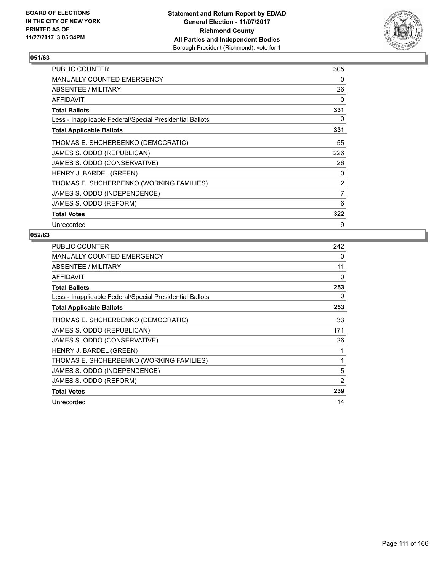

| <b>PUBLIC COUNTER</b>                                    | 305 |
|----------------------------------------------------------|-----|
| <b>MANUALLY COUNTED EMERGENCY</b>                        | 0   |
| ABSENTEE / MILITARY                                      | 26  |
| AFFIDAVIT                                                | 0   |
| <b>Total Ballots</b>                                     | 331 |
| Less - Inapplicable Federal/Special Presidential Ballots | 0   |
| <b>Total Applicable Ballots</b>                          | 331 |
| THOMAS E. SHCHERBENKO (DEMOCRATIC)                       | 55  |
| JAMES S. ODDO (REPUBLICAN)                               | 226 |
| JAMES S. ODDO (CONSERVATIVE)                             | 26  |
| HENRY J. BARDEL (GREEN)                                  | 0   |
| THOMAS E. SHCHERBENKO (WORKING FAMILIES)                 | 2   |
| JAMES S. ODDO (INDEPENDENCE)                             | 7   |
| JAMES S. ODDO (REFORM)                                   | 6   |
| <b>Total Votes</b>                                       | 322 |
| Unrecorded                                               | 9   |

| <b>PUBLIC COUNTER</b>                                    | 242 |
|----------------------------------------------------------|-----|
| MANUALLY COUNTED EMERGENCY                               | 0   |
| ABSENTEE / MILITARY                                      | 11  |
| AFFIDAVIT                                                | 0   |
| <b>Total Ballots</b>                                     | 253 |
| Less - Inapplicable Federal/Special Presidential Ballots | 0   |
| <b>Total Applicable Ballots</b>                          | 253 |
| THOMAS E. SHCHERBENKO (DEMOCRATIC)                       | 33  |
| JAMES S. ODDO (REPUBLICAN)                               | 171 |
| JAMES S. ODDO (CONSERVATIVE)                             | 26  |
| HENRY J. BARDEL (GREEN)                                  |     |
| THOMAS E. SHCHERBENKO (WORKING FAMILIES)                 | 1   |
| JAMES S. ODDO (INDEPENDENCE)                             | 5   |
| JAMES S. ODDO (REFORM)                                   | 2   |
| <b>Total Votes</b>                                       | 239 |
| Unrecorded                                               | 14  |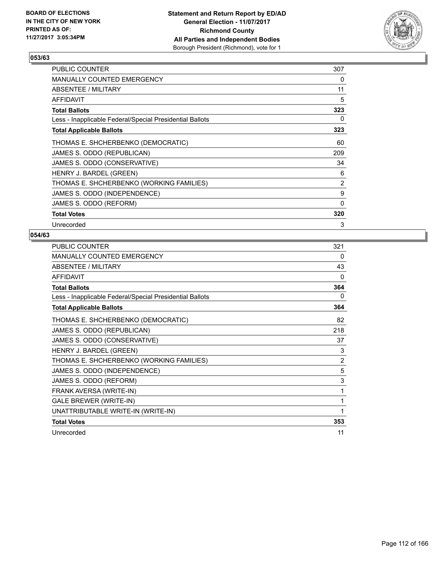

| <b>PUBLIC COUNTER</b>                                    | 307 |
|----------------------------------------------------------|-----|
| <b>MANUALLY COUNTED EMERGENCY</b>                        | 0   |
| ABSENTEE / MILITARY                                      | 11  |
| AFFIDAVIT                                                | 5   |
| Total Ballots                                            | 323 |
| Less - Inapplicable Federal/Special Presidential Ballots | 0   |
| <b>Total Applicable Ballots</b>                          | 323 |
| THOMAS E. SHCHERBENKO (DEMOCRATIC)                       | 60  |
| JAMES S. ODDO (REPUBLICAN)                               | 209 |
| JAMES S. ODDO (CONSERVATIVE)                             | 34  |
| HENRY J. BARDEL (GREEN)                                  | 6   |
| THOMAS E. SHCHERBENKO (WORKING FAMILIES)                 | 2   |
| JAMES S. ODDO (INDEPENDENCE)                             | 9   |
| JAMES S. ODDO (REFORM)                                   | 0   |
| <b>Total Votes</b>                                       | 320 |
| Unrecorded                                               | 3   |

| <b>PUBLIC COUNTER</b>                                    | 321            |
|----------------------------------------------------------|----------------|
| <b>MANUALLY COUNTED EMERGENCY</b>                        | $\Omega$       |
| <b>ABSENTEE / MILITARY</b>                               | 43             |
| <b>AFFIDAVIT</b>                                         | $\Omega$       |
| <b>Total Ballots</b>                                     | 364            |
| Less - Inapplicable Federal/Special Presidential Ballots | 0              |
| <b>Total Applicable Ballots</b>                          | 364            |
| THOMAS E. SHCHERBENKO (DEMOCRATIC)                       | 82             |
| JAMES S. ODDO (REPUBLICAN)                               | 218            |
| JAMES S. ODDO (CONSERVATIVE)                             | 37             |
| HENRY J. BARDEL (GREEN)                                  | 3              |
| THOMAS E. SHCHERBENKO (WORKING FAMILIES)                 | $\overline{2}$ |
| JAMES S. ODDO (INDEPENDENCE)                             | 5              |
| JAMES S. ODDO (REFORM)                                   | 3              |
| FRANK AVERSA (WRITE-IN)                                  | 1              |
| <b>GALE BREWER (WRITE-IN)</b>                            | 1              |
| UNATTRIBUTABLE WRITE-IN (WRITE-IN)                       | 1              |
| <b>Total Votes</b>                                       | 353            |
| Unrecorded                                               | 11             |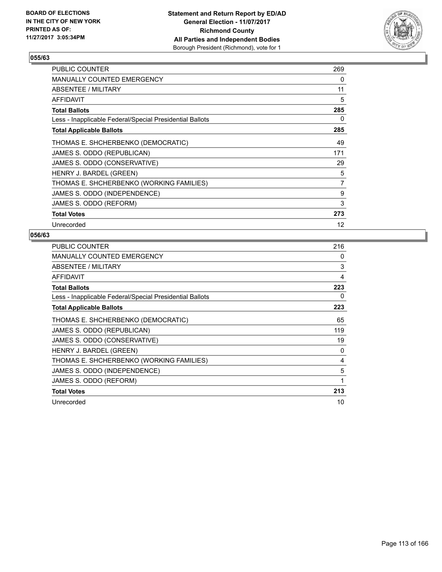

| <b>PUBLIC COUNTER</b>                                    | 269 |
|----------------------------------------------------------|-----|
| <b>MANUALLY COUNTED EMERGENCY</b>                        | 0   |
| ABSENTEE / MILITARY                                      | 11  |
| AFFIDAVIT                                                | 5   |
| <b>Total Ballots</b>                                     | 285 |
| Less - Inapplicable Federal/Special Presidential Ballots | 0   |
| <b>Total Applicable Ballots</b>                          | 285 |
| THOMAS E. SHCHERBENKO (DEMOCRATIC)                       | 49  |
| JAMES S. ODDO (REPUBLICAN)                               | 171 |
| JAMES S. ODDO (CONSERVATIVE)                             | 29  |
| HENRY J. BARDEL (GREEN)                                  | 5   |
| THOMAS E. SHCHERBENKO (WORKING FAMILIES)                 | 7   |
| JAMES S. ODDO (INDEPENDENCE)                             | 9   |
| JAMES S. ODDO (REFORM)                                   | 3   |
| <b>Total Votes</b>                                       | 273 |
| Unrecorded                                               | 12  |

| <b>PUBLIC COUNTER</b>                                    | 216 |
|----------------------------------------------------------|-----|
| <b>MANUALLY COUNTED EMERGENCY</b>                        | 0   |
| ABSENTEE / MILITARY                                      | 3   |
| <b>AFFIDAVIT</b>                                         | 4   |
| <b>Total Ballots</b>                                     | 223 |
| Less - Inapplicable Federal/Special Presidential Ballots | 0   |
| <b>Total Applicable Ballots</b>                          | 223 |
| THOMAS E. SHCHERBENKO (DEMOCRATIC)                       | 65  |
| JAMES S. ODDO (REPUBLICAN)                               | 119 |
| JAMES S. ODDO (CONSERVATIVE)                             | 19  |
| HENRY J. BARDEL (GREEN)                                  | 0   |
| THOMAS E. SHCHERBENKO (WORKING FAMILIES)                 | 4   |
| JAMES S. ODDO (INDEPENDENCE)                             | 5   |
| JAMES S. ODDO (REFORM)                                   | 1   |
| <b>Total Votes</b>                                       | 213 |
| Unrecorded                                               | 10  |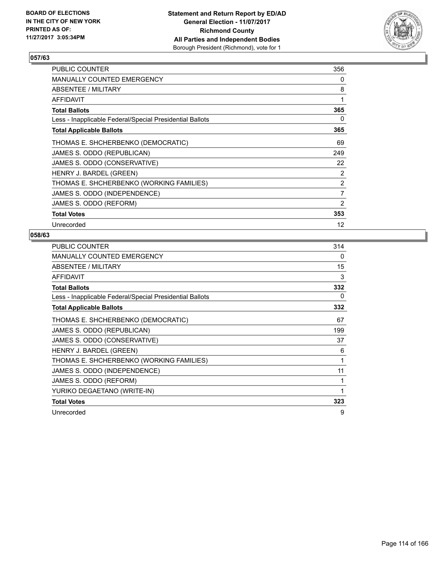

| <b>PUBLIC COUNTER</b>                                    | 356            |
|----------------------------------------------------------|----------------|
| <b>MANUALLY COUNTED EMERGENCY</b>                        | 0              |
| ABSENTEE / MILITARY                                      | 8              |
| <b>AFFIDAVIT</b>                                         | 1              |
| <b>Total Ballots</b>                                     | 365            |
| Less - Inapplicable Federal/Special Presidential Ballots | 0              |
| <b>Total Applicable Ballots</b>                          | 365            |
| THOMAS E. SHCHERBENKO (DEMOCRATIC)                       | 69             |
| JAMES S. ODDO (REPUBLICAN)                               | 249            |
| JAMES S. ODDO (CONSERVATIVE)                             | 22             |
| HENRY J. BARDEL (GREEN)                                  | 2              |
| THOMAS E. SHCHERBENKO (WORKING FAMILIES)                 | $\overline{2}$ |
| JAMES S. ODDO (INDEPENDENCE)                             | 7              |
| JAMES S. ODDO (REFORM)                                   | 2              |
| <b>Total Votes</b>                                       | 353            |
| Unrecorded                                               | 12             |

| <b>PUBLIC COUNTER</b>                                    | 314 |
|----------------------------------------------------------|-----|
| <b>MANUALLY COUNTED EMERGENCY</b>                        | 0   |
| ABSENTEE / MILITARY                                      | 15  |
| <b>AFFIDAVIT</b>                                         | 3   |
| <b>Total Ballots</b>                                     | 332 |
| Less - Inapplicable Federal/Special Presidential Ballots | 0   |
| <b>Total Applicable Ballots</b>                          | 332 |
| THOMAS E. SHCHERBENKO (DEMOCRATIC)                       | 67  |
| JAMES S. ODDO (REPUBLICAN)                               | 199 |
| JAMES S. ODDO (CONSERVATIVE)                             | 37  |
| HENRY J. BARDEL (GREEN)                                  | 6   |
| THOMAS E. SHCHERBENKO (WORKING FAMILIES)                 | 1   |
| JAMES S. ODDO (INDEPENDENCE)                             | 11  |
| JAMES S. ODDO (REFORM)                                   |     |
| YURIKO DEGAETANO (WRITE-IN)                              | 1   |
| <b>Total Votes</b>                                       | 323 |
| Unrecorded                                               | 9   |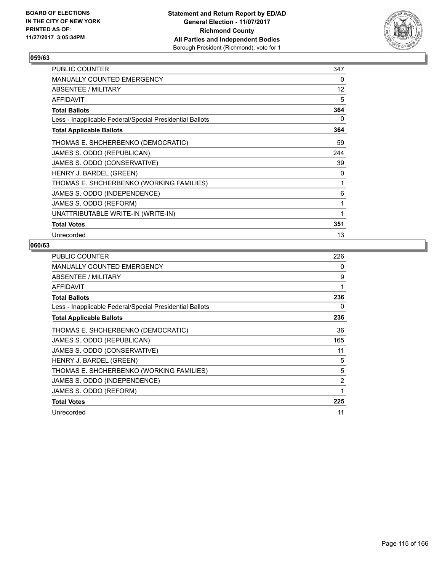

| <b>PUBLIC COUNTER</b>                                    | 347               |
|----------------------------------------------------------|-------------------|
| MANUALLY COUNTED EMERGENCY                               | 0                 |
| ABSENTEE / MILITARY                                      | $12 \overline{ }$ |
| <b>AFFIDAVIT</b>                                         | 5                 |
| <b>Total Ballots</b>                                     | 364               |
| Less - Inapplicable Federal/Special Presidential Ballots | 0                 |
| <b>Total Applicable Ballots</b>                          | 364               |
| THOMAS E. SHCHERBENKO (DEMOCRATIC)                       | 59                |
| JAMES S. ODDO (REPUBLICAN)                               | 244               |
| JAMES S. ODDO (CONSERVATIVE)                             | 39                |
| HENRY J. BARDEL (GREEN)                                  | 0                 |
| THOMAS E. SHCHERBENKO (WORKING FAMILIES)                 | 1                 |
| JAMES S. ODDO (INDEPENDENCE)                             | 6                 |
| JAMES S. ODDO (REFORM)                                   | 1                 |
| UNATTRIBUTABLE WRITE-IN (WRITE-IN)                       | 1                 |
| <b>Total Votes</b>                                       | 351               |
| Unrecorded                                               | 13                |

| <b>PUBLIC COUNTER</b>                                    | 226 |
|----------------------------------------------------------|-----|
| <b>MANUALLY COUNTED EMERGENCY</b>                        | 0   |
| ABSENTEE / MILITARY                                      | 9   |
| AFFIDAVIT                                                | 1   |
| <b>Total Ballots</b>                                     | 236 |
| Less - Inapplicable Federal/Special Presidential Ballots | 0   |
| <b>Total Applicable Ballots</b>                          | 236 |
| THOMAS E. SHCHERBENKO (DEMOCRATIC)                       | 36  |
| JAMES S. ODDO (REPUBLICAN)                               | 165 |
| JAMES S. ODDO (CONSERVATIVE)                             | 11  |
| HENRY J. BARDEL (GREEN)                                  | 5   |
| THOMAS E. SHCHERBENKO (WORKING FAMILIES)                 | 5   |
| JAMES S. ODDO (INDEPENDENCE)                             | 2   |
| JAMES S. ODDO (REFORM)                                   | 1   |
| <b>Total Votes</b>                                       | 225 |
| Unrecorded                                               | 11  |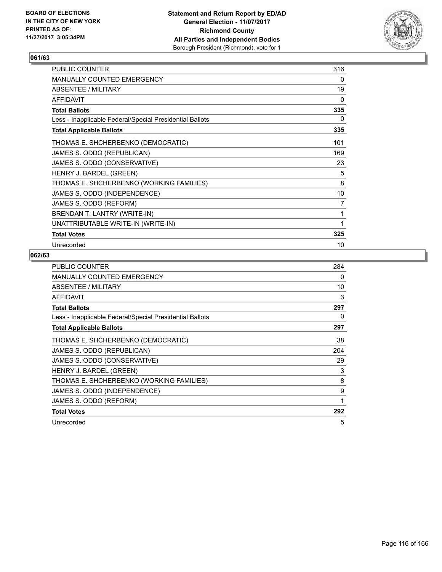

| PUBLIC COUNTER                                           | 316 |
|----------------------------------------------------------|-----|
| <b>MANUALLY COUNTED EMERGENCY</b>                        | 0   |
| ABSENTEE / MILITARY                                      | 19  |
| <b>AFFIDAVIT</b>                                         | 0   |
| <b>Total Ballots</b>                                     | 335 |
| Less - Inapplicable Federal/Special Presidential Ballots | 0   |
| <b>Total Applicable Ballots</b>                          | 335 |
| THOMAS E. SHCHERBENKO (DEMOCRATIC)                       | 101 |
| JAMES S. ODDO (REPUBLICAN)                               | 169 |
| JAMES S. ODDO (CONSERVATIVE)                             | 23  |
| HENRY J. BARDEL (GREEN)                                  | 5   |
| THOMAS E. SHCHERBENKO (WORKING FAMILIES)                 | 8   |
| JAMES S. ODDO (INDEPENDENCE)                             | 10  |
| JAMES S. ODDO (REFORM)                                   | 7   |
| BRENDAN T. LANTRY (WRITE-IN)                             | 1   |
| UNATTRIBUTABLE WRITE-IN (WRITE-IN)                       | 1   |
| <b>Total Votes</b>                                       | 325 |
| Unrecorded                                               | 10  |

| <b>PUBLIC COUNTER</b>                                    | 284          |
|----------------------------------------------------------|--------------|
| <b>MANUALLY COUNTED EMERGENCY</b>                        | 0            |
| ABSENTEE / MILITARY                                      | 10           |
| AFFIDAVIT                                                | 3            |
| <b>Total Ballots</b>                                     | 297          |
| Less - Inapplicable Federal/Special Presidential Ballots | 0            |
| <b>Total Applicable Ballots</b>                          | 297          |
| THOMAS E. SHCHERBENKO (DEMOCRATIC)                       | 38           |
| JAMES S. ODDO (REPUBLICAN)                               | 204          |
| JAMES S. ODDO (CONSERVATIVE)                             | 29           |
| HENRY J. BARDEL (GREEN)                                  | 3            |
| THOMAS E. SHCHERBENKO (WORKING FAMILIES)                 | 8            |
| JAMES S. ODDO (INDEPENDENCE)                             | 9            |
| JAMES S. ODDO (REFORM)                                   | $\mathbf{1}$ |
| <b>Total Votes</b>                                       | 292          |
| Unrecorded                                               | 5            |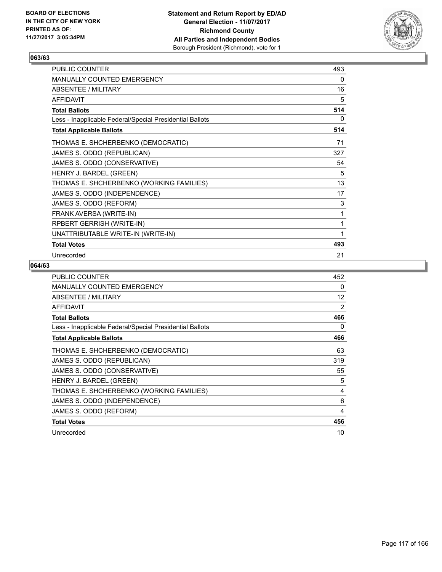

| PUBLIC COUNTER                                           | 493 |
|----------------------------------------------------------|-----|
| MANUALLY COUNTED EMERGENCY                               | 0   |
| ABSENTEE / MILITARY                                      | 16  |
| <b>AFFIDAVIT</b>                                         | 5   |
| <b>Total Ballots</b>                                     | 514 |
| Less - Inapplicable Federal/Special Presidential Ballots | 0   |
| <b>Total Applicable Ballots</b>                          | 514 |
| THOMAS E. SHCHERBENKO (DEMOCRATIC)                       | 71  |
| JAMES S. ODDO (REPUBLICAN)                               | 327 |
| JAMES S. ODDO (CONSERVATIVE)                             | 54  |
| HENRY J. BARDEL (GREEN)                                  | 5   |
| THOMAS E. SHCHERBENKO (WORKING FAMILIES)                 | 13  |
| JAMES S. ODDO (INDEPENDENCE)                             | 17  |
| JAMES S. ODDO (REFORM)                                   | 3   |
| FRANK AVERSA (WRITE-IN)                                  | 1   |
| RPBERT GERRISH (WRITE-IN)                                | 1   |
| UNATTRIBUTABLE WRITE-IN (WRITE-IN)                       | 1   |
| <b>Total Votes</b>                                       | 493 |
| Unrecorded                                               | 21  |

| <b>PUBLIC COUNTER</b>                                    | 452            |
|----------------------------------------------------------|----------------|
| MANUALLY COUNTED EMERGENCY                               | 0              |
| ABSENTEE / MILITARY                                      | 12             |
| <b>AFFIDAVIT</b>                                         | $\overline{2}$ |
| <b>Total Ballots</b>                                     | 466            |
| Less - Inapplicable Federal/Special Presidential Ballots | 0              |
| <b>Total Applicable Ballots</b>                          | 466            |
| THOMAS E. SHCHERBENKO (DEMOCRATIC)                       | 63             |
| JAMES S. ODDO (REPUBLICAN)                               | 319            |
| JAMES S. ODDO (CONSERVATIVE)                             | 55             |
| HENRY J. BARDEL (GREEN)                                  | 5              |
| THOMAS E. SHCHERBENKO (WORKING FAMILIES)                 | 4              |
| JAMES S. ODDO (INDEPENDENCE)                             | 6              |
| JAMES S. ODDO (REFORM)                                   | 4              |
| <b>Total Votes</b>                                       | 456            |
| Unrecorded                                               | 10             |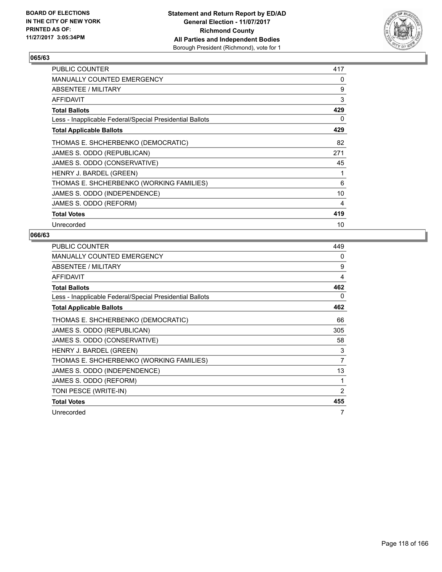

| <b>PUBLIC COUNTER</b>                                    | 417 |
|----------------------------------------------------------|-----|
| <b>MANUALLY COUNTED EMERGENCY</b>                        | 0   |
| <b>ABSENTEE / MILITARY</b>                               | 9   |
| <b>AFFIDAVIT</b>                                         | 3   |
| <b>Total Ballots</b>                                     | 429 |
| Less - Inapplicable Federal/Special Presidential Ballots | 0   |
| <b>Total Applicable Ballots</b>                          | 429 |
| THOMAS E. SHCHERBENKO (DEMOCRATIC)                       | 82  |
| JAMES S. ODDO (REPUBLICAN)                               | 271 |
| JAMES S. ODDO (CONSERVATIVE)                             | 45  |
| HENRY J. BARDEL (GREEN)                                  | 1   |
| THOMAS E. SHCHERBENKO (WORKING FAMILIES)                 | 6   |
| JAMES S. ODDO (INDEPENDENCE)                             | 10  |
| JAMES S. ODDO (REFORM)                                   | 4   |
| <b>Total Votes</b>                                       | 419 |
| Unrecorded                                               | 10  |

| <b>PUBLIC COUNTER</b>                                    | 449 |
|----------------------------------------------------------|-----|
| <b>MANUALLY COUNTED EMERGENCY</b>                        | 0   |
| ABSENTEE / MILITARY                                      | 9   |
| AFFIDAVIT                                                | 4   |
| <b>Total Ballots</b>                                     | 462 |
| Less - Inapplicable Federal/Special Presidential Ballots | 0   |
| <b>Total Applicable Ballots</b>                          | 462 |
| THOMAS E. SHCHERBENKO (DEMOCRATIC)                       | 66  |
| JAMES S. ODDO (REPUBLICAN)                               | 305 |
| JAMES S. ODDO (CONSERVATIVE)                             | 58  |
| HENRY J. BARDEL (GREEN)                                  | 3   |
| THOMAS E. SHCHERBENKO (WORKING FAMILIES)                 | 7   |
| JAMES S. ODDO (INDEPENDENCE)                             | 13  |
| JAMES S. ODDO (REFORM)                                   | 1   |
| TONI PESCE (WRITE-IN)                                    | 2   |
| <b>Total Votes</b>                                       | 455 |
| Unrecorded                                               | 7   |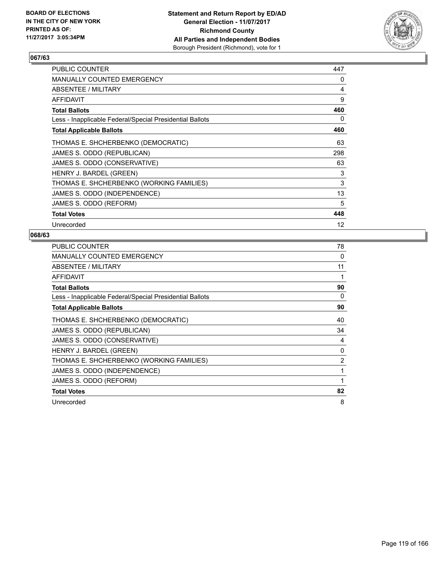

| <b>PUBLIC COUNTER</b>                                    | 447 |
|----------------------------------------------------------|-----|
| <b>MANUALLY COUNTED EMERGENCY</b>                        | 0   |
| ABSENTEE / MILITARY                                      | 4   |
| AFFIDAVIT                                                | 9   |
| <b>Total Ballots</b>                                     | 460 |
| Less - Inapplicable Federal/Special Presidential Ballots | 0   |
| <b>Total Applicable Ballots</b>                          | 460 |
| THOMAS E. SHCHERBENKO (DEMOCRATIC)                       | 63  |
| JAMES S. ODDO (REPUBLICAN)                               | 298 |
| JAMES S. ODDO (CONSERVATIVE)                             | 63  |
| HENRY J. BARDEL (GREEN)                                  | 3   |
| THOMAS E. SHCHERBENKO (WORKING FAMILIES)                 | 3   |
| JAMES S. ODDO (INDEPENDENCE)                             | 13  |
| JAMES S. ODDO (REFORM)                                   | 5   |
| <b>Total Votes</b>                                       | 448 |
| Unrecorded                                               | 12  |

| <b>PUBLIC COUNTER</b>                                    | 78             |
|----------------------------------------------------------|----------------|
| <b>MANUALLY COUNTED EMERGENCY</b>                        | 0              |
| ABSENTEE / MILITARY                                      | 11             |
| AFFIDAVIT                                                |                |
| <b>Total Ballots</b>                                     | 90             |
| Less - Inapplicable Federal/Special Presidential Ballots | 0              |
| <b>Total Applicable Ballots</b>                          | 90             |
| THOMAS E. SHCHERBENKO (DEMOCRATIC)                       | 40             |
| JAMES S. ODDO (REPUBLICAN)                               | 34             |
| JAMES S. ODDO (CONSERVATIVE)                             | 4              |
| HENRY J. BARDEL (GREEN)                                  | 0              |
| THOMAS E. SHCHERBENKO (WORKING FAMILIES)                 | $\overline{c}$ |
| JAMES S. ODDO (INDEPENDENCE)                             | 1              |
| JAMES S. ODDO (REFORM)                                   | 1              |
| <b>Total Votes</b>                                       | 82             |
| Unrecorded                                               | 8              |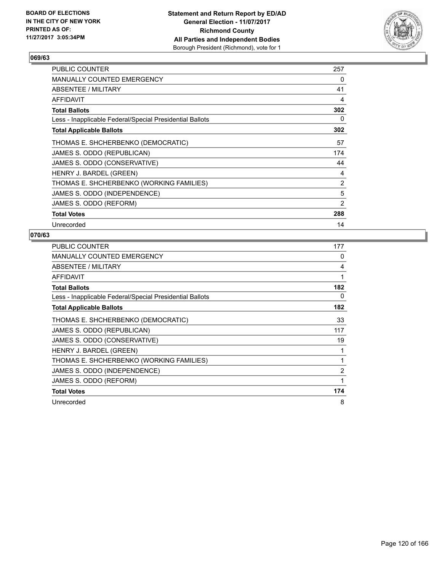

| <b>PUBLIC COUNTER</b>                                    | 257 |
|----------------------------------------------------------|-----|
| <b>MANUALLY COUNTED EMERGENCY</b>                        | 0   |
| ABSENTEE / MILITARY                                      | 41  |
| AFFIDAVIT                                                | 4   |
| <b>Total Ballots</b>                                     | 302 |
| Less - Inapplicable Federal/Special Presidential Ballots | 0   |
| <b>Total Applicable Ballots</b>                          | 302 |
| THOMAS E. SHCHERBENKO (DEMOCRATIC)                       | 57  |
| JAMES S. ODDO (REPUBLICAN)                               | 174 |
| JAMES S. ODDO (CONSERVATIVE)                             | 44  |
| HENRY J. BARDEL (GREEN)                                  | 4   |
| THOMAS E. SHCHERBENKO (WORKING FAMILIES)                 | 2   |
| JAMES S. ODDO (INDEPENDENCE)                             | 5   |
| JAMES S. ODDO (REFORM)                                   | 2   |
| <b>Total Votes</b>                                       | 288 |
| Unrecorded                                               | 14  |

| <b>PUBLIC COUNTER</b>                                    | 177 |
|----------------------------------------------------------|-----|
| <b>MANUALLY COUNTED EMERGENCY</b>                        | 0   |
| ABSENTEE / MILITARY                                      | 4   |
| <b>AFFIDAVIT</b>                                         | 1   |
| <b>Total Ballots</b>                                     | 182 |
| Less - Inapplicable Federal/Special Presidential Ballots | 0   |
| <b>Total Applicable Ballots</b>                          | 182 |
| THOMAS E. SHCHERBENKO (DEMOCRATIC)                       | 33  |
| JAMES S. ODDO (REPUBLICAN)                               | 117 |
| JAMES S. ODDO (CONSERVATIVE)                             | 19  |
| HENRY J. BARDEL (GREEN)                                  | 1   |
| THOMAS E. SHCHERBENKO (WORKING FAMILIES)                 | 1   |
| JAMES S. ODDO (INDEPENDENCE)                             | 2   |
| JAMES S. ODDO (REFORM)                                   | 1   |
| <b>Total Votes</b>                                       | 174 |
| Unrecorded                                               | 8   |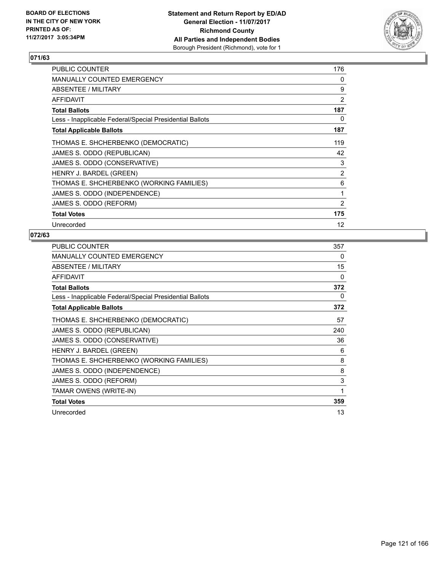

| <b>PUBLIC COUNTER</b>                                    | 176 |
|----------------------------------------------------------|-----|
| <b>MANUALLY COUNTED EMERGENCY</b>                        | 0   |
| ABSENTEE / MILITARY                                      | 9   |
| AFFIDAVIT                                                | 2   |
| <b>Total Ballots</b>                                     | 187 |
| Less - Inapplicable Federal/Special Presidential Ballots | 0   |
| <b>Total Applicable Ballots</b>                          | 187 |
| THOMAS E. SHCHERBENKO (DEMOCRATIC)                       | 119 |
| JAMES S. ODDO (REPUBLICAN)                               | 42  |
| JAMES S. ODDO (CONSERVATIVE)                             | 3   |
| HENRY J. BARDEL (GREEN)                                  | 2   |
| THOMAS E. SHCHERBENKO (WORKING FAMILIES)                 | 6   |
| JAMES S. ODDO (INDEPENDENCE)                             | 1   |
| JAMES S. ODDO (REFORM)                                   | 2   |
| <b>Total Votes</b>                                       | 175 |
| Unrecorded                                               | 12  |

| <b>PUBLIC COUNTER</b>                                    | 357 |
|----------------------------------------------------------|-----|
| <b>MANUALLY COUNTED EMERGENCY</b>                        | 0   |
| ABSENTEE / MILITARY                                      | 15  |
| <b>AFFIDAVIT</b>                                         | 0   |
| <b>Total Ballots</b>                                     | 372 |
| Less - Inapplicable Federal/Special Presidential Ballots | 0   |
| <b>Total Applicable Ballots</b>                          | 372 |
| THOMAS E. SHCHERBENKO (DEMOCRATIC)                       | 57  |
| JAMES S. ODDO (REPUBLICAN)                               | 240 |
| JAMES S. ODDO (CONSERVATIVE)                             | 36  |
| HENRY J. BARDEL (GREEN)                                  | 6   |
| THOMAS E. SHCHERBENKO (WORKING FAMILIES)                 | 8   |
| JAMES S. ODDO (INDEPENDENCE)                             | 8   |
| JAMES S. ODDO (REFORM)                                   | 3   |
| TAMAR OWENS (WRITE-IN)                                   | 1   |
| <b>Total Votes</b>                                       | 359 |
| Unrecorded                                               | 13  |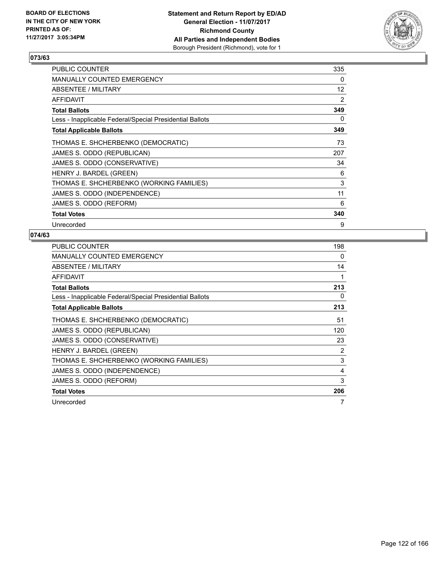

| <b>PUBLIC COUNTER</b>                                    | 335               |
|----------------------------------------------------------|-------------------|
| <b>MANUALLY COUNTED EMERGENCY</b>                        | 0                 |
| ABSENTEE / MILITARY                                      | $12 \overline{ }$ |
| AFFIDAVIT                                                | 2                 |
| <b>Total Ballots</b>                                     | 349               |
| Less - Inapplicable Federal/Special Presidential Ballots | 0                 |
| <b>Total Applicable Ballots</b>                          | 349               |
| THOMAS E. SHCHERBENKO (DEMOCRATIC)                       | 73                |
| JAMES S. ODDO (REPUBLICAN)                               | 207               |
| JAMES S. ODDO (CONSERVATIVE)                             | 34                |
| HENRY J. BARDEL (GREEN)                                  | 6                 |
| THOMAS E. SHCHERBENKO (WORKING FAMILIES)                 | 3                 |
| JAMES S. ODDO (INDEPENDENCE)                             | 11                |
| JAMES S. ODDO (REFORM)                                   | 6                 |
| <b>Total Votes</b>                                       | 340               |
| Unrecorded                                               | 9                 |

| <b>PUBLIC COUNTER</b>                                    | 198 |
|----------------------------------------------------------|-----|
| <b>MANUALLY COUNTED EMERGENCY</b>                        | 0   |
| ABSENTEE / MILITARY                                      | 14  |
| AFFIDAVIT                                                | 1   |
| <b>Total Ballots</b>                                     | 213 |
| Less - Inapplicable Federal/Special Presidential Ballots | 0   |
| <b>Total Applicable Ballots</b>                          | 213 |
| THOMAS E. SHCHERBENKO (DEMOCRATIC)                       | 51  |
| JAMES S. ODDO (REPUBLICAN)                               | 120 |
| JAMES S. ODDO (CONSERVATIVE)                             | 23  |
| HENRY J. BARDEL (GREEN)                                  | 2   |
| THOMAS E. SHCHERBENKO (WORKING FAMILIES)                 | 3   |
| JAMES S. ODDO (INDEPENDENCE)                             | 4   |
| JAMES S. ODDO (REFORM)                                   | 3   |
| <b>Total Votes</b>                                       | 206 |
| Unrecorded                                               | 7   |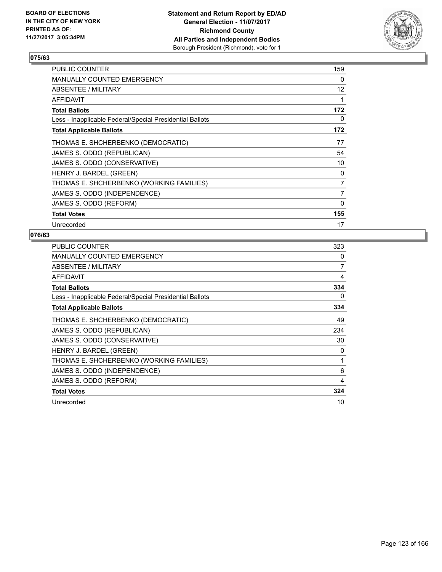

| <b>PUBLIC COUNTER</b>                                    | 159 |
|----------------------------------------------------------|-----|
| <b>MANUALLY COUNTED EMERGENCY</b>                        | 0   |
| ABSENTEE / MILITARY                                      | 12  |
| AFFIDAVIT                                                | 1   |
| <b>Total Ballots</b>                                     | 172 |
| Less - Inapplicable Federal/Special Presidential Ballots | 0   |
| <b>Total Applicable Ballots</b>                          | 172 |
| THOMAS E. SHCHERBENKO (DEMOCRATIC)                       | 77  |
| JAMES S. ODDO (REPUBLICAN)                               | 54  |
| JAMES S. ODDO (CONSERVATIVE)                             | 10  |
| HENRY J. BARDEL (GREEN)                                  | 0   |
| THOMAS E. SHCHERBENKO (WORKING FAMILIES)                 | 7   |
| JAMES S. ODDO (INDEPENDENCE)                             | 7   |
| JAMES S. ODDO (REFORM)                                   | 0   |
| <b>Total Votes</b>                                       | 155 |
| Unrecorded                                               | 17  |

| <b>PUBLIC COUNTER</b>                                    | 323 |
|----------------------------------------------------------|-----|
| <b>MANUALLY COUNTED EMERGENCY</b>                        | 0   |
| ABSENTEE / MILITARY                                      | 7   |
| <b>AFFIDAVIT</b>                                         | 4   |
| <b>Total Ballots</b>                                     | 334 |
| Less - Inapplicable Federal/Special Presidential Ballots | 0   |
| <b>Total Applicable Ballots</b>                          | 334 |
| THOMAS E. SHCHERBENKO (DEMOCRATIC)                       | 49  |
| JAMES S. ODDO (REPUBLICAN)                               | 234 |
| JAMES S. ODDO (CONSERVATIVE)                             | 30  |
| HENRY J. BARDEL (GREEN)                                  | 0   |
| THOMAS E. SHCHERBENKO (WORKING FAMILIES)                 | 1   |
| JAMES S. ODDO (INDEPENDENCE)                             | 6   |
| JAMES S. ODDO (REFORM)                                   | 4   |
| <b>Total Votes</b>                                       | 324 |
| Unrecorded                                               | 10  |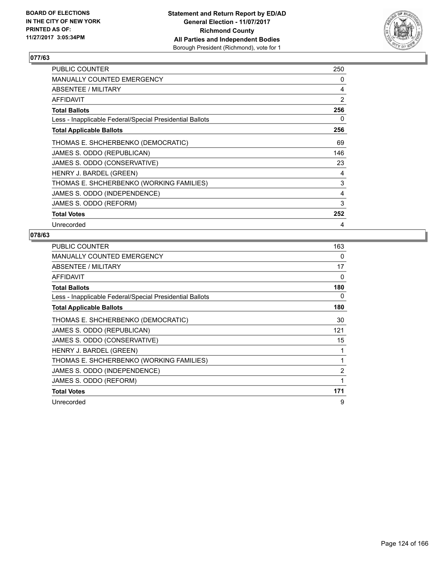

| <b>PUBLIC COUNTER</b>                                    | 250 |
|----------------------------------------------------------|-----|
| <b>MANUALLY COUNTED EMERGENCY</b>                        | 0   |
| <b>ABSENTEE / MILITARY</b>                               | 4   |
| AFFIDAVIT                                                | 2   |
| <b>Total Ballots</b>                                     | 256 |
| Less - Inapplicable Federal/Special Presidential Ballots | 0   |
| <b>Total Applicable Ballots</b>                          | 256 |
| THOMAS E. SHCHERBENKO (DEMOCRATIC)                       | 69  |
| JAMES S. ODDO (REPUBLICAN)                               | 146 |
| JAMES S. ODDO (CONSERVATIVE)                             | 23  |
| HENRY J. BARDEL (GREEN)                                  | 4   |
| THOMAS E. SHCHERBENKO (WORKING FAMILIES)                 | 3   |
| JAMES S. ODDO (INDEPENDENCE)                             | 4   |
| JAMES S. ODDO (REFORM)                                   | 3   |
| <b>Total Votes</b>                                       | 252 |
| Unrecorded                                               | 4   |

| <b>PUBLIC COUNTER</b>                                    | 163            |
|----------------------------------------------------------|----------------|
| MANUALLY COUNTED EMERGENCY                               | 0              |
| ABSENTEE / MILITARY                                      | 17             |
| AFFIDAVIT                                                | 0              |
| <b>Total Ballots</b>                                     | 180            |
| Less - Inapplicable Federal/Special Presidential Ballots | 0              |
| <b>Total Applicable Ballots</b>                          | 180            |
| THOMAS E. SHCHERBENKO (DEMOCRATIC)                       | 30             |
| JAMES S. ODDO (REPUBLICAN)                               | 121            |
| JAMES S. ODDO (CONSERVATIVE)                             | 15             |
| HENRY J. BARDEL (GREEN)                                  | 1              |
| THOMAS E. SHCHERBENKO (WORKING FAMILIES)                 | 1              |
| JAMES S. ODDO (INDEPENDENCE)                             | $\overline{2}$ |
| JAMES S. ODDO (REFORM)                                   | 1              |
| <b>Total Votes</b>                                       | 171            |
| Unrecorded                                               | 9              |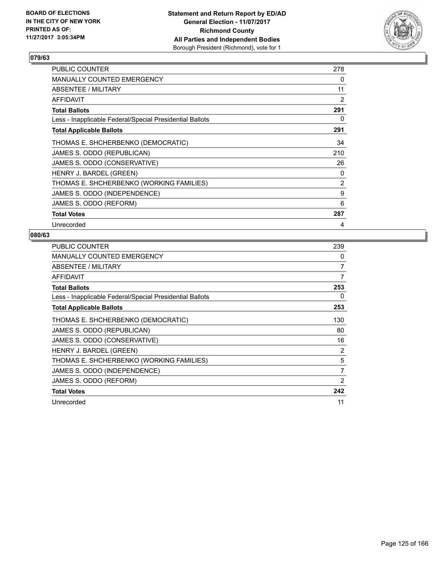

| <b>PUBLIC COUNTER</b>                                    | 278 |
|----------------------------------------------------------|-----|
| <b>MANUALLY COUNTED EMERGENCY</b>                        | 0   |
| ABSENTEE / MILITARY                                      | 11  |
| AFFIDAVIT                                                | 2   |
| <b>Total Ballots</b>                                     | 291 |
| Less - Inapplicable Federal/Special Presidential Ballots | 0   |
| <b>Total Applicable Ballots</b>                          | 291 |
| THOMAS E. SHCHERBENKO (DEMOCRATIC)                       | 34  |
| JAMES S. ODDO (REPUBLICAN)                               | 210 |
| JAMES S. ODDO (CONSERVATIVE)                             | 26  |
| HENRY J. BARDEL (GREEN)                                  | 0   |
| THOMAS E. SHCHERBENKO (WORKING FAMILIES)                 | 2   |
| JAMES S. ODDO (INDEPENDENCE)                             | 9   |
| JAMES S. ODDO (REFORM)                                   | 6   |
| <b>Total Votes</b>                                       | 287 |
| Unrecorded                                               | 4   |

| <b>PUBLIC COUNTER</b>                                    | 239            |
|----------------------------------------------------------|----------------|
| <b>MANUALLY COUNTED EMERGENCY</b>                        | 0              |
| ABSENTEE / MILITARY                                      | 7              |
| <b>AFFIDAVIT</b>                                         | 7              |
| <b>Total Ballots</b>                                     | 253            |
| Less - Inapplicable Federal/Special Presidential Ballots | 0              |
| <b>Total Applicable Ballots</b>                          | 253            |
| THOMAS E. SHCHERBENKO (DEMOCRATIC)                       | 130            |
| JAMES S. ODDO (REPUBLICAN)                               | 80             |
| JAMES S. ODDO (CONSERVATIVE)                             | 16             |
| HENRY J. BARDEL (GREEN)                                  | 2              |
| THOMAS E. SHCHERBENKO (WORKING FAMILIES)                 | 5              |
| JAMES S. ODDO (INDEPENDENCE)                             | $\overline{7}$ |
| JAMES S. ODDO (REFORM)                                   | 2              |
| <b>Total Votes</b>                                       | 242            |
| Unrecorded                                               | 11             |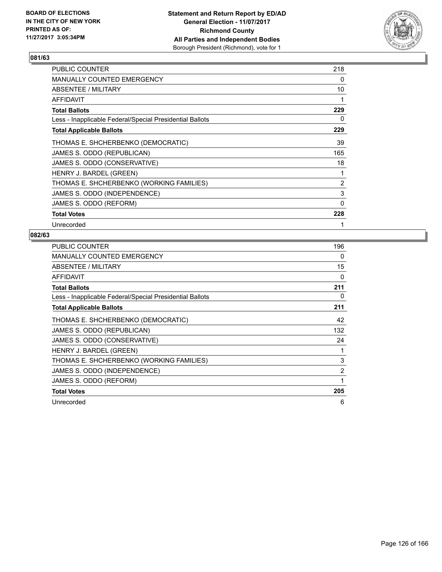

| <b>PUBLIC COUNTER</b>                                    | 218 |
|----------------------------------------------------------|-----|
| <b>MANUALLY COUNTED EMERGENCY</b>                        | 0   |
| <b>ABSENTEE / MILITARY</b>                               | 10  |
| <b>AFFIDAVIT</b>                                         |     |
| <b>Total Ballots</b>                                     | 229 |
| Less - Inapplicable Federal/Special Presidential Ballots | 0   |
| <b>Total Applicable Ballots</b>                          | 229 |
| THOMAS E. SHCHERBENKO (DEMOCRATIC)                       | 39  |
| JAMES S. ODDO (REPUBLICAN)                               | 165 |
| JAMES S. ODDO (CONSERVATIVE)                             | 18  |
| HENRY J. BARDEL (GREEN)                                  | 1   |
| THOMAS E. SHCHERBENKO (WORKING FAMILIES)                 | 2   |
| JAMES S. ODDO (INDEPENDENCE)                             | 3   |
| JAMES S. ODDO (REFORM)                                   | 0   |
| <b>Total Votes</b>                                       | 228 |
| Unrecorded                                               | 1   |

| <b>PUBLIC COUNTER</b>                                    | 196 |
|----------------------------------------------------------|-----|
| <b>MANUALLY COUNTED EMERGENCY</b>                        | 0   |
| ABSENTEE / MILITARY                                      | 15  |
| <b>AFFIDAVIT</b>                                         | 0   |
| <b>Total Ballots</b>                                     | 211 |
| Less - Inapplicable Federal/Special Presidential Ballots | 0   |
| <b>Total Applicable Ballots</b>                          | 211 |
| THOMAS E. SHCHERBENKO (DEMOCRATIC)                       | 42  |
| JAMES S. ODDO (REPUBLICAN)                               | 132 |
| JAMES S. ODDO (CONSERVATIVE)                             | 24  |
| HENRY J. BARDEL (GREEN)                                  |     |
| THOMAS E. SHCHERBENKO (WORKING FAMILIES)                 | 3   |
| JAMES S. ODDO (INDEPENDENCE)                             | 2   |
| JAMES S. ODDO (REFORM)                                   | 1   |
| <b>Total Votes</b>                                       | 205 |
| Unrecorded                                               | 6   |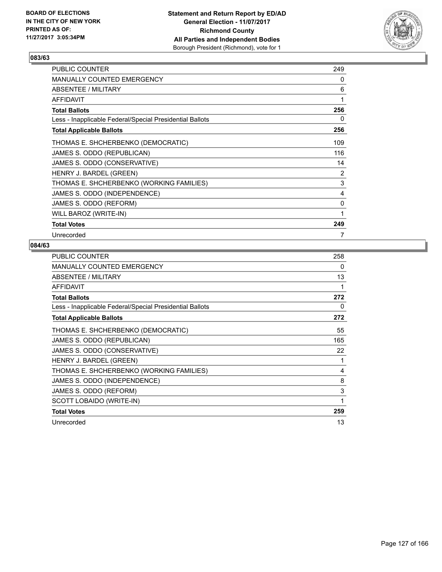

| <b>PUBLIC COUNTER</b>                                    | 249 |
|----------------------------------------------------------|-----|
| <b>MANUALLY COUNTED EMERGENCY</b>                        | 0   |
| ABSENTEE / MILITARY                                      | 6   |
| AFFIDAVIT                                                | 1   |
| <b>Total Ballots</b>                                     | 256 |
| Less - Inapplicable Federal/Special Presidential Ballots | 0   |
| <b>Total Applicable Ballots</b>                          | 256 |
| THOMAS E. SHCHERBENKO (DEMOCRATIC)                       | 109 |
| JAMES S. ODDO (REPUBLICAN)                               | 116 |
| JAMES S. ODDO (CONSERVATIVE)                             | 14  |
| HENRY J. BARDEL (GREEN)                                  | 2   |
| THOMAS E. SHCHERBENKO (WORKING FAMILIES)                 | 3   |
| JAMES S. ODDO (INDEPENDENCE)                             | 4   |
| JAMES S. ODDO (REFORM)                                   | 0   |
| WILL BAROZ (WRITE-IN)                                    | 1   |
| <b>Total Votes</b>                                       | 249 |
| Unrecorded                                               | 7   |

| <b>PUBLIC COUNTER</b>                                    | 258 |
|----------------------------------------------------------|-----|
| MANUALLY COUNTED EMERGENCY                               | 0   |
| ABSENTEE / MILITARY                                      | 13  |
| AFFIDAVIT                                                | 1   |
| <b>Total Ballots</b>                                     | 272 |
| Less - Inapplicable Federal/Special Presidential Ballots | 0   |
| <b>Total Applicable Ballots</b>                          | 272 |
| THOMAS E. SHCHERBENKO (DEMOCRATIC)                       | 55  |
| JAMES S. ODDO (REPUBLICAN)                               | 165 |
| JAMES S. ODDO (CONSERVATIVE)                             | 22  |
| HENRY J. BARDEL (GREEN)                                  | 1   |
| THOMAS E. SHCHERBENKO (WORKING FAMILIES)                 | 4   |
| JAMES S. ODDO (INDEPENDENCE)                             | 8   |
| JAMES S. ODDO (REFORM)                                   | 3   |
| SCOTT LOBAIDO (WRITE-IN)                                 | 1   |
| <b>Total Votes</b>                                       | 259 |
| Unrecorded                                               | 13  |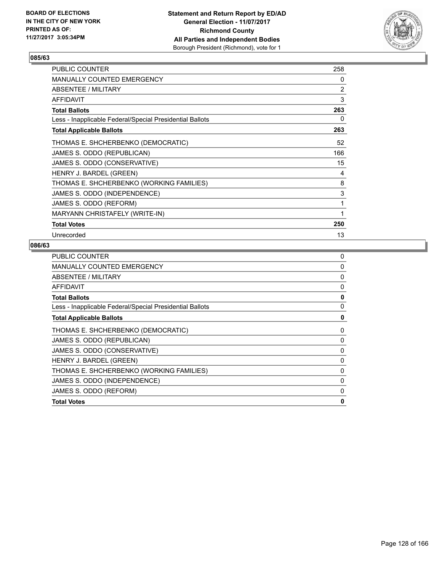

| PUBLIC COUNTER                                           | 258 |
|----------------------------------------------------------|-----|
| MANUALLY COUNTED EMERGENCY                               | 0   |
| ABSENTEE / MILITARY                                      | 2   |
| <b>AFFIDAVIT</b>                                         | 3   |
| <b>Total Ballots</b>                                     | 263 |
| Less - Inapplicable Federal/Special Presidential Ballots | 0   |
| <b>Total Applicable Ballots</b>                          | 263 |
| THOMAS E. SHCHERBENKO (DEMOCRATIC)                       | 52  |
| JAMES S. ODDO (REPUBLICAN)                               | 166 |
| JAMES S. ODDO (CONSERVATIVE)                             | 15  |
| HENRY J. BARDEL (GREEN)                                  | 4   |
| THOMAS E. SHCHERBENKO (WORKING FAMILIES)                 | 8   |
| JAMES S. ODDO (INDEPENDENCE)                             | 3   |
| JAMES S. ODDO (REFORM)                                   | 1   |
| MARYANN CHRISTAFELY (WRITE-IN)                           | 1   |
| <b>Total Votes</b>                                       | 250 |
| Unrecorded                                               | 13  |

| <b>PUBLIC COUNTER</b>                                    | 0 |
|----------------------------------------------------------|---|
| <b>MANUALLY COUNTED EMERGENCY</b>                        | 0 |
| ABSENTEE / MILITARY                                      | 0 |
| AFFIDAVIT                                                | 0 |
| <b>Total Ballots</b>                                     | 0 |
| Less - Inapplicable Federal/Special Presidential Ballots | 0 |
| <b>Total Applicable Ballots</b>                          | 0 |
| THOMAS E. SHCHERBENKO (DEMOCRATIC)                       | 0 |
| JAMES S. ODDO (REPUBLICAN)                               | 0 |
| JAMES S. ODDO (CONSERVATIVE)                             | 0 |
| HENRY J. BARDEL (GREEN)                                  | 0 |
| THOMAS E. SHCHERBENKO (WORKING FAMILIES)                 | 0 |
| JAMES S. ODDO (INDEPENDENCE)                             | 0 |
| JAMES S. ODDO (REFORM)                                   | 0 |
| <b>Total Votes</b>                                       | 0 |
|                                                          |   |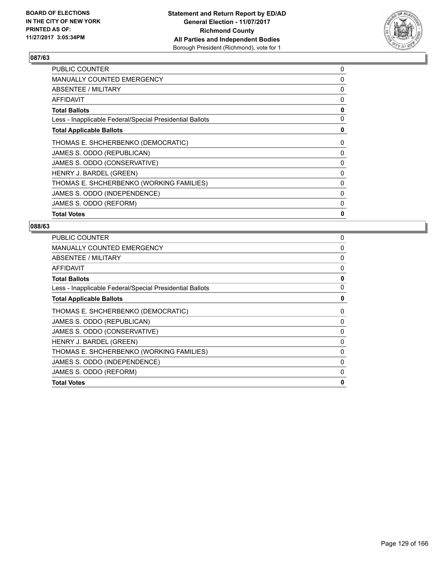

| <b>PUBLIC COUNTER</b>                                    | 0 |
|----------------------------------------------------------|---|
| <b>MANUALLY COUNTED EMERGENCY</b>                        | 0 |
| ABSENTEE / MILITARY                                      | 0 |
| AFFIDAVIT                                                | 0 |
| <b>Total Ballots</b>                                     | 0 |
| Less - Inapplicable Federal/Special Presidential Ballots | 0 |
| <b>Total Applicable Ballots</b>                          | 0 |
| THOMAS E. SHCHERBENKO (DEMOCRATIC)                       | 0 |
| JAMES S. ODDO (REPUBLICAN)                               | 0 |
| JAMES S. ODDO (CONSERVATIVE)                             | 0 |
| HENRY J. BARDEL (GREEN)                                  | 0 |
| THOMAS E. SHCHERBENKO (WORKING FAMILIES)                 | 0 |
| JAMES S. ODDO (INDEPENDENCE)                             | 0 |
| JAMES S. ODDO (REFORM)                                   | 0 |
| <b>Total Votes</b>                                       | 0 |

| <b>PUBLIC COUNTER</b>                                    | 0 |
|----------------------------------------------------------|---|
| <b>MANUALLY COUNTED EMERGENCY</b>                        | 0 |
| ABSENTEE / MILITARY                                      | 0 |
| <b>AFFIDAVIT</b>                                         | 0 |
| <b>Total Ballots</b>                                     | 0 |
| Less - Inapplicable Federal/Special Presidential Ballots | 0 |
| <b>Total Applicable Ballots</b>                          | 0 |
| THOMAS E. SHCHERBENKO (DEMOCRATIC)                       | 0 |
| JAMES S. ODDO (REPUBLICAN)                               | 0 |
| JAMES S. ODDO (CONSERVATIVE)                             | 0 |
| HENRY J. BARDEL (GREEN)                                  | 0 |
| THOMAS E. SHCHERBENKO (WORKING FAMILIES)                 | 0 |
| JAMES S. ODDO (INDEPENDENCE)                             | 0 |
| JAMES S. ODDO (REFORM)                                   | 0 |
| <b>Total Votes</b>                                       | 0 |
|                                                          |   |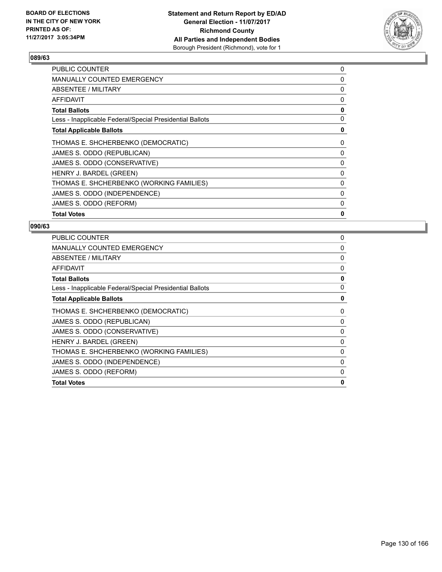

| <b>PUBLIC COUNTER</b>                                    | 0 |
|----------------------------------------------------------|---|
| <b>MANUALLY COUNTED EMERGENCY</b>                        | 0 |
| ABSENTEE / MILITARY                                      | 0 |
| AFFIDAVIT                                                | 0 |
| <b>Total Ballots</b>                                     | 0 |
| Less - Inapplicable Federal/Special Presidential Ballots | 0 |
| <b>Total Applicable Ballots</b>                          | 0 |
| THOMAS E. SHCHERBENKO (DEMOCRATIC)                       | 0 |
| JAMES S. ODDO (REPUBLICAN)                               | 0 |
| JAMES S. ODDO (CONSERVATIVE)                             | 0 |
| HENRY J. BARDEL (GREEN)                                  | 0 |
| THOMAS E. SHCHERBENKO (WORKING FAMILIES)                 | 0 |
| JAMES S. ODDO (INDEPENDENCE)                             | 0 |
| JAMES S. ODDO (REFORM)                                   | 0 |
| <b>Total Votes</b>                                       | 0 |

| <b>PUBLIC COUNTER</b>                                    | 0 |
|----------------------------------------------------------|---|
| MANUALLY COUNTED EMERGENCY                               | 0 |
| ABSENTEE / MILITARY                                      | 0 |
| <b>AFFIDAVIT</b>                                         | 0 |
| <b>Total Ballots</b>                                     | 0 |
| Less - Inapplicable Federal/Special Presidential Ballots | 0 |
| <b>Total Applicable Ballots</b>                          | 0 |
| THOMAS E. SHCHERBENKO (DEMOCRATIC)                       | 0 |
| JAMES S. ODDO (REPUBLICAN)                               | 0 |
| JAMES S. ODDO (CONSERVATIVE)                             | 0 |
| HENRY J. BARDEL (GREEN)                                  | 0 |
| THOMAS E. SHCHERBENKO (WORKING FAMILIES)                 | 0 |
| JAMES S. ODDO (INDEPENDENCE)                             | 0 |
| JAMES S. ODDO (REFORM)                                   | 0 |
| <b>Total Votes</b>                                       | 0 |
|                                                          |   |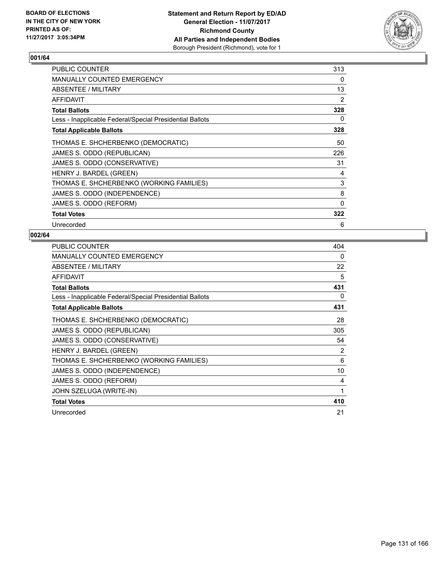

| <b>PUBLIC COUNTER</b>                                    | 313 |
|----------------------------------------------------------|-----|
| <b>MANUALLY COUNTED EMERGENCY</b>                        | 0   |
| ABSENTEE / MILITARY                                      | 13  |
| AFFIDAVIT                                                | 2   |
| <b>Total Ballots</b>                                     | 328 |
| Less - Inapplicable Federal/Special Presidential Ballots | 0   |
| <b>Total Applicable Ballots</b>                          | 328 |
| THOMAS E. SHCHERBENKO (DEMOCRATIC)                       | 50  |
| JAMES S. ODDO (REPUBLICAN)                               | 226 |
| JAMES S. ODDO (CONSERVATIVE)                             | 31  |
| HENRY J. BARDEL (GREEN)                                  | 4   |
| THOMAS E. SHCHERBENKO (WORKING FAMILIES)                 | 3   |
| JAMES S. ODDO (INDEPENDENCE)                             | 8   |
| JAMES S. ODDO (REFORM)                                   | 0   |
| <b>Total Votes</b>                                       | 322 |
| Unrecorded                                               | 6   |

| <b>PUBLIC COUNTER</b>                                    | 404 |
|----------------------------------------------------------|-----|
| <b>MANUALLY COUNTED EMERGENCY</b>                        | 0   |
| ABSENTEE / MILITARY                                      | 22  |
| <b>AFFIDAVIT</b>                                         | 5   |
| <b>Total Ballots</b>                                     | 431 |
| Less - Inapplicable Federal/Special Presidential Ballots | 0   |
| <b>Total Applicable Ballots</b>                          | 431 |
| THOMAS E. SHCHERBENKO (DEMOCRATIC)                       | 28  |
| JAMES S. ODDO (REPUBLICAN)                               | 305 |
| JAMES S. ODDO (CONSERVATIVE)                             | 54  |
| HENRY J. BARDEL (GREEN)                                  | 2   |
| THOMAS E. SHCHERBENKO (WORKING FAMILIES)                 | 6   |
| JAMES S. ODDO (INDEPENDENCE)                             | 10  |
| JAMES S. ODDO (REFORM)                                   | 4   |
| JOHN SZELUGA (WRITE-IN)                                  | 1   |
| <b>Total Votes</b>                                       | 410 |
| Unrecorded                                               | 21  |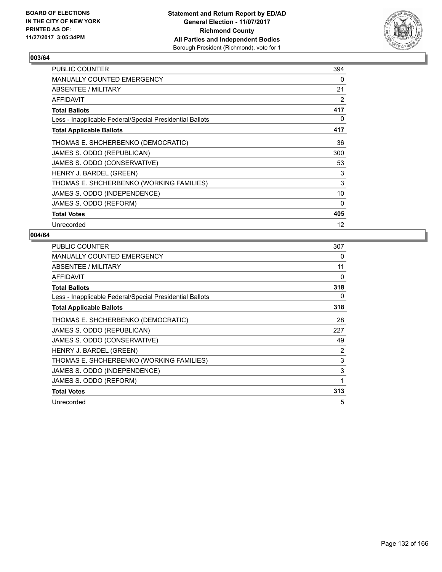

| <b>PUBLIC COUNTER</b>                                    | 394 |
|----------------------------------------------------------|-----|
| <b>MANUALLY COUNTED EMERGENCY</b>                        | 0   |
| ABSENTEE / MILITARY                                      | 21  |
| AFFIDAVIT                                                | 2   |
| <b>Total Ballots</b>                                     | 417 |
| Less - Inapplicable Federal/Special Presidential Ballots | 0   |
| <b>Total Applicable Ballots</b>                          | 417 |
| THOMAS E. SHCHERBENKO (DEMOCRATIC)                       | 36  |
| JAMES S. ODDO (REPUBLICAN)                               | 300 |
| JAMES S. ODDO (CONSERVATIVE)                             | 53  |
| HENRY J. BARDEL (GREEN)                                  | 3   |
| THOMAS E. SHCHERBENKO (WORKING FAMILIES)                 | 3   |
| JAMES S. ODDO (INDEPENDENCE)                             | 10  |
| JAMES S. ODDO (REFORM)                                   | 0   |
| <b>Total Votes</b>                                       | 405 |
| Unrecorded                                               | 12  |

| <b>PUBLIC COUNTER</b>                                    | 307 |
|----------------------------------------------------------|-----|
| MANUALLY COUNTED EMERGENCY                               | 0   |
| ABSENTEE / MILITARY                                      | 11  |
| <b>AFFIDAVIT</b>                                         | 0   |
| <b>Total Ballots</b>                                     | 318 |
| Less - Inapplicable Federal/Special Presidential Ballots | 0   |
| <b>Total Applicable Ballots</b>                          | 318 |
| THOMAS E. SHCHERBENKO (DEMOCRATIC)                       | 28  |
| JAMES S. ODDO (REPUBLICAN)                               | 227 |
| JAMES S. ODDO (CONSERVATIVE)                             | 49  |
| HENRY J. BARDEL (GREEN)                                  | 2   |
| THOMAS E. SHCHERBENKO (WORKING FAMILIES)                 | 3   |
| JAMES S. ODDO (INDEPENDENCE)                             | 3   |
| JAMES S. ODDO (REFORM)                                   | 1   |
| <b>Total Votes</b>                                       | 313 |
| Unrecorded                                               | 5   |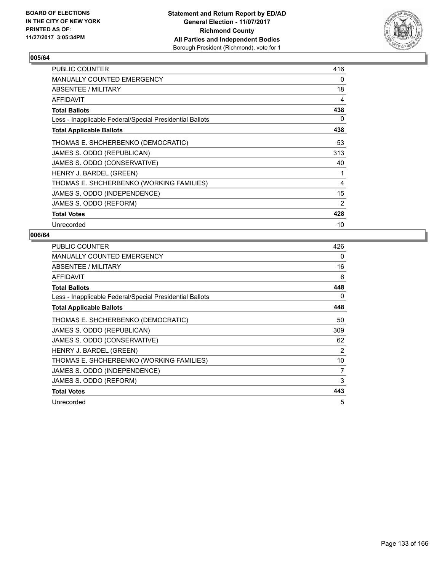

| PUBLIC COUNTER                                           | 416 |
|----------------------------------------------------------|-----|
| <b>MANUALLY COUNTED EMERGENCY</b>                        | 0   |
| <b>ABSENTEE / MILITARY</b>                               | 18  |
| <b>AFFIDAVIT</b>                                         | 4   |
| <b>Total Ballots</b>                                     | 438 |
| Less - Inapplicable Federal/Special Presidential Ballots | 0   |
| <b>Total Applicable Ballots</b>                          | 438 |
| THOMAS E. SHCHERBENKO (DEMOCRATIC)                       | 53  |
| JAMES S. ODDO (REPUBLICAN)                               | 313 |
| JAMES S. ODDO (CONSERVATIVE)                             | 40  |
| HENRY J. BARDEL (GREEN)                                  | 1   |
| THOMAS E. SHCHERBENKO (WORKING FAMILIES)                 | 4   |
| JAMES S. ODDO (INDEPENDENCE)                             | 15  |
| JAMES S. ODDO (REFORM)                                   | 2   |
| <b>Total Votes</b>                                       | 428 |
| Unrecorded                                               | 10  |

| <b>PUBLIC COUNTER</b>                                    | 426            |
|----------------------------------------------------------|----------------|
| <b>MANUALLY COUNTED EMERGENCY</b>                        | 0              |
| ABSENTEE / MILITARY                                      | 16             |
| <b>AFFIDAVIT</b>                                         | 6              |
| <b>Total Ballots</b>                                     | 448            |
| Less - Inapplicable Federal/Special Presidential Ballots | 0              |
| <b>Total Applicable Ballots</b>                          | 448            |
| THOMAS E. SHCHERBENKO (DEMOCRATIC)                       | 50             |
| JAMES S. ODDO (REPUBLICAN)                               | 309            |
| JAMES S. ODDO (CONSERVATIVE)                             | 62             |
| HENRY J. BARDEL (GREEN)                                  | $\overline{2}$ |
| THOMAS E. SHCHERBENKO (WORKING FAMILIES)                 | 10             |
| JAMES S. ODDO (INDEPENDENCE)                             | 7              |
| JAMES S. ODDO (REFORM)                                   | 3              |
| <b>Total Votes</b>                                       | 443            |
| Unrecorded                                               | 5              |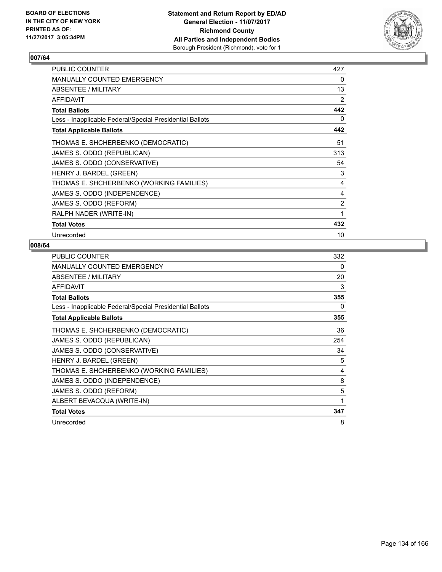

| <b>PUBLIC COUNTER</b>                                    | 427            |
|----------------------------------------------------------|----------------|
| <b>MANUALLY COUNTED EMERGENCY</b>                        | 0              |
| ABSENTEE / MILITARY                                      | 13             |
| <b>AFFIDAVIT</b>                                         | 2              |
| <b>Total Ballots</b>                                     | 442            |
| Less - Inapplicable Federal/Special Presidential Ballots | 0              |
| <b>Total Applicable Ballots</b>                          | 442            |
| THOMAS E. SHCHERBENKO (DEMOCRATIC)                       | 51             |
| JAMES S. ODDO (REPUBLICAN)                               | 313            |
| JAMES S. ODDO (CONSERVATIVE)                             | 54             |
| HENRY J. BARDEL (GREEN)                                  | 3              |
| THOMAS E. SHCHERBENKO (WORKING FAMILIES)                 | 4              |
| JAMES S. ODDO (INDEPENDENCE)                             | 4              |
| JAMES S. ODDO (REFORM)                                   | $\overline{2}$ |
| RALPH NADER (WRITE-IN)                                   | 1              |
| <b>Total Votes</b>                                       | 432            |
| Unrecorded                                               | 10             |

| <b>PUBLIC COUNTER</b>                                    | 332 |
|----------------------------------------------------------|-----|
| MANUALLY COUNTED EMERGENCY                               | 0   |
| ABSENTEE / MILITARY                                      | 20  |
| AFFIDAVIT                                                | 3   |
| <b>Total Ballots</b>                                     | 355 |
| Less - Inapplicable Federal/Special Presidential Ballots | 0   |
| <b>Total Applicable Ballots</b>                          | 355 |
| THOMAS E. SHCHERBENKO (DEMOCRATIC)                       | 36  |
| JAMES S. ODDO (REPUBLICAN)                               | 254 |
| JAMES S. ODDO (CONSERVATIVE)                             | 34  |
| HENRY J. BARDEL (GREEN)                                  | 5   |
| THOMAS E. SHCHERBENKO (WORKING FAMILIES)                 | 4   |
| JAMES S. ODDO (INDEPENDENCE)                             | 8   |
| JAMES S. ODDO (REFORM)                                   | 5   |
| ALBERT BEVACQUA (WRITE-IN)                               | 1   |
| <b>Total Votes</b>                                       | 347 |
| Unrecorded                                               | 8   |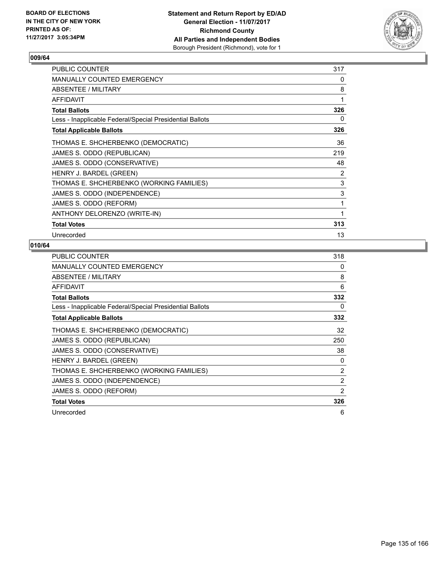

| <b>PUBLIC COUNTER</b>                                    | 317            |
|----------------------------------------------------------|----------------|
| MANUALLY COUNTED EMERGENCY                               | 0              |
| ABSENTEE / MILITARY                                      | 8              |
| <b>AFFIDAVIT</b>                                         | 1              |
| <b>Total Ballots</b>                                     | 326            |
| Less - Inapplicable Federal/Special Presidential Ballots | 0              |
| <b>Total Applicable Ballots</b>                          | 326            |
| THOMAS E. SHCHERBENKO (DEMOCRATIC)                       | 36             |
| JAMES S. ODDO (REPUBLICAN)                               | 219            |
| JAMES S. ODDO (CONSERVATIVE)                             | 48             |
| HENRY J. BARDEL (GREEN)                                  | $\overline{2}$ |
| THOMAS E. SHCHERBENKO (WORKING FAMILIES)                 | 3              |
| JAMES S. ODDO (INDEPENDENCE)                             | 3              |
| JAMES S. ODDO (REFORM)                                   | 1              |
| ANTHONY DELORENZO (WRITE-IN)                             | 1              |
| <b>Total Votes</b>                                       | 313            |
| Unrecorded                                               | 13             |

| PUBLIC COUNTER                                           | 318 |
|----------------------------------------------------------|-----|
| <b>MANUALLY COUNTED EMERGENCY</b>                        | 0   |
| ABSENTEE / MILITARY                                      | 8   |
| <b>AFFIDAVIT</b>                                         | 6   |
| <b>Total Ballots</b>                                     | 332 |
| Less - Inapplicable Federal/Special Presidential Ballots | 0   |
| <b>Total Applicable Ballots</b>                          | 332 |
| THOMAS E. SHCHERBENKO (DEMOCRATIC)                       | 32  |
| JAMES S. ODDO (REPUBLICAN)                               | 250 |
| JAMES S. ODDO (CONSERVATIVE)                             | 38  |
| HENRY J. BARDEL (GREEN)                                  | 0   |
| THOMAS E. SHCHERBENKO (WORKING FAMILIES)                 | 2   |
| JAMES S. ODDO (INDEPENDENCE)                             | 2   |
| JAMES S. ODDO (REFORM)                                   | 2   |
| <b>Total Votes</b>                                       | 326 |
| Unrecorded                                               | 6   |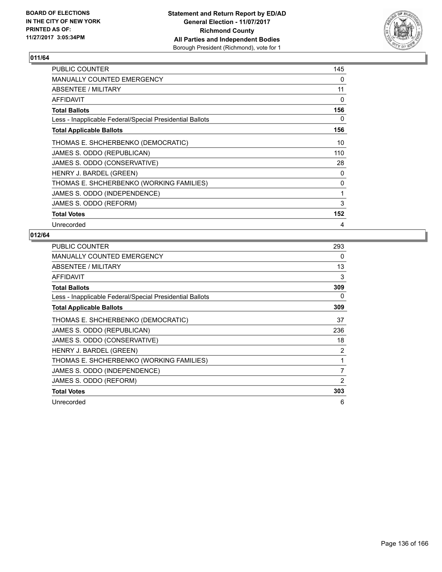

| PUBLIC COUNTER                                           | 145 |
|----------------------------------------------------------|-----|
| <b>MANUALLY COUNTED EMERGENCY</b>                        | 0   |
| ABSENTEE / MILITARY                                      | 11  |
| AFFIDAVIT                                                | 0   |
| <b>Total Ballots</b>                                     | 156 |
| Less - Inapplicable Federal/Special Presidential Ballots | 0   |
| <b>Total Applicable Ballots</b>                          | 156 |
| THOMAS E. SHCHERBENKO (DEMOCRATIC)                       | 10  |
| JAMES S. ODDO (REPUBLICAN)                               | 110 |
| JAMES S. ODDO (CONSERVATIVE)                             | 28  |
| HENRY J. BARDEL (GREEN)                                  | 0   |
| THOMAS E. SHCHERBENKO (WORKING FAMILIES)                 | 0   |
| JAMES S. ODDO (INDEPENDENCE)                             | 1   |
| JAMES S. ODDO (REFORM)                                   | 3   |
| <b>Total Votes</b>                                       | 152 |
| Unrecorded                                               | 4   |

| <b>PUBLIC COUNTER</b>                                    | 293            |
|----------------------------------------------------------|----------------|
| <b>MANUALLY COUNTED EMERGENCY</b>                        | 0              |
| ABSENTEE / MILITARY                                      | 13             |
| <b>AFFIDAVIT</b>                                         | 3              |
| <b>Total Ballots</b>                                     | 309            |
| Less - Inapplicable Federal/Special Presidential Ballots | 0              |
| <b>Total Applicable Ballots</b>                          | 309            |
| THOMAS E. SHCHERBENKO (DEMOCRATIC)                       | 37             |
| JAMES S. ODDO (REPUBLICAN)                               | 236            |
| JAMES S. ODDO (CONSERVATIVE)                             | 18             |
| HENRY J. BARDEL (GREEN)                                  | 2              |
| THOMAS E. SHCHERBENKO (WORKING FAMILIES)                 | 1              |
| JAMES S. ODDO (INDEPENDENCE)                             | $\overline{7}$ |
| JAMES S. ODDO (REFORM)                                   | 2              |
| <b>Total Votes</b>                                       | 303            |
| Unrecorded                                               | 6              |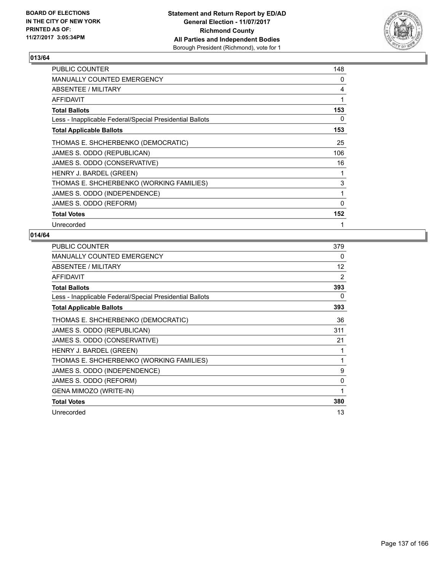

| <b>PUBLIC COUNTER</b>                                    | 148 |
|----------------------------------------------------------|-----|
| MANUALLY COUNTED EMERGENCY                               | 0   |
| ABSENTEE / MILITARY                                      | 4   |
| <b>AFFIDAVIT</b>                                         | 1   |
| <b>Total Ballots</b>                                     | 153 |
| Less - Inapplicable Federal/Special Presidential Ballots | 0   |
| <b>Total Applicable Ballots</b>                          | 153 |
| THOMAS E. SHCHERBENKO (DEMOCRATIC)                       | 25  |
| JAMES S. ODDO (REPUBLICAN)                               | 106 |
| JAMES S. ODDO (CONSERVATIVE)                             | 16  |
| HENRY J. BARDEL (GREEN)                                  | 1   |
| THOMAS E. SHCHERBENKO (WORKING FAMILIES)                 | 3   |
| JAMES S. ODDO (INDEPENDENCE)                             | 1   |
| JAMES S. ODDO (REFORM)                                   | 0   |
| <b>Total Votes</b>                                       | 152 |
| Unrecorded                                               | 1   |

| <b>PUBLIC COUNTER</b>                                    | 379 |
|----------------------------------------------------------|-----|
| <b>MANUALLY COUNTED EMERGENCY</b>                        | 0   |
| <b>ABSENTEE / MILITARY</b>                               | 12  |
| <b>AFFIDAVIT</b>                                         | 2   |
| <b>Total Ballots</b>                                     | 393 |
| Less - Inapplicable Federal/Special Presidential Ballots | 0   |
| <b>Total Applicable Ballots</b>                          | 393 |
| THOMAS E. SHCHERBENKO (DEMOCRATIC)                       | 36  |
| JAMES S. ODDO (REPUBLICAN)                               | 311 |
| JAMES S. ODDO (CONSERVATIVE)                             | 21  |
| HENRY J. BARDEL (GREEN)                                  |     |
| THOMAS E. SHCHERBENKO (WORKING FAMILIES)                 | 1   |
| JAMES S. ODDO (INDEPENDENCE)                             | 9   |
| JAMES S. ODDO (REFORM)                                   | 0   |
| GENA MIMOZO (WRITE-IN)                                   | 1   |
| <b>Total Votes</b>                                       | 380 |
| Unrecorded                                               | 13  |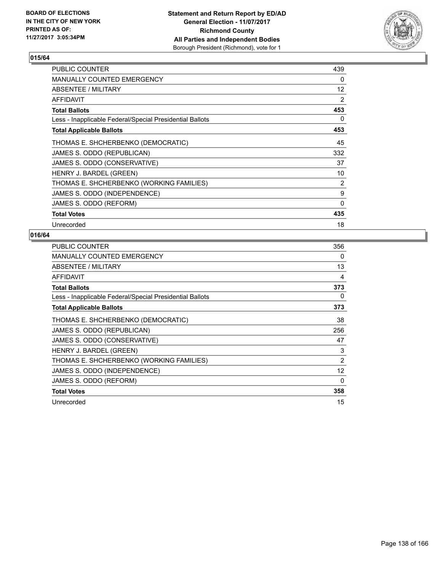

| <b>PUBLIC COUNTER</b>                                    | 439 |
|----------------------------------------------------------|-----|
| <b>MANUALLY COUNTED EMERGENCY</b>                        | 0   |
| ABSENTEE / MILITARY                                      | 12  |
| AFFIDAVIT                                                | 2   |
| <b>Total Ballots</b>                                     | 453 |
| Less - Inapplicable Federal/Special Presidential Ballots | 0   |
| <b>Total Applicable Ballots</b>                          | 453 |
| THOMAS E. SHCHERBENKO (DEMOCRATIC)                       | 45  |
| JAMES S. ODDO (REPUBLICAN)                               | 332 |
| JAMES S. ODDO (CONSERVATIVE)                             | 37  |
| HENRY J. BARDEL (GREEN)                                  | 10  |
| THOMAS E. SHCHERBENKO (WORKING FAMILIES)                 | 2   |
| JAMES S. ODDO (INDEPENDENCE)                             | 9   |
| JAMES S. ODDO (REFORM)                                   | 0   |
| <b>Total Votes</b>                                       | 435 |
| Unrecorded                                               | 18  |

| <b>PUBLIC COUNTER</b>                                    | 356 |
|----------------------------------------------------------|-----|
| <b>MANUALLY COUNTED EMERGENCY</b>                        | 0   |
| ABSENTEE / MILITARY                                      | 13  |
| <b>AFFIDAVIT</b>                                         | 4   |
| <b>Total Ballots</b>                                     | 373 |
| Less - Inapplicable Federal/Special Presidential Ballots | 0   |
| <b>Total Applicable Ballots</b>                          | 373 |
| THOMAS E. SHCHERBENKO (DEMOCRATIC)                       | 38  |
| JAMES S. ODDO (REPUBLICAN)                               | 256 |
| JAMES S. ODDO (CONSERVATIVE)                             | 47  |
| HENRY J. BARDEL (GREEN)                                  | 3   |
| THOMAS E. SHCHERBENKO (WORKING FAMILIES)                 | 2   |
| JAMES S. ODDO (INDEPENDENCE)                             | 12  |
| JAMES S. ODDO (REFORM)                                   | 0   |
| <b>Total Votes</b>                                       | 358 |
| Unrecorded                                               | 15  |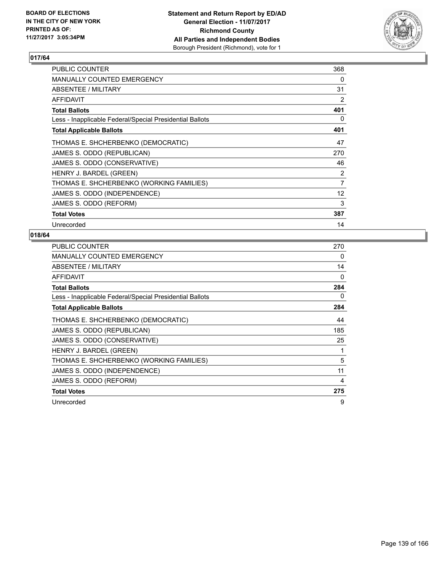

| <b>PUBLIC COUNTER</b>                                    | 368 |
|----------------------------------------------------------|-----|
| <b>MANUALLY COUNTED EMERGENCY</b>                        | 0   |
| ABSENTEE / MILITARY                                      | 31  |
| AFFIDAVIT                                                | 2   |
| <b>Total Ballots</b>                                     | 401 |
| Less - Inapplicable Federal/Special Presidential Ballots | 0   |
| <b>Total Applicable Ballots</b>                          | 401 |
| THOMAS E. SHCHERBENKO (DEMOCRATIC)                       | 47  |
| JAMES S. ODDO (REPUBLICAN)                               | 270 |
| JAMES S. ODDO (CONSERVATIVE)                             | 46  |
| HENRY J. BARDEL (GREEN)                                  | 2   |
| THOMAS E. SHCHERBENKO (WORKING FAMILIES)                 | 7   |
| JAMES S. ODDO (INDEPENDENCE)                             | 12  |
| JAMES S. ODDO (REFORM)                                   | 3   |
| <b>Total Votes</b>                                       | 387 |
| Unrecorded                                               | 14  |

| <b>PUBLIC COUNTER</b>                                    | 270 |
|----------------------------------------------------------|-----|
| <b>MANUALLY COUNTED EMERGENCY</b>                        | 0   |
| ABSENTEE / MILITARY                                      | 14  |
| AFFIDAVIT                                                | 0   |
| <b>Total Ballots</b>                                     | 284 |
| Less - Inapplicable Federal/Special Presidential Ballots | 0   |
| <b>Total Applicable Ballots</b>                          | 284 |
| THOMAS E. SHCHERBENKO (DEMOCRATIC)                       | 44  |
| JAMES S. ODDO (REPUBLICAN)                               | 185 |
| JAMES S. ODDO (CONSERVATIVE)                             | 25  |
| HENRY J. BARDEL (GREEN)                                  |     |
| THOMAS E. SHCHERBENKO (WORKING FAMILIES)                 | 5   |
| JAMES S. ODDO (INDEPENDENCE)                             | 11  |
| JAMES S. ODDO (REFORM)                                   | 4   |
| <b>Total Votes</b>                                       | 275 |
| Unrecorded                                               | 9   |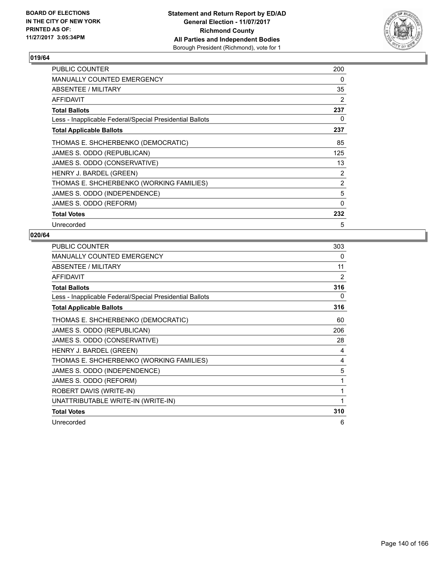

| <b>PUBLIC COUNTER</b>                                    | 200 |
|----------------------------------------------------------|-----|
| <b>MANUALLY COUNTED EMERGENCY</b>                        | 0   |
| ABSENTEE / MILITARY                                      | 35  |
| AFFIDAVIT                                                | 2   |
| <b>Total Ballots</b>                                     | 237 |
| Less - Inapplicable Federal/Special Presidential Ballots | 0   |
| <b>Total Applicable Ballots</b>                          | 237 |
| THOMAS E. SHCHERBENKO (DEMOCRATIC)                       | 85  |
| JAMES S. ODDO (REPUBLICAN)                               | 125 |
| JAMES S. ODDO (CONSERVATIVE)                             | 13  |
| HENRY J. BARDEL (GREEN)                                  | 2   |
| THOMAS E. SHCHERBENKO (WORKING FAMILIES)                 | 2   |
| JAMES S. ODDO (INDEPENDENCE)                             | 5   |
| JAMES S. ODDO (REFORM)                                   | 0   |
| <b>Total Votes</b>                                       | 232 |
| Unrecorded                                               | 5   |

| <b>PUBLIC COUNTER</b>                                    | 303            |
|----------------------------------------------------------|----------------|
| <b>MANUALLY COUNTED EMERGENCY</b>                        | 0              |
| ABSENTEE / MILITARY                                      | 11             |
| <b>AFFIDAVIT</b>                                         | $\overline{2}$ |
| <b>Total Ballots</b>                                     | 316            |
| Less - Inapplicable Federal/Special Presidential Ballots | 0              |
| <b>Total Applicable Ballots</b>                          | 316            |
| THOMAS E. SHCHERBENKO (DEMOCRATIC)                       | 60             |
| JAMES S. ODDO (REPUBLICAN)                               | 206            |
| JAMES S. ODDO (CONSERVATIVE)                             | 28             |
| HENRY J. BARDEL (GREEN)                                  | 4              |
| THOMAS E. SHCHERBENKO (WORKING FAMILIES)                 | 4              |
| JAMES S. ODDO (INDEPENDENCE)                             | 5              |
| JAMES S. ODDO (REFORM)                                   | 1              |
| ROBERT DAVIS (WRITE-IN)                                  | 1              |
| UNATTRIBUTABLE WRITE-IN (WRITE-IN)                       | 1              |
| <b>Total Votes</b>                                       | 310            |
| Unrecorded                                               | 6              |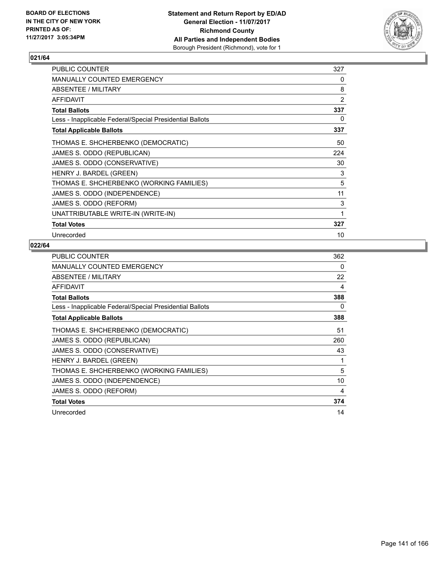

| PUBLIC COUNTER                                           | 327            |
|----------------------------------------------------------|----------------|
| MANUALLY COUNTED EMERGENCY                               | 0              |
| ABSENTEE / MILITARY                                      | 8              |
| <b>AFFIDAVIT</b>                                         | $\overline{2}$ |
| <b>Total Ballots</b>                                     | 337            |
| Less - Inapplicable Federal/Special Presidential Ballots | 0              |
| <b>Total Applicable Ballots</b>                          | 337            |
| THOMAS E. SHCHERBENKO (DEMOCRATIC)                       | 50             |
| JAMES S. ODDO (REPUBLICAN)                               | 224            |
| JAMES S. ODDO (CONSERVATIVE)                             | 30             |
| HENRY J. BARDEL (GREEN)                                  | 3              |
| THOMAS E. SHCHERBENKO (WORKING FAMILIES)                 | 5              |
| JAMES S. ODDO (INDEPENDENCE)                             | 11             |
| JAMES S. ODDO (REFORM)                                   | 3              |
| UNATTRIBUTABLE WRITE-IN (WRITE-IN)                       | 1              |
| <b>Total Votes</b>                                       | 327            |
| Unrecorded                                               | 10             |

| PUBLIC COUNTER                                           | 362 |
|----------------------------------------------------------|-----|
| <b>MANUALLY COUNTED EMERGENCY</b>                        | 0   |
| ABSENTEE / MILITARY                                      | 22  |
| <b>AFFIDAVIT</b>                                         | 4   |
| <b>Total Ballots</b>                                     | 388 |
| Less - Inapplicable Federal/Special Presidential Ballots | 0   |
| <b>Total Applicable Ballots</b>                          | 388 |
| THOMAS E. SHCHERBENKO (DEMOCRATIC)                       | 51  |
| JAMES S. ODDO (REPUBLICAN)                               | 260 |
| JAMES S. ODDO (CONSERVATIVE)                             | 43  |
| HENRY J. BARDEL (GREEN)                                  | 1   |
| THOMAS E. SHCHERBENKO (WORKING FAMILIES)                 | 5   |
| JAMES S. ODDO (INDEPENDENCE)                             | 10  |
| JAMES S. ODDO (REFORM)                                   | 4   |
| <b>Total Votes</b>                                       | 374 |
| Unrecorded                                               | 14  |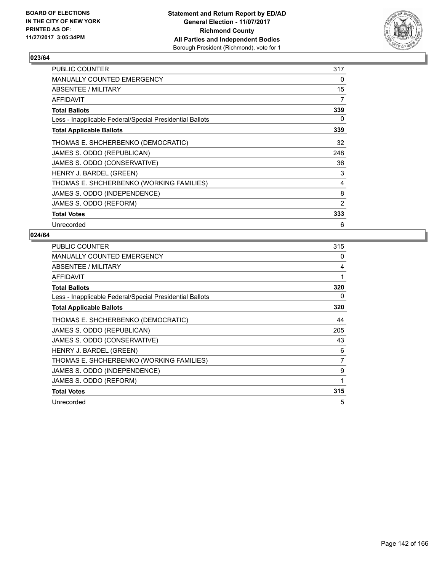

| <b>PUBLIC COUNTER</b>                                    | 317 |
|----------------------------------------------------------|-----|
| <b>MANUALLY COUNTED EMERGENCY</b>                        | 0   |
| ABSENTEE / MILITARY                                      | 15  |
| AFFIDAVIT                                                | 7   |
| Total Ballots                                            | 339 |
| Less - Inapplicable Federal/Special Presidential Ballots | 0   |
| <b>Total Applicable Ballots</b>                          | 339 |
| THOMAS E. SHCHERBENKO (DEMOCRATIC)                       | 32  |
| JAMES S. ODDO (REPUBLICAN)                               | 248 |
| JAMES S. ODDO (CONSERVATIVE)                             | 36  |
| HENRY J. BARDEL (GREEN)                                  | 3   |
| THOMAS E. SHCHERBENKO (WORKING FAMILIES)                 | 4   |
| JAMES S. ODDO (INDEPENDENCE)                             | 8   |
| JAMES S. ODDO (REFORM)                                   | 2   |
| <b>Total Votes</b>                                       | 333 |
| Unrecorded                                               | 6   |

| <b>PUBLIC COUNTER</b>                                    | 315 |
|----------------------------------------------------------|-----|
| <b>MANUALLY COUNTED EMERGENCY</b>                        | 0   |
| ABSENTEE / MILITARY                                      | 4   |
| AFFIDAVIT                                                | 1   |
| <b>Total Ballots</b>                                     | 320 |
| Less - Inapplicable Federal/Special Presidential Ballots | 0   |
| <b>Total Applicable Ballots</b>                          | 320 |
| THOMAS E. SHCHERBENKO (DEMOCRATIC)                       | 44  |
| JAMES S. ODDO (REPUBLICAN)                               | 205 |
| JAMES S. ODDO (CONSERVATIVE)                             | 43  |
| HENRY J. BARDEL (GREEN)                                  | 6   |
| THOMAS E. SHCHERBENKO (WORKING FAMILIES)                 | 7   |
| JAMES S. ODDO (INDEPENDENCE)                             | 9   |
| JAMES S. ODDO (REFORM)                                   | 1   |
| <b>Total Votes</b>                                       | 315 |
| Unrecorded                                               | 5   |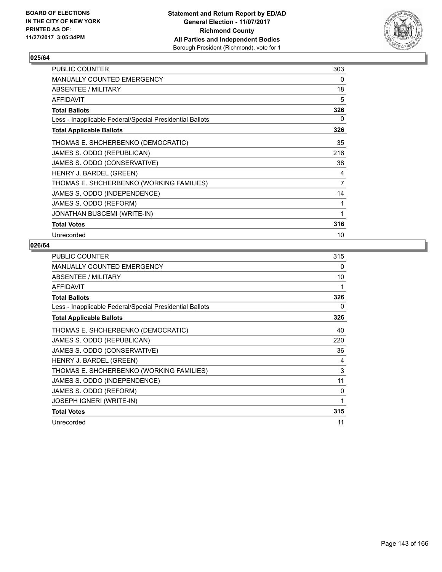

| <b>PUBLIC COUNTER</b>                                    | 303            |
|----------------------------------------------------------|----------------|
| <b>MANUALLY COUNTED EMERGENCY</b>                        | 0              |
| ABSENTEE / MILITARY                                      | 18             |
| <b>AFFIDAVIT</b>                                         | 5              |
| <b>Total Ballots</b>                                     | 326            |
| Less - Inapplicable Federal/Special Presidential Ballots | 0              |
| <b>Total Applicable Ballots</b>                          | 326            |
| THOMAS E. SHCHERBENKO (DEMOCRATIC)                       | 35             |
| JAMES S. ODDO (REPUBLICAN)                               | 216            |
| JAMES S. ODDO (CONSERVATIVE)                             | 38             |
| HENRY J. BARDEL (GREEN)                                  | 4              |
| THOMAS E. SHCHERBENKO (WORKING FAMILIES)                 | $\overline{7}$ |
| JAMES S. ODDO (INDEPENDENCE)                             | 14             |
| JAMES S. ODDO (REFORM)                                   | 1              |
| <b>JONATHAN BUSCEMI (WRITE-IN)</b>                       | 1              |
| <b>Total Votes</b>                                       | 316            |
| Unrecorded                                               | 10             |

| PUBLIC COUNTER                                           | 315 |
|----------------------------------------------------------|-----|
| <b>MANUALLY COUNTED EMERGENCY</b>                        | 0   |
| ABSENTEE / MILITARY                                      | 10  |
| <b>AFFIDAVIT</b>                                         | 1   |
| <b>Total Ballots</b>                                     | 326 |
| Less - Inapplicable Federal/Special Presidential Ballots | 0   |
| <b>Total Applicable Ballots</b>                          | 326 |
| THOMAS E. SHCHERBENKO (DEMOCRATIC)                       | 40  |
| JAMES S. ODDO (REPUBLICAN)                               | 220 |
| JAMES S. ODDO (CONSERVATIVE)                             | 36  |
| HENRY J. BARDEL (GREEN)                                  | 4   |
| THOMAS E. SHCHERBENKO (WORKING FAMILIES)                 | 3   |
| JAMES S. ODDO (INDEPENDENCE)                             | 11  |
| JAMES S. ODDO (REFORM)                                   | 0   |
| <b>JOSEPH IGNERI (WRITE-IN)</b>                          | 1   |
| <b>Total Votes</b>                                       | 315 |
| Unrecorded                                               | 11  |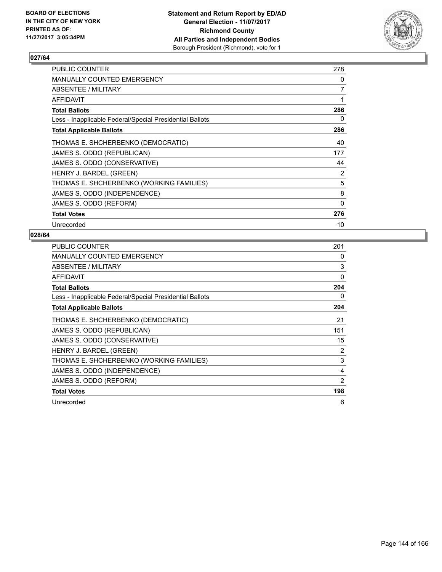

| <b>PUBLIC COUNTER</b>                                    | 278 |
|----------------------------------------------------------|-----|
| <b>MANUALLY COUNTED EMERGENCY</b>                        | 0   |
| ABSENTEE / MILITARY                                      | 7   |
| AFFIDAVIT                                                | 1   |
| <b>Total Ballots</b>                                     | 286 |
| Less - Inapplicable Federal/Special Presidential Ballots | 0   |
| <b>Total Applicable Ballots</b>                          | 286 |
| THOMAS E. SHCHERBENKO (DEMOCRATIC)                       | 40  |
| JAMES S. ODDO (REPUBLICAN)                               | 177 |
| JAMES S. ODDO (CONSERVATIVE)                             | 44  |
| HENRY J. BARDEL (GREEN)                                  | 2   |
| THOMAS E. SHCHERBENKO (WORKING FAMILIES)                 | 5   |
| JAMES S. ODDO (INDEPENDENCE)                             | 8   |
| JAMES S. ODDO (REFORM)                                   | 0   |
| <b>Total Votes</b>                                       | 276 |
| Unrecorded                                               | 10  |

| <b>PUBLIC COUNTER</b>                                    | 201 |
|----------------------------------------------------------|-----|
| <b>MANUALLY COUNTED EMERGENCY</b>                        | 0   |
| ABSENTEE / MILITARY                                      | 3   |
| AFFIDAVIT                                                | 0   |
| <b>Total Ballots</b>                                     | 204 |
| Less - Inapplicable Federal/Special Presidential Ballots | 0   |
| <b>Total Applicable Ballots</b>                          | 204 |
| THOMAS E. SHCHERBENKO (DEMOCRATIC)                       | 21  |
| JAMES S. ODDO (REPUBLICAN)                               | 151 |
| JAMES S. ODDO (CONSERVATIVE)                             | 15  |
| HENRY J. BARDEL (GREEN)                                  | 2   |
| THOMAS E. SHCHERBENKO (WORKING FAMILIES)                 | 3   |
| JAMES S. ODDO (INDEPENDENCE)                             | 4   |
| JAMES S. ODDO (REFORM)                                   | 2   |
| <b>Total Votes</b>                                       | 198 |
| Unrecorded                                               | 6   |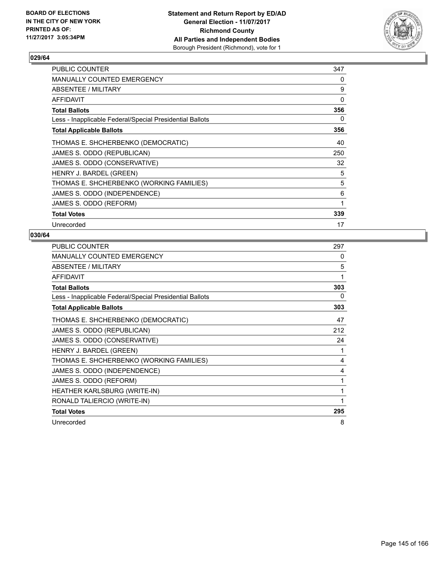

| <b>PUBLIC COUNTER</b>                                    | 347 |
|----------------------------------------------------------|-----|
| <b>MANUALLY COUNTED EMERGENCY</b>                        | 0   |
| ABSENTEE / MILITARY                                      | 9   |
| AFFIDAVIT                                                | 0   |
| <b>Total Ballots</b>                                     | 356 |
| Less - Inapplicable Federal/Special Presidential Ballots | 0   |
| <b>Total Applicable Ballots</b>                          | 356 |
| THOMAS E. SHCHERBENKO (DEMOCRATIC)                       | 40  |
| JAMES S. ODDO (REPUBLICAN)                               | 250 |
| JAMES S. ODDO (CONSERVATIVE)                             | 32  |
| HENRY J. BARDEL (GREEN)                                  | 5   |
| THOMAS E. SHCHERBENKO (WORKING FAMILIES)                 | 5   |
| JAMES S. ODDO (INDEPENDENCE)                             | 6   |
| JAMES S. ODDO (REFORM)                                   | 1   |
| <b>Total Votes</b>                                       | 339 |
| Unrecorded                                               | 17  |

| <b>PUBLIC COUNTER</b>                                    | 297 |
|----------------------------------------------------------|-----|
| <b>MANUALLY COUNTED EMERGENCY</b>                        | 0   |
| ABSENTEE / MILITARY                                      | 5   |
| <b>AFFIDAVIT</b>                                         | 1   |
| <b>Total Ballots</b>                                     | 303 |
| Less - Inapplicable Federal/Special Presidential Ballots | 0   |
| <b>Total Applicable Ballots</b>                          | 303 |
| THOMAS E. SHCHERBENKO (DEMOCRATIC)                       | 47  |
| JAMES S. ODDO (REPUBLICAN)                               | 212 |
| JAMES S. ODDO (CONSERVATIVE)                             | 24  |
| HENRY J. BARDEL (GREEN)                                  | 1   |
| THOMAS E. SHCHERBENKO (WORKING FAMILIES)                 | 4   |
| JAMES S. ODDO (INDEPENDENCE)                             | 4   |
| JAMES S. ODDO (REFORM)                                   | 1   |
| <b>HEATHER KARLSBURG (WRITE-IN)</b>                      | 1   |
| RONALD TALIERCIO (WRITE-IN)                              | 1   |
| <b>Total Votes</b>                                       | 295 |
| Unrecorded                                               | 8   |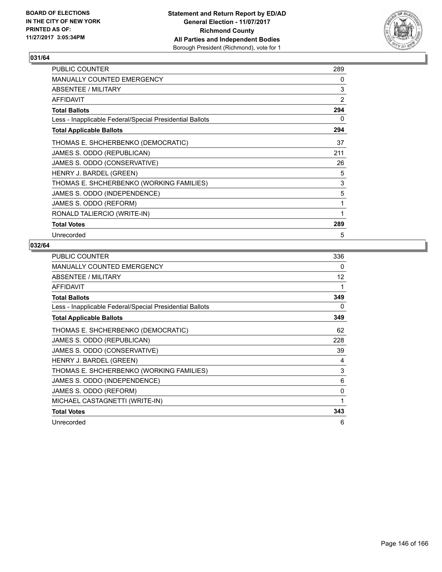

| <b>PUBLIC COUNTER</b>                                    | 289            |
|----------------------------------------------------------|----------------|
| MANUALLY COUNTED EMERGENCY                               | 0              |
| <b>ABSENTEE / MILITARY</b>                               | 3              |
| <b>AFFIDAVIT</b>                                         | $\overline{2}$ |
| <b>Total Ballots</b>                                     | 294            |
| Less - Inapplicable Federal/Special Presidential Ballots | 0              |
| <b>Total Applicable Ballots</b>                          | 294            |
| THOMAS E. SHCHERBENKO (DEMOCRATIC)                       | 37             |
| JAMES S. ODDO (REPUBLICAN)                               | 211            |
| JAMES S. ODDO (CONSERVATIVE)                             | 26             |
| HENRY J. BARDEL (GREEN)                                  | 5              |
| THOMAS E. SHCHERBENKO (WORKING FAMILIES)                 | 3              |
| JAMES S. ODDO (INDEPENDENCE)                             | 5              |
| JAMES S. ODDO (REFORM)                                   | 1              |
| RONALD TALIERCIO (WRITE-IN)                              | 1              |
| <b>Total Votes</b>                                       | 289            |
| Unrecorded                                               | 5              |

| <b>PUBLIC COUNTER</b>                                    | 336 |
|----------------------------------------------------------|-----|
| <b>MANUALLY COUNTED EMERGENCY</b>                        | 0   |
| ABSENTEE / MILITARY                                      | 12  |
| <b>AFFIDAVIT</b>                                         | 1   |
| <b>Total Ballots</b>                                     | 349 |
| Less - Inapplicable Federal/Special Presidential Ballots | 0   |
| <b>Total Applicable Ballots</b>                          | 349 |
| THOMAS E. SHCHERBENKO (DEMOCRATIC)                       | 62  |
| JAMES S. ODDO (REPUBLICAN)                               | 228 |
| JAMES S. ODDO (CONSERVATIVE)                             | 39  |
| HENRY J. BARDEL (GREEN)                                  | 4   |
| THOMAS E. SHCHERBENKO (WORKING FAMILIES)                 | 3   |
| JAMES S. ODDO (INDEPENDENCE)                             | 6   |
| JAMES S. ODDO (REFORM)                                   | 0   |
| MICHAEL CASTAGNETTI (WRITE-IN)                           | 1   |
| <b>Total Votes</b>                                       | 343 |
| Unrecorded                                               | 6   |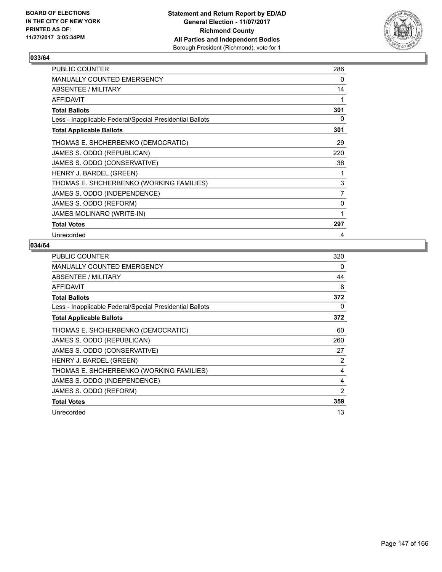

| <b>PUBLIC COUNTER</b>                                    | 286            |
|----------------------------------------------------------|----------------|
| MANUALLY COUNTED EMERGENCY                               | 0              |
| ABSENTEE / MILITARY                                      | 14             |
| <b>AFFIDAVIT</b>                                         | 1              |
| <b>Total Ballots</b>                                     | 301            |
| Less - Inapplicable Federal/Special Presidential Ballots | 0              |
| <b>Total Applicable Ballots</b>                          | 301            |
| THOMAS E. SHCHERBENKO (DEMOCRATIC)                       | 29             |
| JAMES S. ODDO (REPUBLICAN)                               | 220            |
| JAMES S. ODDO (CONSERVATIVE)                             | 36             |
| HENRY J. BARDEL (GREEN)                                  | 1              |
| THOMAS E. SHCHERBENKO (WORKING FAMILIES)                 | 3              |
| JAMES S. ODDO (INDEPENDENCE)                             | $\overline{7}$ |
| JAMES S. ODDO (REFORM)                                   | $\mathbf{0}$   |
| JAMES MOLINARO (WRITE-IN)                                | 1              |
| <b>Total Votes</b>                                       | 297            |
| Unrecorded                                               | 4              |

| <b>PUBLIC COUNTER</b>                                    | 320 |
|----------------------------------------------------------|-----|
| <b>MANUALLY COUNTED EMERGENCY</b>                        | 0   |
| ABSENTEE / MILITARY                                      | 44  |
| <b>AFFIDAVIT</b>                                         | 8   |
| <b>Total Ballots</b>                                     | 372 |
| Less - Inapplicable Federal/Special Presidential Ballots | 0   |
| <b>Total Applicable Ballots</b>                          | 372 |
| THOMAS E. SHCHERBENKO (DEMOCRATIC)                       | 60  |
| JAMES S. ODDO (REPUBLICAN)                               | 260 |
| JAMES S. ODDO (CONSERVATIVE)                             | 27  |
| HENRY J. BARDEL (GREEN)                                  | 2   |
| THOMAS E. SHCHERBENKO (WORKING FAMILIES)                 | 4   |
| JAMES S. ODDO (INDEPENDENCE)                             | 4   |
| JAMES S. ODDO (REFORM)                                   | 2   |
| <b>Total Votes</b>                                       | 359 |
| Unrecorded                                               | 13  |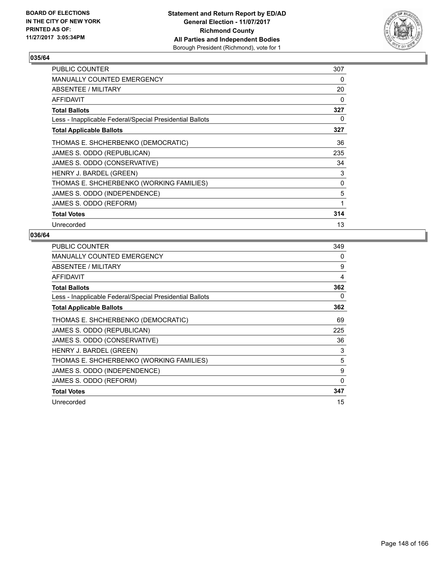

| <b>PUBLIC COUNTER</b>                                    | 307 |
|----------------------------------------------------------|-----|
| <b>MANUALLY COUNTED EMERGENCY</b>                        | 0   |
| ABSENTEE / MILITARY                                      | 20  |
| AFFIDAVIT                                                | 0   |
| <b>Total Ballots</b>                                     | 327 |
| Less - Inapplicable Federal/Special Presidential Ballots | 0   |
| <b>Total Applicable Ballots</b>                          | 327 |
| THOMAS E. SHCHERBENKO (DEMOCRATIC)                       | 36  |
| JAMES S. ODDO (REPUBLICAN)                               | 235 |
| JAMES S. ODDO (CONSERVATIVE)                             | 34  |
| HENRY J. BARDEL (GREEN)                                  | 3   |
| THOMAS E. SHCHERBENKO (WORKING FAMILIES)                 | 0   |
| JAMES S. ODDO (INDEPENDENCE)                             | 5   |
| JAMES S. ODDO (REFORM)                                   | 1   |
| <b>Total Votes</b>                                       | 314 |
| Unrecorded                                               | 13  |

| <b>PUBLIC COUNTER</b>                                    | 349 |
|----------------------------------------------------------|-----|
| <b>MANUALLY COUNTED EMERGENCY</b>                        | 0   |
| ABSENTEE / MILITARY                                      | 9   |
| <b>AFFIDAVIT</b>                                         | 4   |
| <b>Total Ballots</b>                                     | 362 |
| Less - Inapplicable Federal/Special Presidential Ballots | 0   |
| <b>Total Applicable Ballots</b>                          | 362 |
| THOMAS E. SHCHERBENKO (DEMOCRATIC)                       | 69  |
| JAMES S. ODDO (REPUBLICAN)                               | 225 |
| JAMES S. ODDO (CONSERVATIVE)                             | 36  |
| HENRY J. BARDEL (GREEN)                                  | 3   |
| THOMAS E. SHCHERBENKO (WORKING FAMILIES)                 | 5   |
| JAMES S. ODDO (INDEPENDENCE)                             | 9   |
| JAMES S. ODDO (REFORM)                                   | 0   |
| <b>Total Votes</b>                                       | 347 |
| Unrecorded                                               | 15  |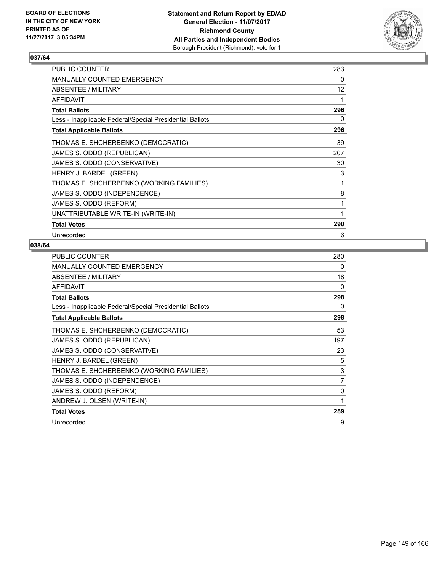

| <b>PUBLIC COUNTER</b>                                    | 283               |
|----------------------------------------------------------|-------------------|
| MANUALLY COUNTED EMERGENCY                               | 0                 |
| ABSENTEE / MILITARY                                      | $12 \overline{ }$ |
| <b>AFFIDAVIT</b>                                         | 1                 |
| <b>Total Ballots</b>                                     | 296               |
| Less - Inapplicable Federal/Special Presidential Ballots | 0                 |
| <b>Total Applicable Ballots</b>                          | 296               |
| THOMAS E. SHCHERBENKO (DEMOCRATIC)                       | 39                |
| JAMES S. ODDO (REPUBLICAN)                               | 207               |
| JAMES S. ODDO (CONSERVATIVE)                             | 30                |
| HENRY J. BARDEL (GREEN)                                  | 3                 |
| THOMAS E. SHCHERBENKO (WORKING FAMILIES)                 | 1                 |
| JAMES S. ODDO (INDEPENDENCE)                             | 8                 |
| JAMES S. ODDO (REFORM)                                   | 1                 |
| UNATTRIBUTABLE WRITE-IN (WRITE-IN)                       | 1                 |
| <b>Total Votes</b>                                       | 290               |
| Unrecorded                                               | 6                 |

| <b>PUBLIC COUNTER</b>                                    | 280            |
|----------------------------------------------------------|----------------|
| MANUALLY COUNTED EMERGENCY                               | 0              |
| ABSENTEE / MILITARY                                      | 18             |
| AFFIDAVIT                                                | 0              |
| <b>Total Ballots</b>                                     | 298            |
| Less - Inapplicable Federal/Special Presidential Ballots | 0              |
| <b>Total Applicable Ballots</b>                          | 298            |
| THOMAS E. SHCHERBENKO (DEMOCRATIC)                       | 53             |
| JAMES S. ODDO (REPUBLICAN)                               | 197            |
| JAMES S. ODDO (CONSERVATIVE)                             | 23             |
| HENRY J. BARDEL (GREEN)                                  | 5              |
| THOMAS E. SHCHERBENKO (WORKING FAMILIES)                 | 3              |
| JAMES S. ODDO (INDEPENDENCE)                             | $\overline{7}$ |
| JAMES S. ODDO (REFORM)                                   | 0              |
| ANDREW J. OLSEN (WRITE-IN)                               | 1              |
| <b>Total Votes</b>                                       | 289            |
| Unrecorded                                               | 9              |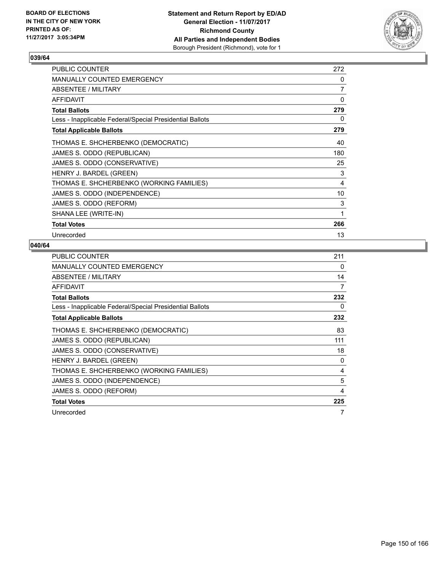

| <b>PUBLIC COUNTER</b>                                    | 272 |
|----------------------------------------------------------|-----|
| MANUALLY COUNTED EMERGENCY                               | 0   |
| ABSENTEE / MILITARY                                      | 7   |
| <b>AFFIDAVIT</b>                                         | 0   |
| <b>Total Ballots</b>                                     | 279 |
| Less - Inapplicable Federal/Special Presidential Ballots | 0   |
| <b>Total Applicable Ballots</b>                          | 279 |
| THOMAS E. SHCHERBENKO (DEMOCRATIC)                       | 40  |
| JAMES S. ODDO (REPUBLICAN)                               | 180 |
| JAMES S. ODDO (CONSERVATIVE)                             | 25  |
| HENRY J. BARDEL (GREEN)                                  | 3   |
| THOMAS E. SHCHERBENKO (WORKING FAMILIES)                 | 4   |
| JAMES S. ODDO (INDEPENDENCE)                             | 10  |
| JAMES S. ODDO (REFORM)                                   | 3   |
| SHANA LEE (WRITE-IN)                                     | 1   |
| <b>Total Votes</b>                                       | 266 |
| Unrecorded                                               | 13  |

| <b>PUBLIC COUNTER</b>                                    | 211 |
|----------------------------------------------------------|-----|
| <b>MANUALLY COUNTED EMERGENCY</b>                        | 0   |
| ABSENTEE / MILITARY                                      | 14  |
| <b>AFFIDAVIT</b>                                         | 7   |
| <b>Total Ballots</b>                                     | 232 |
| Less - Inapplicable Federal/Special Presidential Ballots | 0   |
| <b>Total Applicable Ballots</b>                          | 232 |
| THOMAS E. SHCHERBENKO (DEMOCRATIC)                       | 83  |
| JAMES S. ODDO (REPUBLICAN)                               | 111 |
| JAMES S. ODDO (CONSERVATIVE)                             | 18  |
| HENRY J. BARDEL (GREEN)                                  | 0   |
| THOMAS E. SHCHERBENKO (WORKING FAMILIES)                 | 4   |
| JAMES S. ODDO (INDEPENDENCE)                             | 5   |
| JAMES S. ODDO (REFORM)                                   | 4   |
| <b>Total Votes</b>                                       | 225 |
| Unrecorded                                               | 7   |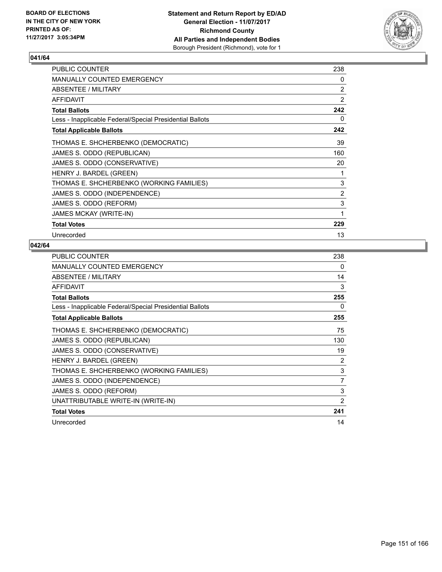

| <b>PUBLIC COUNTER</b>                                    | 238 |
|----------------------------------------------------------|-----|
| MANUALLY COUNTED EMERGENCY                               | 0   |
| ABSENTEE / MILITARY                                      | 2   |
| <b>AFFIDAVIT</b>                                         | 2   |
| <b>Total Ballots</b>                                     | 242 |
| Less - Inapplicable Federal/Special Presidential Ballots | 0   |
| <b>Total Applicable Ballots</b>                          | 242 |
| THOMAS E. SHCHERBENKO (DEMOCRATIC)                       | 39  |
| JAMES S. ODDO (REPUBLICAN)                               | 160 |
| JAMES S. ODDO (CONSERVATIVE)                             | 20  |
| HENRY J. BARDEL (GREEN)                                  | 1   |
| THOMAS E. SHCHERBENKO (WORKING FAMILIES)                 | 3   |
| JAMES S. ODDO (INDEPENDENCE)                             | 2   |
| JAMES S. ODDO (REFORM)                                   | 3   |
| <b>JAMES MCKAY (WRITE-IN)</b>                            | 1   |
| <b>Total Votes</b>                                       | 229 |
| Unrecorded                                               | 13  |

| <b>PUBLIC COUNTER</b>                                    | 238 |
|----------------------------------------------------------|-----|
| <b>MANUALLY COUNTED EMERGENCY</b>                        | 0   |
| ABSENTEE / MILITARY                                      | 14  |
| <b>AFFIDAVIT</b>                                         | 3   |
| <b>Total Ballots</b>                                     | 255 |
| Less - Inapplicable Federal/Special Presidential Ballots | 0   |
| <b>Total Applicable Ballots</b>                          | 255 |
| THOMAS E. SHCHERBENKO (DEMOCRATIC)                       | 75  |
| JAMES S. ODDO (REPUBLICAN)                               | 130 |
| JAMES S. ODDO (CONSERVATIVE)                             | 19  |
| HENRY J. BARDEL (GREEN)                                  | 2   |
| THOMAS E. SHCHERBENKO (WORKING FAMILIES)                 | 3   |
| JAMES S. ODDO (INDEPENDENCE)                             | 7   |
| JAMES S. ODDO (REFORM)                                   | 3   |
| UNATTRIBUTABLE WRITE-IN (WRITE-IN)                       | 2   |
| <b>Total Votes</b>                                       | 241 |
| Unrecorded                                               | 14  |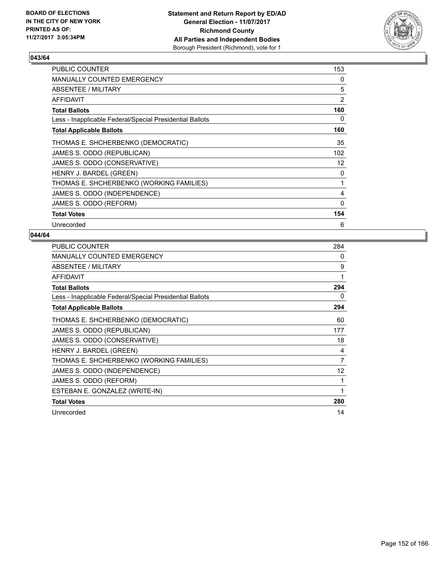

| PUBLIC COUNTER                                           | 153 |
|----------------------------------------------------------|-----|
| <b>MANUALLY COUNTED EMERGENCY</b>                        | 0   |
| ABSENTEE / MILITARY                                      | 5   |
| AFFIDAVIT                                                | 2   |
| <b>Total Ballots</b>                                     | 160 |
| Less - Inapplicable Federal/Special Presidential Ballots | 0   |
| <b>Total Applicable Ballots</b>                          | 160 |
| THOMAS E. SHCHERBENKO (DEMOCRATIC)                       | 35  |
| JAMES S. ODDO (REPUBLICAN)                               | 102 |
| JAMES S. ODDO (CONSERVATIVE)                             | 12  |
| HENRY J. BARDEL (GREEN)                                  | 0   |
| THOMAS E. SHCHERBENKO (WORKING FAMILIES)                 | 1   |
| JAMES S. ODDO (INDEPENDENCE)                             | 4   |
| JAMES S. ODDO (REFORM)                                   | 0   |
| <b>Total Votes</b>                                       | 154 |
| Unrecorded                                               | 6   |

| <b>PUBLIC COUNTER</b>                                    | 284 |
|----------------------------------------------------------|-----|
| <b>MANUALLY COUNTED EMERGENCY</b>                        | 0   |
| ABSENTEE / MILITARY                                      | 9   |
| <b>AFFIDAVIT</b>                                         | 1   |
| <b>Total Ballots</b>                                     | 294 |
| Less - Inapplicable Federal/Special Presidential Ballots | 0   |
| <b>Total Applicable Ballots</b>                          | 294 |
| THOMAS E. SHCHERBENKO (DEMOCRATIC)                       | 60  |
| JAMES S. ODDO (REPUBLICAN)                               | 177 |
| JAMES S. ODDO (CONSERVATIVE)                             | 18  |
| HENRY J. BARDEL (GREEN)                                  | 4   |
| THOMAS E. SHCHERBENKO (WORKING FAMILIES)                 | 7   |
| JAMES S. ODDO (INDEPENDENCE)                             | 12  |
| JAMES S. ODDO (REFORM)                                   |     |
| ESTEBAN E. GONZALEZ (WRITE-IN)                           | 1   |
| <b>Total Votes</b>                                       | 280 |
| Unrecorded                                               | 14  |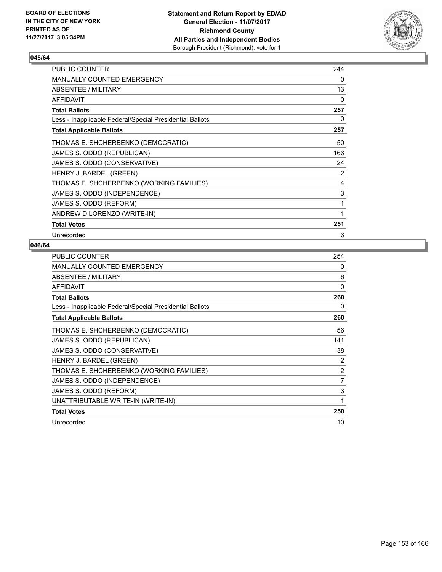

| <b>PUBLIC COUNTER</b>                                    | 244 |
|----------------------------------------------------------|-----|
| MANUALLY COUNTED EMERGENCY                               | 0   |
| ABSENTEE / MILITARY                                      | 13  |
| <b>AFFIDAVIT</b>                                         | 0   |
| <b>Total Ballots</b>                                     | 257 |
| Less - Inapplicable Federal/Special Presidential Ballots | 0   |
| <b>Total Applicable Ballots</b>                          | 257 |
| THOMAS E. SHCHERBENKO (DEMOCRATIC)                       | 50  |
| JAMES S. ODDO (REPUBLICAN)                               | 166 |
| JAMES S. ODDO (CONSERVATIVE)                             | 24  |
| HENRY J. BARDEL (GREEN)                                  | 2   |
| THOMAS E. SHCHERBENKO (WORKING FAMILIES)                 | 4   |
| JAMES S. ODDO (INDEPENDENCE)                             | 3   |
| JAMES S. ODDO (REFORM)                                   | 1   |
| ANDREW DILORENZO (WRITE-IN)                              | 1   |
| <b>Total Votes</b>                                       | 251 |
| Unrecorded                                               | 6   |

| <b>PUBLIC COUNTER</b>                                    | 254      |
|----------------------------------------------------------|----------|
| <b>MANUALLY COUNTED EMERGENCY</b>                        | 0        |
| ABSENTEE / MILITARY                                      | 6        |
| <b>AFFIDAVIT</b>                                         | $\Omega$ |
| <b>Total Ballots</b>                                     | 260      |
| Less - Inapplicable Federal/Special Presidential Ballots | 0        |
| <b>Total Applicable Ballots</b>                          | 260      |
| THOMAS E. SHCHERBENKO (DEMOCRATIC)                       | 56       |
| JAMES S. ODDO (REPUBLICAN)                               | 141      |
| JAMES S. ODDO (CONSERVATIVE)                             | 38       |
| HENRY J. BARDEL (GREEN)                                  | 2        |
| THOMAS E. SHCHERBENKO (WORKING FAMILIES)                 | 2        |
| JAMES S. ODDO (INDEPENDENCE)                             | 7        |
| JAMES S. ODDO (REFORM)                                   | 3        |
| UNATTRIBUTABLE WRITE-IN (WRITE-IN)                       | 1        |
| <b>Total Votes</b>                                       | 250      |
| Unrecorded                                               | 10       |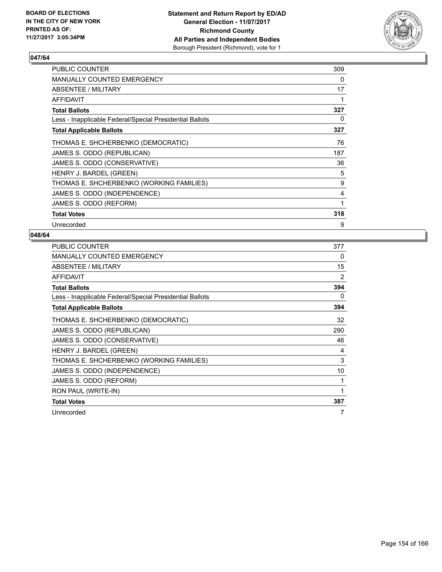

| <b>PUBLIC COUNTER</b>                                    | 309 |
|----------------------------------------------------------|-----|
| <b>MANUALLY COUNTED EMERGENCY</b>                        | 0   |
| ABSENTEE / MILITARY                                      | 17  |
| AFFIDAVIT                                                |     |
| <b>Total Ballots</b>                                     | 327 |
| Less - Inapplicable Federal/Special Presidential Ballots | 0   |
| <b>Total Applicable Ballots</b>                          | 327 |
| THOMAS E. SHCHERBENKO (DEMOCRATIC)                       | 76  |
| JAMES S. ODDO (REPUBLICAN)                               | 187 |
| JAMES S. ODDO (CONSERVATIVE)                             | 36  |
| HENRY J. BARDEL (GREEN)                                  | 5   |
| THOMAS E. SHCHERBENKO (WORKING FAMILIES)                 | 9   |
| JAMES S. ODDO (INDEPENDENCE)                             | 4   |
| JAMES S. ODDO (REFORM)                                   | 1   |
| <b>Total Votes</b>                                       | 318 |
| Unrecorded                                               | 9   |

| <b>PUBLIC COUNTER</b>                                    | 377 |
|----------------------------------------------------------|-----|
| <b>MANUALLY COUNTED EMERGENCY</b>                        | 0   |
| ABSENTEE / MILITARY                                      | 15  |
| <b>AFFIDAVIT</b>                                         | 2   |
| <b>Total Ballots</b>                                     | 394 |
| Less - Inapplicable Federal/Special Presidential Ballots | 0   |
| <b>Total Applicable Ballots</b>                          | 394 |
| THOMAS E. SHCHERBENKO (DEMOCRATIC)                       | 32  |
| JAMES S. ODDO (REPUBLICAN)                               | 290 |
| JAMES S. ODDO (CONSERVATIVE)                             | 46  |
| HENRY J. BARDEL (GREEN)                                  | 4   |
| THOMAS E. SHCHERBENKO (WORKING FAMILIES)                 | 3   |
| JAMES S. ODDO (INDEPENDENCE)                             | 10  |
| JAMES S. ODDO (REFORM)                                   | 1   |
| RON PAUL (WRITE-IN)                                      | 1   |
| <b>Total Votes</b>                                       | 387 |
| Unrecorded                                               | 7   |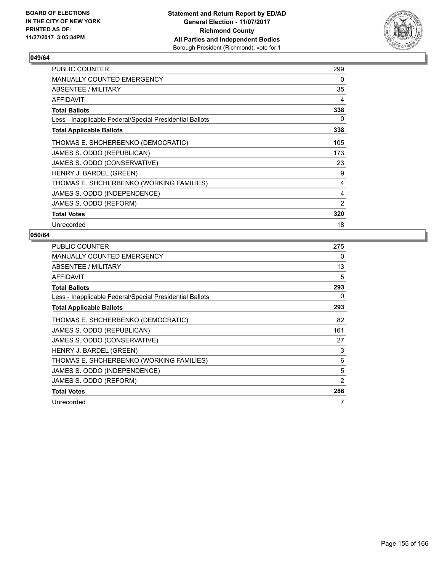

| <b>PUBLIC COUNTER</b>                                    | 299 |
|----------------------------------------------------------|-----|
| <b>MANUALLY COUNTED EMERGENCY</b>                        | 0   |
| <b>ABSENTEE / MILITARY</b>                               | 35  |
| <b>AFFIDAVIT</b>                                         | 4   |
| <b>Total Ballots</b>                                     | 338 |
| Less - Inapplicable Federal/Special Presidential Ballots | 0   |
| <b>Total Applicable Ballots</b>                          | 338 |
| THOMAS E. SHCHERBENKO (DEMOCRATIC)                       | 105 |
| JAMES S. ODDO (REPUBLICAN)                               | 173 |
| JAMES S. ODDO (CONSERVATIVE)                             | 23  |
| HENRY J. BARDEL (GREEN)                                  | 9   |
| THOMAS E. SHCHERBENKO (WORKING FAMILIES)                 | 4   |
| JAMES S. ODDO (INDEPENDENCE)                             | 4   |
| JAMES S. ODDO (REFORM)                                   | 2   |
| <b>Total Votes</b>                                       | 320 |
| Unrecorded                                               | 18  |

| <b>PUBLIC COUNTER</b>                                    | 275 |
|----------------------------------------------------------|-----|
| MANUALLY COUNTED EMERGENCY                               | 0   |
| ABSENTEE / MILITARY                                      | 13  |
| AFFIDAVIT                                                | 5   |
| <b>Total Ballots</b>                                     | 293 |
| Less - Inapplicable Federal/Special Presidential Ballots | 0   |
| <b>Total Applicable Ballots</b>                          | 293 |
| THOMAS E. SHCHERBENKO (DEMOCRATIC)                       | 82  |
| JAMES S. ODDO (REPUBLICAN)                               | 161 |
| JAMES S. ODDO (CONSERVATIVE)                             | 27  |
| HENRY J. BARDEL (GREEN)                                  | 3   |
| THOMAS E. SHCHERBENKO (WORKING FAMILIES)                 | 6   |
| JAMES S. ODDO (INDEPENDENCE)                             | 5   |
| JAMES S. ODDO (REFORM)                                   | 2   |
| <b>Total Votes</b>                                       | 286 |
| Unrecorded                                               | 7   |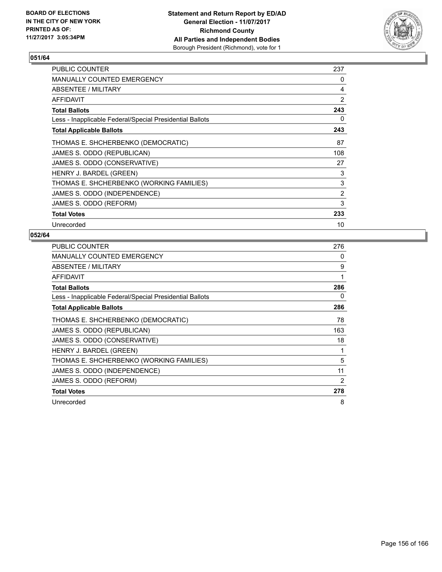

| <b>PUBLIC COUNTER</b>                                    | 237 |
|----------------------------------------------------------|-----|
| <b>MANUALLY COUNTED EMERGENCY</b>                        | 0   |
| ABSENTEE / MILITARY                                      | 4   |
| AFFIDAVIT                                                | 2   |
| <b>Total Ballots</b>                                     | 243 |
| Less - Inapplicable Federal/Special Presidential Ballots | 0   |
| <b>Total Applicable Ballots</b>                          | 243 |
| THOMAS E. SHCHERBENKO (DEMOCRATIC)                       | 87  |
| JAMES S. ODDO (REPUBLICAN)                               | 108 |
| JAMES S. ODDO (CONSERVATIVE)                             | 27  |
| HENRY J. BARDEL (GREEN)                                  | 3   |
| THOMAS E. SHCHERBENKO (WORKING FAMILIES)                 | 3   |
| JAMES S. ODDO (INDEPENDENCE)                             | 2   |
| JAMES S. ODDO (REFORM)                                   | 3   |
| <b>Total Votes</b>                                       | 233 |
| Unrecorded                                               | 10  |

| <b>PUBLIC COUNTER</b>                                    | 276            |
|----------------------------------------------------------|----------------|
| MANUALLY COUNTED EMERGENCY                               | 0              |
| ABSENTEE / MILITARY                                      | 9              |
| AFFIDAVIT                                                | 1              |
| <b>Total Ballots</b>                                     | 286            |
| Less - Inapplicable Federal/Special Presidential Ballots | 0              |
| <b>Total Applicable Ballots</b>                          | 286            |
| THOMAS E. SHCHERBENKO (DEMOCRATIC)                       | 78             |
| JAMES S. ODDO (REPUBLICAN)                               | 163            |
| JAMES S. ODDO (CONSERVATIVE)                             | 18             |
| HENRY J. BARDEL (GREEN)                                  | 1              |
| THOMAS E. SHCHERBENKO (WORKING FAMILIES)                 | 5              |
| JAMES S. ODDO (INDEPENDENCE)                             | 11             |
| JAMES S. ODDO (REFORM)                                   | $\overline{2}$ |
| <b>Total Votes</b>                                       | 278            |
| Unrecorded                                               | 8              |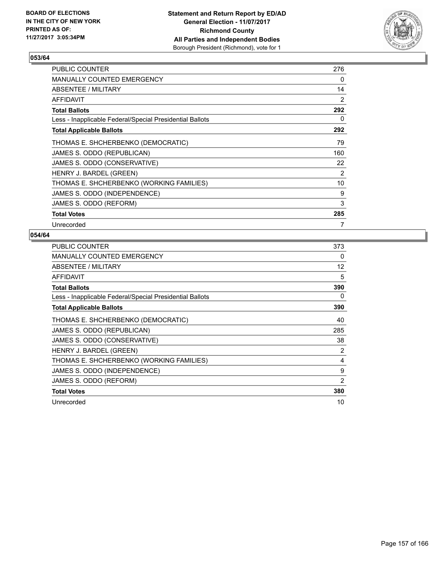

| <b>PUBLIC COUNTER</b>                                    | 276 |
|----------------------------------------------------------|-----|
| <b>MANUALLY COUNTED EMERGENCY</b>                        | 0   |
| ABSENTEE / MILITARY                                      | 14  |
| AFFIDAVIT                                                | 2   |
| <b>Total Ballots</b>                                     | 292 |
| Less - Inapplicable Federal/Special Presidential Ballots | 0   |
| <b>Total Applicable Ballots</b>                          | 292 |
| THOMAS E. SHCHERBENKO (DEMOCRATIC)                       | 79  |
| JAMES S. ODDO (REPUBLICAN)                               | 160 |
| JAMES S. ODDO (CONSERVATIVE)                             | 22  |
| HENRY J. BARDEL (GREEN)                                  | 2   |
| THOMAS E. SHCHERBENKO (WORKING FAMILIES)                 | 10  |
| JAMES S. ODDO (INDEPENDENCE)                             | 9   |
| JAMES S. ODDO (REFORM)                                   | 3   |
| <b>Total Votes</b>                                       | 285 |
| Unrecorded                                               | 7   |

| <b>PUBLIC COUNTER</b>                                    | 373 |
|----------------------------------------------------------|-----|
| <b>MANUALLY COUNTED EMERGENCY</b>                        | 0   |
| ABSENTEE / MILITARY                                      | 12  |
| <b>AFFIDAVIT</b>                                         | 5   |
| <b>Total Ballots</b>                                     | 390 |
| Less - Inapplicable Federal/Special Presidential Ballots | 0   |
| <b>Total Applicable Ballots</b>                          | 390 |
| THOMAS E. SHCHERBENKO (DEMOCRATIC)                       | 40  |
| JAMES S. ODDO (REPUBLICAN)                               | 285 |
| JAMES S. ODDO (CONSERVATIVE)                             | 38  |
| HENRY J. BARDEL (GREEN)                                  | 2   |
| THOMAS E. SHCHERBENKO (WORKING FAMILIES)                 | 4   |
| JAMES S. ODDO (INDEPENDENCE)                             | 9   |
| JAMES S. ODDO (REFORM)                                   | 2   |
| <b>Total Votes</b>                                       | 380 |
| Unrecorded                                               | 10  |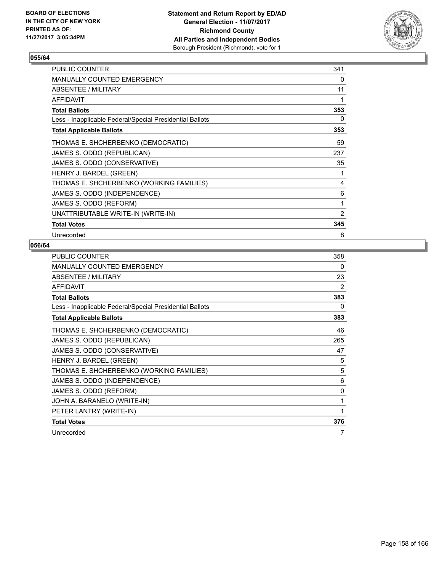

| <b>PUBLIC COUNTER</b>                                    | 341            |
|----------------------------------------------------------|----------------|
| MANUALLY COUNTED EMERGENCY                               | 0              |
| ABSENTEE / MILITARY                                      | 11             |
| <b>AFFIDAVIT</b>                                         | 1              |
| <b>Total Ballots</b>                                     | 353            |
| Less - Inapplicable Federal/Special Presidential Ballots | 0              |
| <b>Total Applicable Ballots</b>                          | 353            |
| THOMAS E. SHCHERBENKO (DEMOCRATIC)                       | 59             |
| JAMES S. ODDO (REPUBLICAN)                               | 237            |
| JAMES S. ODDO (CONSERVATIVE)                             | 35             |
| HENRY J. BARDEL (GREEN)                                  | 1              |
| THOMAS E. SHCHERBENKO (WORKING FAMILIES)                 | 4              |
| JAMES S. ODDO (INDEPENDENCE)                             | 6              |
| JAMES S. ODDO (REFORM)                                   | 1              |
| UNATTRIBUTABLE WRITE-IN (WRITE-IN)                       | $\overline{2}$ |
| <b>Total Votes</b>                                       | 345            |
| Unrecorded                                               | 8              |

| <b>PUBLIC COUNTER</b>                                    | 358 |
|----------------------------------------------------------|-----|
| <b>MANUALLY COUNTED EMERGENCY</b>                        | 0   |
| ABSENTEE / MILITARY                                      | 23  |
| <b>AFFIDAVIT</b>                                         | 2   |
| <b>Total Ballots</b>                                     | 383 |
| Less - Inapplicable Federal/Special Presidential Ballots | 0   |
| <b>Total Applicable Ballots</b>                          | 383 |
| THOMAS E. SHCHERBENKO (DEMOCRATIC)                       | 46  |
| JAMES S. ODDO (REPUBLICAN)                               | 265 |
| JAMES S. ODDO (CONSERVATIVE)                             | 47  |
| HENRY J. BARDEL (GREEN)                                  | 5   |
| THOMAS E. SHCHERBENKO (WORKING FAMILIES)                 | 5   |
| JAMES S. ODDO (INDEPENDENCE)                             | 6   |
| JAMES S. ODDO (REFORM)                                   | 0   |
| JOHN A. BARANELO (WRITE-IN)                              | 1   |
| PETER LANTRY (WRITE-IN)                                  | 1   |
| <b>Total Votes</b>                                       | 376 |
| Unrecorded                                               | 7   |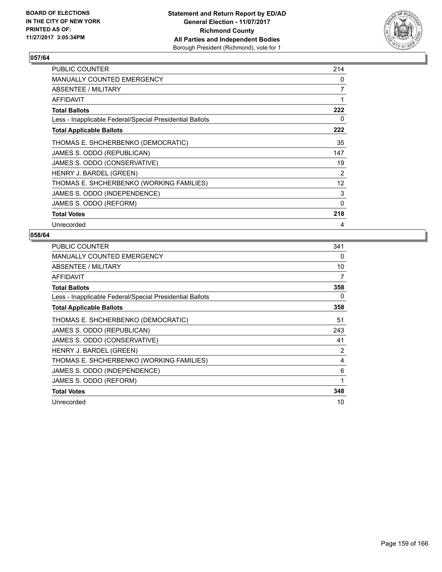

| <b>PUBLIC COUNTER</b>                                    | 214 |
|----------------------------------------------------------|-----|
| <b>MANUALLY COUNTED EMERGENCY</b>                        | 0   |
| ABSENTEE / MILITARY                                      | 7   |
| AFFIDAVIT                                                | 1   |
| <b>Total Ballots</b>                                     | 222 |
| Less - Inapplicable Federal/Special Presidential Ballots | 0   |
| <b>Total Applicable Ballots</b>                          | 222 |
| THOMAS E. SHCHERBENKO (DEMOCRATIC)                       | 35  |
| JAMES S. ODDO (REPUBLICAN)                               | 147 |
| JAMES S. ODDO (CONSERVATIVE)                             | 19  |
| HENRY J. BARDEL (GREEN)                                  | 2   |
| THOMAS E. SHCHERBENKO (WORKING FAMILIES)                 | 12  |
| JAMES S. ODDO (INDEPENDENCE)                             | 3   |
| JAMES S. ODDO (REFORM)                                   | 0   |
| <b>Total Votes</b>                                       | 218 |
| Unrecorded                                               | 4   |

| <b>PUBLIC COUNTER</b>                                    | 341 |
|----------------------------------------------------------|-----|
| <b>MANUALLY COUNTED EMERGENCY</b>                        | 0   |
| ABSENTEE / MILITARY                                      | 10  |
| <b>AFFIDAVIT</b>                                         | 7   |
| <b>Total Ballots</b>                                     | 358 |
| Less - Inapplicable Federal/Special Presidential Ballots | 0   |
| <b>Total Applicable Ballots</b>                          | 358 |
| THOMAS E. SHCHERBENKO (DEMOCRATIC)                       | 51  |
| JAMES S. ODDO (REPUBLICAN)                               | 243 |
| JAMES S. ODDO (CONSERVATIVE)                             | 41  |
| HENRY J. BARDEL (GREEN)                                  | 2   |
| THOMAS E. SHCHERBENKO (WORKING FAMILIES)                 | 4   |
| JAMES S. ODDO (INDEPENDENCE)                             | 6   |
| JAMES S. ODDO (REFORM)                                   | 1   |
| <b>Total Votes</b>                                       | 348 |
| Unrecorded                                               | 10  |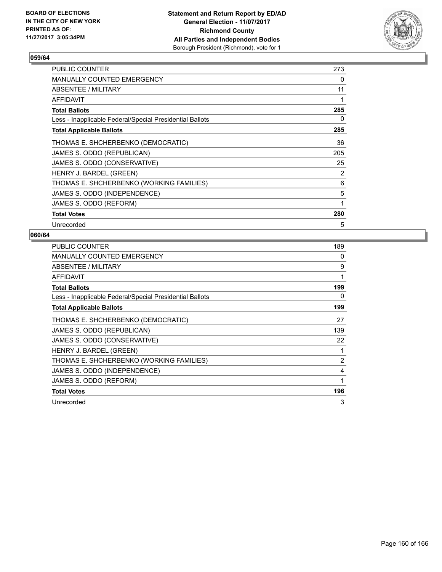

| <b>PUBLIC COUNTER</b>                                    | 273 |
|----------------------------------------------------------|-----|
| <b>MANUALLY COUNTED EMERGENCY</b>                        | 0   |
| ABSENTEE / MILITARY                                      | 11  |
| AFFIDAVIT                                                |     |
| <b>Total Ballots</b>                                     | 285 |
| Less - Inapplicable Federal/Special Presidential Ballots | 0   |
| <b>Total Applicable Ballots</b>                          | 285 |
| THOMAS E. SHCHERBENKO (DEMOCRATIC)                       | 36  |
| JAMES S. ODDO (REPUBLICAN)                               | 205 |
| JAMES S. ODDO (CONSERVATIVE)                             | 25  |
| HENRY J. BARDEL (GREEN)                                  | 2   |
| THOMAS E. SHCHERBENKO (WORKING FAMILIES)                 | 6   |
| JAMES S. ODDO (INDEPENDENCE)                             | 5   |
| JAMES S. ODDO (REFORM)                                   | 1   |
| <b>Total Votes</b>                                       | 280 |
| Unrecorded                                               | 5   |

| <b>PUBLIC COUNTER</b>                                    | 189 |
|----------------------------------------------------------|-----|
| <b>MANUALLY COUNTED EMERGENCY</b>                        | 0   |
| ABSENTEE / MILITARY                                      | 9   |
| <b>AFFIDAVIT</b>                                         | 1   |
| <b>Total Ballots</b>                                     | 199 |
| Less - Inapplicable Federal/Special Presidential Ballots | 0   |
| <b>Total Applicable Ballots</b>                          | 199 |
| THOMAS E. SHCHERBENKO (DEMOCRATIC)                       | 27  |
| JAMES S. ODDO (REPUBLICAN)                               | 139 |
| JAMES S. ODDO (CONSERVATIVE)                             | 22  |
| HENRY J. BARDEL (GREEN)                                  | 1   |
| THOMAS E. SHCHERBENKO (WORKING FAMILIES)                 | 2   |
| JAMES S. ODDO (INDEPENDENCE)                             | 4   |
| JAMES S. ODDO (REFORM)                                   | 1   |
| <b>Total Votes</b>                                       | 196 |
| Unrecorded                                               | 3   |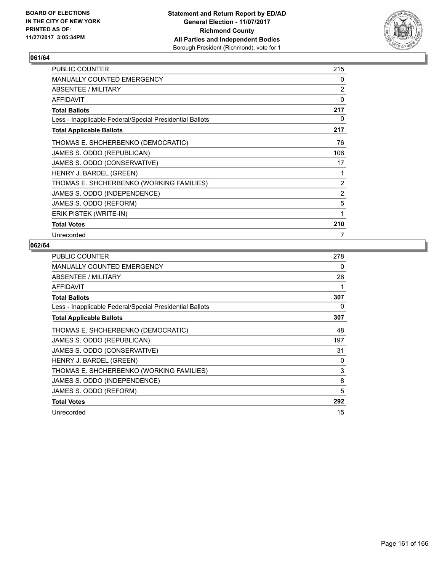

| <b>PUBLIC COUNTER</b>                                    | 215            |
|----------------------------------------------------------|----------------|
| MANUALLY COUNTED EMERGENCY                               | 0              |
| ABSENTEE / MILITARY                                      | $\overline{2}$ |
| <b>AFFIDAVIT</b>                                         | 0              |
| <b>Total Ballots</b>                                     | 217            |
| Less - Inapplicable Federal/Special Presidential Ballots | 0              |
| <b>Total Applicable Ballots</b>                          | 217            |
| THOMAS E. SHCHERBENKO (DEMOCRATIC)                       | 76             |
| JAMES S. ODDO (REPUBLICAN)                               | 106            |
| JAMES S. ODDO (CONSERVATIVE)                             | 17             |
| HENRY J. BARDEL (GREEN)                                  | 1              |
| THOMAS E. SHCHERBENKO (WORKING FAMILIES)                 | 2              |
| JAMES S. ODDO (INDEPENDENCE)                             | $\overline{2}$ |
| JAMES S. ODDO (REFORM)                                   | 5              |
| ERIK PISTEK (WRITE-IN)                                   | 1              |
| <b>Total Votes</b>                                       | 210            |
| Unrecorded                                               | 7              |

| <b>PUBLIC COUNTER</b>                                    | 278 |
|----------------------------------------------------------|-----|
| <b>MANUALLY COUNTED EMERGENCY</b>                        | 0   |
| ABSENTEE / MILITARY                                      | 28  |
| <b>AFFIDAVIT</b>                                         | 1   |
| <b>Total Ballots</b>                                     | 307 |
| Less - Inapplicable Federal/Special Presidential Ballots | 0   |
| <b>Total Applicable Ballots</b>                          | 307 |
| THOMAS E. SHCHERBENKO (DEMOCRATIC)                       | 48  |
| JAMES S. ODDO (REPUBLICAN)                               | 197 |
| JAMES S. ODDO (CONSERVATIVE)                             | 31  |
| HENRY J. BARDEL (GREEN)                                  | 0   |
| THOMAS E. SHCHERBENKO (WORKING FAMILIES)                 | 3   |
| JAMES S. ODDO (INDEPENDENCE)                             | 8   |
| JAMES S. ODDO (REFORM)                                   | 5   |
| <b>Total Votes</b>                                       | 292 |
| Unrecorded                                               | 15  |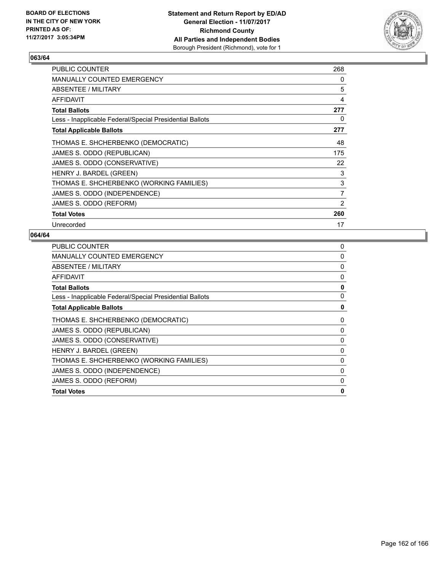

| <b>PUBLIC COUNTER</b>                                    | 268            |
|----------------------------------------------------------|----------------|
| <b>MANUALLY COUNTED EMERGENCY</b>                        | 0              |
| ABSENTEE / MILITARY                                      | 5              |
| AFFIDAVIT                                                | 4              |
| <b>Total Ballots</b>                                     | 277            |
| Less - Inapplicable Federal/Special Presidential Ballots | 0              |
| <b>Total Applicable Ballots</b>                          | 277            |
| THOMAS E. SHCHERBENKO (DEMOCRATIC)                       | 48             |
| JAMES S. ODDO (REPUBLICAN)                               | 175            |
| JAMES S. ODDO (CONSERVATIVE)                             | 22             |
| HENRY J. BARDEL (GREEN)                                  | 3              |
| THOMAS E. SHCHERBENKO (WORKING FAMILIES)                 | 3              |
| JAMES S. ODDO (INDEPENDENCE)                             | $\overline{7}$ |
| JAMES S. ODDO (REFORM)                                   | $\overline{2}$ |
| <b>Total Votes</b>                                       | 260            |
| Unrecorded                                               | 17             |

| <b>PUBLIC COUNTER</b>                                    | 0            |
|----------------------------------------------------------|--------------|
| <b>MANUALLY COUNTED EMERGENCY</b>                        | 0            |
| ABSENTEE / MILITARY                                      | 0            |
| <b>AFFIDAVIT</b>                                         | 0            |
| <b>Total Ballots</b>                                     | 0            |
| Less - Inapplicable Federal/Special Presidential Ballots | 0            |
| <b>Total Applicable Ballots</b>                          | 0            |
| THOMAS E. SHCHERBENKO (DEMOCRATIC)                       | 0            |
| JAMES S. ODDO (REPUBLICAN)                               | 0            |
| JAMES S. ODDO (CONSERVATIVE)                             | 0            |
| HENRY J. BARDEL (GREEN)                                  | $\mathbf{0}$ |
| THOMAS E. SHCHERBENKO (WORKING FAMILIES)                 | 0            |
| JAMES S. ODDO (INDEPENDENCE)                             | 0            |
| JAMES S. ODDO (REFORM)                                   | 0            |
| <b>Total Votes</b>                                       | 0            |
|                                                          |              |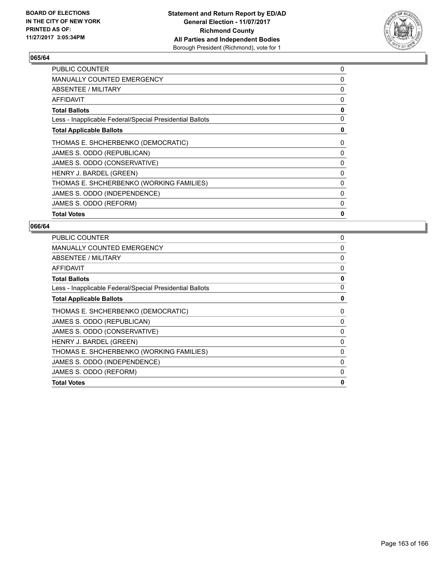

| <b>PUBLIC COUNTER</b>                                    | 0 |
|----------------------------------------------------------|---|
| MANUALLY COUNTED EMERGENCY                               | 0 |
| ABSENTEE / MILITARY                                      | 0 |
| AFFIDAVIT                                                | 0 |
| <b>Total Ballots</b>                                     | 0 |
| Less - Inapplicable Federal/Special Presidential Ballots | 0 |
| <b>Total Applicable Ballots</b>                          | 0 |
| THOMAS E. SHCHERBENKO (DEMOCRATIC)                       | 0 |
| JAMES S. ODDO (REPUBLICAN)                               | 0 |
| JAMES S. ODDO (CONSERVATIVE)                             | 0 |
| HENRY J. BARDEL (GREEN)                                  | 0 |
| THOMAS E. SHCHERBENKO (WORKING FAMILIES)                 | 0 |
| JAMES S. ODDO (INDEPENDENCE)                             | 0 |
| JAMES S. ODDO (REFORM)                                   | 0 |
| <b>Total Votes</b>                                       | 0 |

| <b>PUBLIC COUNTER</b>                                    | 0 |
|----------------------------------------------------------|---|
| MANUALLY COUNTED EMERGENCY                               | 0 |
| ABSENTEE / MILITARY                                      | 0 |
| <b>AFFIDAVIT</b>                                         | 0 |
| <b>Total Ballots</b>                                     | 0 |
| Less - Inapplicable Federal/Special Presidential Ballots | 0 |
| <b>Total Applicable Ballots</b>                          | 0 |
| THOMAS E. SHCHERBENKO (DEMOCRATIC)                       | 0 |
| JAMES S. ODDO (REPUBLICAN)                               | 0 |
| JAMES S. ODDO (CONSERVATIVE)                             | 0 |
| HENRY J. BARDEL (GREEN)                                  | 0 |
| THOMAS E. SHCHERBENKO (WORKING FAMILIES)                 | 0 |
| JAMES S. ODDO (INDEPENDENCE)                             | 0 |
| JAMES S. ODDO (REFORM)                                   | 0 |
| <b>Total Votes</b>                                       | 0 |
|                                                          |   |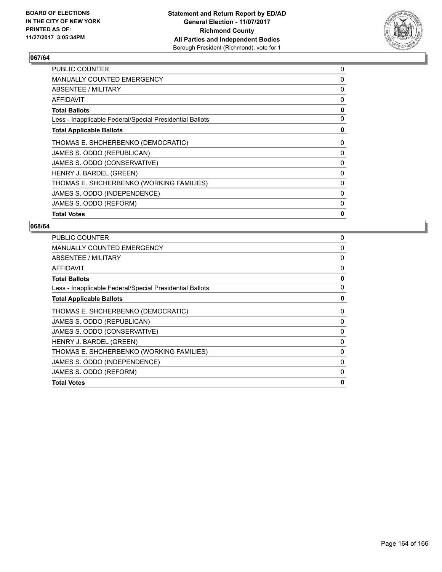

| <b>PUBLIC COUNTER</b>                                    | 0 |
|----------------------------------------------------------|---|
| <b>MANUALLY COUNTED EMERGENCY</b>                        | 0 |
| ABSENTEE / MILITARY                                      | 0 |
| AFFIDAVIT                                                | 0 |
| <b>Total Ballots</b>                                     | 0 |
| Less - Inapplicable Federal/Special Presidential Ballots | 0 |
| <b>Total Applicable Ballots</b>                          | 0 |
| THOMAS E. SHCHERBENKO (DEMOCRATIC)                       | 0 |
| JAMES S. ODDO (REPUBLICAN)                               | 0 |
| JAMES S. ODDO (CONSERVATIVE)                             | 0 |
| HENRY J. BARDEL (GREEN)                                  | 0 |
| THOMAS E. SHCHERBENKO (WORKING FAMILIES)                 | 0 |
| JAMES S. ODDO (INDEPENDENCE)                             | 0 |
| JAMES S. ODDO (REFORM)                                   | 0 |
| <b>Total Votes</b>                                       | 0 |

| <b>PUBLIC COUNTER</b>                                    | 0 |
|----------------------------------------------------------|---|
| MANUALLY COUNTED EMERGENCY                               | 0 |
| ABSENTEE / MILITARY                                      | 0 |
| <b>AFFIDAVIT</b>                                         | 0 |
| <b>Total Ballots</b>                                     | 0 |
| Less - Inapplicable Federal/Special Presidential Ballots | 0 |
| <b>Total Applicable Ballots</b>                          | 0 |
| THOMAS E. SHCHERBENKO (DEMOCRATIC)                       | 0 |
| JAMES S. ODDO (REPUBLICAN)                               | 0 |
| JAMES S. ODDO (CONSERVATIVE)                             | 0 |
| HENRY J. BARDEL (GREEN)                                  | 0 |
| THOMAS E. SHCHERBENKO (WORKING FAMILIES)                 | 0 |
| JAMES S. ODDO (INDEPENDENCE)                             | 0 |
| JAMES S. ODDO (REFORM)                                   | 0 |
| <b>Total Votes</b>                                       | 0 |
|                                                          |   |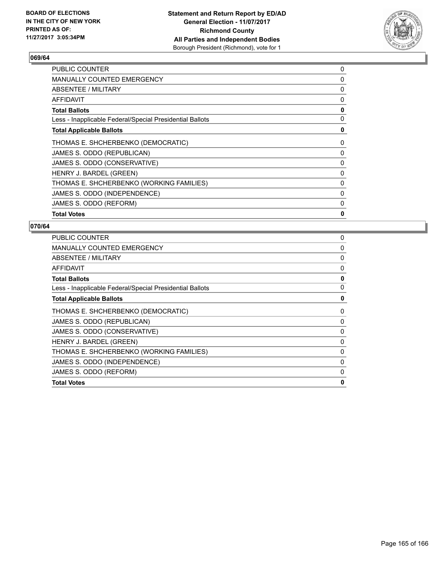

| <b>PUBLIC COUNTER</b>                                    | 0 |
|----------------------------------------------------------|---|
| MANUALLY COUNTED EMERGENCY                               | 0 |
| ABSENTEE / MILITARY                                      | 0 |
| AFFIDAVIT                                                | 0 |
| <b>Total Ballots</b>                                     | 0 |
| Less - Inapplicable Federal/Special Presidential Ballots | 0 |
| <b>Total Applicable Ballots</b>                          | 0 |
| THOMAS E. SHCHERBENKO (DEMOCRATIC)                       | 0 |
| JAMES S. ODDO (REPUBLICAN)                               | 0 |
| JAMES S. ODDO (CONSERVATIVE)                             | 0 |
| HENRY J. BARDEL (GREEN)                                  | 0 |
| THOMAS E. SHCHERBENKO (WORKING FAMILIES)                 | 0 |
| JAMES S. ODDO (INDEPENDENCE)                             | 0 |
| JAMES S. ODDO (REFORM)                                   | 0 |
| <b>Total Votes</b>                                       | 0 |

| <b>PUBLIC COUNTER</b>                                    | 0        |
|----------------------------------------------------------|----------|
| <b>MANUALLY COUNTED EMERGENCY</b>                        | 0        |
| ABSENTEE / MILITARY                                      | 0        |
| <b>AFFIDAVIT</b>                                         | 0        |
| <b>Total Ballots</b>                                     | 0        |
| Less - Inapplicable Federal/Special Presidential Ballots | 0        |
| <b>Total Applicable Ballots</b>                          | 0        |
| THOMAS E. SHCHERBENKO (DEMOCRATIC)                       | 0        |
| JAMES S. ODDO (REPUBLICAN)                               | 0        |
| JAMES S. ODDO (CONSERVATIVE)                             | 0        |
| HENRY J. BARDEL (GREEN)                                  | 0        |
| THOMAS E. SHCHERBENKO (WORKING FAMILIES)                 | 0        |
| JAMES S. ODDO (INDEPENDENCE)                             | $\Omega$ |
| JAMES S. ODDO (REFORM)                                   | 0        |
| <b>Total Votes</b>                                       | 0        |
|                                                          |          |